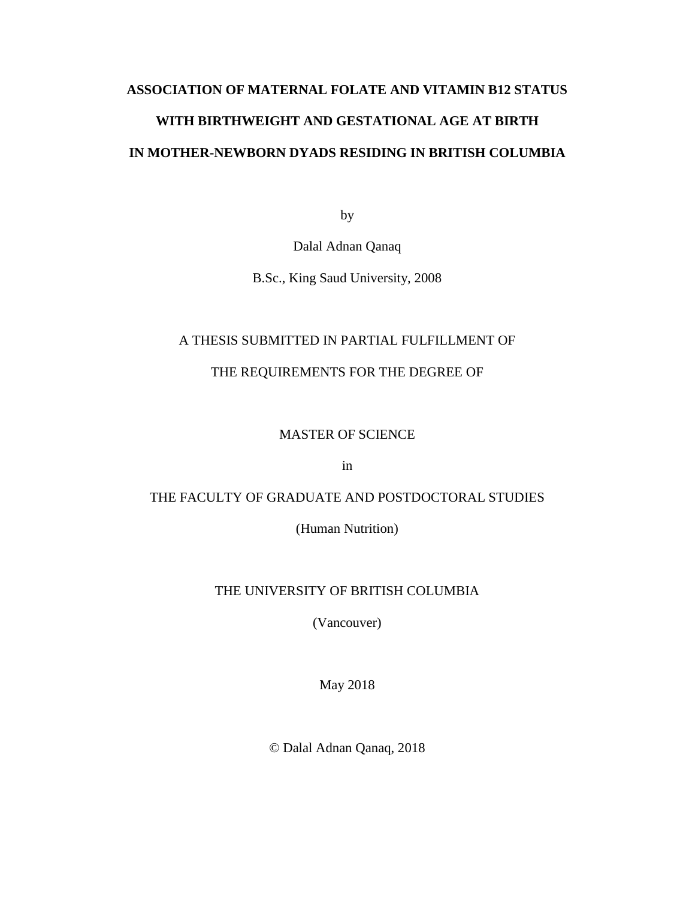# **ASSOCIATION OF MATERNAL FOLATE AND VITAMIN B12 STATUS WITH BIRTHWEIGHT AND GESTATIONAL AGE AT BIRTH IN MOTHER-NEWBORN DYADS RESIDING IN BRITISH COLUMBIA**

by

Dalal Adnan Qanaq

B.Sc., King Saud University, 2008

# A THESIS SUBMITTED IN PARTIAL FULFILLMENT OF

# THE REQUIREMENTS FOR THE DEGREE OF

# MASTER OF SCIENCE

in

# THE FACULTY OF GRADUATE AND POSTDOCTORAL STUDIES

(Human Nutrition)

# THE UNIVERSITY OF BRITISH COLUMBIA

(Vancouver)

May 2018

© Dalal Adnan Qanaq, 2018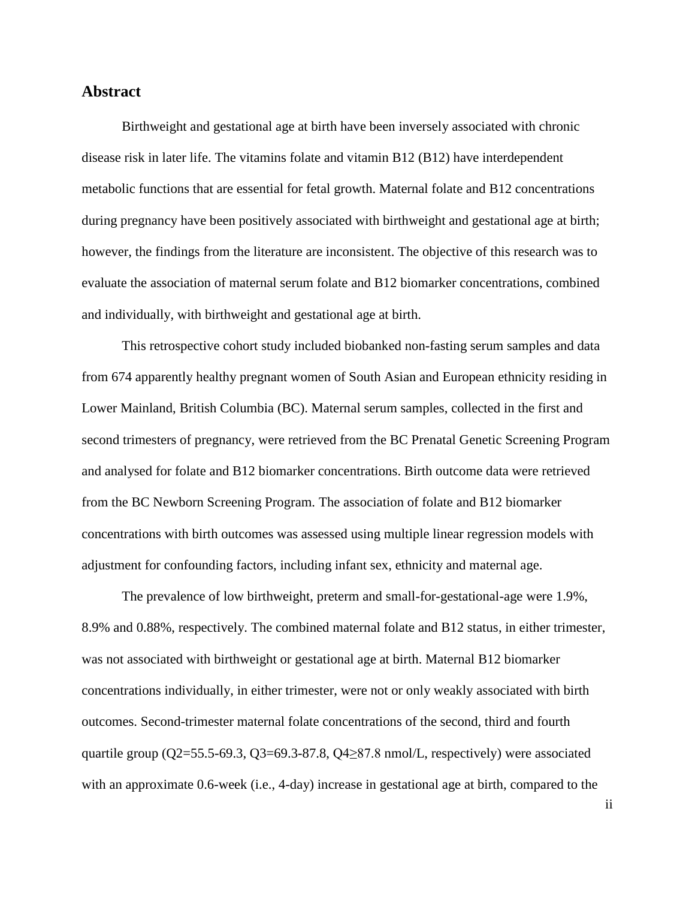## **Abstract**

Birthweight and gestational age at birth have been inversely associated with chronic disease risk in later life. The vitamins folate and vitamin B12 (B12) have interdependent metabolic functions that are essential for fetal growth. Maternal folate and B12 concentrations during pregnancy have been positively associated with birthweight and gestational age at birth; however, the findings from the literature are inconsistent. The objective of this research was to evaluate the association of maternal serum folate and B12 biomarker concentrations, combined and individually, with birthweight and gestational age at birth.

This retrospective cohort study included biobanked non-fasting serum samples and data from 674 apparently healthy pregnant women of South Asian and European ethnicity residing in Lower Mainland, British Columbia (BC). Maternal serum samples, collected in the first and second trimesters of pregnancy, were retrieved from the BC Prenatal Genetic Screening Program and analysed for folate and B12 biomarker concentrations. Birth outcome data were retrieved from the BC Newborn Screening Program. The association of folate and B12 biomarker concentrations with birth outcomes was assessed using multiple linear regression models with adjustment for confounding factors, including infant sex, ethnicity and maternal age.

The prevalence of low birthweight, preterm and small-for-gestational-age were 1.9%, 8.9% and 0.88%, respectively. The combined maternal folate and B12 status, in either trimester, was not associated with birthweight or gestational age at birth. Maternal B12 biomarker concentrations individually, in either trimester, were not or only weakly associated with birth outcomes. Second-trimester maternal folate concentrations of the second, third and fourth quartile group ( $Q2$ =55.5-69.3,  $Q3$ =69.3-87.8,  $Q4 \ge 87.8$  nmol/L, respectively) were associated with an approximate 0.6-week (i.e., 4-day) increase in gestational age at birth, compared to the

ii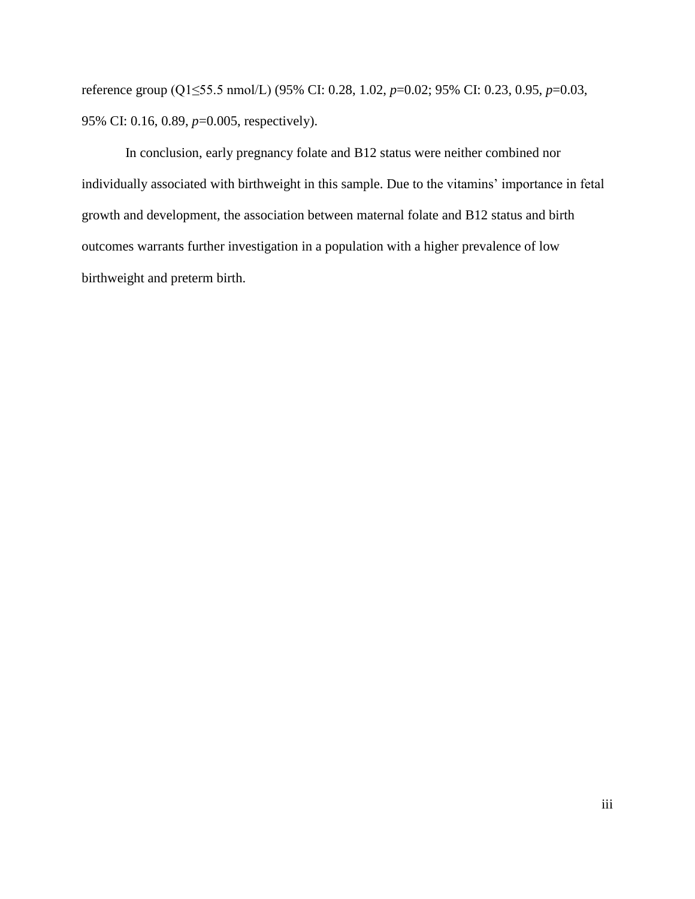reference group (Q1≤55.5 nmol/L) (95% CI: 0.28, 1.02, *p*=0.02; 95% CI: 0.23, 0.95, *p*=0.03, 95% CI: 0.16, 0.89, *p*=0.005, respectively).

In conclusion, early pregnancy folate and B12 status were neither combined nor individually associated with birthweight in this sample. Due to the vitamins' importance in fetal growth and development, the association between maternal folate and B12 status and birth outcomes warrants further investigation in a population with a higher prevalence of low birthweight and preterm birth.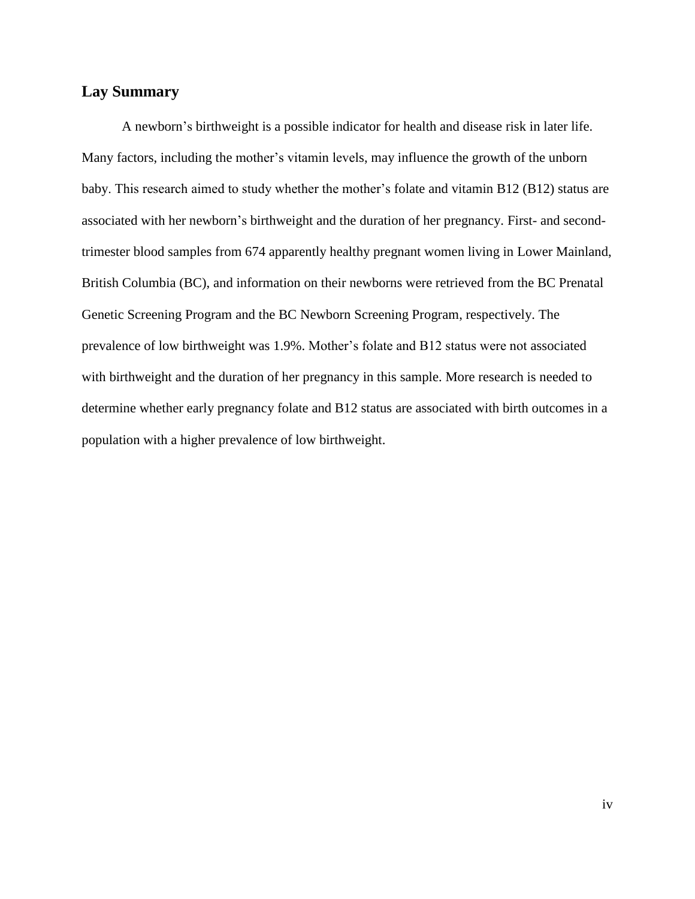# **Lay Summary**

A newborn's birthweight is a possible indicator for health and disease risk in later life. Many factors, including the mother's vitamin levels, may influence the growth of the unborn baby. This research aimed to study whether the mother's folate and vitamin B12 (B12) status are associated with her newborn's birthweight and the duration of her pregnancy. First- and secondtrimester blood samples from 674 apparently healthy pregnant women living in Lower Mainland, British Columbia (BC), and information on their newborns were retrieved from the BC Prenatal Genetic Screening Program and the BC Newborn Screening Program, respectively. The prevalence of low birthweight was 1.9%. Mother's folate and B12 status were not associated with birthweight and the duration of her pregnancy in this sample. More research is needed to determine whether early pregnancy folate and B12 status are associated with birth outcomes in a population with a higher prevalence of low birthweight.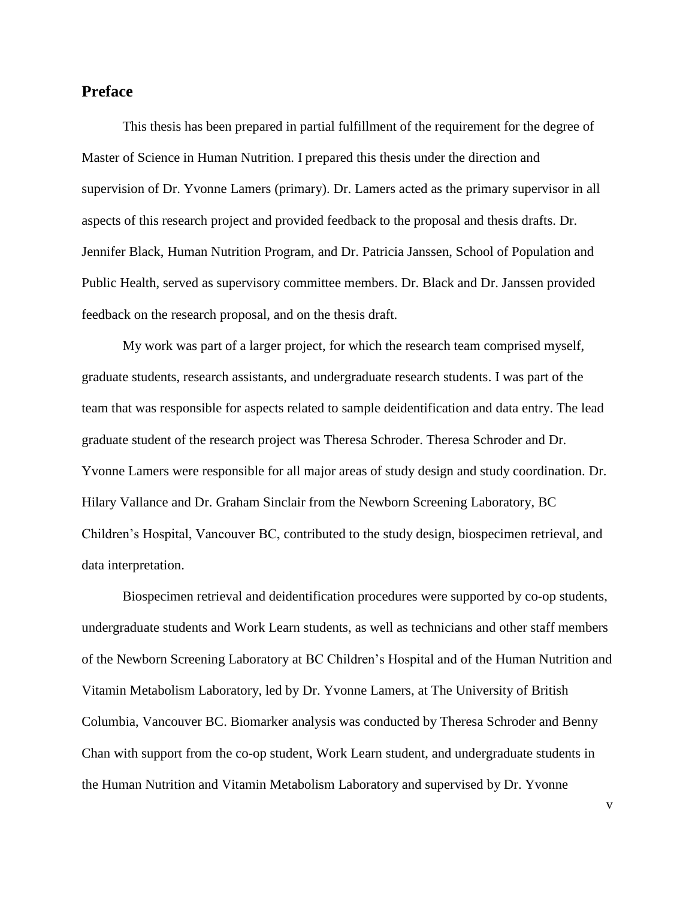## **Preface**

This thesis has been prepared in partial fulfillment of the requirement for the degree of Master of Science in Human Nutrition. I prepared this thesis under the direction and supervision of Dr. Yvonne Lamers (primary). Dr. Lamers acted as the primary supervisor in all aspects of this research project and provided feedback to the proposal and thesis drafts. Dr. Jennifer Black, Human Nutrition Program, and Dr. Patricia Janssen, School of Population and Public Health, served as supervisory committee members. Dr. Black and Dr. Janssen provided feedback on the research proposal, and on the thesis draft.

My work was part of a larger project, for which the research team comprised myself, graduate students, research assistants, and undergraduate research students. I was part of the team that was responsible for aspects related to sample deidentification and data entry. The lead graduate student of the research project was Theresa Schroder. Theresa Schroder and Dr. Yvonne Lamers were responsible for all major areas of study design and study coordination. Dr. Hilary Vallance and Dr. Graham Sinclair from the Newborn Screening Laboratory, BC Children's Hospital, Vancouver BC, contributed to the study design, biospecimen retrieval, and data interpretation.

Biospecimen retrieval and deidentification procedures were supported by co-op students, undergraduate students and Work Learn students, as well as technicians and other staff members of the Newborn Screening Laboratory at BC Children's Hospital and of the Human Nutrition and Vitamin Metabolism Laboratory, led by Dr. Yvonne Lamers, at The University of British Columbia, Vancouver BC. Biomarker analysis was conducted by Theresa Schroder and Benny Chan with support from the co-op student, Work Learn student, and undergraduate students in the Human Nutrition and Vitamin Metabolism Laboratory and supervised by Dr. Yvonne

v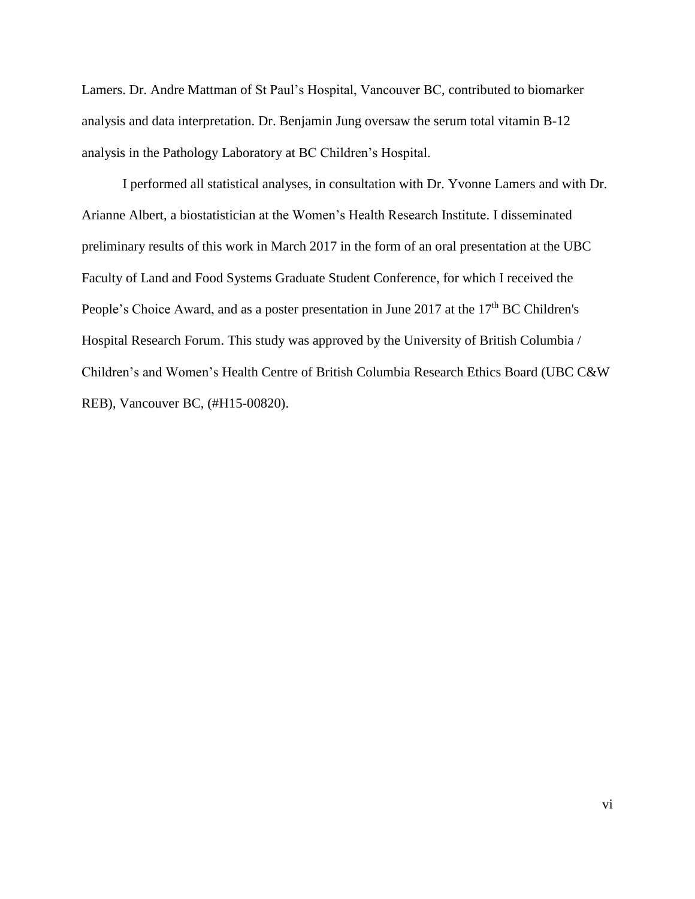Lamers. Dr. Andre Mattman of St Paul's Hospital, Vancouver BC, contributed to biomarker analysis and data interpretation. Dr. Benjamin Jung oversaw the serum total vitamin B-12 analysis in the Pathology Laboratory at BC Children's Hospital.

I performed all statistical analyses, in consultation with Dr. Yvonne Lamers and with Dr. Arianne Albert, a biostatistician at the Women's Health Research Institute. I disseminated preliminary results of this work in March 2017 in the form of an oral presentation at the UBC Faculty of Land and Food Systems Graduate Student Conference, for which I received the People's Choice Award, and as a poster presentation in June 2017 at the 17<sup>th</sup> BC Children's Hospital Research Forum. This study was approved by the University of British Columbia / Children's and Women's Health Centre of British Columbia Research Ethics Board (UBC C&W REB), Vancouver BC, (#H15-00820).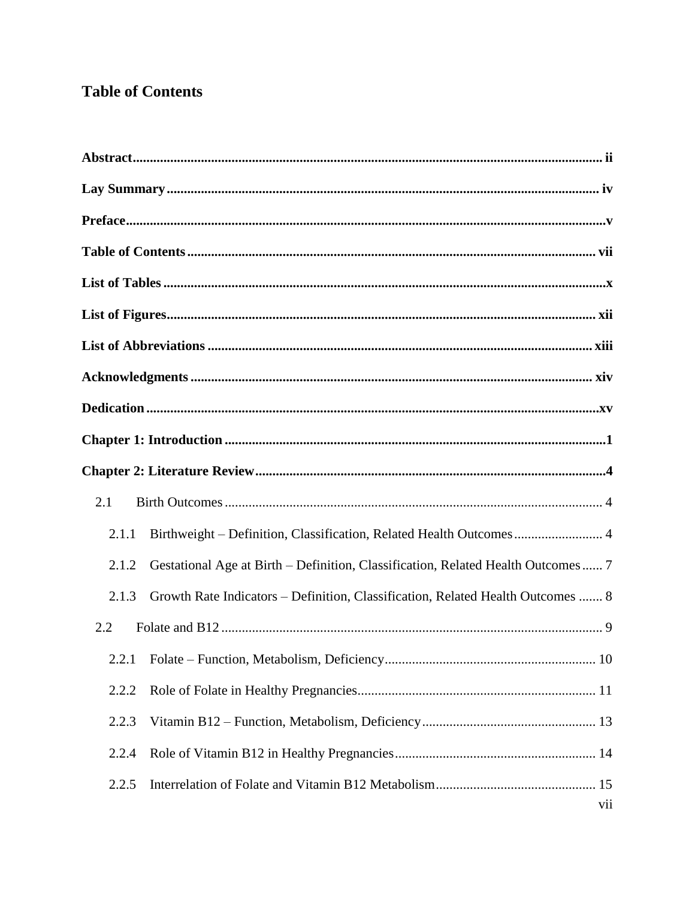# **Table of Contents**

| 2.1   |                                                                                  |
|-------|----------------------------------------------------------------------------------|
| 2.1.1 | Birthweight - Definition, Classification, Related Health Outcomes 4              |
| 2.1.2 | Gestational Age at Birth – Definition, Classification, Related Health Outcomes 7 |
| 2.1.3 | Growth Rate Indicators - Definition, Classification, Related Health Outcomes  8  |
| 2.2   |                                                                                  |
|       |                                                                                  |
| 2.2.2 |                                                                                  |
| 2.2.3 |                                                                                  |
| 2.2.4 |                                                                                  |
| 2.2.5 | vii                                                                              |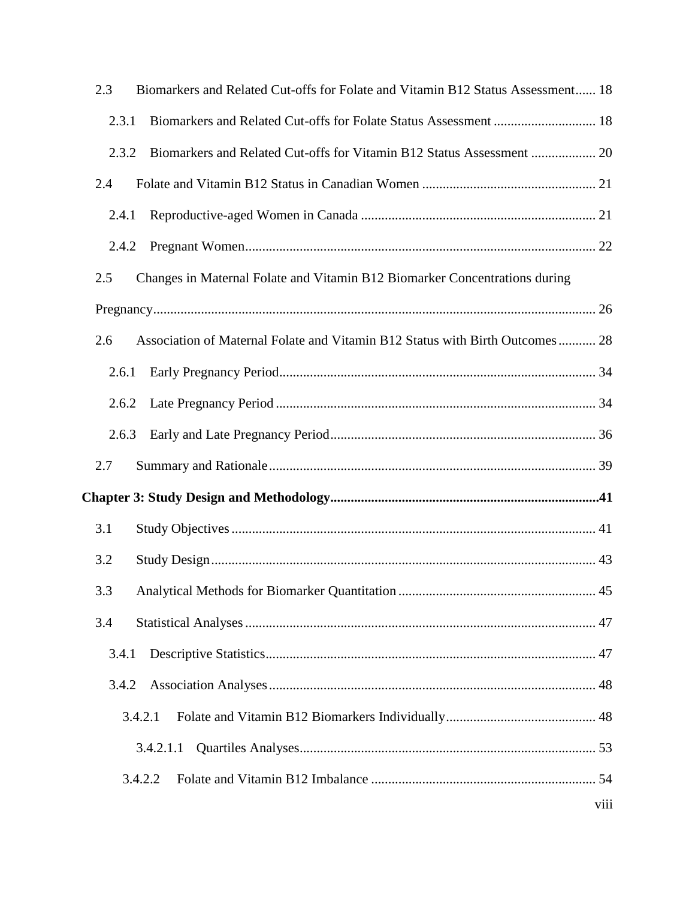| 2.3<br>Biomarkers and Related Cut-offs for Folate and Vitamin B12 Status Assessment 18 |      |
|----------------------------------------------------------------------------------------|------|
| 2.3.1                                                                                  |      |
| Biomarkers and Related Cut-offs for Vitamin B12 Status Assessment  20<br>2.3.2         |      |
| 2.4                                                                                    |      |
| 2.4.1                                                                                  |      |
| 2.4.2                                                                                  |      |
| 2.5<br>Changes in Maternal Folate and Vitamin B12 Biomarker Concentrations during      |      |
|                                                                                        |      |
| 2.6<br>Association of Maternal Folate and Vitamin B12 Status with Birth Outcomes 28    |      |
| 2.6.1                                                                                  |      |
| 2.6.2                                                                                  |      |
| 2.6.3                                                                                  |      |
| 2.7                                                                                    |      |
|                                                                                        |      |
| 3.1                                                                                    |      |
| 3.2                                                                                    |      |
| 3.3                                                                                    |      |
| 3.4                                                                                    |      |
| 3.4.1                                                                                  |      |
| 3.4.2                                                                                  |      |
| 3.4.2.1                                                                                |      |
| 3.4.2.1.1                                                                              |      |
| 3.4.2.2                                                                                |      |
|                                                                                        | viii |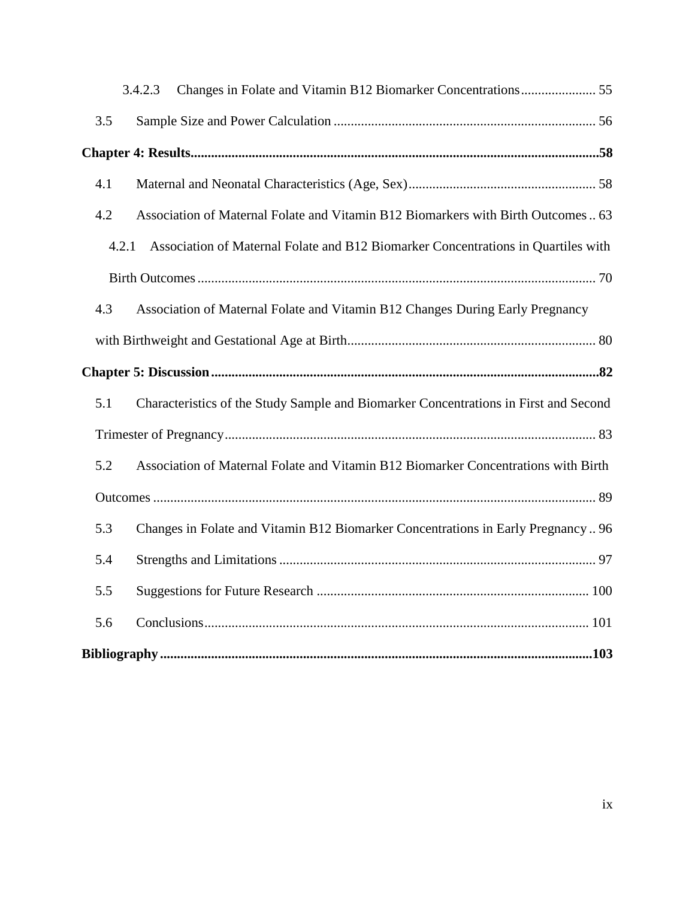| 3.4.2.3                                                                                     |
|---------------------------------------------------------------------------------------------|
| 3.5                                                                                         |
|                                                                                             |
| 4.1                                                                                         |
| 4.2<br>Association of Maternal Folate and Vitamin B12 Biomarkers with Birth Outcomes  63    |
| Association of Maternal Folate and B12 Biomarker Concentrations in Quartiles with<br>4.2.1  |
|                                                                                             |
| Association of Maternal Folate and Vitamin B12 Changes During Early Pregnancy<br>4.3        |
|                                                                                             |
|                                                                                             |
| 5.1<br>Characteristics of the Study Sample and Biomarker Concentrations in First and Second |
|                                                                                             |
| 5.2<br>Association of Maternal Folate and Vitamin B12 Biomarker Concentrations with Birth   |
|                                                                                             |
| 5.3<br>Changes in Folate and Vitamin B12 Biomarker Concentrations in Early Pregnancy 96     |
| 5.4                                                                                         |
| 5.5                                                                                         |
| 5.6                                                                                         |
|                                                                                             |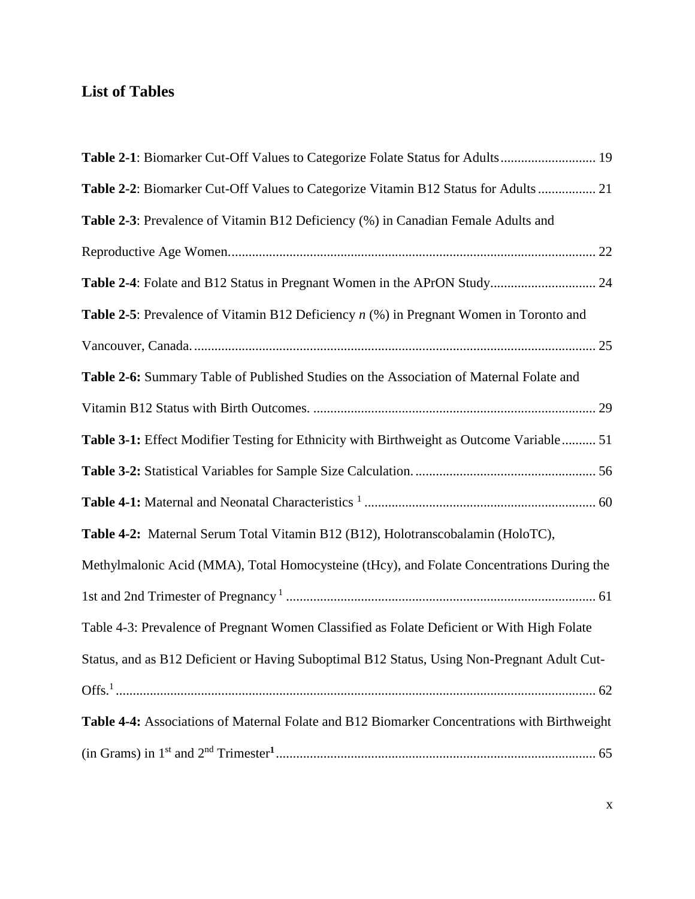# **List of Tables**

| Table 2-2: Biomarker Cut-Off Values to Categorize Vitamin B12 Status for Adults  21              |
|--------------------------------------------------------------------------------------------------|
| Table 2-3: Prevalence of Vitamin B12 Deficiency (%) in Canadian Female Adults and                |
|                                                                                                  |
|                                                                                                  |
| <b>Table 2-5</b> : Prevalence of Vitamin B12 Deficiency $n$ (%) in Pregnant Women in Toronto and |
|                                                                                                  |
| Table 2-6: Summary Table of Published Studies on the Association of Maternal Folate and          |
|                                                                                                  |
| Table 3-1: Effect Modifier Testing for Ethnicity with Birthweight as Outcome Variable 51         |
|                                                                                                  |
|                                                                                                  |
| Table 4-2: Maternal Serum Total Vitamin B12 (B12), Holotranscobalamin (HoloTC),                  |
| Methylmalonic Acid (MMA), Total Homocysteine (tHcy), and Folate Concentrations During the        |
|                                                                                                  |
| Table 4-3: Prevalence of Pregnant Women Classified as Folate Deficient or With High Folate       |
| Status, and as B12 Deficient or Having Suboptimal B12 Status, Using Non-Pregnant Adult Cut-      |
|                                                                                                  |
| Table 4-4: Associations of Maternal Folate and B12 Biomarker Concentrations with Birthweight     |
|                                                                                                  |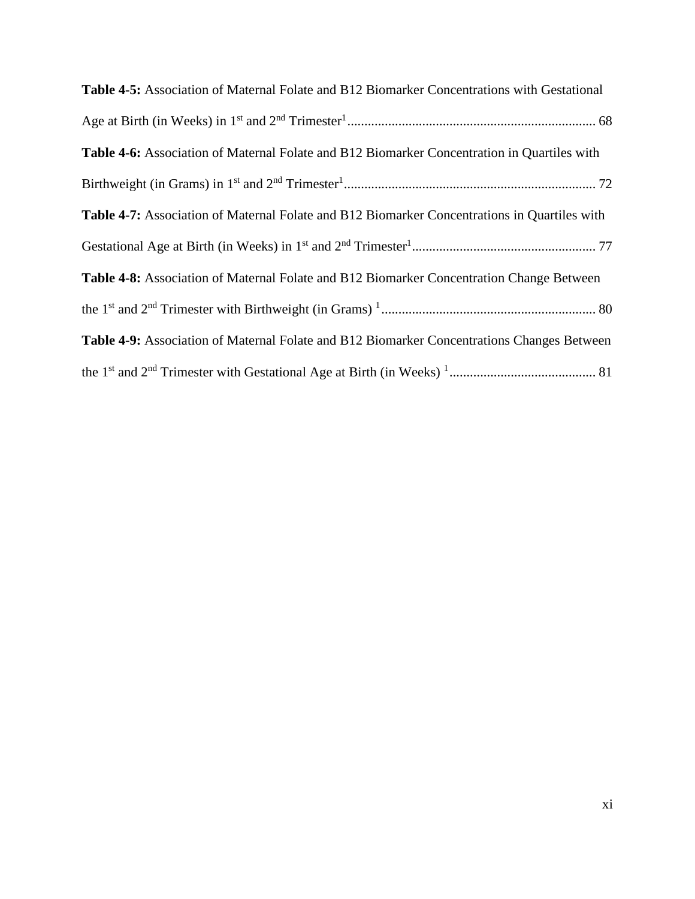| Table 4-5: Association of Maternal Folate and B12 Biomarker Concentrations with Gestational         |
|-----------------------------------------------------------------------------------------------------|
|                                                                                                     |
| Table 4-6: Association of Maternal Folate and B12 Biomarker Concentration in Quartiles with         |
|                                                                                                     |
| <b>Table 4-7:</b> Association of Maternal Folate and B12 Biomarker Concentrations in Quartiles with |
|                                                                                                     |
| Table 4-8: Association of Maternal Folate and B12 Biomarker Concentration Change Between            |
|                                                                                                     |
| Table 4-9: Association of Maternal Folate and B12 Biomarker Concentrations Changes Between          |
|                                                                                                     |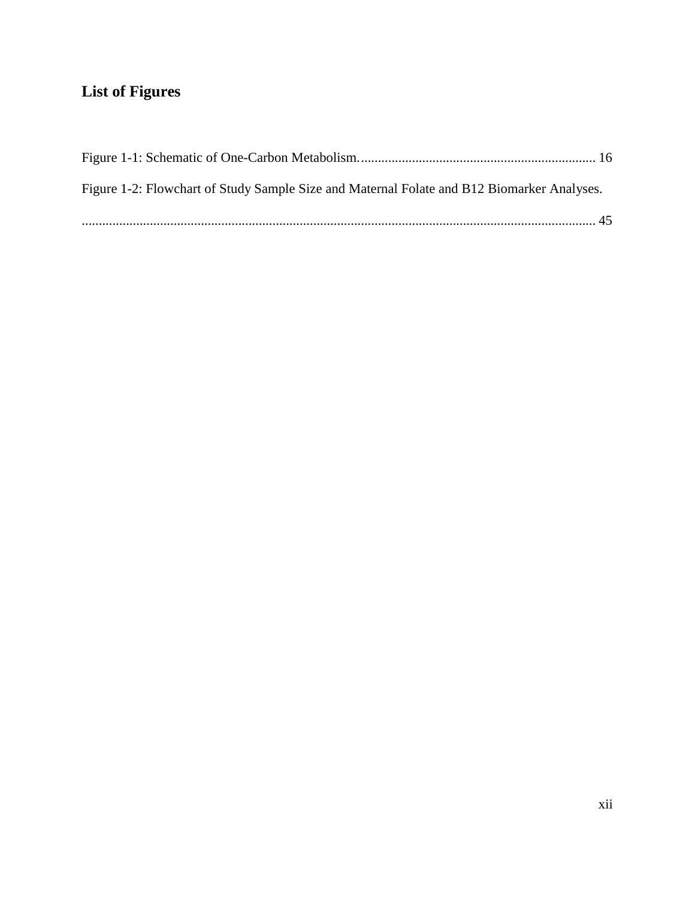# **List of Figures**

| Figure 1-2: Flowchart of Study Sample Size and Maternal Folate and B12 Biomarker Analyses. |  |
|--------------------------------------------------------------------------------------------|--|
|                                                                                            |  |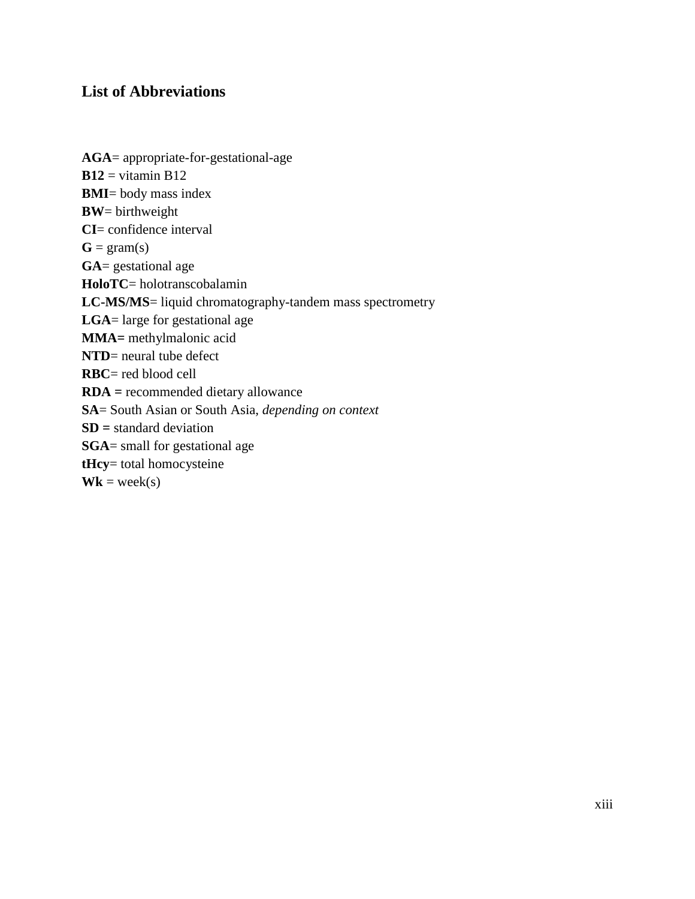# **List of Abbreviations**

**AGA**= appropriate-for-gestational-age  $B12$  = vitamin B12 **BMI**= body mass index **BW**= birthweight **CI**= confidence interval  $G = \text{gram}(s)$ **GA**= gestational age **HoloTC**= holotranscobalamin **LC-MS/MS**= liquid chromatography-tandem mass spectrometry **LGA**= large for gestational age **MMA=** methylmalonic acid **NTD**= neural tube defect **RBC**= red blood cell **RDA =** recommended dietary allowance **SA**= South Asian or South Asia, *depending on context* **SD =** standard deviation **SGA**= small for gestational age **tHcy**= total homocysteine  $Wk = week(s)$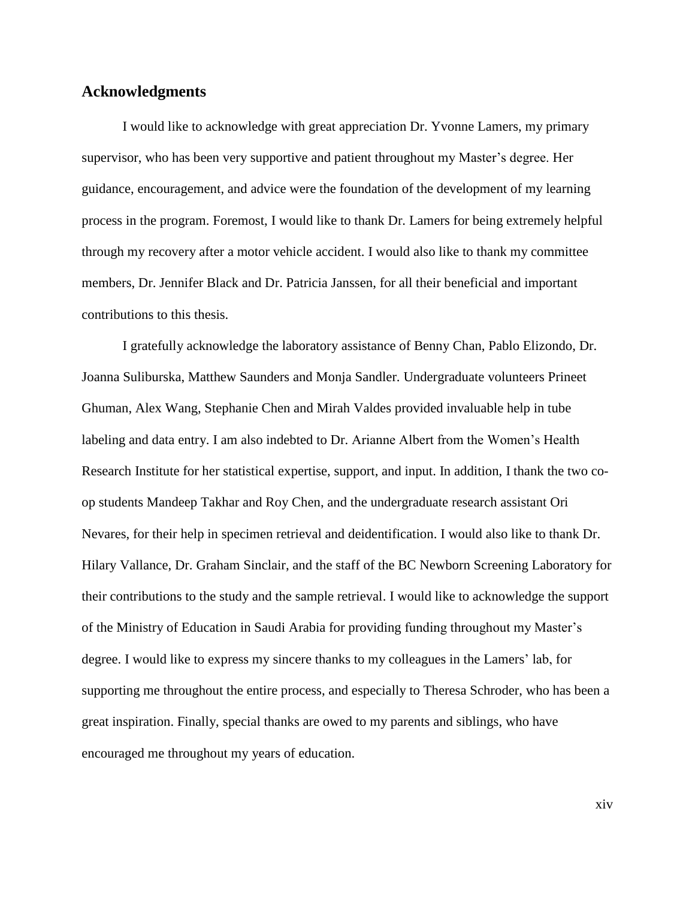## **Acknowledgments**

I would like to acknowledge with great appreciation Dr. Yvonne Lamers, my primary supervisor, who has been very supportive and patient throughout my Master's degree. Her guidance, encouragement, and advice were the foundation of the development of my learning process in the program. Foremost, I would like to thank Dr. Lamers for being extremely helpful through my recovery after a motor vehicle accident. I would also like to thank my committee members, Dr. Jennifer Black and Dr. Patricia Janssen, for all their beneficial and important contributions to this thesis.

I gratefully acknowledge the laboratory assistance of Benny Chan, Pablo Elizondo, Dr. Joanna Suliburska, Matthew Saunders and Monja Sandler. Undergraduate volunteers Prineet Ghuman, Alex Wang, Stephanie Chen and Mirah Valdes provided invaluable help in tube labeling and data entry. I am also indebted to Dr. Arianne Albert from the Women's Health Research Institute for her statistical expertise, support, and input. In addition, I thank the two coop students Mandeep Takhar and Roy Chen, and the undergraduate research assistant Ori Nevares, for their help in specimen retrieval and deidentification. I would also like to thank Dr. Hilary Vallance, Dr. Graham Sinclair, and the staff of the BC Newborn Screening Laboratory for their contributions to the study and the sample retrieval. I would like to acknowledge the support of the Ministry of Education in Saudi Arabia for providing funding throughout my Master's degree. I would like to express my sincere thanks to my colleagues in the Lamers' lab, for supporting me throughout the entire process, and especially to Theresa Schroder, who has been a great inspiration. Finally, special thanks are owed to my parents and siblings, who have encouraged me throughout my years of education.

xiv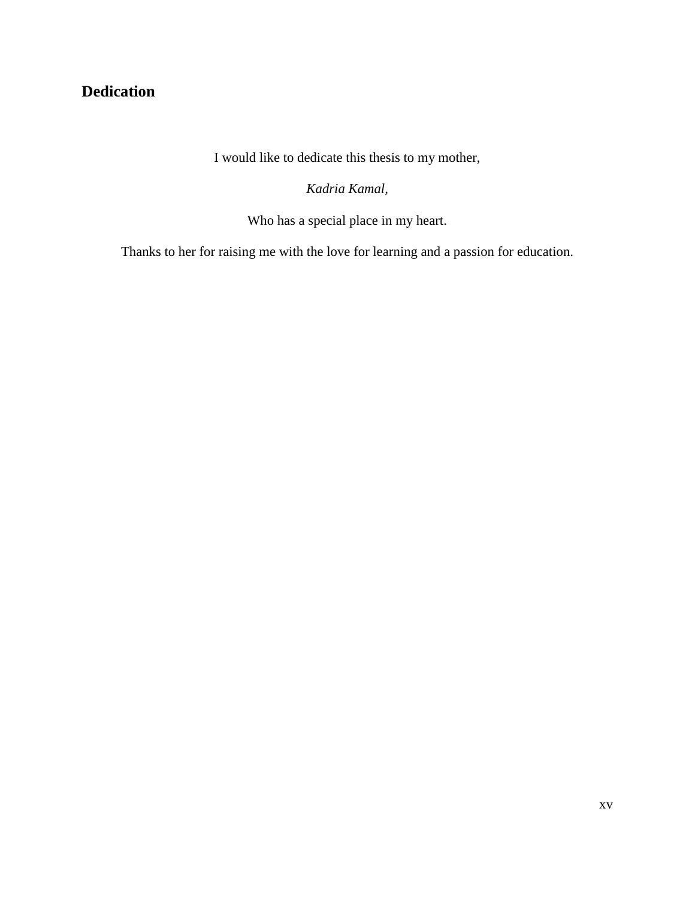# **Dedication**

I would like to dedicate this thesis to my mother,

*Kadria Kamal,*

Who has a special place in my heart.

Thanks to her for raising me with the love for learning and a passion for education.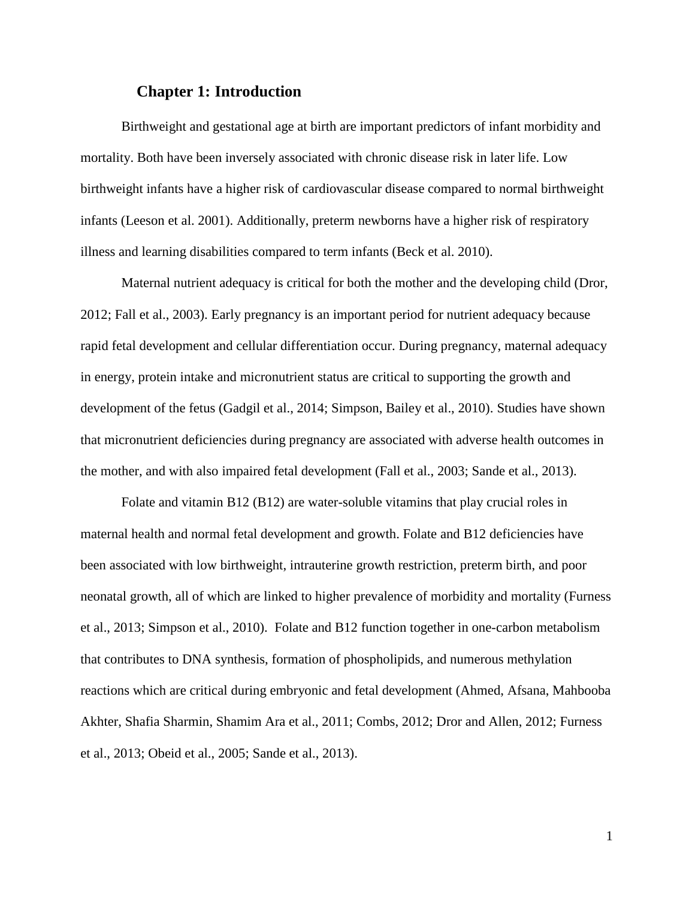## **Chapter 1: Introduction**

Birthweight and gestational age at birth are important predictors of infant morbidity and mortality. Both have been inversely associated with chronic disease risk in later life. Low birthweight infants have a higher risk of cardiovascular disease compared to normal birthweight infants (Leeson et al. 2001). Additionally, preterm newborns have a higher risk of respiratory illness and learning disabilities compared to term infants (Beck et al. 2010).

Maternal nutrient adequacy is critical for both the mother and the developing child (Dror, 2012; Fall et al., 2003). Early pregnancy is an important period for nutrient adequacy because rapid fetal development and cellular differentiation occur. During pregnancy, maternal adequacy in energy, protein intake and micronutrient status are critical to supporting the growth and development of the fetus (Gadgil et al., 2014; Simpson, Bailey et al., 2010). Studies have shown that micronutrient deficiencies during pregnancy are associated with adverse health outcomes in the mother, and with also impaired fetal development (Fall et al., 2003; Sande et al., 2013).

Folate and vitamin B12 (B12) are water-soluble vitamins that play crucial roles in maternal health and normal fetal development and growth. Folate and B12 deficiencies have been associated with low birthweight, intrauterine growth restriction, preterm birth, and poor neonatal growth, all of which are linked to higher prevalence of morbidity and mortality (Furness et al., 2013; Simpson et al., 2010). Folate and B12 function together in one-carbon metabolism that contributes to DNA synthesis, formation of phospholipids, and numerous methylation reactions which are critical during embryonic and fetal development (Ahmed, Afsana, Mahbooba Akhter, Shafia Sharmin, Shamim Ara et al., 2011; Combs, 2012; Dror and Allen, 2012; Furness et al., 2013; Obeid et al., 2005; Sande et al., 2013).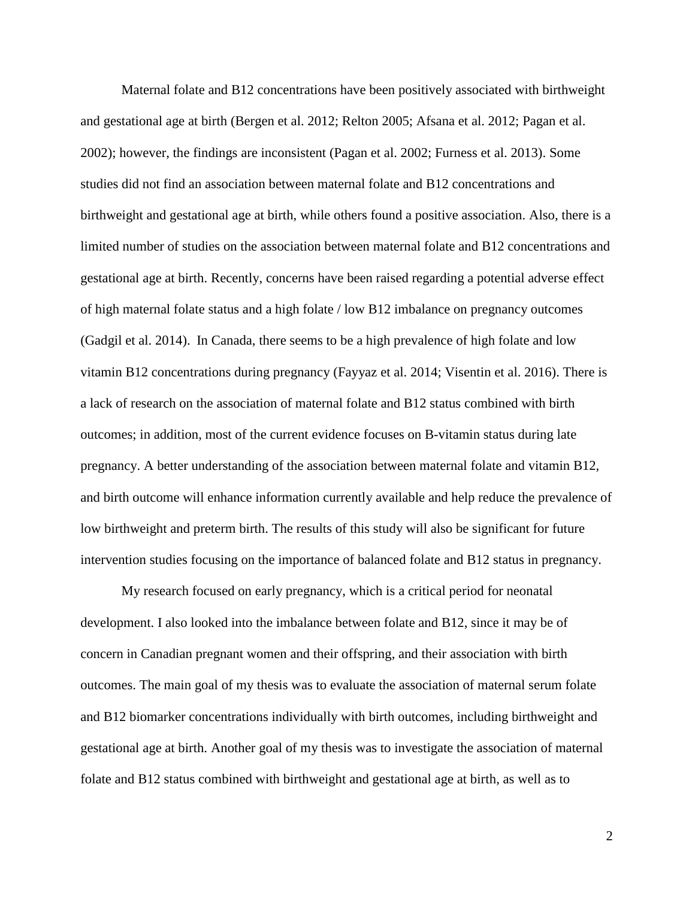Maternal folate and B12 concentrations have been positively associated with birthweight and gestational age at birth (Bergen et al. 2012; Relton 2005; Afsana et al. 2012; Pagan et al. 2002); however, the findings are inconsistent (Pagan et al. 2002; Furness et al. 2013). Some studies did not find an association between maternal folate and B12 concentrations and birthweight and gestational age at birth, while others found a positive association. Also, there is a limited number of studies on the association between maternal folate and B12 concentrations and gestational age at birth. Recently, concerns have been raised regarding a potential adverse effect of high maternal folate status and a high folate / low B12 imbalance on pregnancy outcomes (Gadgil et al. 2014). In Canada, there seems to be a high prevalence of high folate and low vitamin B12 concentrations during pregnancy (Fayyaz et al. 2014; Visentin et al. 2016). There is a lack of research on the association of maternal folate and B12 status combined with birth outcomes; in addition, most of the current evidence focuses on B-vitamin status during late pregnancy. A better understanding of the association between maternal folate and vitamin B12, and birth outcome will enhance information currently available and help reduce the prevalence of low birthweight and preterm birth. The results of this study will also be significant for future intervention studies focusing on the importance of balanced folate and B12 status in pregnancy.

My research focused on early pregnancy, which is a critical period for neonatal development. I also looked into the imbalance between folate and B12, since it may be of concern in Canadian pregnant women and their offspring, and their association with birth outcomes. The main goal of my thesis was to evaluate the association of maternal serum folate and B12 biomarker concentrations individually with birth outcomes, including birthweight and gestational age at birth. Another goal of my thesis was to investigate the association of maternal folate and B12 status combined with birthweight and gestational age at birth, as well as to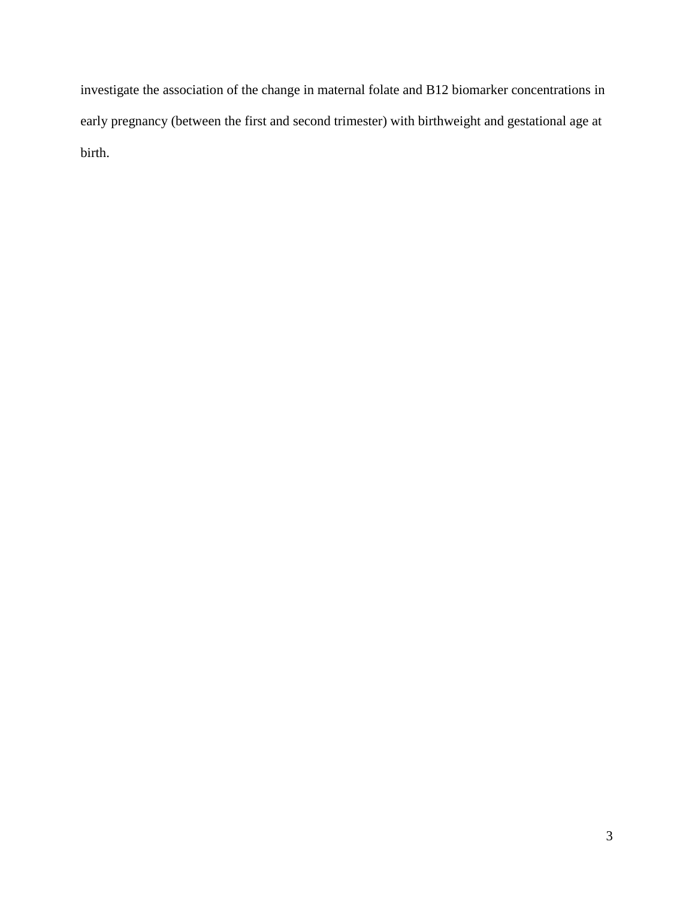investigate the association of the change in maternal folate and B12 biomarker concentrations in early pregnancy (between the first and second trimester) with birthweight and gestational age at birth.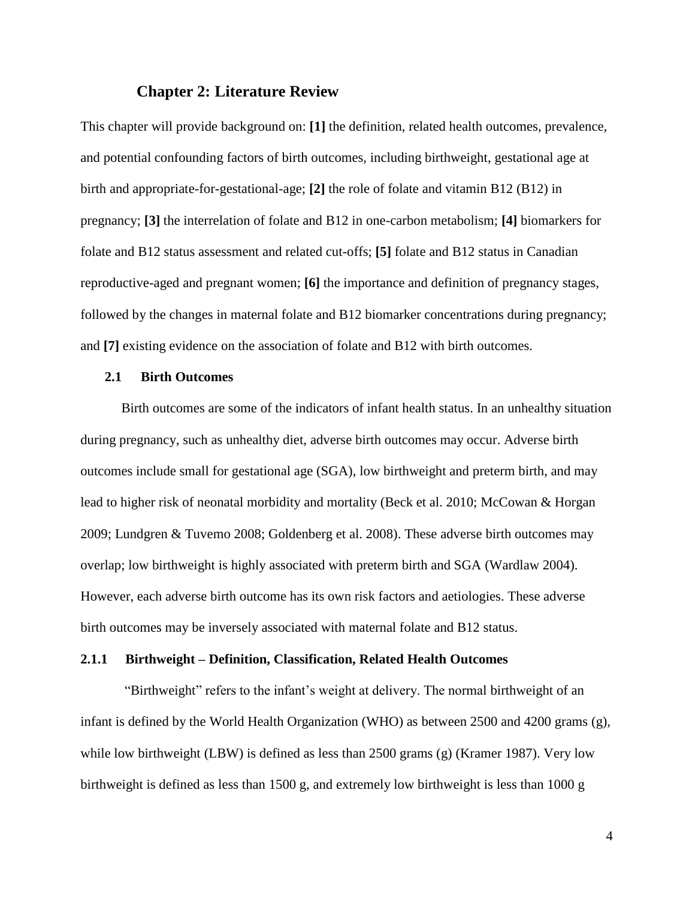#### **Chapter 2: Literature Review**

This chapter will provide background on: **[1]** the definition, related health outcomes, prevalence, and potential confounding factors of birth outcomes, including birthweight, gestational age at birth and appropriate-for-gestational-age; **[2]** the role of folate and vitamin B12 (B12) in pregnancy; **[3]** the interrelation of folate and B12 in one-carbon metabolism; **[4]** biomarkers for folate and B12 status assessment and related cut-offs; **[5]** folate and B12 status in Canadian reproductive-aged and pregnant women; **[6]** the importance and definition of pregnancy stages, followed by the changes in maternal folate and B12 biomarker concentrations during pregnancy; and **[7]** existing evidence on the association of folate and B12 with birth outcomes.

#### **2.1 Birth Outcomes**

Birth outcomes are some of the indicators of infant health status. In an unhealthy situation during pregnancy, such as unhealthy diet, adverse birth outcomes may occur. Adverse birth outcomes include small for gestational age (SGA), low birthweight and preterm birth, and may lead to higher risk of neonatal morbidity and mortality (Beck et al. 2010; McCowan & Horgan 2009; Lundgren & Tuvemo 2008; Goldenberg et al. 2008). These adverse birth outcomes may overlap; low birthweight is highly associated with preterm birth and SGA (Wardlaw 2004). However, each adverse birth outcome has its own risk factors and aetiologies. These adverse birth outcomes may be inversely associated with maternal folate and B12 status.

## **2.1.1 Birthweight – Definition, Classification, Related Health Outcomes**

"Birthweight" refers to the infant's weight at delivery. The normal birthweight of an infant is defined by the World Health Organization (WHO) as between 2500 and 4200 grams (g), while low birthweight (LBW) is defined as less than 2500 grams (g) (Kramer 1987). Very low birthweight is defined as less than 1500 g, and extremely low birthweight is less than 1000 g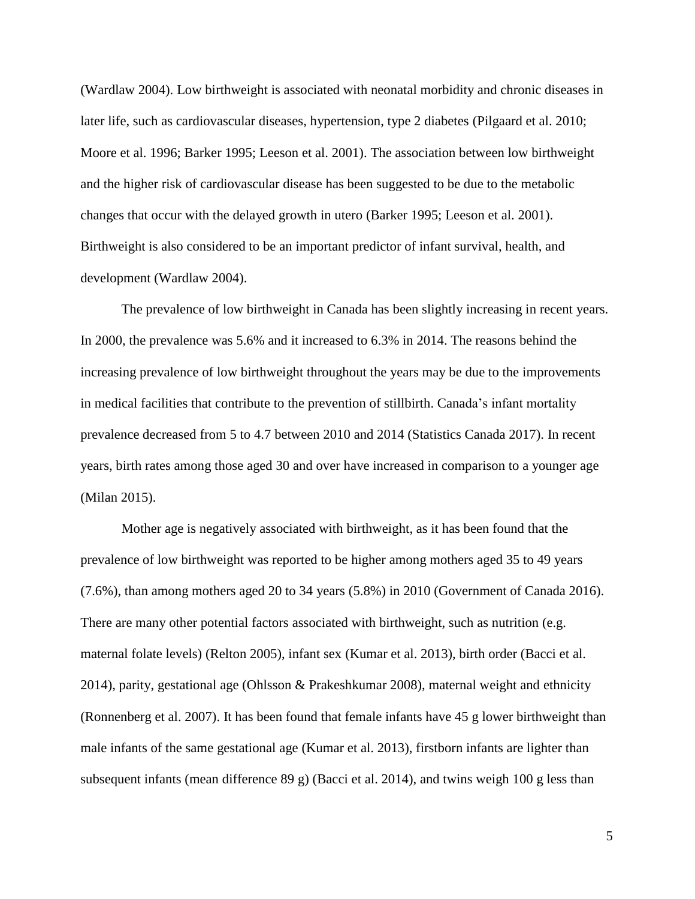(Wardlaw 2004). Low birthweight is associated with neonatal morbidity and chronic diseases in later life, such as cardiovascular diseases, hypertension, type 2 diabetes (Pilgaard et al. 2010; Moore et al. 1996; Barker 1995; Leeson et al. 2001). The association between low birthweight and the higher risk of cardiovascular disease has been suggested to be due to the metabolic changes that occur with the delayed growth in utero (Barker 1995; Leeson et al. 2001). Birthweight is also considered to be an important predictor of infant survival, health, and development (Wardlaw 2004).

The prevalence of low birthweight in Canada has been slightly increasing in recent years. In 2000, the prevalence was 5.6% and it increased to 6.3% in 2014. The reasons behind the increasing prevalence of low birthweight throughout the years may be due to the improvements in medical facilities that contribute to the prevention of stillbirth. Canada's infant mortality prevalence decreased from 5 to 4.7 between 2010 and 2014 (Statistics Canada 2017). In recent years, birth rates among those aged 30 and over have increased in comparison to a younger age (Milan 2015).

Mother age is negatively associated with birthweight, as it has been found that the prevalence of low birthweight was reported to be higher among mothers aged 35 to 49 years (7.6%), than among mothers aged 20 to 34 years (5.8%) in 2010 (Government of Canada 2016). There are many other potential factors associated with birthweight, such as nutrition (e.g. maternal folate levels) (Relton 2005), infant sex (Kumar et al. 2013), birth order (Bacci et al. 2014), parity, gestational age (Ohlsson & Prakeshkumar 2008), maternal weight and ethnicity (Ronnenberg et al. 2007). It has been found that female infants have 45 g lower birthweight than male infants of the same gestational age (Kumar et al. 2013), firstborn infants are lighter than subsequent infants (mean difference 89 g) (Bacci et al. 2014), and twins weigh 100 g less than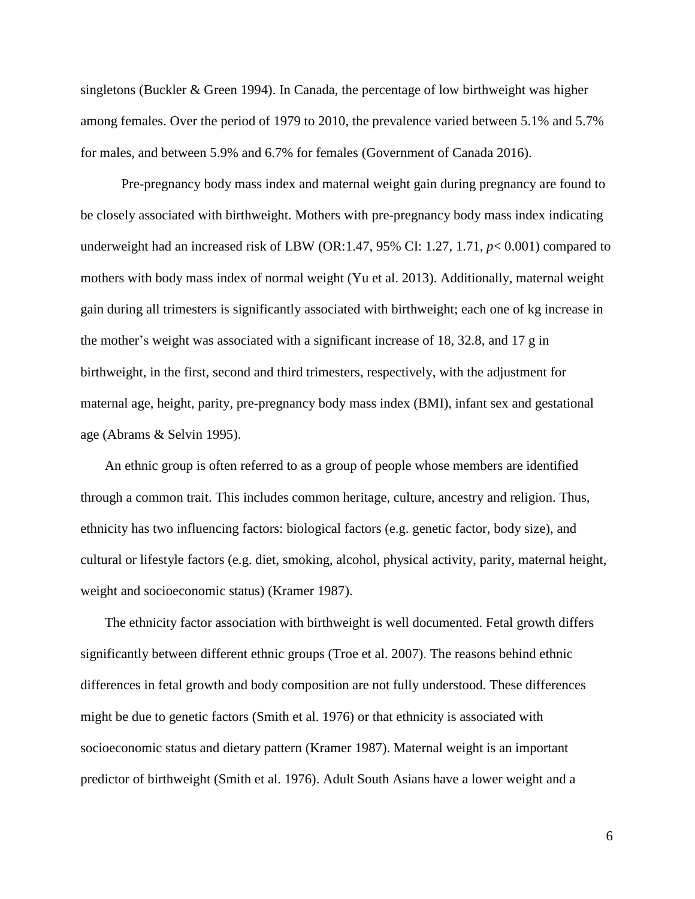singletons (Buckler & Green 1994). In Canada, the percentage of low birthweight was higher among females. Over the period of 1979 to 2010, the prevalence varied between 5.1% and 5.7% for males, and between 5.9% and 6.7% for females (Government of Canada 2016).

Pre-pregnancy body mass index and maternal weight gain during pregnancy are found to be closely associated with birthweight. Mothers with pre-pregnancy body mass index indicating underweight had an increased risk of LBW (OR:1.47, 95% CI: 1.27, 1.71, *p*< 0.001) compared to mothers with body mass index of normal weight (Yu et al. 2013). Additionally, maternal weight gain during all trimesters is significantly associated with birthweight; each one of kg increase in the mother's weight was associated with a significant increase of 18, 32.8, and 17 g in birthweight, in the first, second and third trimesters, respectively, with the adjustment for maternal age, height, parity, pre-pregnancy body mass index (BMI), infant sex and gestational age (Abrams & Selvin 1995).

An ethnic group is often referred to as a group of people whose members are identified through a common trait. This includes common heritage, culture, ancestry and religion. Thus, ethnicity has two influencing factors: biological factors (e.g. genetic factor, body size), and cultural or lifestyle factors (e.g. diet, smoking, alcohol, physical activity, parity, maternal height, weight and socioeconomic status) (Kramer 1987).

The ethnicity factor association with birthweight is well documented. Fetal growth differs significantly between different ethnic groups (Troe et al. 2007). The reasons behind ethnic differences in fetal growth and body composition are not fully understood. These differences might be due to genetic factors (Smith et al. 1976) or that ethnicity is associated with socioeconomic status and dietary pattern (Kramer 1987). Maternal weight is an important predictor of birthweight (Smith et al. 1976). Adult South Asians have a lower weight and a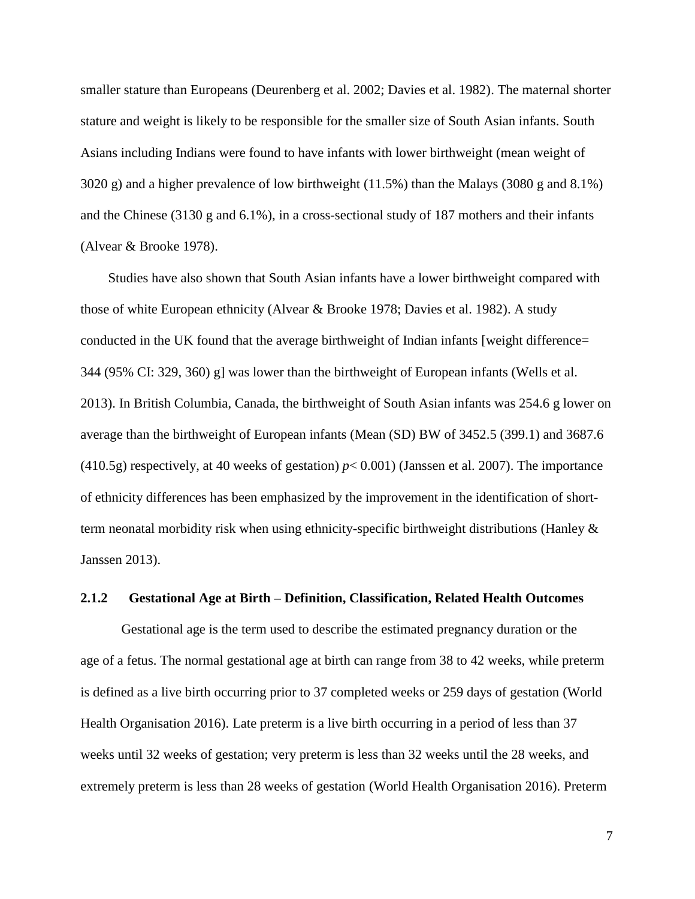smaller stature than Europeans (Deurenberg et al. 2002; Davies et al. 1982). The maternal shorter stature and weight is likely to be responsible for the smaller size of South Asian infants. South Asians including Indians were found to have infants with lower birthweight (mean weight of 3020 g) and a higher prevalence of low birthweight (11.5%) than the Malays (3080 g and 8.1%) and the Chinese (3130 g and 6.1%), in a cross-sectional study of 187 mothers and their infants (Alvear & Brooke 1978).

Studies have also shown that South Asian infants have a lower birthweight compared with those of white European ethnicity (Alvear & Brooke 1978; Davies et al. 1982). A study conducted in the UK found that the average birthweight of Indian infants [weight difference= 344 (95% CI: 329, 360) g] was lower than the birthweight of European infants (Wells et al. 2013). In British Columbia, Canada, the birthweight of South Asian infants was 254.6 g lower on average than the birthweight of European infants (Mean (SD) BW of 3452.5 (399.1) and 3687.6 (410.5g) respectively, at 40 weeks of gestation) *p*< 0.001) (Janssen et al. 2007). The importance of ethnicity differences has been emphasized by the improvement in the identification of shortterm neonatal morbidity risk when using ethnicity-specific birthweight distributions (Hanley & Janssen 2013).

#### **2.1.2 Gestational Age at Birth – Definition, Classification, Related Health Outcomes**

Gestational age is the term used to describe the estimated pregnancy duration or the age of a fetus. The normal gestational age at birth can range from 38 to 42 weeks, while preterm is defined as a live birth occurring prior to 37 completed weeks or 259 days of gestation (World Health Organisation 2016). Late preterm is a live birth occurring in a period of less than 37 weeks until 32 weeks of gestation; very preterm is less than 32 weeks until the 28 weeks, and extremely preterm is less than 28 weeks of gestation (World Health Organisation 2016). Preterm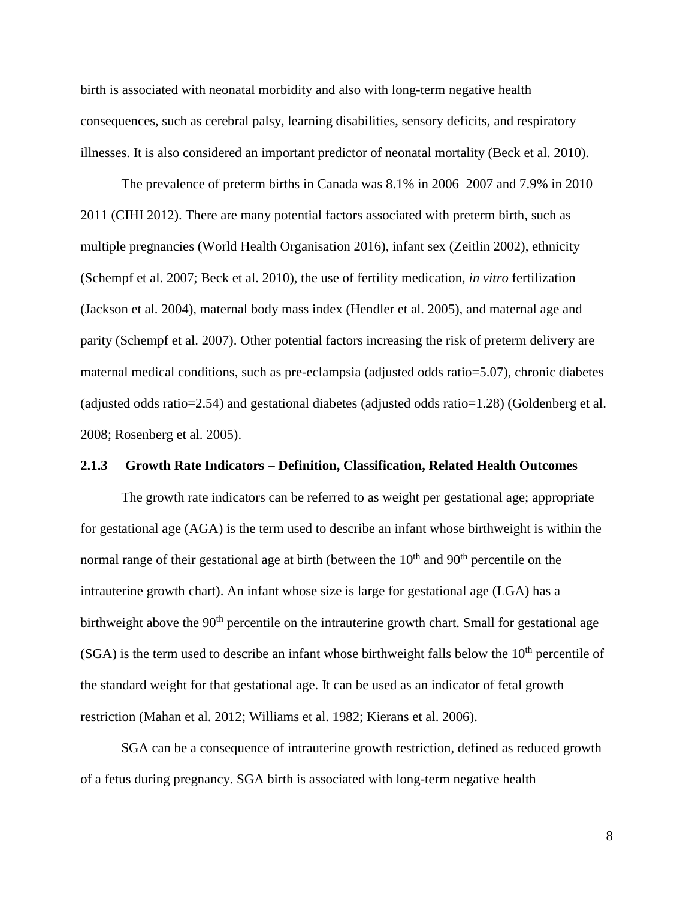birth is associated with neonatal morbidity and also with long-term negative health consequences, such as cerebral palsy, learning disabilities, sensory deficits, and respiratory illnesses. It is also considered an important predictor of neonatal mortality (Beck et al. 2010).

The prevalence of preterm births in Canada was 8.1% in 2006–2007 and 7.9% in 2010– 2011 (CIHI 2012). There are many potential factors associated with preterm birth, such as multiple pregnancies (World Health Organisation 2016), infant sex (Zeitlin 2002), ethnicity (Schempf et al. 2007; Beck et al. 2010), the use of fertility medication, *in vitro* fertilization (Jackson et al. 2004), maternal body mass index (Hendler et al. 2005), and maternal age and parity (Schempf et al. 2007). Other potential factors increasing the risk of preterm delivery are maternal medical conditions, such as pre-eclampsia (adjusted odds ratio=5.07), chronic diabetes (adjusted odds ratio=2.54) and gestational diabetes (adjusted odds ratio=1.28) (Goldenberg et al. 2008; Rosenberg et al. 2005).

## **2.1.3 Growth Rate Indicators – Definition, Classification, Related Health Outcomes**

The growth rate indicators can be referred to as weight per gestational age; appropriate for gestational age (AGA) is the term used to describe an infant whose birthweight is within the normal range of their gestational age at birth (between the  $10<sup>th</sup>$  and  $90<sup>th</sup>$  percentile on the intrauterine growth chart). An infant whose size is large for gestational age (LGA) has a birthweight above the 90<sup>th</sup> percentile on the intrauterine growth chart. Small for gestational age  $(SGA)$  is the term used to describe an infant whose birthweight falls below the  $10<sup>th</sup>$  percentile of the standard weight for that gestational age. It can be used as an indicator of fetal growth restriction (Mahan et al. 2012; Williams et al. 1982; Kierans et al. 2006).

SGA can be a consequence of intrauterine growth restriction, defined as reduced growth of a fetus during pregnancy. SGA birth is associated with long-term negative health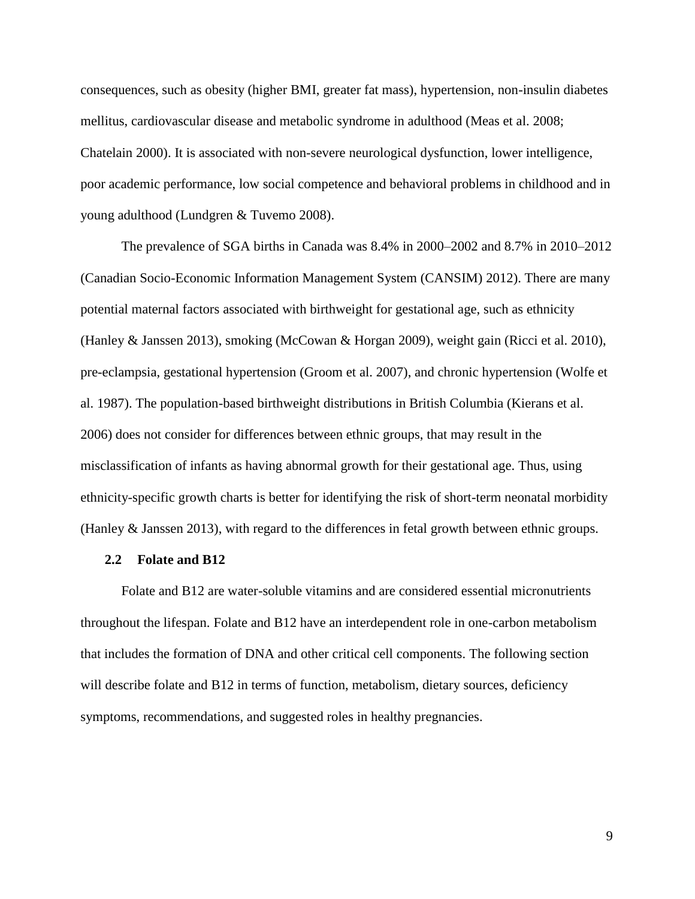consequences, such as obesity (higher BMI, greater fat mass), hypertension, non-insulin diabetes mellitus, cardiovascular disease and metabolic syndrome in adulthood (Meas et al. 2008; Chatelain 2000). It is associated with non-severe neurological dysfunction, lower intelligence, poor academic performance, low social competence and behavioral problems in childhood and in young adulthood (Lundgren & Tuvemo 2008).

The prevalence of SGA births in Canada was 8.4% in 2000–2002 and 8.7% in 2010–2012 (Canadian Socio-Economic Information Management System (CANSIM) 2012). There are many potential maternal factors associated with birthweight for gestational age, such as ethnicity (Hanley & Janssen 2013), smoking (McCowan & Horgan 2009), weight gain (Ricci et al. 2010), pre-eclampsia, gestational hypertension (Groom et al. 2007), and chronic hypertension (Wolfe et al. 1987). The population-based birthweight distributions in British Columbia (Kierans et al. 2006) does not consider for differences between ethnic groups, that may result in the misclassification of infants as having abnormal growth for their gestational age. Thus, using ethnicity-specific growth charts is better for identifying the risk of short-term neonatal morbidity (Hanley & Janssen 2013), with regard to the differences in fetal growth between ethnic groups.

#### **2.2 Folate and B12**

Folate and B12 are water-soluble vitamins and are considered essential micronutrients throughout the lifespan. Folate and B12 have an interdependent role in one-carbon metabolism that includes the formation of DNA and other critical cell components. The following section will describe folate and B12 in terms of function, metabolism, dietary sources, deficiency symptoms, recommendations, and suggested roles in healthy pregnancies.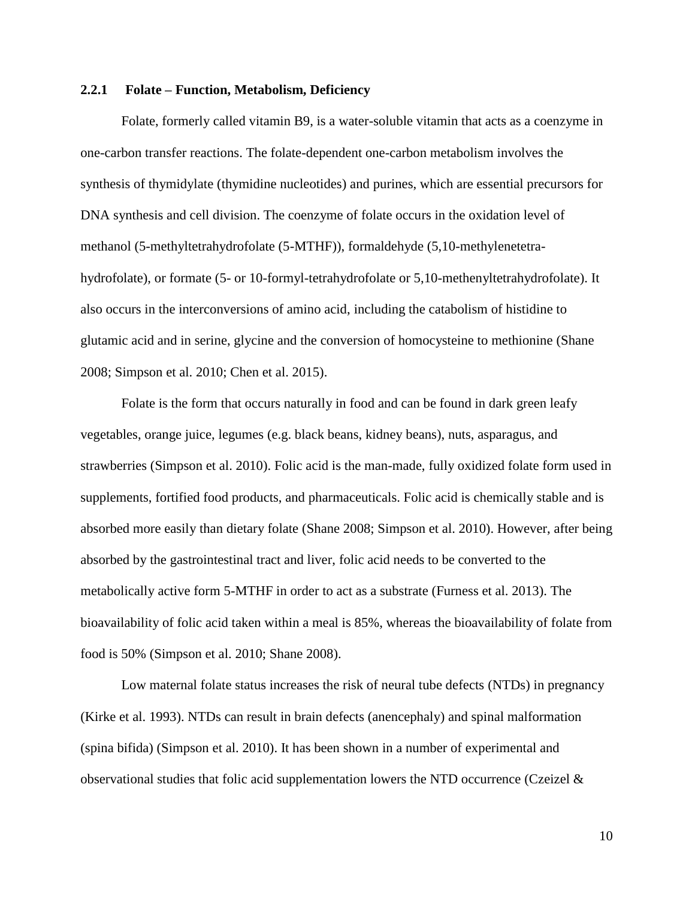#### **2.2.1 Folate – Function, Metabolism, Deficiency**

Folate, formerly called vitamin B9, is a water-soluble vitamin that acts as a coenzyme in one-carbon transfer reactions. The folate-dependent one-carbon metabolism involves the synthesis of thymidylate (thymidine nucleotides) and purines, which are essential precursors for DNA synthesis and cell division. The coenzyme of folate occurs in the oxidation level of methanol (5-methyltetrahydrofolate (5-MTHF)), formaldehyde (5,10-methylenetetrahydrofolate), or formate (5- or 10-formyl-tetrahydrofolate or 5,10-methenyltetrahydrofolate). It also occurs in the interconversions of amino acid, including the catabolism of histidine to glutamic acid and in serine, glycine and the conversion of homocysteine to methionine (Shane 2008; Simpson et al. 2010; Chen et al. 2015).

Folate is the form that occurs naturally in food and can be found in dark green leafy vegetables, orange juice, legumes (e.g. black beans, kidney beans), nuts, asparagus, and strawberries (Simpson et al. 2010). Folic acid is the man-made, fully oxidized folate form used in supplements, fortified food products, and pharmaceuticals. Folic acid is chemically stable and is absorbed more easily than dietary folate (Shane 2008; Simpson et al. 2010). However, after being absorbed by the gastrointestinal tract and liver, folic acid needs to be converted to the metabolically active form 5-MTHF in order to act as a substrate (Furness et al. 2013). The bioavailability of folic acid taken within a meal is 85%, whereas the bioavailability of folate from food is 50% (Simpson et al. 2010; Shane 2008).

Low maternal folate status increases the risk of neural tube defects (NTDs) in pregnancy (Kirke et al. 1993). NTDs can result in brain defects (anencephaly) and spinal malformation (spina bifida) (Simpson et al. 2010). It has been shown in a number of experimental and observational studies that folic acid supplementation lowers the NTD occurrence (Czeizel &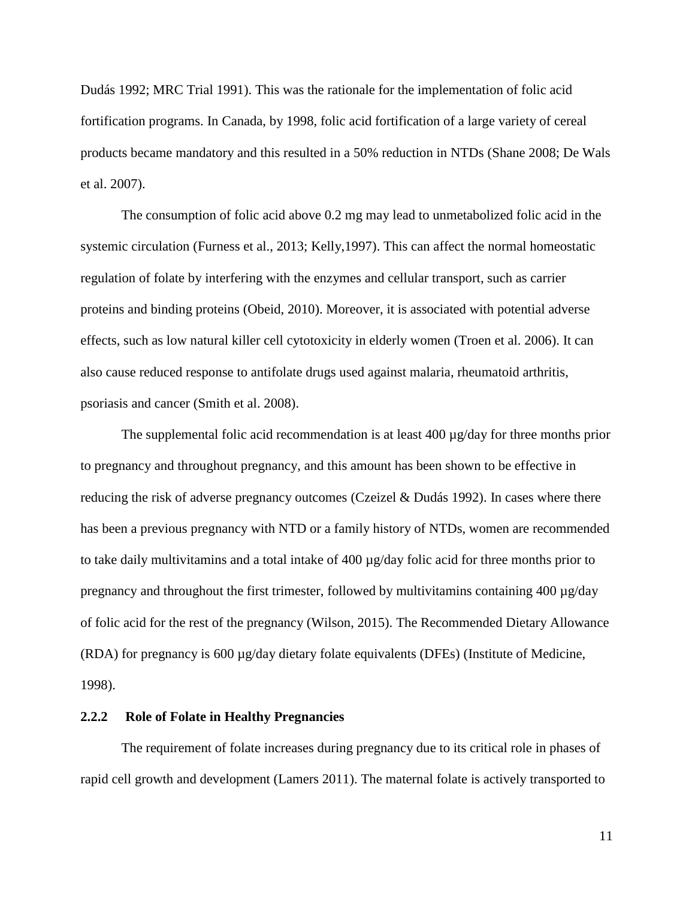Dudás 1992; MRC Trial 1991). This was the rationale for the implementation of folic acid fortification programs. In Canada, by 1998, folic acid fortification of a large variety of cereal products became mandatory and this resulted in a 50% reduction in NTDs (Shane 2008; De Wals et al. 2007).

The consumption of folic acid above 0.2 mg may lead to unmetabolized folic acid in the systemic circulation (Furness et al., 2013; Kelly,1997). This can affect the normal homeostatic regulation of folate by interfering with the enzymes and cellular transport, such as carrier proteins and binding proteins (Obeid, 2010). Moreover, it is associated with potential adverse effects, such as low natural killer cell cytotoxicity in elderly women (Troen et al. 2006). It can also cause reduced response to antifolate drugs used against malaria, rheumatoid arthritis, psoriasis and cancer (Smith et al. 2008).

The supplemental folic acid recommendation is at least  $400 \mu g/day$  for three months prior to pregnancy and throughout pregnancy, and this amount has been shown to be effective in reducing the risk of adverse pregnancy outcomes (Czeizel & Dudás 1992). In cases where there has been a previous pregnancy with NTD or a family history of NTDs, women are recommended to take daily multivitamins and a total intake of 400 µg/day folic acid for three months prior to pregnancy and throughout the first trimester, followed by multivitamins containing 400 µg/day of folic acid for the rest of the pregnancy (Wilson, 2015). The Recommended Dietary Allowance (RDA) for pregnancy is 600 µg/day dietary folate equivalents (DFEs) (Institute of Medicine, 1998).

## **2.2.2 Role of Folate in Healthy Pregnancies**

The requirement of folate increases during pregnancy due to its critical role in phases of rapid cell growth and development (Lamers 2011). The maternal folate is actively transported to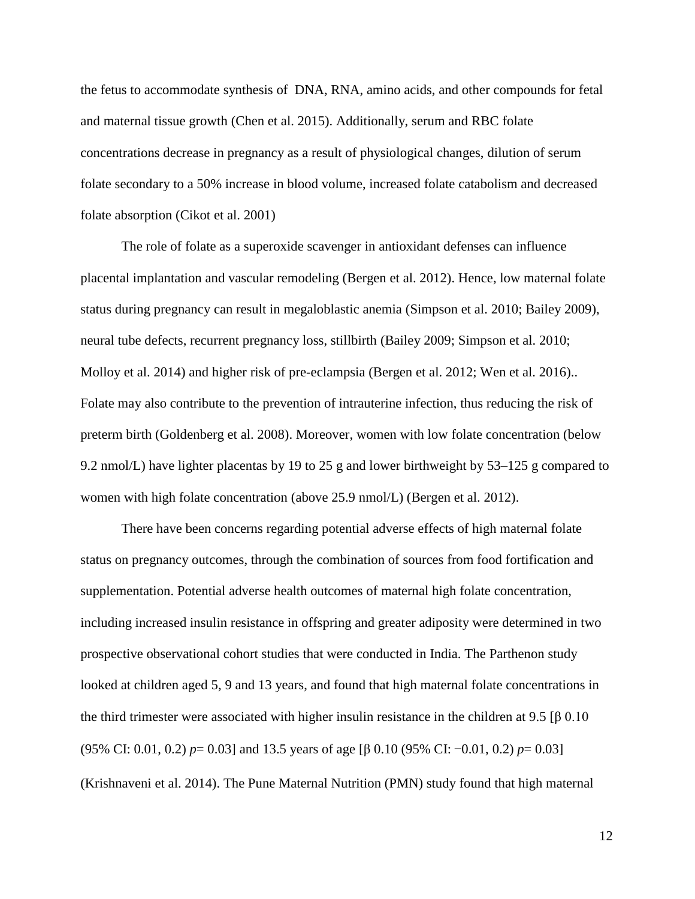the fetus to accommodate synthesis of DNA, RNA, amino acids, and other compounds for fetal and maternal tissue growth (Chen et al. 2015). Additionally, serum and RBC folate concentrations decrease in pregnancy as a result of physiological changes, dilution of serum folate secondary to a 50% increase in blood volume, increased folate catabolism and decreased folate absorption (Cikot et al. 2001)

The role of folate as a superoxide scavenger in antioxidant defenses can influence placental implantation and vascular remodeling (Bergen et al. 2012). Hence, low maternal folate status during pregnancy can result in megaloblastic anemia (Simpson et al. 2010; Bailey 2009), neural tube defects, recurrent pregnancy loss, stillbirth (Bailey 2009; Simpson et al. 2010; Molloy et al. 2014) and higher risk of pre-eclampsia (Bergen et al. 2012; Wen et al. 2016).. Folate may also contribute to the prevention of intrauterine infection, thus reducing the risk of preterm birth (Goldenberg et al. 2008). Moreover, women with low folate concentration (below 9.2 nmol/L) have lighter placentas by 19 to 25 g and lower birthweight by 53–125 g compared to women with high folate concentration (above 25.9 nmol/L) (Bergen et al. 2012).

There have been concerns regarding potential adverse effects of high maternal folate status on pregnancy outcomes, through the combination of sources from food fortification and supplementation. Potential adverse health outcomes of maternal high folate concentration, including increased insulin resistance in offspring and greater adiposity were determined in two prospective observational cohort studies that were conducted in India. The Parthenon study looked at children aged 5, 9 and 13 years, and found that high maternal folate concentrations in the third trimester were associated with higher insulin resistance in the children at 9.5 [β 0.10] (95% CI: 0.01, 0.2) *p*= 0.03] and 13.5 years of age [β 0.10 (95% CI: −0.01, 0.2) *p*= 0.03] (Krishnaveni et al. 2014). The Pune Maternal Nutrition (PMN) study found that high maternal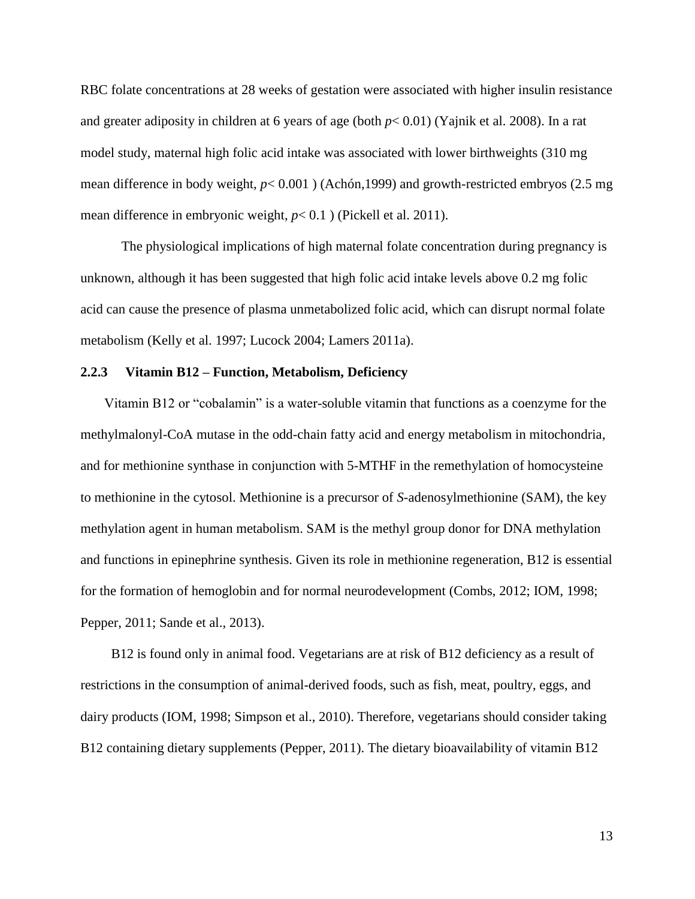RBC folate concentrations at 28 weeks of gestation were associated with higher insulin resistance and greater adiposity in children at 6 years of age (both *p*< 0.01) (Yajnik et al. 2008). In a rat model study, maternal high folic acid intake was associated with lower birthweights (310 mg mean difference in body weight, *p*< 0.001 ) (Achón,1999) and growth-restricted embryos (2.5 mg mean difference in embryonic weight, *p*< 0.1 ) (Pickell et al. 2011).

The physiological implications of high maternal folate concentration during pregnancy is unknown, although it has been suggested that high folic acid intake levels above 0.2 mg folic acid can cause the presence of plasma unmetabolized folic acid, which can disrupt normal folate metabolism (Kelly et al. 1997; Lucock 2004; Lamers 2011a).

## **2.2.3 Vitamin B12 – Function, Metabolism, Deficiency**

 Vitamin B12 or "cobalamin" is a water-soluble [vitamin](http://en.wikipedia.org/wiki/Vitamin) that functions as a coenzyme for the methylmalonyl-CoA mutase in the odd-chain fatty acid and energy metabolism in mitochondria, and for methionine synthase in conjunction with 5-MTHF in the remethylation of homocysteine to methionine in the cytosol. Methionine is a precursor of *S*-adenosylmethionine (SAM), the key methylation agent in human metabolism. SAM is the methyl group donor for DNA methylation and functions in epinephrine synthesis. Given its role in methionine regeneration, B12 is essential for the formation of hemoglobin and for normal neurodevelopment (Combs, 2012; IOM, 1998; Pepper, 2011; Sande et al., 2013).

 B12 is found only in animal food. Vegetarians are at risk of B12 deficiency as a result of restrictions in the consumption of animal-derived foods, such as fish, meat, poultry, eggs, and dairy products (IOM, 1998; Simpson et al., 2010). Therefore, vegetarians should consider taking B12 containing dietary supplements (Pepper, 2011). The dietary bioavailability of vitamin B12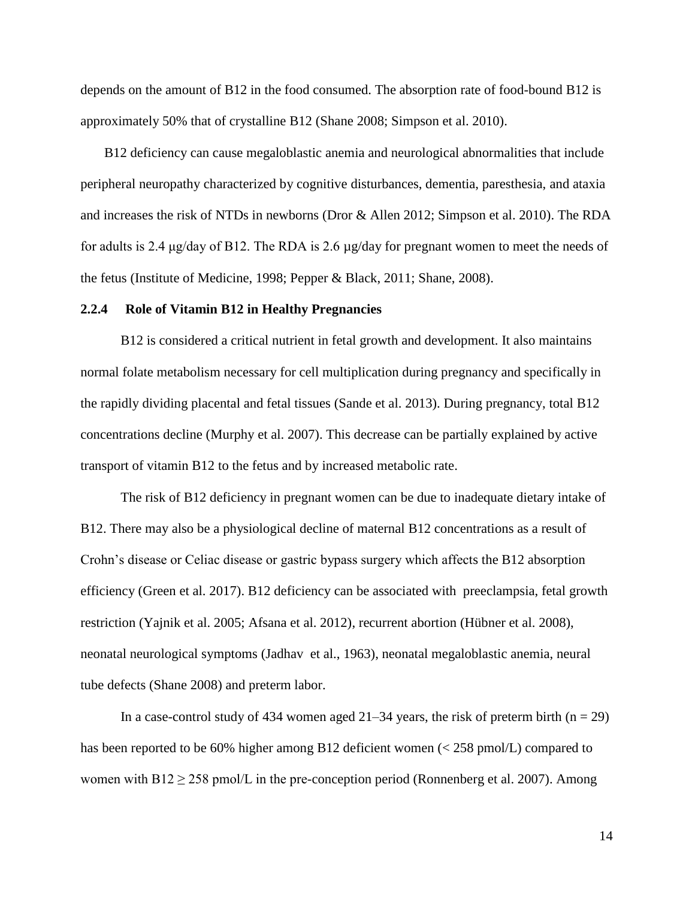depends on the amount of B12 in the food consumed. The absorption rate of food-bound B12 is approximately 50% that of crystalline B12 (Shane 2008; Simpson et al. 2010).

 B12 deficiency can cause megaloblastic anemia and neurological abnormalities that include peripheral neuropathy characterized by cognitive disturbances, dementia, paresthesia, and ataxia and increases the risk of NTDs in newborns (Dror & Allen 2012; Simpson et al. 2010). The RDA for adults is 2.4 μg/day of B12. The RDA is 2.6 µg/day for pregnant women to meet the needs of the fetus (Institute of Medicine, 1998; Pepper & Black, 2011; Shane, 2008).

#### **2.2.4 Role of Vitamin B12 in Healthy Pregnancies**

B12 is considered a critical nutrient in fetal growth and development. It also maintains normal folate metabolism necessary for cell multiplication during pregnancy and specifically in the rapidly dividing placental and fetal tissues (Sande et al. 2013). During pregnancy, total B12 concentrations decline (Murphy et al. 2007). This decrease can be partially explained by active transport of vitamin B12 to the fetus and by increased metabolic rate.

The risk of B12 deficiency in pregnant women can be due to inadequate dietary intake of B12. There may also be a physiological decline of maternal B12 concentrations as a result of Crohn's disease or Celiac disease or gastric bypass surgery which affects the B12 absorption efficiency (Green et al. 2017). B12 deficiency can be associated with preeclampsia, fetal growth restriction (Yajnik et al. 2005; Afsana et al. 2012), recurrent abortion (Hübner et al. 2008), neonatal neurological symptoms (Jadhav et al., 1963), neonatal megaloblastic anemia, neural tube defects (Shane 2008) and preterm labor.

In a case-control study of 434 women aged  $21-34$  years, the risk of preterm birth (n = 29) has been reported to be 60% higher among B12 deficient women (< 258 pmol/L) compared to women with  $B12 \ge 258$  pmol/L in the pre-conception period (Ronnenberg et al. 2007). Among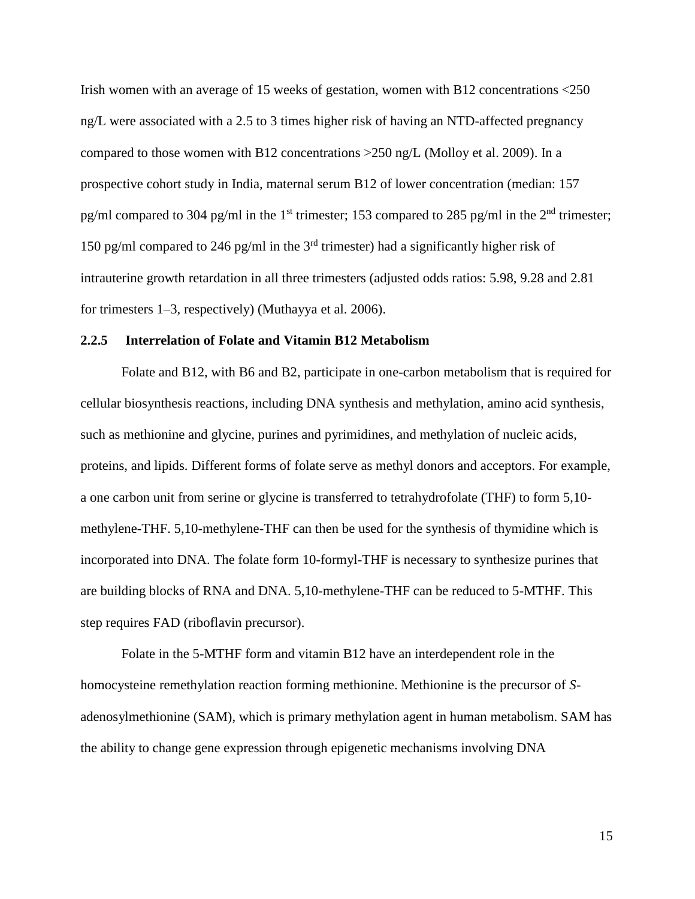Irish women with an average of 15 weeks of gestation, women with B12 concentrations  $\langle 250 \rangle$ ng/L were associated with a 2.5 to 3 times higher risk of having an NTD-affected pregnancy compared to those women with B12 concentrations >250 ng/L (Molloy et al. 2009). In a prospective cohort study in India, maternal serum B12 of lower concentration (median: 157 pg/ml compared to 304 pg/ml in the 1<sup>st</sup> trimester; 153 compared to 285 pg/ml in the  $2<sup>nd</sup>$  trimester; 150 pg/ml compared to 246 pg/ml in the  $3<sup>rd</sup>$  trimester) had a significantly higher risk of intrauterine growth retardation in all three trimesters (adjusted odds ratios: 5.98, 9.28 and 2.81 for trimesters 1–3, respectively) (Muthayya et al. 2006).

#### **2.2.5 Interrelation of Folate and Vitamin B12 Metabolism**

Folate and B12, with B6 and B2, participate in one-carbon metabolism that is required for cellular biosynthesis reactions, including DNA synthesis and methylation, amino acid synthesis, such as methionine and glycine, purines and pyrimidines, and methylation of nucleic acids, proteins, and lipids. Different forms of folate serve as methyl donors and acceptors. For example, a one carbon unit from serine or glycine is transferred to tetrahydrofolate (THF) to form 5,10 methylene-THF. 5,10-methylene-THF can then be used for the synthesis of thymidine which is incorporated into DNA. The folate form 10-formyl-THF is necessary to synthesize purines that are building blocks of RNA and DNA. 5,10-methylene-THF can be reduced to 5-MTHF. This step requires FAD (riboflavin precursor).

Folate in the 5-MTHF form and vitamin B12 have an interdependent role in the homocysteine remethylation reaction forming methionine. Methionine is the precursor of *[S](http://en.wikipedia.org/wiki/S-adenosyl_methionine)*[adenosylmethionine](http://en.wikipedia.org/wiki/S-adenosyl_methionine) (SAM), which is primary methylation agent in human metabolism. SAM has the ability to change gene expression through epigenetic mechanisms involving DNA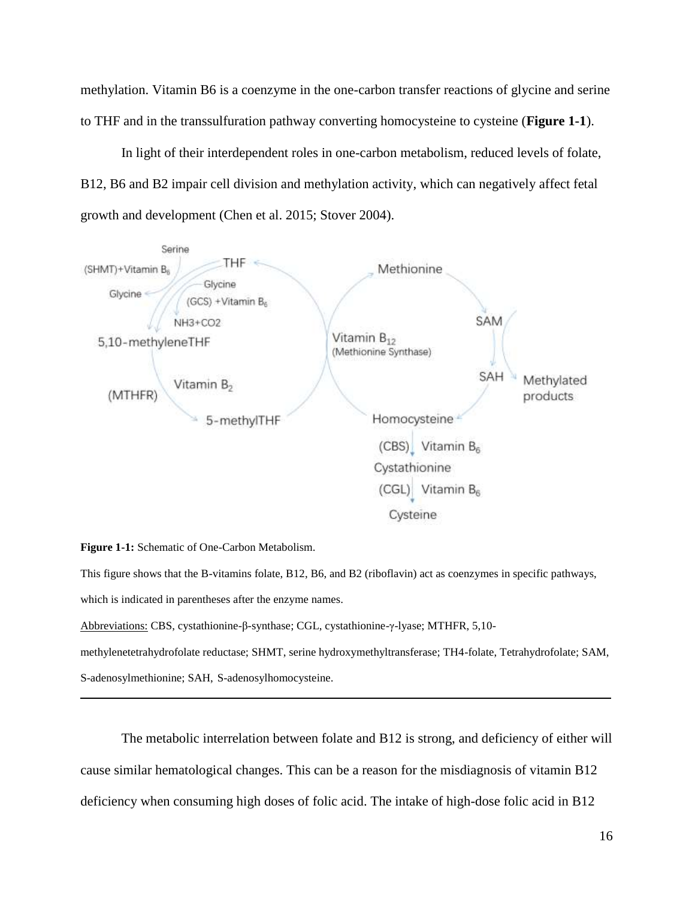methylation. Vitamin B6 is a coenzyme in the one-carbon transfer reactions of glycine and serine to THF and in the transsulfuration pathway converting homocysteine to cysteine (**Figure 1-1**).

In light of their interdependent roles in one-carbon metabolism, reduced levels of folate, B12, B6 and B2 impair cell division and methylation activity, which can negatively affect fetal growth and development (Chen et al. 2015; Stover 2004).



**Figure 1-1:** Schematic of One-Carbon Metabolism.

This figure shows that the B-vitamins folate, B12, B6, and B2 (riboflavin) act as coenzymes in specific pathways, which is indicated in parentheses after the enzyme names.

Abbreviations: CBS, cystathionine-β-synthase; CGL, cystathionine-γ-lyase; MTHFR, 5,10-

methylenetetrahydrofolate reductase; SHMT, serine hydroxymethyltransferase; TH4-folate, Tetrahydrofolate; SAM, S-adenosylmethionine; SAH, S-adenosylhomocysteine.

The metabolic interrelation between folate and B12 is strong, and deficiency of either will cause similar hematological changes. This can be a reason for the misdiagnosis of vitamin B12 deficiency when consuming high doses of folic acid. The intake of high-dose folic acid in B12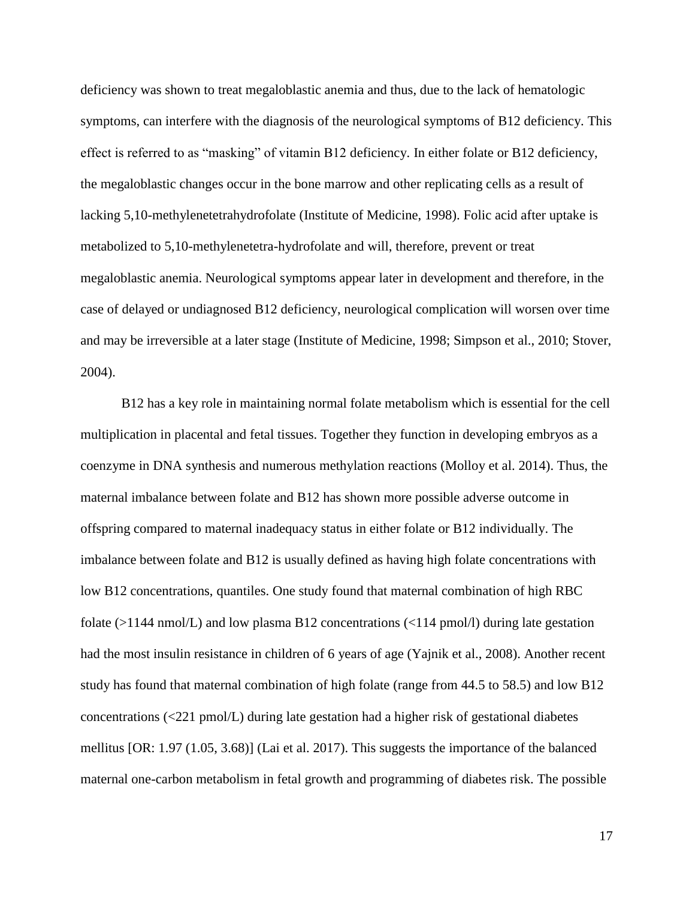deficiency was shown to treat megaloblastic anemia and thus, due to the lack of hematologic symptoms, can interfere with the diagnosis of the neurological symptoms of B12 deficiency. This effect is referred to as "masking" of vitamin B12 deficiency. In either folate or B12 deficiency, the megaloblastic changes occur in the bone marrow and other replicating cells as a result of lacking 5,10-methylenetetrahydrofolate (Institute of Medicine, 1998). Folic acid after uptake is metabolized to 5,10-methylenetetra-hydrofolate and will, therefore, prevent or treat megaloblastic anemia. Neurological symptoms appear later in development and therefore, in the case of delayed or undiagnosed B12 deficiency, neurological complication will worsen over time and may be irreversible at a later stage (Institute of Medicine, 1998; Simpson et al., 2010; Stover, 2004).

B12 has a key role in maintaining normal folate metabolism which is essential for the cell multiplication in placental and fetal tissues. Together they function in developing embryos as a coenzyme in DNA synthesis and numerous methylation reactions (Molloy et al. 2014). Thus, the maternal imbalance between folate and B12 has shown more possible adverse outcome in offspring compared to maternal inadequacy status in either folate or B12 individually. The imbalance between folate and B12 is usually defined as having high folate concentrations with low B12 concentrations, quantiles. One study found that maternal combination of high RBC folate  $(>1144 \text{ nmol/L})$  and low plasma B12 concentrations  $(<114 \text{ pmol/l})$  during late gestation had the most insulin resistance in children of 6 years of age (Yajnik et al., 2008). Another recent study has found that maternal combination of high folate (range from 44.5 to 58.5) and low B12 concentrations (<221 pmol/L) during late gestation had a higher risk of gestational diabetes mellitus [OR: 1.97 (1.05, 3.68)] (Lai et al. 2017). This suggests the importance of the balanced maternal one-carbon metabolism in fetal growth and programming of diabetes risk. The possible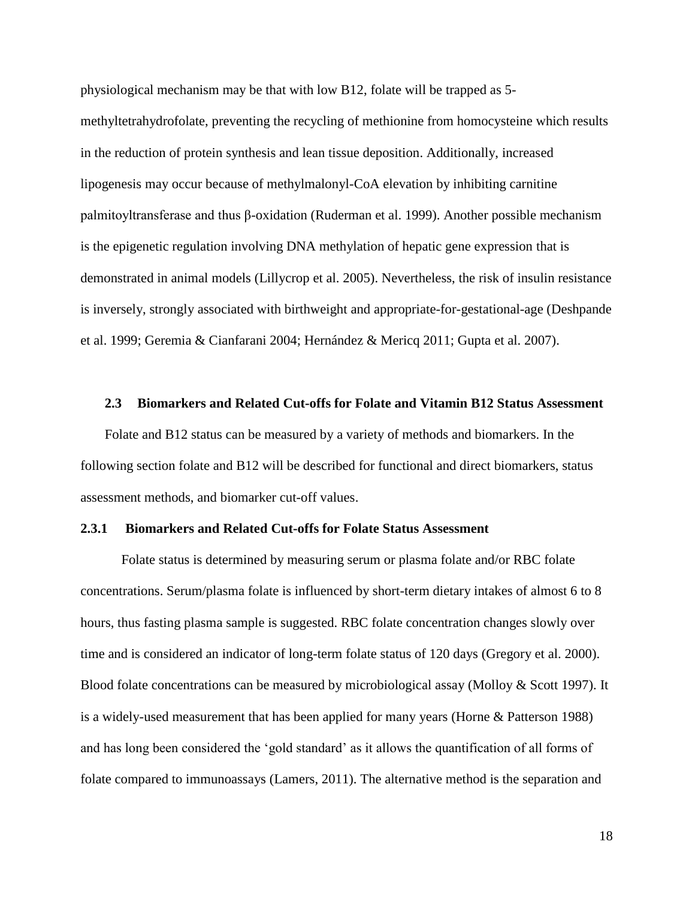physiological mechanism may be that with low B12, folate will be trapped as 5 methyltetrahydrofolate, preventing the recycling of methionine from homocysteine which results in the reduction of protein synthesis and lean tissue deposition. Additionally, increased lipogenesis may occur because of methylmalonyl-CoA elevation by inhibiting carnitine palmitoyltransferase and thus β-oxidation (Ruderman et al. 1999). Another possible mechanism is the epigenetic regulation involving DNA methylation of hepatic gene expression that is demonstrated in animal models (Lillycrop et al. 2005). Nevertheless, the risk of insulin resistance is inversely, strongly associated with birthweight and appropriate-for-gestational-age (Deshpande et al. 1999; Geremia & Cianfarani 2004; Hernández & Mericq 2011; Gupta et al. 2007).

#### **2.3 Biomarkers and Related Cut-offs for Folate and Vitamin B12 Status Assessment**

Folate and B12 status can be measured by a variety of methods and biomarkers. In the following section folate and B12 will be described for functional and direct biomarkers, status assessment methods, and biomarker cut-off values.

#### **2.3.1 Biomarkers and Related Cut-offs for Folate Status Assessment**

Folate status is determined by measuring serum or plasma folate and/or RBC folate concentrations. Serum/plasma folate is influenced by short-term dietary intakes of almost 6 to 8 hours, thus fasting plasma sample is suggested. RBC folate concentration changes slowly over time and is considered an indicator of long-term folate status of 120 days (Gregory et al. 2000). Blood folate concentrations can be measured by microbiological assay (Molloy & Scott 1997). It is a widely-used measurement that has been applied for many years (Horne & Patterson 1988) and has long been considered the 'gold standard' as it allows the quantification of all forms of folate compared to immunoassays (Lamers, 2011). The alternative method is the separation and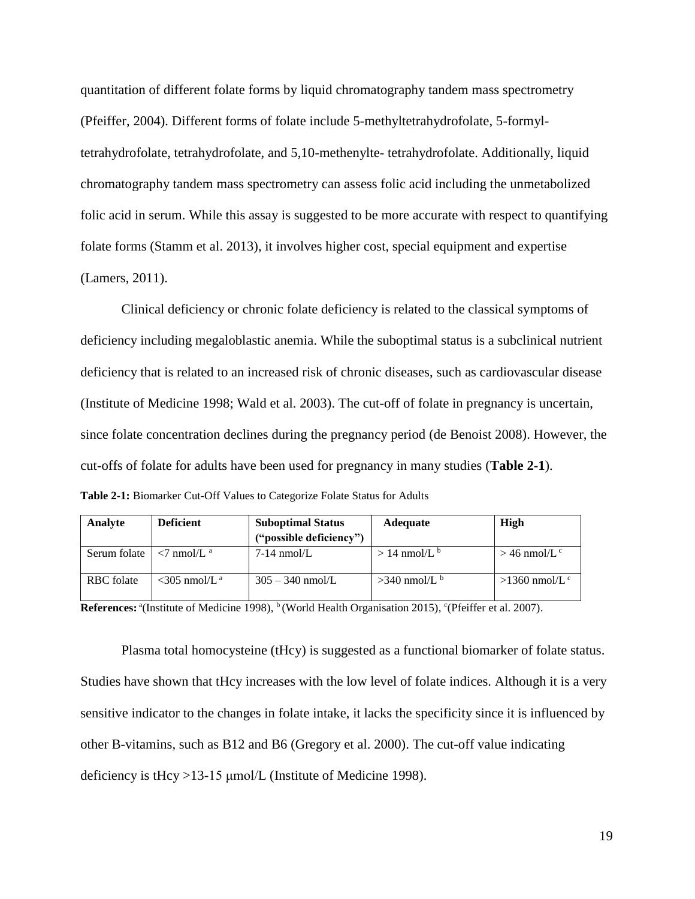quantitation of different folate forms by liquid chromatography tandem mass spectrometry (Pfeiffer, 2004). Different forms of folate include 5-methyltetrahydrofolate, 5-formyltetrahydrofolate, tetrahydrofolate, and 5,10-methenylte- tetrahydrofolate. Additionally, liquid chromatography tandem mass spectrometry can assess folic acid including the unmetabolized folic acid in serum. While this assay is suggested to be more accurate with respect to quantifying folate forms (Stamm et al. 2013), it involves higher cost, special equipment and expertise (Lamers, 2011).

Clinical deficiency or chronic folate deficiency is related to the classical symptoms of deficiency including megaloblastic anemia. While the suboptimal status is a subclinical nutrient deficiency that is related to an increased risk of chronic diseases, such as cardiovascular disease (Institute of Medicine 1998; Wald et al. 2003). The cut-off of folate in pregnancy is uncertain, since folate concentration declines during the pregnancy period (de Benoist 2008). However, the cut-offs of folate for adults have been used for pregnancy in many studies (**Table 2-1**). **Table 2-1:** Biomarker Cut-Off Values to Categorize Folate Status for Adults

| Analyte      | <b>Deficient</b>                                | <b>Suboptimal Status</b> | <b>Adequate</b>          | High                        |
|--------------|-------------------------------------------------|--------------------------|--------------------------|-----------------------------|
|              |                                                 | ("possible deficiency")  |                          |                             |
| Serum folate | $\langle 7 \text{ nmol/L}^{\text{a}} \rangle$   | $7-14$ nmol/L            | $>14$ nmol/L $\rm{^b}$   | $>$ 46 nmol/L <sup>c</sup>  |
| RBC folate   | $\langle 305 \text{ nmol/L}^{\text{a}} \rangle$ | $305 - 340$ nmol/L       | $>340$ nmol/L $^{\rm b}$ | $>1360$ nmol/L <sup>c</sup> |

**References:** <sup>a</sup>(Institute of Medicine 1998), <sup>b</sup> (World Health Organisation 2015), <sup>c</sup>(Pfeiffer et al. 2007).

Plasma total homocysteine (tHcy) is suggested as a functional biomarker of folate status. Studies have shown that tHcy increases with the low level of folate indices. Although it is a very sensitive indicator to the changes in folate intake, it lacks the specificity since it is influenced by other B-vitamins, such as B12 and B6 (Gregory et al. 2000). The cut-off value indicating deficiency is tHcy >13-15 μmol/L (Institute of Medicine 1998).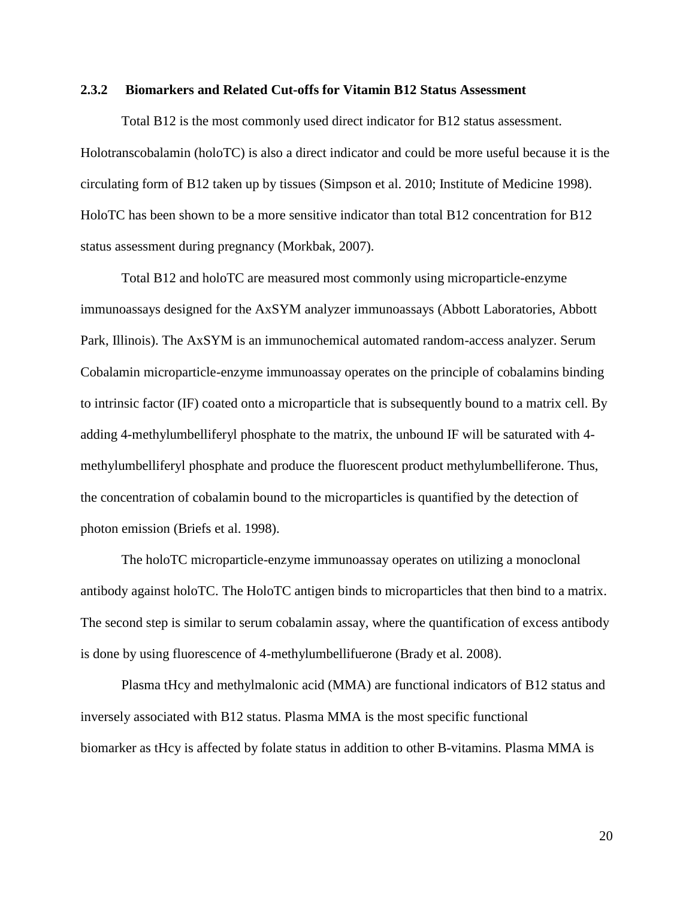## **2.3.2 Biomarkers and Related Cut-offs for Vitamin B12 Status Assessment**

Total B12 is the most commonly used direct indicator for B12 status assessment. Holotranscobalamin (holoTC) is also a direct indicator and could be more useful because it is the circulating form of B12 taken up by tissues (Simpson et al. 2010; Institute of Medicine 1998). HoloTC has been shown to be a more sensitive indicator than total B12 concentration for B12 status assessment during pregnancy (Morkbak, 2007).

Total B12 and holoTC are measured most commonly using microparticle-enzyme immunoassays designed for the AxSYM analyzer immunoassays (Abbott Laboratories, Abbott Park, Illinois). The AxSYM is an immunochemical automated random-access analyzer. Serum Cobalamin microparticle-enzyme immunoassay operates on the principle of cobalamins binding to intrinsic factor (IF) coated onto a microparticle that is subsequently bound to a matrix cell. By adding 4-methylumbelliferyl phosphate to the matrix, the unbound IF will be saturated with 4 methylumbelliferyl phosphate and produce the fluorescent product methylumbelliferone. Thus, the concentration of cobalamin bound to the microparticles is quantified by the detection of photon emission (Briefs et al. 1998).

The holoTC microparticle-enzyme immunoassay operates on utilizing a monoclonal antibody against holoTC. The HoloTC antigen binds to microparticles that then bind to a matrix. The second step is similar to serum cobalamin assay, where the quantification of excess antibody is done by using fluorescence of 4-methylumbellifuerone (Brady et al. 2008).

Plasma tHcy and methylmalonic acid (MMA) are functional indicators of B12 status and inversely associated with B12 status. Plasma MMA is the most specific functional biomarker as tHcy is affected by folate status in addition to other B-vitamins. Plasma MMA is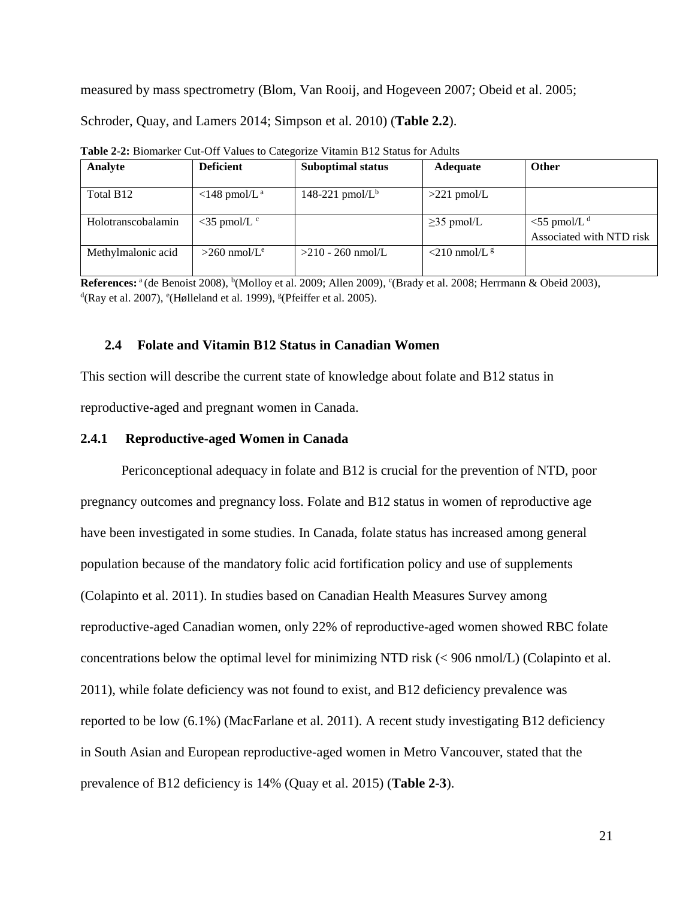measured by mass spectrometry (Blom, Van Rooij, and Hogeveen 2007; Obeid et al. 2005;

Schroder, Quay, and Lamers 2014; Simpson et al. 2010) (**Table 2.2**).

| Analyte            | <b>Deficient</b>                  | <b>Suboptimal status</b> | <b>Adequate</b>                | <b>Other</b>                                           |
|--------------------|-----------------------------------|--------------------------|--------------------------------|--------------------------------------------------------|
| Total B12          | $\langle$ 148 pmol/L <sup>a</sup> | 148-221 pmol/ $L^b$      | $>221$ pmol/L                  |                                                        |
| Holotranscobalamin | $<$ 35 pmol/L $\rm ^c$            |                          | $\geq$ 35 pmol/L               | $<$ 55 pmol/L <sup>d</sup><br>Associated with NTD risk |
| Methylmalonic acid | $>260$ nmol/L <sup>e</sup>        | $>210 - 260$ nmol/L      | $\leq$ 210 nmol/L <sup>g</sup> |                                                        |

**Table 2-2:** Biomarker Cut-Off Values to Categorize Vitamin B12 Status for Adults

References: <sup>a</sup> (de Benoist 2008), <sup>b</sup>(Molloy et al. 2009; Allen 2009), <sup>c</sup>(Brady et al. 2008; Herrmann & Obeid 2003),  $\mathrm{d}^{\mathrm{d}}$ (Ray et al. 2007),  $\mathrm{e}$ (Hølleland et al. 1999),  $\mathrm{e}$ (Pfeiffer et al. 2005).

## **2.4 Folate and Vitamin B12 Status in Canadian Women**

This section will describe the current state of knowledge about folate and B12 status in reproductive-aged and pregnant women in Canada.

## **2.4.1 Reproductive-aged Women in Canada**

Periconceptional adequacy in folate and B12 is crucial for the prevention of NTD, poor pregnancy outcomes and pregnancy loss. Folate and B12 status in women of reproductive age have been investigated in some studies. In Canada, folate status has increased among general population because of the mandatory folic acid fortification policy and use of supplements (Colapinto et al. 2011). In studies based on Canadian Health Measures Survey among reproductive-aged Canadian women, only 22% of reproductive-aged women showed RBC folate concentrations below the optimal level for minimizing NTD risk (< 906 nmol/L) (Colapinto et al. 2011), while folate deficiency was not found to exist, and B12 deficiency prevalence was reported to be low (6.1%) (MacFarlane et al. 2011). A recent study investigating B12 deficiency in South Asian and European reproductive-aged women in Metro Vancouver, stated that the prevalence of B12 deficiency is 14% (Quay et al. 2015) (**Table 2-3**).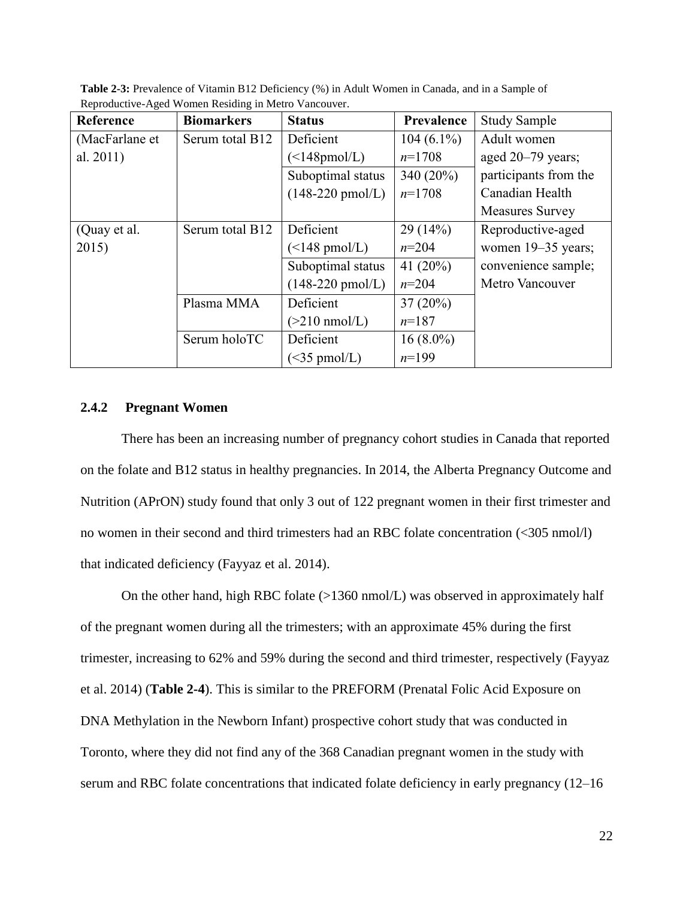| Reference      | <b>Biomarkers</b> | <b>Status</b>               | Prevalence   | <b>Study Sample</b>    |
|----------------|-------------------|-----------------------------|--------------|------------------------|
| (MacFarlane et | Serum total B12   | Deficient                   | $104(6.1\%)$ | Adult women            |
| al. 2011)      |                   | $(\leq 148$ pmol/L)         | $n=1708$     | aged 20–79 years;      |
|                |                   | Suboptimal status           | 340 (20%)    | participants from the  |
|                |                   | $(148-220 \text{ pmol/L})$  | $n=1708$     | Canadian Health        |
|                |                   |                             |              | <b>Measures Survey</b> |
| (Quay et al.   | Serum total B12   | Deficient                   | 29(14%)      | Reproductive-aged      |
| 2015)          |                   | $(\leq 148 \text{ pmol/L})$ | $n=204$      | women 19-35 years;     |
|                |                   | Suboptimal status           | 41 $(20\%)$  | convenience sample;    |
|                |                   | $(148-220 \text{ pmol/L})$  | $n=204$      | Metro Vancouver        |
|                | Plasma MMA        | Deficient                   | $37(20\%)$   |                        |
|                |                   | $(>210 \text{ nmol/L})$     | $n=187$      |                        |
|                | Serum holoTC      | Deficient                   | $16(8.0\%)$  |                        |
|                |                   | $(<35 \text{ pmol/L})$      | $n=199$      |                        |

**Table 2-3:** Prevalence of Vitamin B12 Deficiency (%) in Adult Women in Canada, and in a Sample of Reproductive-Aged Women Residing in Metro Vancouver.

# **2.4.2 Pregnant Women**

There has been an increasing number of pregnancy cohort studies in Canada that reported on the folate and B12 status in healthy pregnancies. In 2014, the Alberta Pregnancy Outcome and Nutrition (APrON) study found that only 3 out of 122 pregnant women in their first trimester and no women in their second and third trimesters had an RBC folate concentration (<305 nmol/l) that indicated deficiency (Fayyaz et al. 2014).

On the other hand, high RBC folate (>1360 nmol/L) was observed in approximately half of the pregnant women during all the trimesters; with an approximate 45% during the first trimester, increasing to 62% and 59% during the second and third trimester, respectively (Fayyaz et al. 2014) (**Table 2-4**). This is similar to the PREFORM (Prenatal Folic Acid Exposure on DNA Methylation in the Newborn Infant) prospective cohort study that was conducted in Toronto, where they did not find any of the 368 Canadian pregnant women in the study with serum and RBC folate concentrations that indicated folate deficiency in early pregnancy (12–16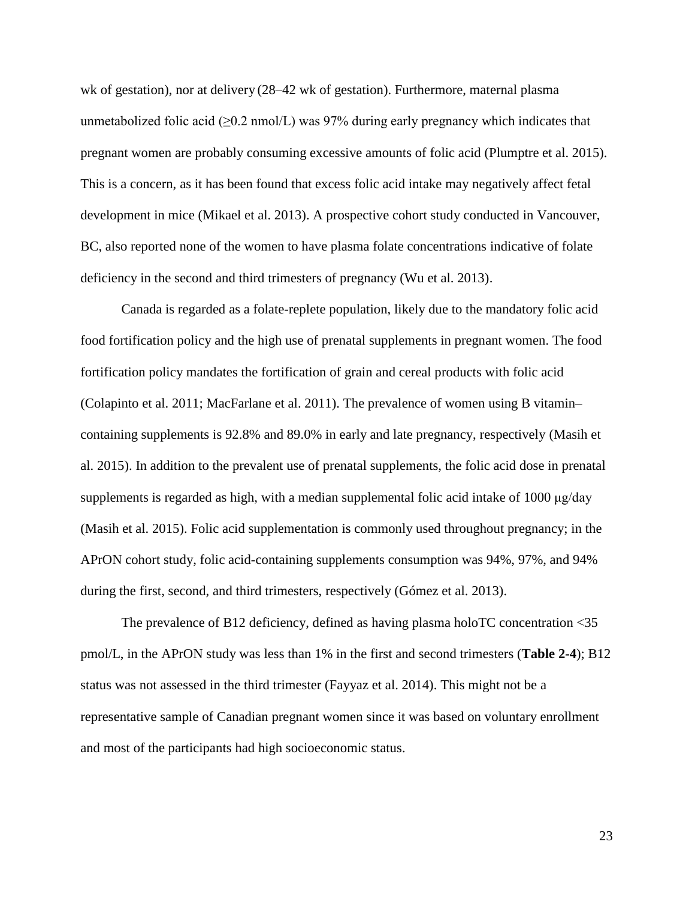wk of gestation), nor at delivery (28–42 wk of gestation). Furthermore, maternal plasma unmetabolized folic acid ( $\geq 0.2$  nmol/L) was 97% during early pregnancy which indicates that pregnant women are probably consuming excessive amounts of folic acid (Plumptre et al. 2015). This is a concern, as it has been found that excess folic acid intake may negatively affect fetal development in mice (Mikael et al. 2013). A prospective cohort study conducted in Vancouver, BC, also reported none of the women to have plasma folate concentrations indicative of folate deficiency in the second and third trimesters of pregnancy (Wu et al. 2013).

Canada is regarded as a folate-replete population, likely due to the mandatory folic acid food fortification policy and the high use of prenatal supplements in pregnant women. The food fortification policy mandates the fortification of grain and cereal products with folic acid (Colapinto et al. 2011; MacFarlane et al. 2011). The prevalence of women using B vitamin– containing supplements is 92.8% and 89.0% in early and late pregnancy, respectively (Masih et al. 2015). In addition to the prevalent use of prenatal supplements, the folic acid dose in prenatal supplements is regarded as high, with a median supplemental folic acid intake of 1000 μg/day (Masih et al. 2015). Folic acid supplementation is commonly used throughout pregnancy; in the APrON cohort study, folic acid-containing supplements consumption was 94%, 97%, and 94% during the first, second, and third trimesters, respectively (Gómez et al. 2013).

The prevalence of B12 deficiency, defined as having plasma holoTC concentration <35 pmol/L, in the APrON study was less than 1% in the first and second trimesters (**Table 2-4**); B12 status was not assessed in the third trimester (Fayyaz et al. 2014). This might not be a representative sample of Canadian pregnant women since it was based on voluntary enrollment and most of the participants had high socioeconomic status.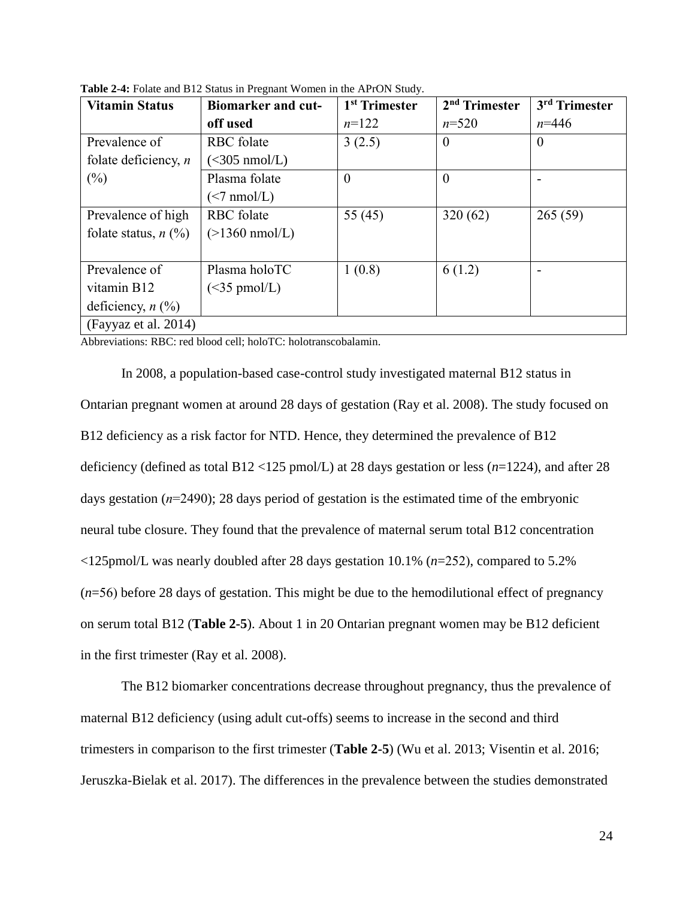| <b>Vitamin Status</b>                      | <b>Biomarker and cut-</b> | 1 <sup>st</sup> Trimester | 2 <sup>nd</sup> Trimester | 3 <sup>rd</sup> Trimester |
|--------------------------------------------|---------------------------|---------------------------|---------------------------|---------------------------|
|                                            | off used                  | $n=122$                   | $n = 520$                 | $n = 446$                 |
| Prevalence of                              | RBC folate                | 3(2.5)                    | $\theta$                  | $\overline{0}$            |
| folate deficiency, $n$                     | $(<305 \text{ nmol/L})$   |                           |                           |                           |
| $(\%)$                                     | Plasma folate             | $\theta$                  | $\theta$                  |                           |
|                                            | $(<7 \text{ nmol/L})$     |                           |                           |                           |
| Prevalence of high                         | RBC folate                | 55 $(45)$                 | 320(62)                   | 265(59)                   |
| folate status, $n$ (%)                     | $(>1360 \text{ nmol/L})$  |                           |                           |                           |
|                                            |                           |                           |                           |                           |
| Prevalence of                              | Plasma holoTC             | 1(0.8)                    | 6(1.2)                    |                           |
| vitamin B12                                | $(<35 \text{ pmol/L})$    |                           |                           |                           |
| deficiency, $n$ $\left(\frac{9}{0}\right)$ |                           |                           |                           |                           |
| (Fayyaz et al. 2014)                       |                           |                           |                           |                           |

**Table 2-4:** Folate and B12 Status in Pregnant Women in the APrON Study.

Abbreviations: RBC: red blood cell; holoTC: holotranscobalamin.

In 2008, a population-based case-control study investigated maternal B12 status in Ontarian pregnant women at around 28 days of gestation (Ray et al. 2008). The study focused on B12 deficiency as a risk factor for NTD. Hence, they determined the prevalence of B12 deficiency (defined as total B12 <125 pmol/L) at 28 days gestation or less (*n*=1224), and after 28 days gestation (*n*=2490); 28 days period of gestation is the estimated time of the embryonic neural tube closure. They found that the prevalence of maternal serum total B12 concentration <125pmol/L was nearly doubled after 28 days gestation 10.1% (*n*=252), compared to 5.2% (*n*=56) before 28 days of gestation. This might be due to the hemodilutional effect of pregnancy on serum total B12 (**Table 2-5**). About 1 in 20 Ontarian pregnant women may be B12 deficient in the first trimester (Ray et al. 2008).

The B12 biomarker concentrations decrease throughout pregnancy, thus the prevalence of maternal B12 deficiency (using adult cut-offs) seems to increase in the second and third trimesters in comparison to the first trimester (**Table 2-5**) (Wu et al. 2013; Visentin et al. 2016; Jeruszka-Bielak et al. 2017). The differences in the prevalence between the studies demonstrated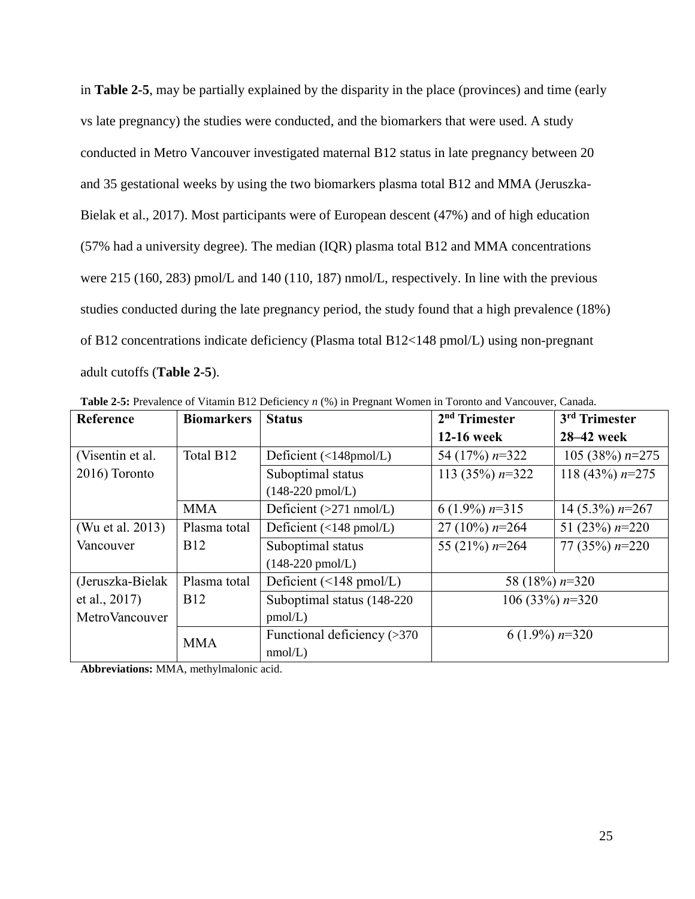in **Table 2-5**, may be partially explained by the disparity in the place (provinces) and time (early vs late pregnancy) the studies were conducted, and the biomarkers that were used. A study conducted in Metro Vancouver investigated maternal B12 status in late pregnancy between 20 and 35 gestational weeks by using the two biomarkers plasma total B12 and MMA (Jeruszka-Bielak et al., 2017). Most participants were of European descent (47%) and of high education (57% had a university degree). The median (IQR) plasma total B12 and MMA concentrations were 215 (160, 283) pmol/L and 140 (110, 187) nmol/L, respectively. In line with the previous studies conducted during the late pregnancy period, the study found that a high prevalence (18%) of B12 concentrations indicate deficiency (Plasma total B12<148 pmol/L) using non-pregnant adult cutoffs (**Table 2-5**).

| <b>Reference</b> | <b>Biomarkers</b> | <b>Status</b>                     | 2 <sup>nd</sup> Trimester | 3rd Trimester     |
|------------------|-------------------|-----------------------------------|---------------------------|-------------------|
|                  |                   |                                   | 12-16 week                | 28–42 week        |
| (Visentin et al. | Total B12         | Deficient (<148pmol/L)            | 54 (17%) $n=322$          | 105 (38%) $n=275$ |
| 2016) Toronto    |                   | Suboptimal status                 | 113 (35%) $n=322$         | 118 (43%) $n=275$ |
|                  |                   | $(148-220 \text{ pmol/L})$        |                           |                   |
|                  | <b>MMA</b>        | Deficient $(>271 \text{ nmol/L})$ | 6 (1.9%) $n=315$          | 14 (5.3%) $n=267$ |
| (Wu et al. 2013) | Plasma total      | Deficient (<148 pmol/L)           | 27 (10%) $n=264$          | 51 (23%) $n=220$  |
| Vancouver        | <b>B12</b>        | Suboptimal status                 | 55 (21%) $n=264$          | 77 (35%) $n=220$  |
|                  |                   | $(148-220 \text{ pmol/L})$        |                           |                   |
| (Jeruszka-Bielak | Plasma total      | Deficient (<148 pmol/L)           | 58 (18%) $n=320$          |                   |
| et al., 2017)    | <b>B</b> 12       | Suboptimal status (148-220)       | 106 (33%) $n=320$         |                   |
| MetroVancouver   |                   | pmol/L)                           |                           |                   |
|                  | <b>MMA</b>        | Functional deficiency $(>370$     | 6 $(1.9\%)$ n=320         |                   |
|                  |                   | nmol/L)                           |                           |                   |

**Table 2-5:** Prevalence of Vitamin B12 Deficiency *n* (%) in Pregnant Women in Toronto and Vancouver, Canada.

**Abbreviations:** MMA, methylmalonic acid.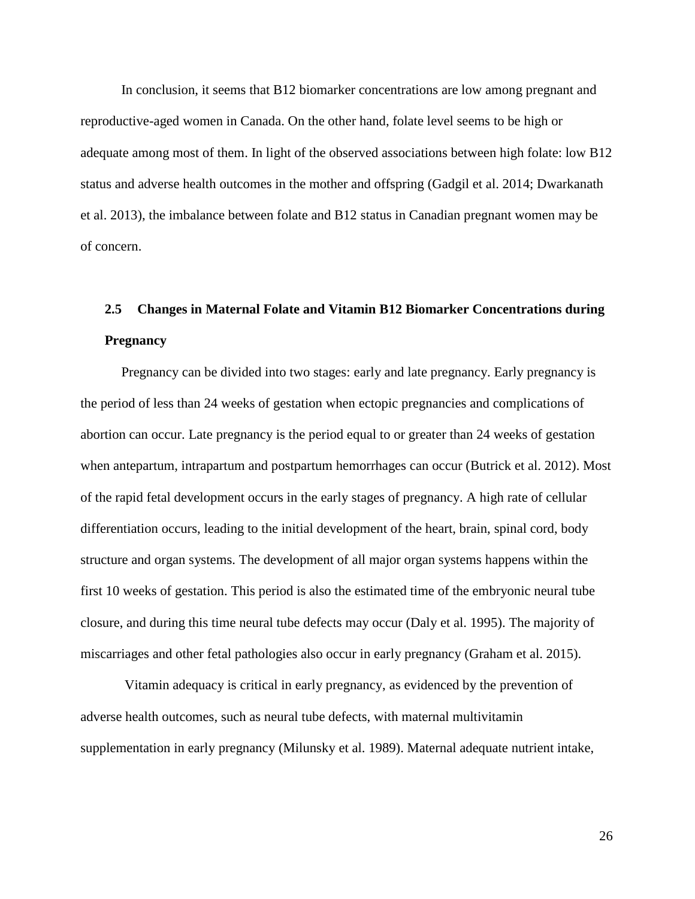In conclusion, it seems that B12 biomarker concentrations are low among pregnant and reproductive-aged women in Canada. On the other hand, folate level seems to be high or adequate among most of them. In light of the observed associations between high folate: low B12 status and adverse health outcomes in the mother and offspring (Gadgil et al. 2014; Dwarkanath et al. 2013), the imbalance between folate and B12 status in Canadian pregnant women may be of concern.

# **2.5 Changes in Maternal Folate and Vitamin B12 Biomarker Concentrations during Pregnancy**

Pregnancy can be divided into two stages: early and late pregnancy. Early pregnancy is the period of less than 24 weeks of gestation when ectopic pregnancies and complications of abortion can occur. Late pregnancy is the period equal to or greater than 24 weeks of gestation when antepartum, intrapartum and postpartum hemorrhages can occur (Butrick et al. 2012). Most of the rapid fetal development occurs in the early stages of pregnancy. A high rate of cellular differentiation occurs, leading to the initial development of the heart, brain, spinal cord, body structure and organ systems. The development of all major organ systems happens within the first 10 weeks of gestation. This period is also the estimated time of the embryonic neural tube closure, and during this time neural tube defects may occur (Daly et al. 1995). The majority of miscarriages and other fetal pathologies also occur in early pregnancy (Graham et al. 2015).

Vitamin adequacy is critical in early pregnancy, as evidenced by the prevention of adverse health outcomes, such as neural tube defects, with maternal multivitamin supplementation in early pregnancy (Milunsky et al. 1989). Maternal adequate nutrient intake,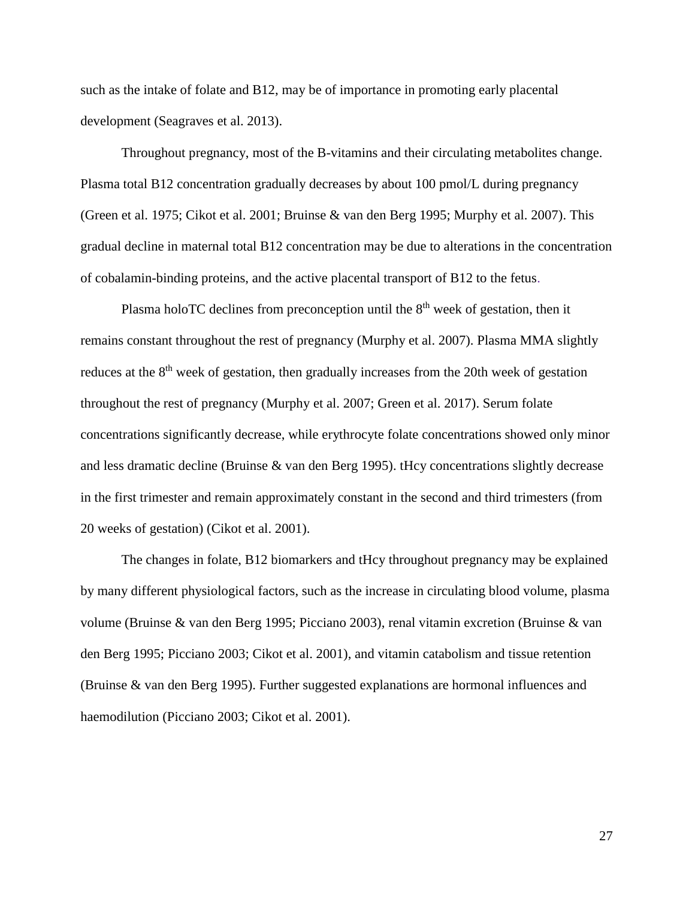such as the intake of folate and B12, may be of importance in promoting early placental development (Seagraves et al. 2013).

Throughout pregnancy, most of the B-vitamins and their circulating metabolites change. Plasma total B12 concentration gradually decreases by about 100 pmol/L during pregnancy (Green et al. 1975; Cikot et al. 2001; Bruinse & van den Berg 1995; Murphy et al. 2007). This gradual decline in maternal total B12 concentration may be due to alterations in the concentration of cobalamin-binding proteins, and the active placental transport of B12 to the fetus.

Plasma holoTC declines from preconception until the  $8<sup>th</sup>$  week of gestation, then it remains constant throughout the rest of pregnancy (Murphy et al. 2007). Plasma MMA slightly reduces at the 8<sup>th</sup> week of gestation, then gradually increases from the 20th week of gestation throughout the rest of pregnancy (Murphy et al. 2007; Green et al. 2017). Serum folate concentrations significantly decrease, while erythrocyte folate concentrations showed only minor and less dramatic decline (Bruinse & van den Berg 1995). tHcy concentrations slightly decrease in the first trimester and remain approximately constant in the second and third trimesters (from 20 weeks of gestation) (Cikot et al. 2001).

The changes in folate, B12 biomarkers and tHcy throughout pregnancy may be explained by many different physiological factors, such as the increase in circulating blood volume, plasma volume (Bruinse & van den Berg 1995; Picciano 2003), renal vitamin excretion (Bruinse & van den Berg 1995; Picciano 2003; Cikot et al. 2001), and vitamin catabolism and tissue retention (Bruinse & van den Berg 1995). Further suggested explanations are hormonal influences and haemodilution (Picciano 2003; Cikot et al. 2001).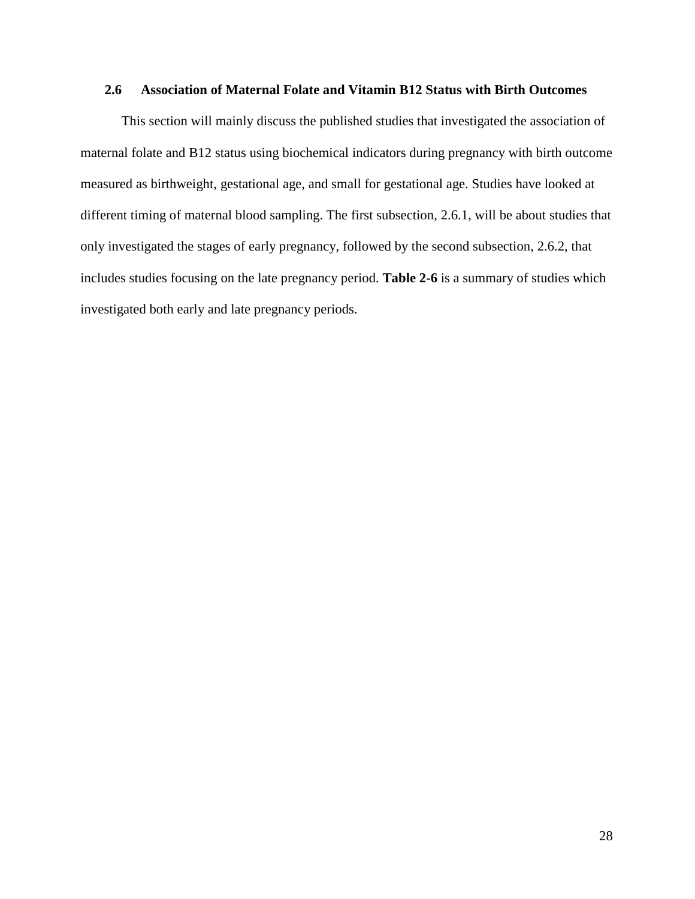# **2.6 Association of Maternal Folate and Vitamin B12 Status with Birth Outcomes**

This section will mainly discuss the published studies that investigated the association of maternal folate and B12 status using biochemical indicators during pregnancy with birth outcome measured as birthweight, gestational age, and small for gestational age. Studies have looked at different timing of maternal blood sampling. The first subsection, 2.6.1, will be about studies that only investigated the stages of early pregnancy, followed by the second subsection, 2.6.2, that includes studies focusing on the late pregnancy period. **Table 2-6** is a summary of studies which investigated both early and late pregnancy periods.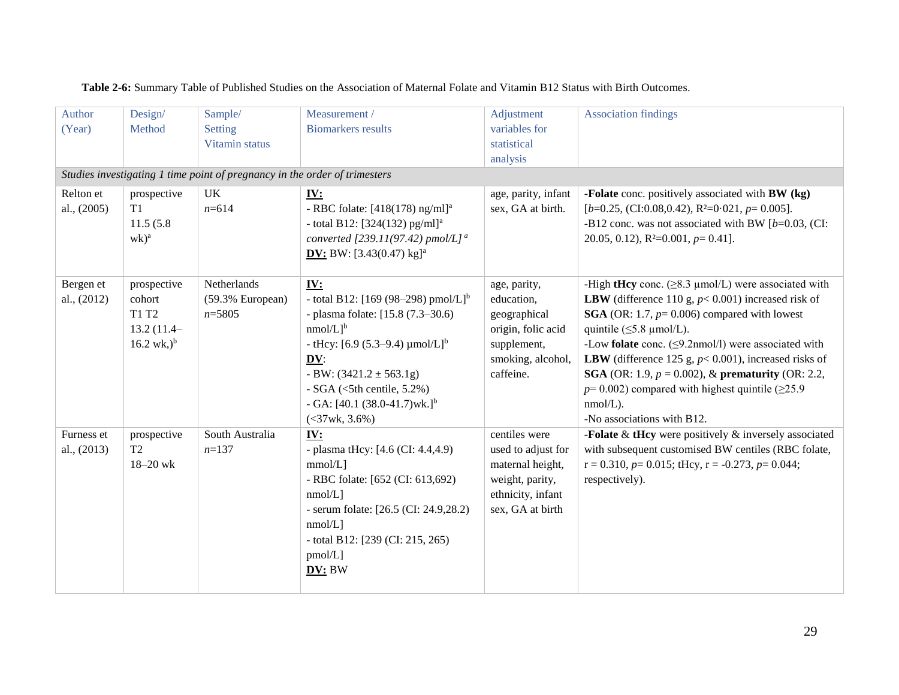| Author<br>(Year)<br>Relton et | Design/<br>Method<br>prospective                                       | Sample/<br><b>Setting</b><br>Vitamin status<br>Studies investigating 1 time point of pregnancy in the order of trimesters<br>UK | Measurement /<br><b>Biomarkers</b> results<br><u>IV:</u>                                                                                                                                                                                                                                                                                                      | Adjustment<br>variables for<br>statistical<br>analysis<br>age, parity, infant                                       | <b>Association findings</b><br>-Folate conc. positively associated with BW (kg)                                                                                                                                                                                                                                                                                                                                                                                                                                                                  |
|-------------------------------|------------------------------------------------------------------------|---------------------------------------------------------------------------------------------------------------------------------|---------------------------------------------------------------------------------------------------------------------------------------------------------------------------------------------------------------------------------------------------------------------------------------------------------------------------------------------------------------|---------------------------------------------------------------------------------------------------------------------|--------------------------------------------------------------------------------------------------------------------------------------------------------------------------------------------------------------------------------------------------------------------------------------------------------------------------------------------------------------------------------------------------------------------------------------------------------------------------------------------------------------------------------------------------|
| al., (2005)                   | T1<br>11.5(5.8)<br>$wk)^a$                                             | $n = 614$                                                                                                                       | - RBC folate: $[418(178)$ ng/ml] <sup>a</sup><br>- total B12: [324(132) pg/ml] <sup>a</sup><br>converted [239.11(97.42) pmol/L] <sup>a</sup><br><b>DV:</b> BW: $[3.43(0.47) \text{ kg}]^a$                                                                                                                                                                    | sex, GA at birth.                                                                                                   | $[b=0.25, (CI:0.08, 0.42), R2=0.021, p=0.005].$<br>-B12 conc. was not associated with BW $[b=0.03, (CI:$<br>20.05, 0.12), $R^2=0.001$ , $p=0.41$ .                                                                                                                                                                                                                                                                                                                                                                                               |
| Bergen et<br>al., (2012)      | prospective<br>cohort<br>T1 T2<br>13.2 (11.4–<br>$16.2 \text{ wk.})^b$ | Netherlands<br>(59.3% European)<br>$n = 5805$                                                                                   | IV:<br>- total B12: [169 (98-298) pmol/L] <sup>b</sup><br>- plasma folate: [15.8 (7.3–30.6)<br>$nmol/L$ <sup>b</sup><br>- tHcy: [6.9 (5.3–9.4) $\mu$ mol/L] <sup>b</sup><br>$\underline{\mathbf{D}}\underline{\mathbf{V}}$ :<br>- BW: $(3421.2 \pm 563.1g)$<br>$-SGA$ (<5th centile, 5.2%)<br>- GA: $[40.1 (38.0-41.7)$ wk.] <sup>b</sup><br>$(<37$ wk, 3.6%) | age, parity,<br>education,<br>geographical<br>origin, folic acid<br>supplement,<br>smoking, alcohol,<br>caffeine.   | -High tHey conc. ( $\geq$ 8.3 µmol/L) were associated with<br><b>LBW</b> (difference 110 g, $p < 0.001$ ) increased risk of<br><b>SGA</b> (OR: 1.7, $p=0.006$ ) compared with lowest<br>quintile $(\leq 5.8 \mu \text{mol/L}).$<br>-Low folate conc. $(\leq 9.2$ nmol/l) were associated with<br><b>LBW</b> (difference 125 g, $p$ < 0.001), increased risks of<br><b>SGA</b> (OR: 1.9, $p = 0.002$ ), & <b>prematurity</b> (OR: 2.2,<br>$p=0.002$ ) compared with highest quintile ( $\geq 25.9$ )<br>$nmol/L$ ).<br>-No associations with B12. |
| Furness et<br>al., (2013)     | prospective<br>T <sub>2</sub><br>$18 - 20$ wk                          | South Australia<br>$n=137$                                                                                                      | IV:<br>- plasma tHcy: [4.6 (CI: 4.4,4.9)<br>mmol/L]<br>- RBC folate: [652 (CI: 613,692)<br>$nmol/L$ ]<br>- serum folate: [26.5 (CI: 24.9,28.2)<br>$nmol/L$ ]<br>- total B12: $[239 (CI: 215, 265)$<br>$pmol/L$ ]<br>DV: BW                                                                                                                                    | centiles were<br>used to adjust for<br>maternal height,<br>weight, parity,<br>ethnicity, infant<br>sex, GA at birth | -Folate $&$ tHcy were positively $&$ inversely associated<br>with subsequent customised BW centiles (RBC folate,<br>$r = 0.310$ , $p = 0.015$ ; tHcy, $r = -0.273$ , $p = 0.044$ ;<br>respectively).                                                                                                                                                                                                                                                                                                                                             |

**Table 2-6:** Summary Table of Published Studies on the Association of Maternal Folate and Vitamin B12 Status with Birth Outcomes.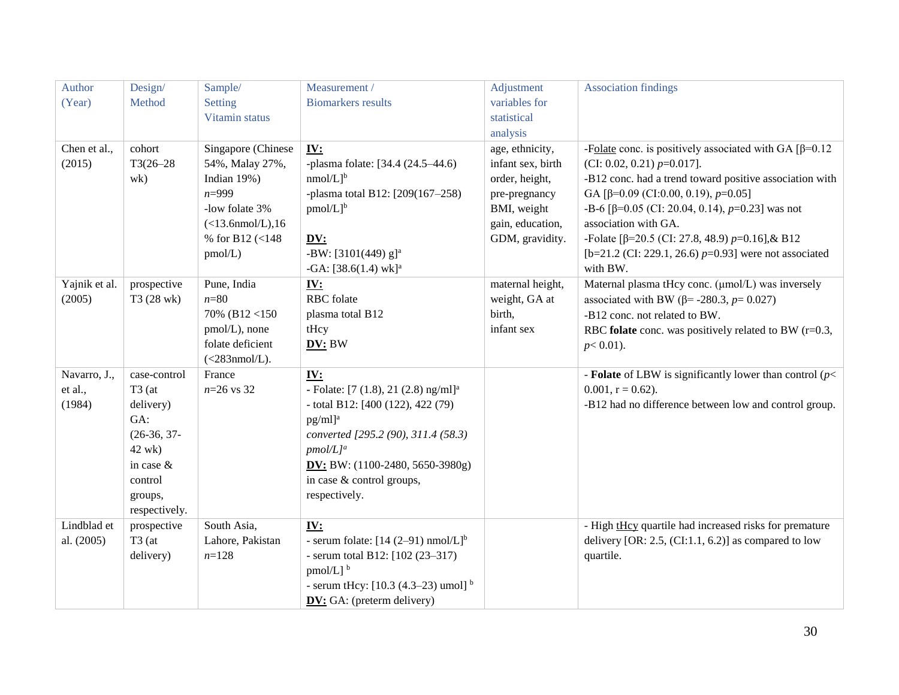| Author        | Design/                 | Sample/             | Measurement /                                                | Adjustment        | <b>Association findings</b>                                  |
|---------------|-------------------------|---------------------|--------------------------------------------------------------|-------------------|--------------------------------------------------------------|
| (Year)        | Method                  | Setting             | <b>Biomarkers</b> results                                    | variables for     |                                                              |
|               |                         | Vitamin status      |                                                              | statistical       |                                                              |
|               |                         |                     |                                                              | analysis          |                                                              |
| Chen et al.,  | cohort                  | Singapore (Chinese  | $\underline{\mathbf{IV}}$ :                                  | age, ethnicity,   | -Folate conc. is positively associated with GA $\beta$ =0.12 |
| (2015)        | $T3(26-28)$             | 54%, Malay 27%,     | -plasma folate: [34.4 (24.5-44.6)                            | infant sex, birth | (CI: 0.02, 0.21) $p=0.017$ ].                                |
|               | wk)                     | Indian 19%)         | $nmol/L]$ <sup>b</sup>                                       | order, height,    | -B12 conc. had a trend toward positive association with      |
|               |                         | $n = 999$           | -plasma total B12: [209(167-258)                             | pre-pregnancy     | GA [ $\beta$ =0.09 (CI:0.00, 0.19), p=0.05]                  |
|               |                         | -low folate 3%      | $pmol/L]$ <sup>b</sup>                                       | BMI, weight       | -B-6 [ $\beta$ =0.05 (CI: 20.04, 0.14), p=0.23] was not      |
|               |                         | $(<13.6$ nmol/L),16 |                                                              | gain, education,  | association with GA.                                         |
|               |                         | % for B12 (<148)    | DV:                                                          | GDM, gravidity.   | -Folate [ $\beta$ =20.5 (CI: 27.8, 48.9) p=0.16], & B12      |
|               |                         | pmol/L)             | -BW: $[3101(449)$ g] <sup>a</sup>                            |                   | [b=21.2 (CI: 229.1, 26.6) $p=0.93$ ] were not associated     |
|               |                         |                     | -GA: $[38.6(1.4)$ wk] <sup>a</sup>                           |                   | with BW.                                                     |
| Yajnik et al. | prospective             | Pune, India         | <u>IV:</u>                                                   | maternal height,  | Maternal plasma tHcy conc. (µmol/L) was inversely            |
| (2005)        | T3 (28 wk)              | $n = 80$            | <b>RBC</b> folate                                            | weight, GA at     | associated with BW ( $\beta$ = -280.3, $p$ = 0.027)          |
|               |                         | 70% (B12 <150)      | plasma total B12                                             | birth,            | -B12 conc. not related to BW.                                |
|               |                         | pmol/L), none       | tHcy                                                         | infant sex        | RBC folate conc. was positively related to BW $(r=0.3,$      |
|               |                         | folate deficient    | DV: BW                                                       |                   | $p<0.01$ ).                                                  |
|               |                         | $(<283$ nmol/L).    |                                                              |                   |                                                              |
| Navarro, J.,  | case-control            | France              | IV:                                                          |                   | - Folate of LBW is significantly lower than control ( $p$ <  |
| et al.,       | $T3$ (at                | $n=26$ vs 32        | - Folate: $[7 (1.8), 21 (2.8)$ ng/ml] <sup>a</sup>           |                   | $0.001$ , $r = 0.62$ ).                                      |
| (1984)        | delivery)<br>GA:        |                     | - total B12: $[400 (122), 422 (79)$                          |                   | -B12 had no difference between low and control group.        |
|               |                         |                     | pg/ml] <sup>a</sup>                                          |                   |                                                              |
|               | $(26-36, 37-$<br>42 wk) |                     | converted [295.2 (90), 311.4 (58.3)<br>$pmol/L$ <sup>a</sup> |                   |                                                              |
|               | in case &               |                     | DV: BW: $(1100-2480, 5650-3980g)$                            |                   |                                                              |
|               | control                 |                     | in case & control groups,                                    |                   |                                                              |
|               | groups,                 |                     | respectively.                                                |                   |                                                              |
|               | respectively.           |                     |                                                              |                   |                                                              |
| Lindblad et   | prospective             | South Asia,         | <b>IV:</b>                                                   |                   | - High tHcy quartile had increased risks for premature       |
| al. (2005)    | $T3$ (at                | Lahore, Pakistan    | - serum folate: $[14 (2-91)$ nmol/L] <sup>b</sup>            |                   | delivery [OR: 2.5, $(CI:1.1, 6.2)$ ] as compared to low      |
|               | delivery)               | $n=128$             | - serum total B12: $[102 (23-317)$                           |                   | quartile.                                                    |
|               |                         |                     | pmol/L] b                                                    |                   |                                                              |
|               |                         |                     | - serum tHcy: $[10.3 (4.3-23)$ umol] <sup>b</sup>            |                   |                                                              |
|               |                         |                     | <b>DV:</b> GA: (preterm delivery)                            |                   |                                                              |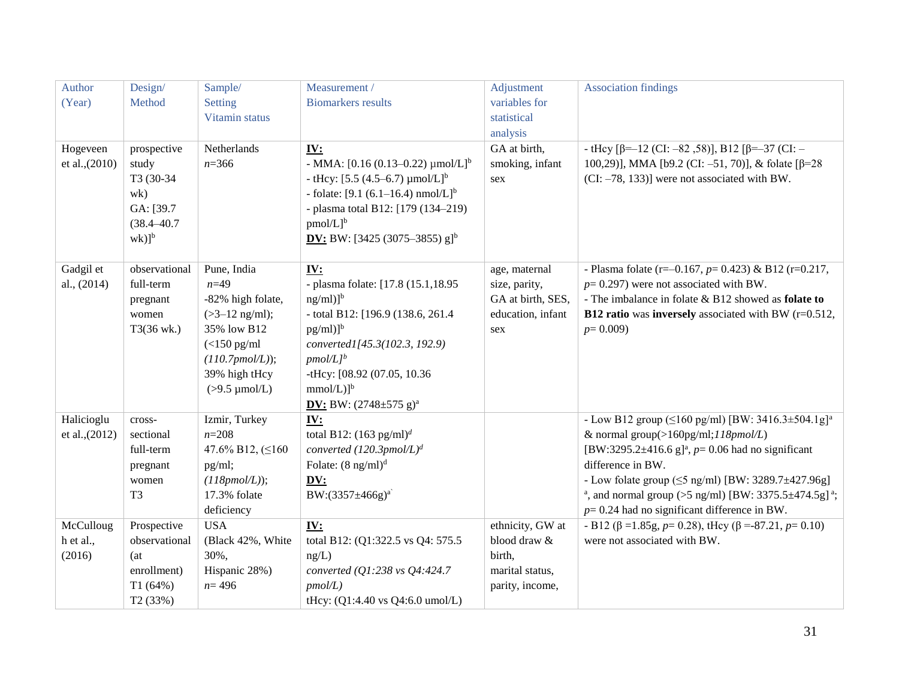| Author         | Design/              | Sample/                 | Measurement /                                        | Adjustment        | <b>Association findings</b>                                                                                                    |
|----------------|----------------------|-------------------------|------------------------------------------------------|-------------------|--------------------------------------------------------------------------------------------------------------------------------|
| (Year)         | Method               | Setting                 | <b>Biomarkers</b> results                            | variables for     |                                                                                                                                |
|                |                      | Vitamin status          |                                                      | statistical       |                                                                                                                                |
|                |                      |                         |                                                      | analysis          |                                                                                                                                |
| Hogeveen       | prospective          | Netherlands             | <u>IV:</u>                                           | GA at birth,      | - tHey $\lceil \beta = -12 \text{ (CI: } -82, 58 \text{ )}\rceil$ , B12 $\lceil \beta = -37 \text{ (CI: } -12 \text{ )}\rceil$ |
| et al., (2010) | study                | $n = 366$               | - MMA: $[0.16 (0.13 - 0.22) \mu \text{mol/L}]^b$     | smoking, infant   | 100,29)], MMA [b9.2 (CI: -51, 70)], & folate [ $\beta$ =28                                                                     |
|                | T3 (30-34)           |                         | - tHcy: $[5.5 (4.5–6.7) \mu$ mol/L] <sup>b</sup>     | sex               | $[CI: -78, 133]$ were not associated with BW.                                                                                  |
|                | wk)                  |                         | - folate: $[9.1 (6.1–16.4) nmol/L]^b$                |                   |                                                                                                                                |
|                | GA: [39.7            |                         | - plasma total B12: [179 (134-219)                   |                   |                                                                                                                                |
|                | $(38.4 - 40.7$       |                         | $pmol/L]$ <sup>b</sup>                               |                   |                                                                                                                                |
|                | $wk)$ ] <sup>b</sup> |                         | <b>DV:</b> BW: [3425 (3075–3855) $g$ ] <sup>b</sup>  |                   |                                                                                                                                |
|                |                      |                         |                                                      |                   |                                                                                                                                |
| Gadgil et      | observational        | Pune, India             | IV:                                                  | age, maternal     | - Plasma folate (r=-0.167, $p=0.423$ ) & B12 (r=0.217,                                                                         |
| al., (2014)    | full-term            | $n=49$                  | - plasma folate: [17.8 (15.1,18.95                   | size, parity,     | $p=0.297$ ) were not associated with BW.                                                                                       |
|                | pregnant             | -82% high folate,       | $ng/ml)$ <sup>b</sup>                                | GA at birth, SES, | - The imbalance in folate & B12 showed as <b>folate to</b>                                                                     |
|                | women                | $( >3-12$ ng/ml);       | - total B12: [196.9 (138.6, 261.4                    | education, infant | <b>B12 ratio</b> was <b>inversely</b> associated with BW $(r=0.512)$ ,                                                         |
|                | T3(36 wk.)           | 35% low B12             | $pg/ml)$ <sup>b</sup>                                | sex               | $p=0.009$                                                                                                                      |
|                |                      | $(<150$ pg/ml           | converted1[45.3(102.3, 192.9)                        |                   |                                                                                                                                |
|                |                      | $(110.7pmol/L)$ ;       | $pmol/Lj^b$                                          |                   |                                                                                                                                |
|                |                      | 39% high tHcy           | -tHcy: [08.92 (07.05, 10.36                          |                   |                                                                                                                                |
|                |                      | $(>9.5 \mu$ mol/L)      | $mmol/L)$ <sup>b</sup>                               |                   |                                                                                                                                |
|                |                      |                         | <b>DV:</b> BW: $(2748 \pm 575 \text{ g})^{\text{a}}$ |                   |                                                                                                                                |
| Halicioglu     | cross-               | Izmir, Turkey           | IV:                                                  |                   | - Low B12 group ( $\leq$ 160 pg/ml) [BW: 3416.3±504.1g] <sup>a</sup>                                                           |
| et al., (2012) | sectional            | $n = 208$               | total B12: $(163 \text{ pg/ml})^d$                   |                   | & normal group(>160pg/ml;118pmol/L)                                                                                            |
|                | full-term            | 47.6% B12, $( \leq 160$ | converted $(120.3pmol/L)^d$                          |                   | [BW:3295.2 $\pm$ 416.6 g] <sup>a</sup> , p= 0.06 had no significant                                                            |
|                | pregnant             | pg/ml;                  | Folate: $(8 \text{ ng/ml})^d$                        |                   | difference in BW.                                                                                                              |
|                | women                | $(118pmol/L)$ ;         | DV:                                                  |                   | - Low folate group ( $\leq$ 5 ng/ml) [BW: 3289.7 $\pm$ 427.96g]                                                                |
|                | T <sub>3</sub>       | 17.3% folate            | BW: $(3357 \pm 466g)^{a}$                            |                   | <sup>a</sup> , and normal group (>5 ng/ml) [BW: 3375.5 $\pm$ 474.5g] <sup>a</sup> ;                                            |
|                |                      | deficiency              |                                                      |                   | $p=0.24$ had no significant difference in BW.                                                                                  |
| McCulloug      | Prospective          | <b>USA</b>              | <u>IV:</u>                                           | ethnicity, GW at  | - B12 ( $\beta$ =1.85g, $p$ = 0.28), tHey ( $\beta$ =-87.21, $p$ = 0.10)                                                       |
| h et al.,      | observational        | (Black 42%, White       | total B12: (Q1:322.5 vs Q4: 575.5)                   | blood draw &      | were not associated with BW.                                                                                                   |
| (2016)         | (at)                 | 30%,                    | ng/L)                                                | birth,            |                                                                                                                                |
|                | enrollment)          | Hispanic 28%)           | converted (Q1:238 vs Q4:424.7                        | marital status,   |                                                                                                                                |
|                | T1(64%)              | $n = 496$               | $pmol/L$ )                                           | parity, income,   |                                                                                                                                |
|                | T <sub>2</sub> (33%) |                         | tHcy: (Q1:4.40 vs Q4:6.0 umol/L)                     |                   |                                                                                                                                |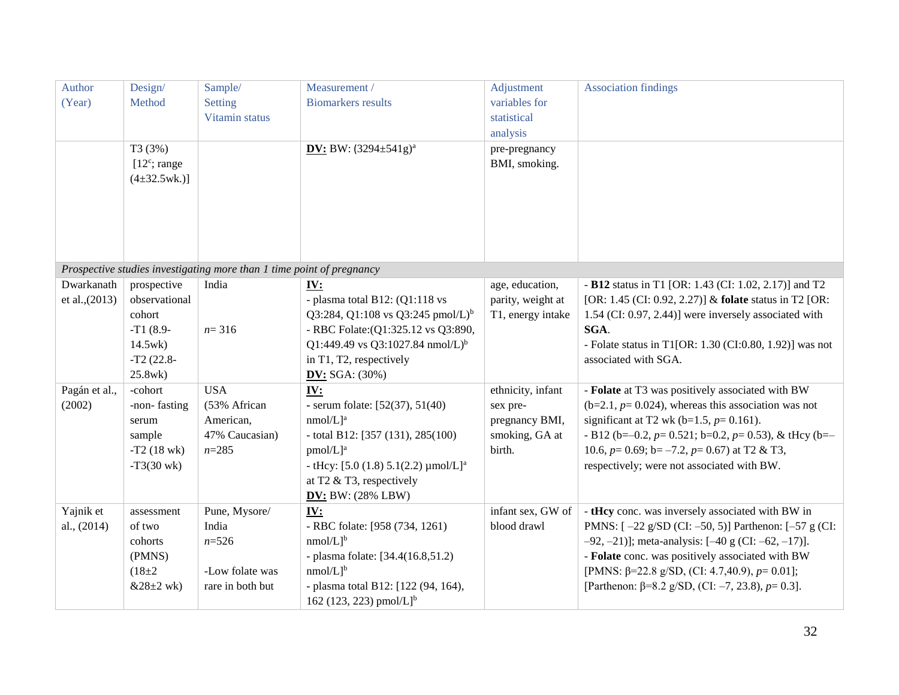| Author         | Design/                | Sample/                                                               | Measurement /                                         | Adjustment        | <b>Association findings</b>                                      |
|----------------|------------------------|-----------------------------------------------------------------------|-------------------------------------------------------|-------------------|------------------------------------------------------------------|
| (Year)         | Method                 | Setting                                                               | <b>Biomarkers</b> results                             | variables for     |                                                                  |
|                |                        | Vitamin status                                                        |                                                       | statistical       |                                                                  |
|                |                        |                                                                       |                                                       | analysis          |                                                                  |
|                | T3 (3%)                |                                                                       | <b>DV:</b> BW: $(3294 \pm 541g)^{a}$                  | pre-pregnancy     |                                                                  |
|                | $[12^c; \text{range}]$ |                                                                       |                                                       | BMI, smoking.     |                                                                  |
|                | $(4\pm32.5$ wk.)]      |                                                                       |                                                       |                   |                                                                  |
|                |                        |                                                                       |                                                       |                   |                                                                  |
|                |                        |                                                                       |                                                       |                   |                                                                  |
|                |                        |                                                                       |                                                       |                   |                                                                  |
|                |                        |                                                                       |                                                       |                   |                                                                  |
|                |                        |                                                                       |                                                       |                   |                                                                  |
|                |                        | Prospective studies investigating more than 1 time point of pregnancy |                                                       |                   |                                                                  |
| Dwarkanath     | prospective            | India                                                                 | IV:                                                   | age, education,   | - B12 status in T1 [OR: 1.43 (CI: 1.02, 2.17)] and T2            |
| et al., (2013) | observational          |                                                                       | - plasma total B12: $(Q1:118 \text{ vs }$             | parity, weight at | [OR: 1.45 (CI: 0.92, 2.27)] & folate status in T2 [OR:           |
|                | cohort                 |                                                                       | Q3:284, Q1:108 vs Q3:245 pmol/L) <sup>b</sup>         | T1, energy intake | 1.54 (CI: 0.97, 2.44)] were inversely associated with            |
|                | $-T1(8.9-$             | $n = 316$                                                             | - RBC Folate: (Q1:325.12 vs Q3:890,                   |                   | SGA.                                                             |
|                | 14.5wk                 |                                                                       | Q1:449.49 vs Q3:1027.84 nmol/L) <sup>b</sup>          |                   | - Folate status in T1[OR: $1.30$ (CI:0.80, 1.92)] was not        |
|                | $-T2(22.8-$            |                                                                       | in T1, T2, respectively                               |                   | associated with SGA.                                             |
|                | 25.8wk)                |                                                                       | <b>DV:</b> SGA: $(30%)$                               |                   |                                                                  |
| Pagán et al.,  | -cohort                | <b>USA</b>                                                            | <u>IV:</u>                                            | ethnicity, infant | - Folate at T3 was positively associated with BW                 |
| (2002)         | -non-fasting           | (53% African                                                          | - serum folate: $[52(37), 51(40)$                     | sex pre-          | $(b=2.1, p=0.024)$ , whereas this association was not            |
|                | serum                  | American,                                                             | $nmol/L$ <sup>a</sup>                                 | pregnancy BMI,    | significant at T2 wk (b=1.5, $p=0.161$ ).                        |
|                | sample                 | 47% Caucasian)                                                        | - total B12: [357 (131), 285(100)                     | smoking, GA at    | - B12 (b=-0.2, $p=$ 0.521; b=0.2, $p=$ 0.53), & tHcy (b=-        |
|                | $-T2(18 \text{ wk})$   | $n = 285$                                                             | $pmol/L$ <sup>a</sup>                                 | birth.            | 10.6, $p=$ 0.69; $b=-7.2$ , $p=$ 0.67) at T2 & T3,               |
|                | $-T3(30 \text{ wk})$   |                                                                       | - tHcy: $[5.0 (1.8) 5.1(2.2) \mu$ mol/L] <sup>a</sup> |                   | respectively; were not associated with BW.                       |
|                |                        |                                                                       | at T2 $&$ T3, respectively                            |                   |                                                                  |
|                |                        |                                                                       | DV: BW: $(28\%$ LBW)                                  |                   |                                                                  |
| Yajnik et      | assessment             | Pune, Mysore/                                                         | <u>IV:</u>                                            | infant sex, GW of | - tHcy conc. was inversely associated with BW in                 |
| al., (2014)    | of two                 | India                                                                 | - RBC folate: [958 (734, 1261)                        | blood drawl       | PMNS: $[-22 g/SD (CI: -50, 5)]$ Parthenon: $[-57 g (CI:$         |
|                | cohorts                | $n = 526$                                                             | $nmol/L]$ <sup>b</sup>                                |                   | $-92, -21$ ]; meta-analysis: $[-40 \text{ g } (CI: -62, -17)]$ . |
|                | (PMNS)                 |                                                                       | - plasma folate: [34.4(16.8,51.2)                     |                   | - Folate conc. was positively associated with BW                 |
|                | $(18 \pm 2)$           | -Low folate was                                                       | $nmol/L$ <sup>b</sup>                                 |                   | [PMNS: $\beta$ =22.8 g/SD, (CI: 4.7,40.9), p= 0.01];             |
|                | $&28\pm2$ wk)          | rare in both but                                                      | - plasma total B12: [122 (94, 164),                   |                   | [Parthenon: $\beta = 8.2$ g/SD, (CI: -7, 23.8), $p = 0.3$ ].     |
|                |                        |                                                                       | 162 (123, 223) pmol/L] <sup>b</sup>                   |                   |                                                                  |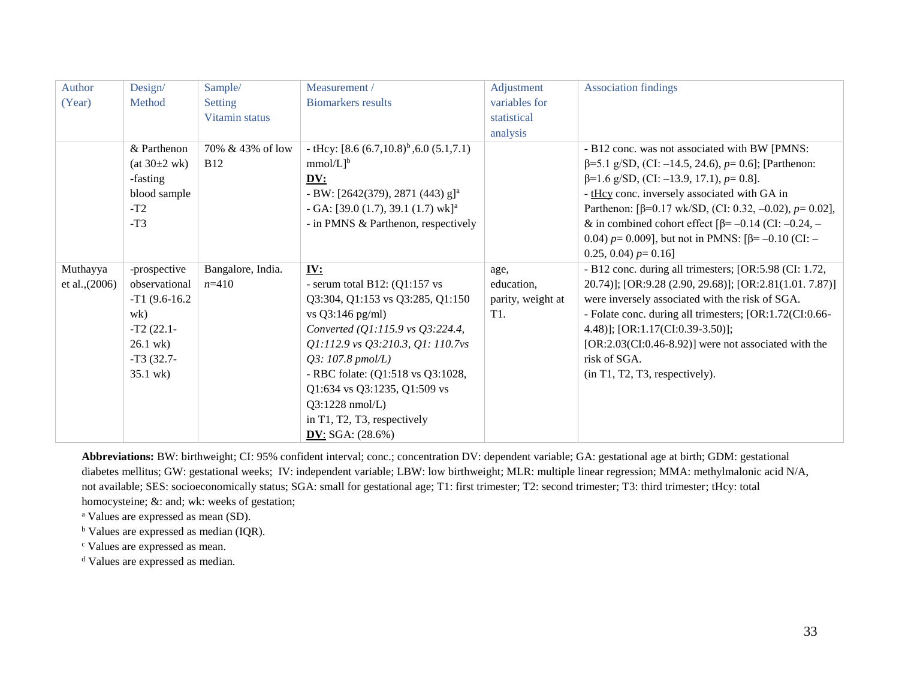| Author         | Design/          | Sample/           | Measurement /                                   | Adjustment        | <b>Association findings</b>                                       |
|----------------|------------------|-------------------|-------------------------------------------------|-------------------|-------------------------------------------------------------------|
| (Year)         | Method           | Setting           | <b>Biomarkers</b> results                       | variables for     |                                                                   |
|                |                  | Vitamin status    |                                                 | statistical       |                                                                   |
|                |                  |                   |                                                 | analysis          |                                                                   |
|                | & Parthenon      | 70% & 43% of low  | - tHcy: $[8.6 (6.7,10.8)^b, 6.0 (5.1,7.1)]$     |                   | - B12 conc. was not associated with BW [PMNS:                     |
|                | (at 30±2 wk)     | <b>B12</b>        | $mmol/L]$ <sup>b</sup>                          |                   | $\beta$ =5.1 g/SD, (CI: -14.5, 24.6), p= 0.6]; [Parthenon:        |
|                | -fasting         |                   | DV:                                             |                   | $\beta$ =1.6 g/SD, (CI: -13.9, 17.1), $p$ = 0.8].                 |
|                | blood sample     |                   | - BW: [2642(379), 2871 (443) $g$ ] <sup>a</sup> |                   | - tHcy conc. inversely associated with GA in                      |
|                | $-T2$            |                   | - GA: [39.0 (1.7), 39.1 (1.7) wk] <sup>a</sup>  |                   | Parthenon: [ $\beta$ =0.17 wk/SD, (CI: 0.32, -0.02), $p$ = 0.02], |
|                | $-T3$            |                   | - in PMNS & Parthenon, respectively             |                   | & in combined cohort effect $\beta$ = -0.14 (CI: -0.24, -         |
|                |                  |                   |                                                 |                   | 0.04) $p=0.009$ ], but not in PMNS: [ $\beta=-0.10$ (CI: -        |
|                |                  |                   |                                                 |                   | 0.25, 0.04) $p=0.16$ ]                                            |
| Muthayya       | -prospective     | Bangalore, India. | IV:                                             | age,              | - B12 conc. during all trimesters; [OR:5.98 (CI: 1.72,            |
| et al., (2006) | observational    | $n=410$           | - serum total B12: $(Q1:157$ vs                 | education,        | 20.74)]; [OR:9.28 (2.90, 29.68)]; [OR:2.81(1.01. 7.87)]           |
|                | $-T1$ (9.6-16.2) |                   | Q3:304, Q1:153 vs Q3:285, Q1:150                | parity, weight at | were inversely associated with the risk of SGA.                   |
|                | wk)              |                   | vs Q3:146 pg/ml)                                | T1.               | - Folate conc. during all trimesters; [OR:1.72(CI:0.66-           |
|                | $-T2(22.1-$      |                   | Converted (Q1:115.9 vs Q3:224.4,                |                   | 4.48)]; [OR:1.17(CI:0.39-3.50)];                                  |
|                | $26.1$ wk)       |                   | Q1:112.9 vs Q3:210.3, Q1: 110.7vs               |                   | $[OR:2.03(CI:0.46-8.92)]$ were not associated with the            |
|                | $-T3(32.7-$      |                   | $Q3: 107.8 \; \text{pmol/L}$                    |                   | risk of SGA.                                                      |
|                | 35.1 wk)         |                   | - RBC folate: (Q1:518 vs Q3:1028,               |                   | (in T1, T2, T3, respectively).                                    |
|                |                  |                   | Q1:634 vs Q3:1235, Q1:509 vs                    |                   |                                                                   |
|                |                  |                   | $Q3:1228$ nmol/L)                               |                   |                                                                   |
|                |                  |                   |                                                 |                   |                                                                   |
|                |                  |                   | in T1, T2, T3, respectively                     |                   |                                                                   |

**Abbreviations:** BW: birthweight; CI: 95% confident interval; conc.; concentration DV: dependent variable; GA: gestational age at birth; GDM: gestational diabetes mellitus; GW: gestational weeks; IV: independent variable; LBW: low birthweight; MLR: multiple linear regression; MMA: methylmalonic acid N/A, not available; SES: socioeconomically status; SGA: small for gestational age; T1: first trimester; T2: second trimester; T3: third trimester; tHcy: total homocysteine; &: and; wk: weeks of gestation;

<sup>a</sup> Values are expressed as mean (SD).

<sup>b</sup> Values are expressed as median (IQR).

<sup>c</sup> Values are expressed as mean.

<sup>d</sup> Values are expressed as median.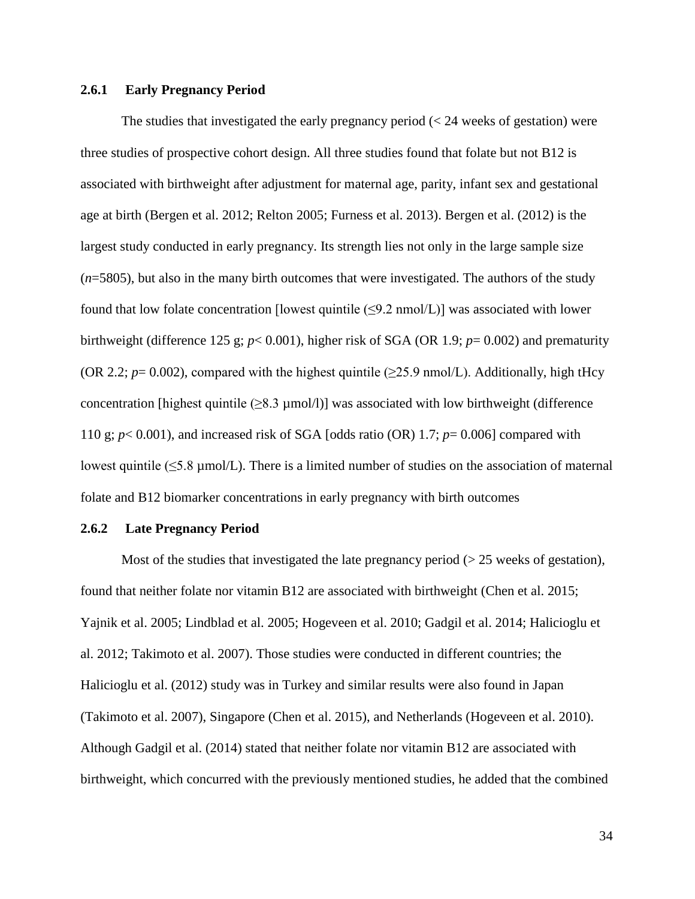#### **2.6.1 Early Pregnancy Period**

The studies that investigated the early pregnancy period  $\ll$  24 weeks of gestation) were three studies of prospective cohort design. All three studies found that folate but not B12 is associated with birthweight after adjustment for maternal age, parity, infant sex and gestational age at birth (Bergen et al. 2012; Relton 2005; Furness et al. 2013). Bergen et al. (2012) is the largest study conducted in early pregnancy. Its strength lies not only in the large sample size (*n*=5805), but also in the many birth outcomes that were investigated. The authors of the study found that low folate concentration [lowest quintile  $(\leq 9.2 \text{ nmol/L})$ ] was associated with lower birthweight (difference 125 g; *p*< 0.001), higher risk of SGA (OR 1.9; *p*= 0.002) and prematurity (OR 2.2;  $p=0.002$ ), compared with the highest quintile ( $\geq$ 25.9 nmol/L). Additionally, high tHcy concentration [highest quintile  $(\geq 8.3 \text{ µmol/l})$ ] was associated with low birthweight (difference 110 g; *p*< 0.001), and increased risk of SGA [odds ratio (OR) 1.7; *p*= 0.006] compared with lowest quintile ( $\leq$ 5.8 µmol/L). There is a limited number of studies on the association of maternal folate and B12 biomarker concentrations in early pregnancy with birth outcomes

#### **2.6.2 Late Pregnancy Period**

Most of the studies that investigated the late pregnancy period ( $>$  25 weeks of gestation), found that neither folate nor vitamin B12 are associated with birthweight (Chen et al. 2015; Yajnik et al. 2005; Lindblad et al. 2005; Hogeveen et al. 2010; Gadgil et al. 2014; Halicioglu et al. 2012; Takimoto et al. 2007). Those studies were conducted in different countries; the Halicioglu et al. (2012) study was in Turkey and similar results were also found in Japan (Takimoto et al. 2007), Singapore (Chen et al. 2015), and Netherlands (Hogeveen et al. 2010). Although Gadgil et al. (2014) stated that neither folate nor vitamin B12 are associated with birthweight, which concurred with the previously mentioned studies, he added that the combined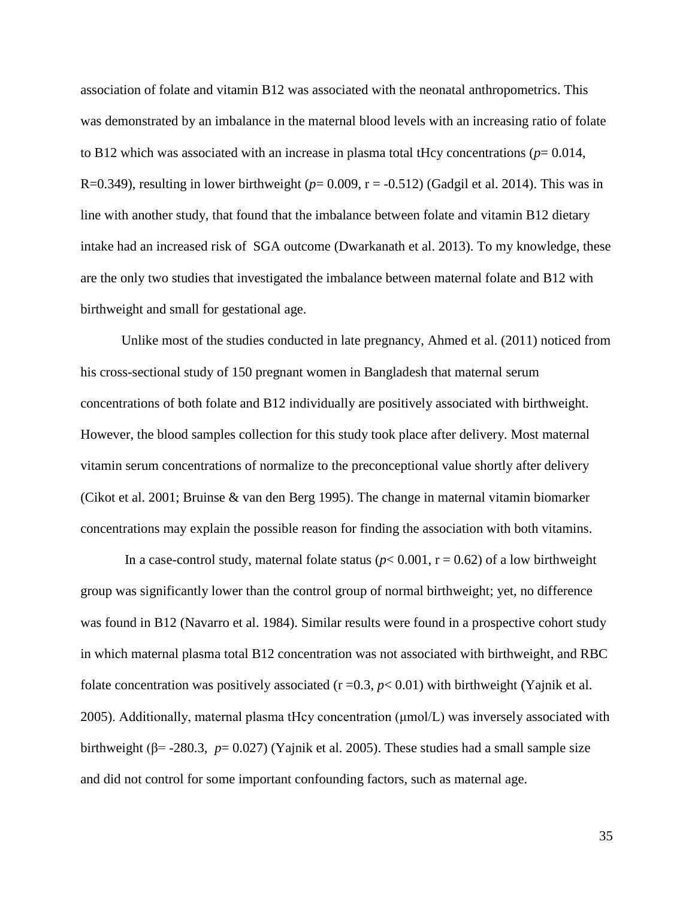association of folate and vitamin B12 was associated with the neonatal anthropometrics. This was demonstrated by an imbalance in the maternal blood levels with an increasing ratio of folate to B12 which was associated with an increase in plasma total tHcy concentrations ( $p=0.014$ , R=0.349), resulting in lower birthweight ( $p=0.009$ ,  $r = -0.512$ ) (Gadgil et al. 2014). This was in line with another study, that found that the imbalance between folate and vitamin B12 dietary intake had an increased risk of SGA outcome (Dwarkanath et al. 2013). To my knowledge, these are the only two studies that investigated the imbalance between maternal folate and B12 with birthweight and small for gestational age.

Unlike most of the studies conducted in late pregnancy, Ahmed et al. (2011) noticed from his cross-sectional study of 150 pregnant women in Bangladesh that maternal serum concentrations of both folate and B12 individually are positively associated with birthweight. However, the blood samples collection for this study took place after delivery. Most maternal vitamin serum concentrations of normalize to the preconceptional value shortly after delivery (Cikot et al. 2001; Bruinse & van den Berg 1995). The change in maternal vitamin biomarker concentrations may explain the possible reason for finding the association with both vitamins.

In a case-control study, maternal folate status ( $p < 0.001$ ,  $r = 0.62$ ) of a low birthweight group was significantly lower than the control group of normal birthweight; yet, no difference was found in B12 (Navarro et al. 1984). Similar results were found in a prospective cohort study in which maternal plasma total B12 concentration was not associated with birthweight, and RBC folate concentration was positively associated  $(r=0.3, p<0.01)$  with birthweight (Yajnik et al. 2005). Additionally, maternal plasma tHcy concentration (μmol/L) was inversely associated with birthweight ( $\beta$ = -280.3, *p*= 0.027) (Yajnik et al. 2005). These studies had a small sample size and did not control for some important confounding factors, such as maternal age.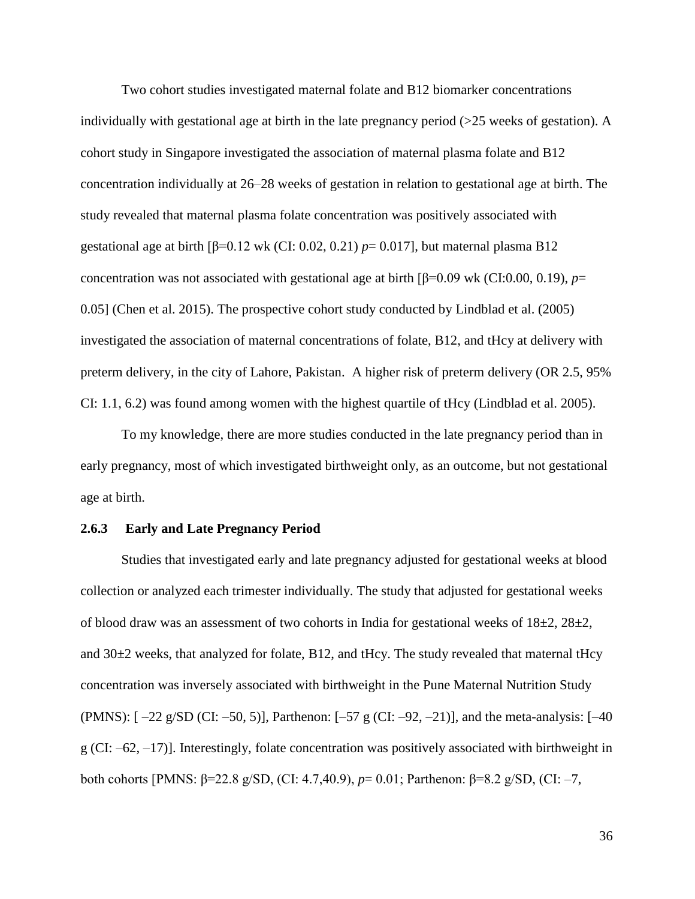Two cohort studies investigated maternal folate and B12 biomarker concentrations individually with gestational age at birth in the late pregnancy period  $(>=25$  weeks of gestation). A cohort study in Singapore investigated the association of maternal plasma folate and B12 concentration individually at 26–28 weeks of gestation in relation to gestational age at birth. The study revealed that maternal plasma folate concentration was positively associated with gestational age at birth [β=0.12 wk (CI: 0.02, 0.21)  $p=0.017$ ], but maternal plasma B12 concentration was not associated with gestational age at birth [β=0.09 wk (CI:0.00, 0.19), *p*= 0.05] (Chen et al. 2015). The prospective cohort study conducted by Lindblad et al. (2005) investigated the association of maternal concentrations of folate, B12, and tHcy at delivery with preterm delivery, in the city of Lahore, Pakistan. A higher risk of preterm delivery (OR 2.5, 95% CI: 1.1, 6.2) was found among women with the highest quartile of tHcy (Lindblad et al. 2005).

To my knowledge, there are more studies conducted in the late pregnancy period than in early pregnancy, most of which investigated birthweight only, as an outcome, but not gestational age at birth.

#### **2.6.3 Early and Late Pregnancy Period**

Studies that investigated early and late pregnancy adjusted for gestational weeks at blood collection or analyzed each trimester individually. The study that adjusted for gestational weeks of blood draw was an assessment of two cohorts in India for gestational weeks of  $18\pm2$ ,  $28\pm2$ , and  $30\pm2$  weeks, that analyzed for folate, B12, and tHcy. The study revealed that maternal tHcy concentration was inversely associated with birthweight in the Pune Maternal Nutrition Study (PMNS):  $[-22 \text{ g/SD (Cl: -50, 5)}]$ , Parthenon:  $[-57 \text{ g (Cl: -92, -21)}]$ , and the meta-analysis:  $[-40 \text{ g}$  $g$  (CI: –62, –17)]. Interestingly, folate concentration was positively associated with birthweight in both cohorts [PMNS: β=22.8 g/SD, (CI: 4.7,40.9), *p*= 0.01; Parthenon: β=8.2 g/SD, (CI: –7,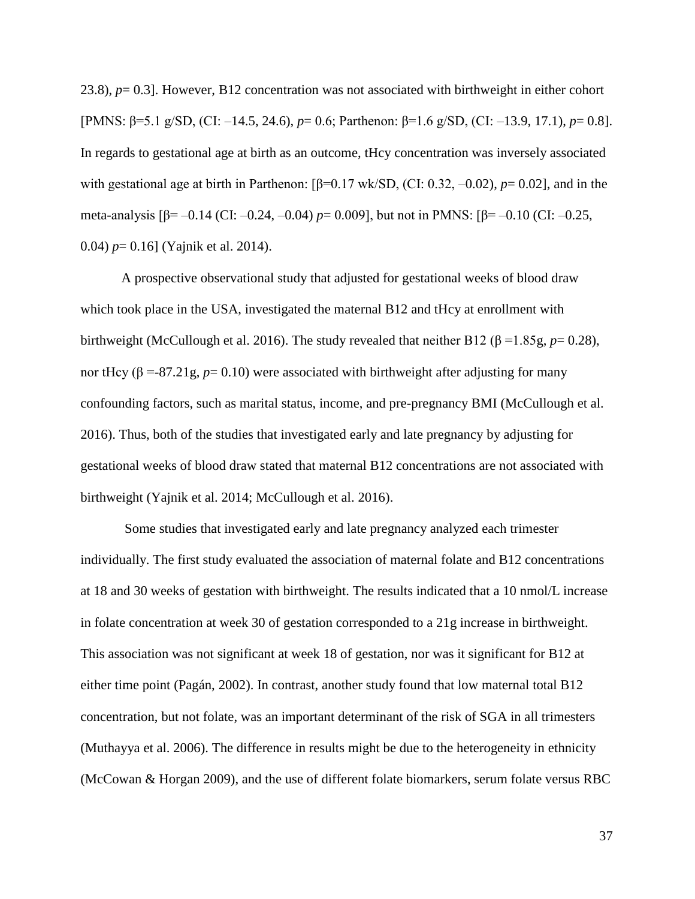23.8), *p*= 0.3]. However, B12 concentration was not associated with birthweight in either cohort [PMNS: β=5.1 g/SD, (CI: –14.5, 24.6), *p*= 0.6; Parthenon: β=1.6 g/SD, (CI: –13.9, 17.1), *p*= 0.8]. In regards to gestational age at birth as an outcome, tHcy concentration was inversely associated with gestational age at birth in Parthenon: [β=0.17 wk/SD, (CI: 0.32, –0.02), *p*= 0.02], and in the meta-analysis [β= –0.14 (CI: –0.24, –0.04) *p*= 0.009], but not in PMNS: [β= –0.10 (CI: –0.25, 0.04) *p*= 0.16] (Yajnik et al. 2014).

A prospective observational study that adjusted for gestational weeks of blood draw which took place in the USA, investigated the maternal B12 and tHcy at enrollment with birthweight (McCullough et al. 2016). The study revealed that neither B12 (β =1.85g, *p*= 0.28), nor tHcy (β =-87.21g,  $p= 0.10$ ) were associated with birthweight after adjusting for many confounding factors, such as marital status, income, and pre-pregnancy BMI (McCullough et al. 2016). Thus, both of the studies that investigated early and late pregnancy by adjusting for gestational weeks of blood draw stated that maternal B12 concentrations are not associated with birthweight (Yajnik et al. 2014; McCullough et al. 2016).

Some studies that investigated early and late pregnancy analyzed each trimester individually. The first study evaluated the association of maternal folate and B12 concentrations at 18 and 30 weeks of gestation with birthweight. The results indicated that a 10 nmol/L increase in folate concentration at week 30 of gestation corresponded to a 21g increase in birthweight. This association was not significant at week 18 of gestation, nor was it significant for B12 at either time point (Pagán, 2002). In contrast, another study found that low maternal total B12 concentration, but not folate, was an important determinant of the risk of SGA in all trimesters (Muthayya et al. 2006). The difference in results might be due to the heterogeneity in ethnicity (McCowan & Horgan 2009), and the use of different folate biomarkers, serum folate versus RBC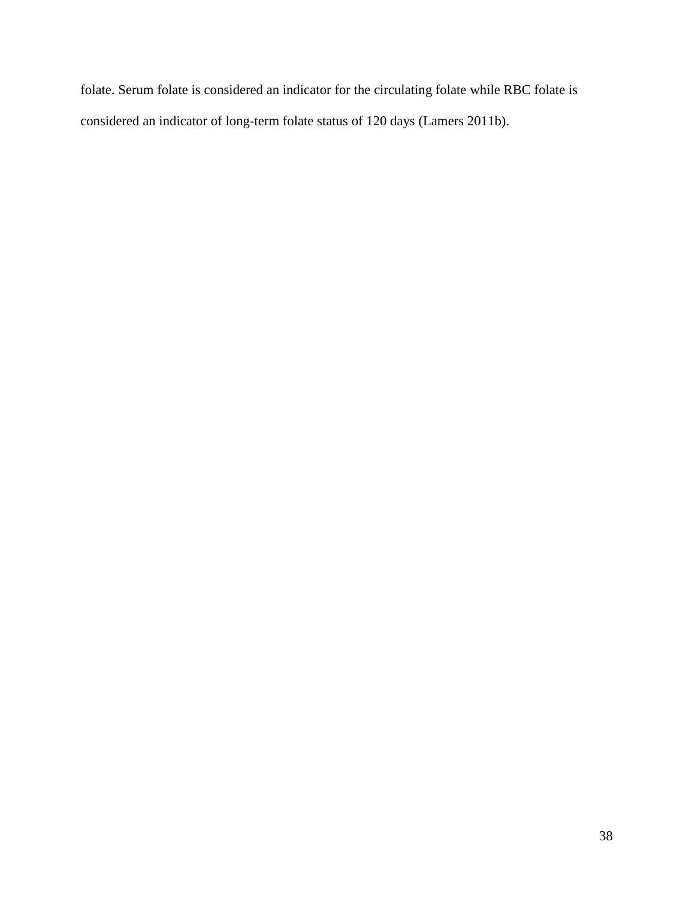folate. Serum folate is considered an indicator for the circulating folate while RBC folate is considered an indicator of long-term folate status of 120 days (Lamers 2011b).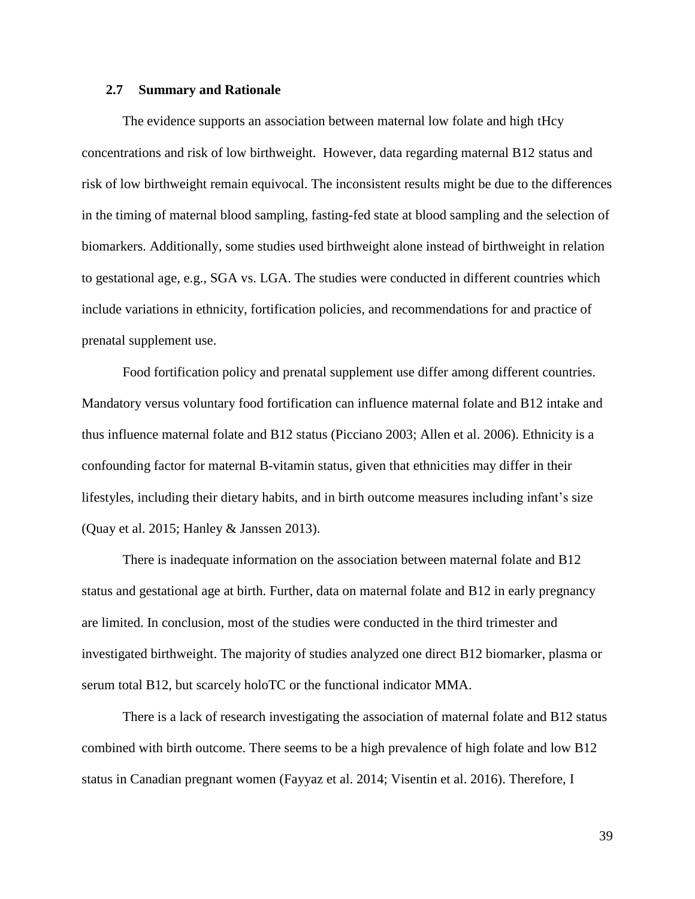### **2.7 Summary and Rationale**

The evidence supports an association between maternal low folate and high tHcy concentrations and risk of low birthweight. However, data regarding maternal B12 status and risk of low birthweight remain equivocal. The inconsistent results might be due to the differences in the timing of maternal blood sampling, fasting-fed state at blood sampling and the selection of biomarkers. Additionally, some studies used birthweight alone instead of birthweight in relation to gestational age, e.g., SGA vs. LGA. The studies were conducted in different countries which include variations in ethnicity, fortification policies, and recommendations for and practice of prenatal supplement use.

Food fortification policy and prenatal supplement use differ among different countries. Mandatory versus voluntary food fortification can influence maternal folate and B12 intake and thus influence maternal folate and B12 status (Picciano 2003; Allen et al. 2006). Ethnicity is a confounding factor for maternal B-vitamin status, given that ethnicities may differ in their lifestyles, including their dietary habits, and in birth outcome measures including infant's size (Quay et al. 2015; Hanley & Janssen 2013).

There is inadequate information on the association between maternal folate and B12 status and gestational age at birth. Further, data on maternal folate and B12 in early pregnancy are limited. In conclusion, most of the studies were conducted in the third trimester and investigated birthweight. The majority of studies analyzed one direct B12 biomarker, plasma or serum total B12, but scarcely holoTC or the functional indicator MMA.

There is a lack of research investigating the association of maternal folate and B12 status combined with birth outcome. There seems to be a high prevalence of high folate and low B12 status in Canadian pregnant women (Fayyaz et al. 2014; Visentin et al. 2016). Therefore, I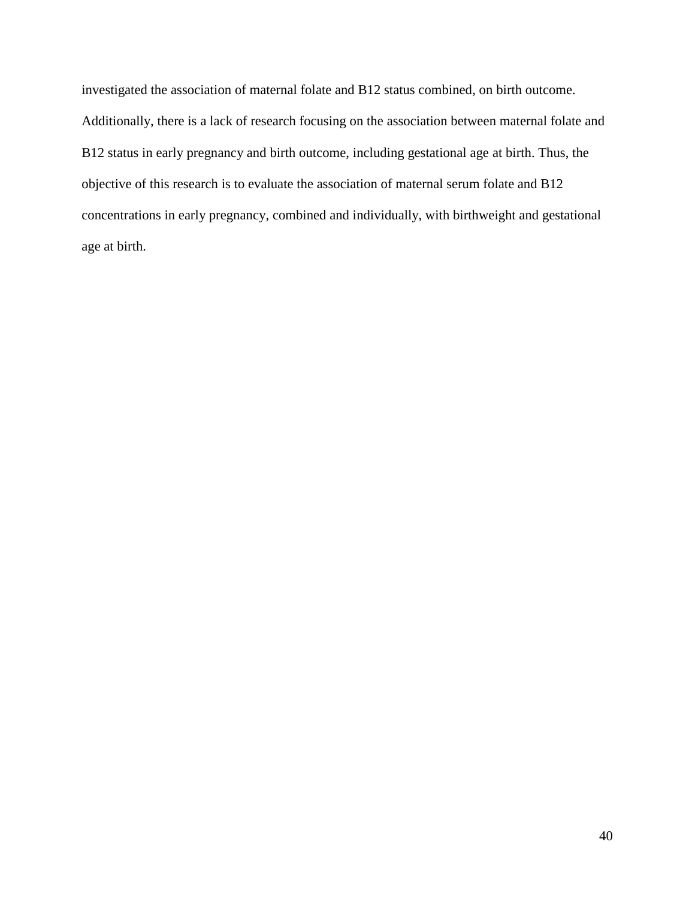investigated the association of maternal folate and B12 status combined, on birth outcome. Additionally, there is a lack of research focusing on the association between maternal folate and B12 status in early pregnancy and birth outcome, including gestational age at birth. Thus, the objective of this research is to evaluate the association of maternal serum folate and B12 concentrations in early pregnancy, combined and individually, with birthweight and gestational age at birth.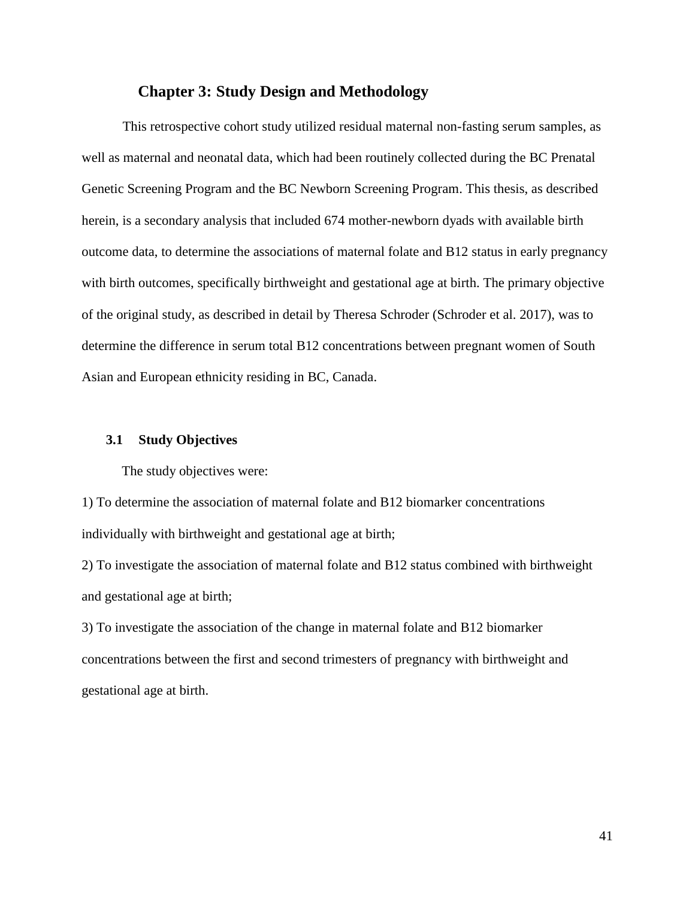# **Chapter 3: Study Design and Methodology**

This retrospective cohort study utilized residual maternal non-fasting serum samples, as well as maternal and neonatal data, which had been routinely collected during the BC Prenatal Genetic Screening Program and the BC Newborn Screening Program. This thesis, as described herein, is a secondary analysis that included 674 mother-newborn dyads with available birth outcome data, to determine the associations of maternal folate and B12 status in early pregnancy with birth outcomes, specifically birthweight and gestational age at birth. The primary objective of the original study, as described in detail by Theresa Schroder (Schroder et al. 2017), was to determine the difference in serum total B12 concentrations between pregnant women of South Asian and European ethnicity residing in BC, Canada.

#### **3.1 Study Objectives**

The study objectives were:

1) To determine the association of maternal folate and B12 biomarker concentrations individually with birthweight and gestational age at birth;

2) To investigate the association of maternal folate and B12 status combined with birthweight and gestational age at birth;

3) To investigate the association of the change in maternal folate and B12 biomarker concentrations between the first and second trimesters of pregnancy with birthweight and gestational age at birth.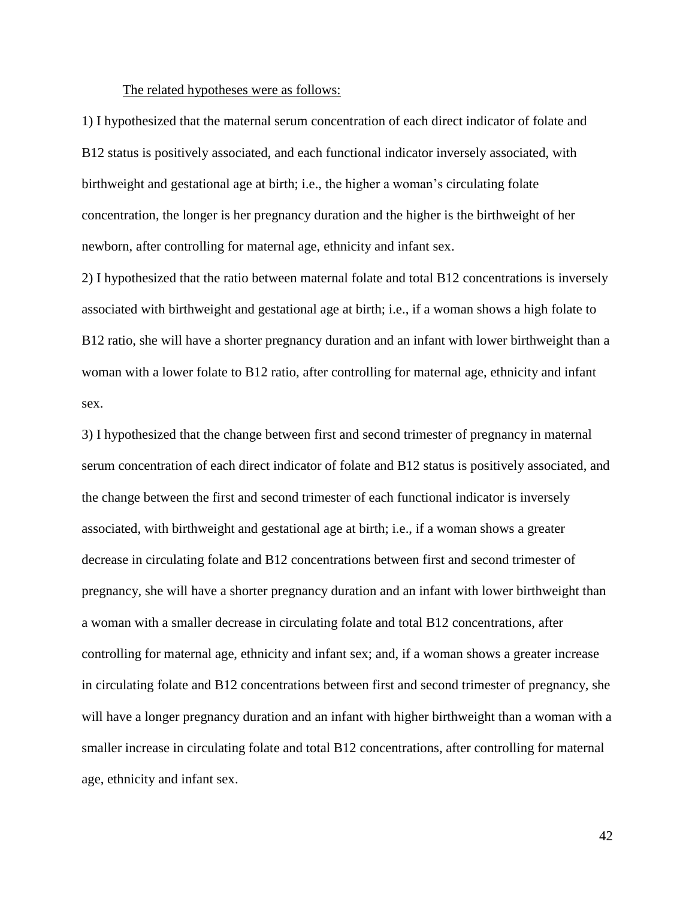#### The related hypotheses were as follows:

1) I hypothesized that the maternal serum concentration of each direct indicator of folate and B12 status is positively associated, and each functional indicator inversely associated, with birthweight and gestational age at birth; i.e., the higher a woman's circulating folate concentration, the longer is her pregnancy duration and the higher is the birthweight of her newborn, after controlling for maternal age, ethnicity and infant sex.

2) I hypothesized that the ratio between maternal folate and total B12 concentrations is inversely associated with birthweight and gestational age at birth; i.e., if a woman shows a high folate to B12 ratio, she will have a shorter pregnancy duration and an infant with lower birthweight than a woman with a lower folate to B12 ratio, after controlling for maternal age, ethnicity and infant sex.

3) I hypothesized that the change between first and second trimester of pregnancy in maternal serum concentration of each direct indicator of folate and B12 status is positively associated, and the change between the first and second trimester of each functional indicator is inversely associated, with birthweight and gestational age at birth; i.e., if a woman shows a greater decrease in circulating folate and B12 concentrations between first and second trimester of pregnancy, she will have a shorter pregnancy duration and an infant with lower birthweight than a woman with a smaller decrease in circulating folate and total B12 concentrations, after controlling for maternal age, ethnicity and infant sex; and, if a woman shows a greater increase in circulating folate and B12 concentrations between first and second trimester of pregnancy, she will have a longer pregnancy duration and an infant with higher birthweight than a woman with a smaller increase in circulating folate and total B12 concentrations, after controlling for maternal age, ethnicity and infant sex.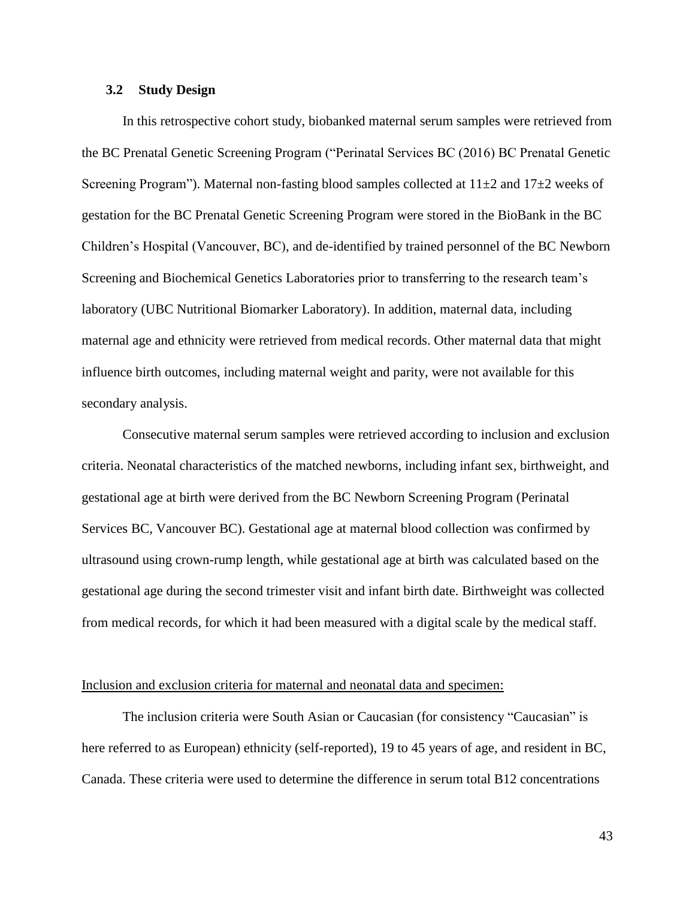### **3.2 Study Design**

In this retrospective cohort study, biobanked maternal serum samples were retrieved from the BC Prenatal Genetic Screening Program ("Perinatal Services BC (2016) BC Prenatal Genetic Screening Program"). Maternal non-fasting blood samples collected at  $11\pm 2$  and  $17\pm 2$  weeks of gestation for the BC Prenatal Genetic Screening Program were stored in the BioBank in the BC Children's Hospital (Vancouver, BC), and de-identified by trained personnel of the BC Newborn Screening and Biochemical Genetics Laboratories prior to transferring to the research team's laboratory (UBC Nutritional Biomarker Laboratory). In addition, maternal data, including maternal age and ethnicity were retrieved from medical records. Other maternal data that might influence birth outcomes, including maternal weight and parity, were not available for this secondary analysis.

Consecutive maternal serum samples were retrieved according to inclusion and exclusion criteria. Neonatal characteristics of the matched newborns, including infant sex, birthweight, and gestational age at birth were derived from the BC Newborn Screening Program (Perinatal Services BC, Vancouver BC). Gestational age at maternal blood collection was confirmed by ultrasound using crown-rump length, while gestational age at birth was calculated based on the gestational age during the second trimester visit and infant birth date. Birthweight was collected from medical records, for which it had been measured with a digital scale by the medical staff.

#### Inclusion and exclusion criteria for maternal and neonatal data and specimen:

The inclusion criteria were South Asian or Caucasian (for consistency "Caucasian" is here referred to as European) ethnicity (self-reported), 19 to 45 years of age, and resident in BC, Canada. These criteria were used to determine the difference in serum total B12 concentrations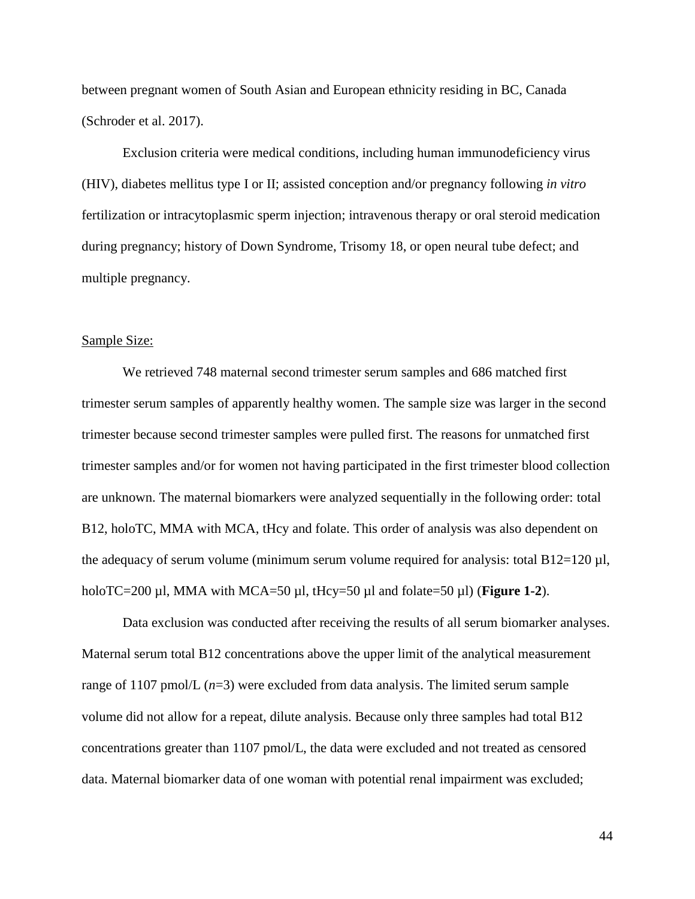between pregnant women of South Asian and European ethnicity residing in BC, Canada (Schroder et al. 2017).

Exclusion criteria were medical conditions, including human immunodeficiency virus (HIV), diabetes mellitus type I or II; assisted conception and/or pregnancy following *in vitro* fertilization or intracytoplasmic sperm injection; intravenous therapy or oral steroid medication during pregnancy; history of Down Syndrome, Trisomy 18, or open neural tube defect; and multiple pregnancy.

## Sample Size:

We retrieved 748 maternal second trimester serum samples and 686 matched first trimester serum samples of apparently healthy women. The sample size was larger in the second trimester because second trimester samples were pulled first. The reasons for unmatched first trimester samples and/or for women not having participated in the first trimester blood collection are unknown. The maternal biomarkers were analyzed sequentially in the following order: total B12, holoTC, MMA with MCA, tHcy and folate. This order of analysis was also dependent on the adequacy of serum volume (minimum serum volume required for analysis: total  $B12=120 \mu l$ , holoTC=200 µl, MMA with MCA=50 µl, tHcy=50 µl and folate=50 µl) (**Figure 1-2**).

Data exclusion was conducted after receiving the results of all serum biomarker analyses. Maternal serum total B12 concentrations above the upper limit of the analytical measurement range of 1107 pmol/L (*n*=3) were excluded from data analysis. The limited serum sample volume did not allow for a repeat, dilute analysis. Because only three samples had total B12 concentrations greater than 1107 pmol/L, the data were excluded and not treated as censored data. Maternal biomarker data of one woman with potential renal impairment was excluded;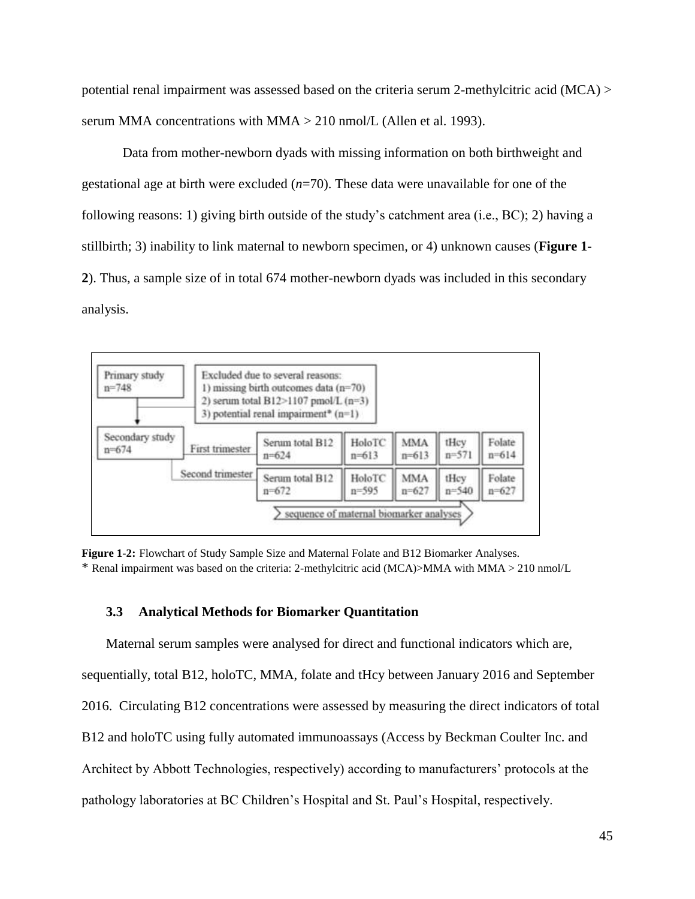potential renal impairment was assessed based on the criteria serum 2-methylcitric acid (MCA) > serum MMA concentrations with MMA > 210 nmol/L (Allen et al. 1993).

Data from mother-newborn dyads with missing information on both birthweight and gestational age at birth were excluded (*n*=70). These data were unavailable for one of the following reasons: 1) giving birth outside of the study's catchment area (i.e., BC); 2) having a stillbirth; 3) inability to link maternal to newborn specimen, or 4) unknown causes (**Figure 1- 2**). Thus, a sample size of in total 674 mother-newborn dyads was included in this secondary analysis.



**Figure 1-2:** Flowchart of Study Sample Size and Maternal Folate and B12 Biomarker Analyses. \* Renal impairment was based on the criteria: 2-methylcitric acid (MCA)>MMA with MMA > 210 nmol/L

# **3.3 Analytical Methods for Biomarker Quantitation**

Maternal serum samples were analysed for direct and functional indicators which are, sequentially, total B12, holoTC, MMA, folate and tHcy between January 2016 and September 2016. Circulating B12 concentrations were assessed by measuring the direct indicators of total B12 and holoTC using fully automated immunoassays (Access by Beckman Coulter Inc. and Architect by Abbott Technologies, respectively) according to manufacturers' protocols at the pathology laboratories at BC Children's Hospital and St. Paul's Hospital, respectively.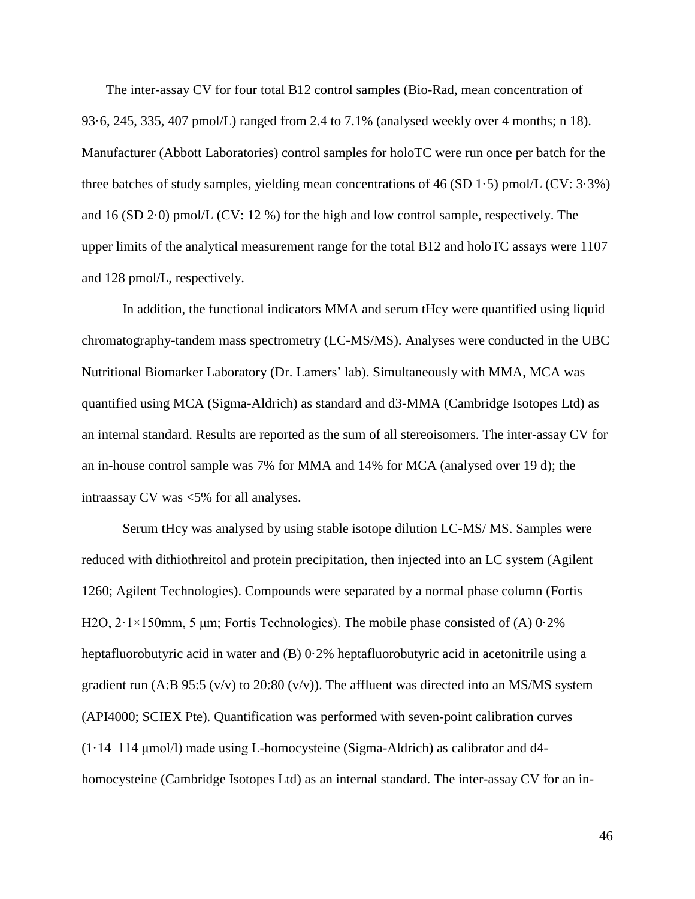The inter-assay CV for four total B12 control samples (Bio-Rad, mean concentration of 93·6, 245, 335, 407 pmol/L) ranged from 2.4 to 7.1% (analysed weekly over 4 months; n 18). Manufacturer (Abbott Laboratories) control samples for holoTC were run once per batch for the three batches of study samples, yielding mean concentrations of 46 (SD 1.5) pmol/L (CV:  $3.3\%$ ) and 16 (SD 2·0) pmol/L (CV: 12 %) for the high and low control sample, respectively. The upper limits of the analytical measurement range for the total B12 and holoTC assays were 1107 and 128 pmol/L, respectively.

In addition, the functional indicators MMA and serum tHcy were quantified using liquid chromatography-tandem mass spectrometry (LC-MS/MS). Analyses were conducted in the UBC Nutritional Biomarker Laboratory (Dr. Lamers' lab). Simultaneously with MMA, MCA was quantified using MCA (Sigma-Aldrich) as standard and d3-MMA (Cambridge Isotopes Ltd) as an internal standard. Results are reported as the sum of all stereoisomers. The inter-assay CV for an in-house control sample was 7% for MMA and 14% for MCA (analysed over 19 d); the intraassay CV was <5% for all analyses.

Serum tHcy was analysed by using stable isotope dilution LC-MS/ MS. Samples were reduced with dithiothreitol and protein precipitation, then injected into an LC system (Agilent 1260; Agilent Technologies). Compounds were separated by a normal phase column (Fortis H2O,  $2 \cdot 1 \times 150$ mm, 5 µm; Fortis Technologies). The mobile phase consisted of (A) 0.2% heptafluorobutyric acid in water and (B) 0.2% heptafluorobutyric acid in acetonitrile using a gradient run (A:B 95:5 (v/v) to 20:80 (v/v)). The affluent was directed into an MS/MS system (API4000; SCIEX Pte). Quantification was performed with seven-point calibration curves (1·14–114 μmol/l) made using L-homocysteine (Sigma-Aldrich) as calibrator and d4 homocysteine (Cambridge Isotopes Ltd) as an internal standard. The inter-assay CV for an in-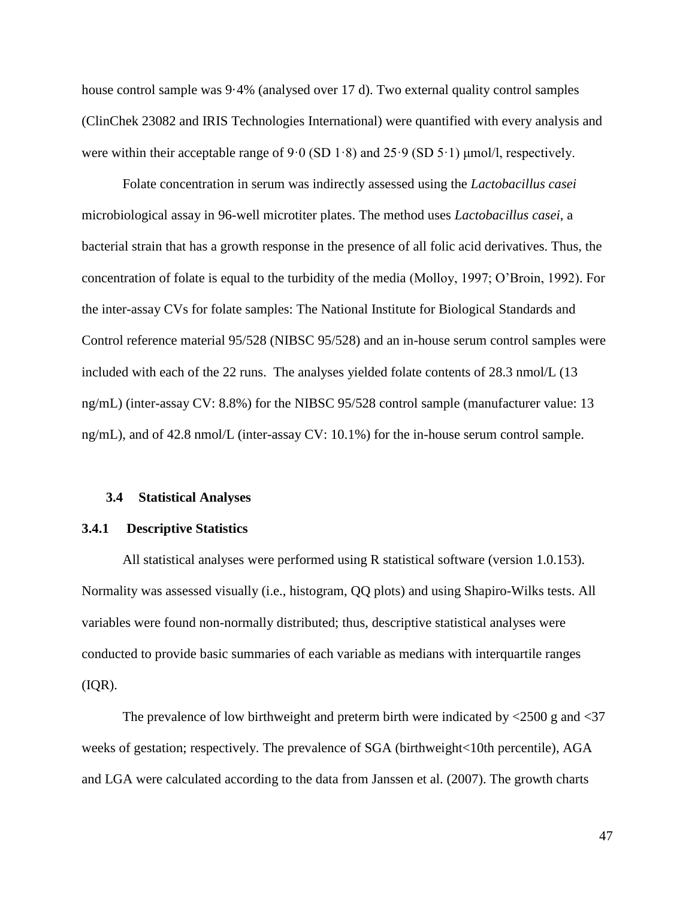house control sample was 9·4% (analysed over 17 d). Two external quality control samples (ClinChek 23082 and IRIS Technologies International) were quantified with every analysis and were within their acceptable range of  $9.0$  (SD 1 $\cdot$ 8) and  $25.9$  (SD  $5.1$ ) µmol/l, respectively.

Folate concentration in serum was indirectly assessed using the *Lactobacillus casei* microbiological assay in 96-well microtiter plates. The method uses *Lactobacillus casei*, a bacterial strain that has a growth response in the presence of all folic acid derivatives. Thus, the concentration of folate is equal to the turbidity of the media (Molloy, 1997; O'Broin, 1992). For the inter-assay CVs for folate samples: The National Institute for Biological Standards and Control reference material 95/528 (NIBSC 95/528) and an in-house serum control samples were included with each of the 22 runs. The analyses yielded folate contents of 28.3 nmol/L (13 ng/mL) (inter-assay CV: 8.8%) for the NIBSC 95/528 control sample (manufacturer value: 13 ng/mL), and of 42.8 nmol/L (inter-assay CV: 10.1%) for the in-house serum control sample.

#### **3.4 Statistical Analyses**

#### **3.4.1 Descriptive Statistics**

All statistical analyses were performed using R statistical software (version 1.0.153). Normality was assessed visually (i.e., histogram, QQ plots) and using Shapiro-Wilks tests. All variables were found non-normally distributed; thus, descriptive statistical analyses were conducted to provide basic summaries of each variable as medians with interquartile ranges  $(IQR).$ 

The prevalence of low birthweight and preterm birth were indicated by <2500 g and <37 weeks of gestation; respectively. The prevalence of SGA (birthweight<10th percentile), AGA and LGA were calculated according to the data from Janssen et al. (2007). The growth charts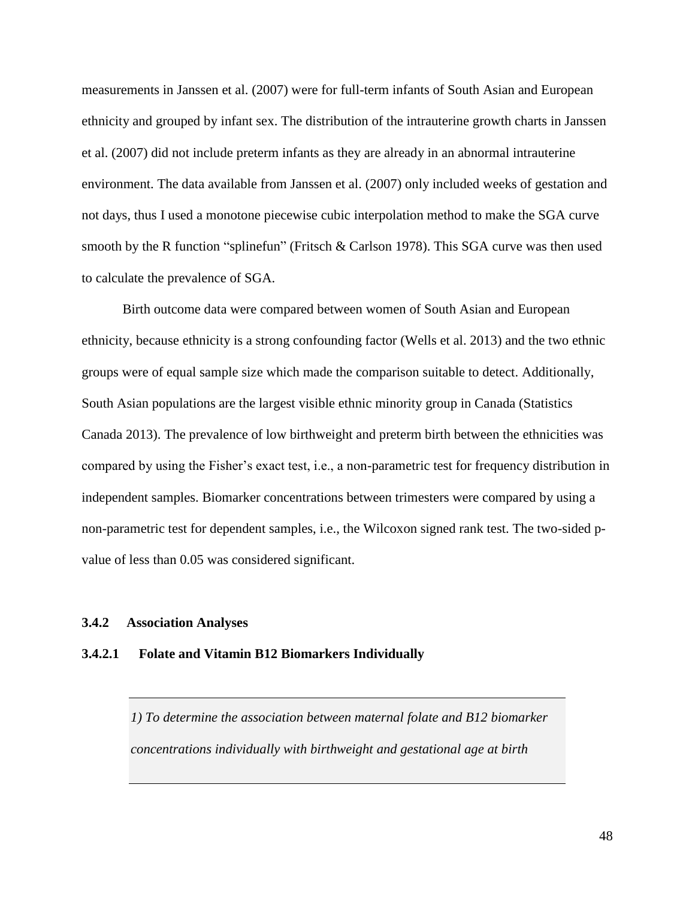measurements in Janssen et al. (2007) were for full-term infants of South Asian and European ethnicity and grouped by infant sex. The distribution of the intrauterine growth charts in Janssen et al. (2007) did not include preterm infants as they are already in an abnormal intrauterine environment. The data available from Janssen et al. (2007) only included weeks of gestation and not days, thus I used a monotone piecewise cubic interpolation method to make the SGA curve smooth by the R function "splinefun" (Fritsch & Carlson 1978). This SGA curve was then used to calculate the prevalence of SGA.

Birth outcome data were compared between women of South Asian and European ethnicity, because ethnicity is a strong confounding factor (Wells et al. 2013) and the two ethnic groups were of equal sample size which made the comparison suitable to detect. Additionally, South Asian populations are the largest visible ethnic minority group in Canada (Statistics Canada 2013). The prevalence of low birthweight and preterm birth between the ethnicities was compared by using the Fisher's exact test, i.e., a non-parametric test for frequency distribution in independent samples. Biomarker concentrations between trimesters were compared by using a non-parametric test for dependent samples, i.e., the Wilcoxon signed rank test. The two-sided pvalue of less than 0.05 was considered significant.

# **3.4.2 Association Analyses**

#### **3.4.2.1 Folate and Vitamin B12 Biomarkers Individually**

*1) To determine the association between maternal folate and B12 biomarker concentrations individually with birthweight and gestational age at birth*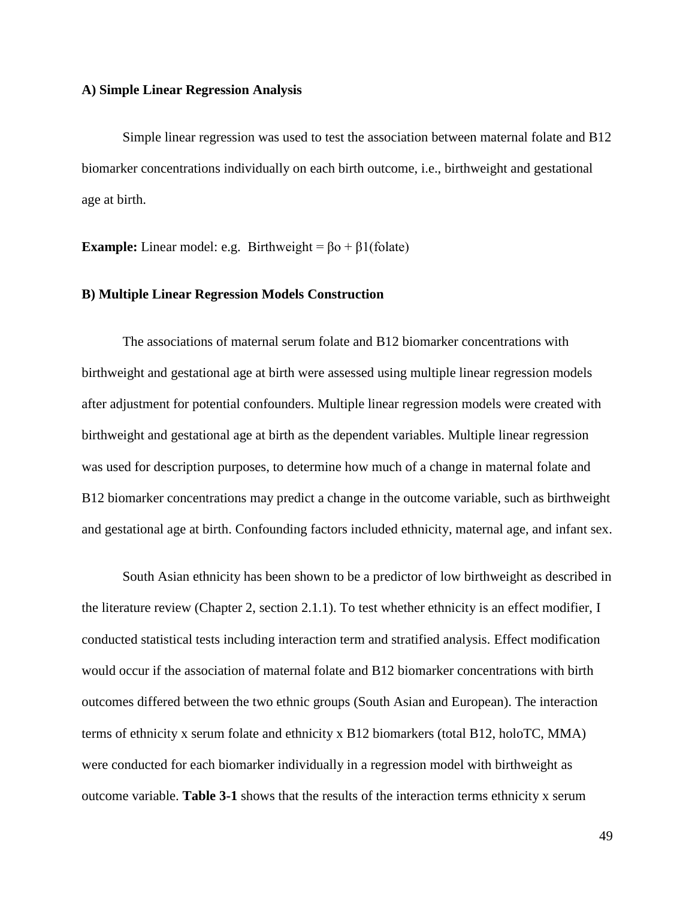#### **A) Simple Linear Regression Analysis**

Simple linear regression was used to test the association between maternal folate and B12 biomarker concentrations individually on each birth outcome, i.e., birthweight and gestational age at birth.

**Example:** Linear model: e.g. Birthweight =  $\beta$ o +  $\beta$ 1(folate)

## **B) Multiple Linear Regression Models Construction**

The associations of maternal serum folate and B12 biomarker concentrations with birthweight and gestational age at birth were assessed using multiple linear regression models after adjustment for potential confounders. Multiple linear regression models were created with birthweight and gestational age at birth as the dependent variables. Multiple linear regression was used for description purposes, to determine how much of a change in maternal folate and B12 biomarker concentrations may predict a change in the outcome variable, such as birthweight and gestational age at birth. Confounding factors included ethnicity, maternal age, and infant sex.

South Asian ethnicity has been shown to be a predictor of low birthweight as described in the literature review (Chapter 2, section 2.1.1). To test whether ethnicity is an effect modifier, I conducted statistical tests including interaction term and stratified analysis. Effect modification would occur if the association of maternal folate and B12 biomarker concentrations with birth outcomes differed between the two ethnic groups (South Asian and European). The interaction terms of ethnicity x serum folate and ethnicity x B12 biomarkers (total B12, holoTC, MMA) were conducted for each biomarker individually in a regression model with birthweight as outcome variable. **Table 3-1** shows that the results of the interaction terms ethnicity x serum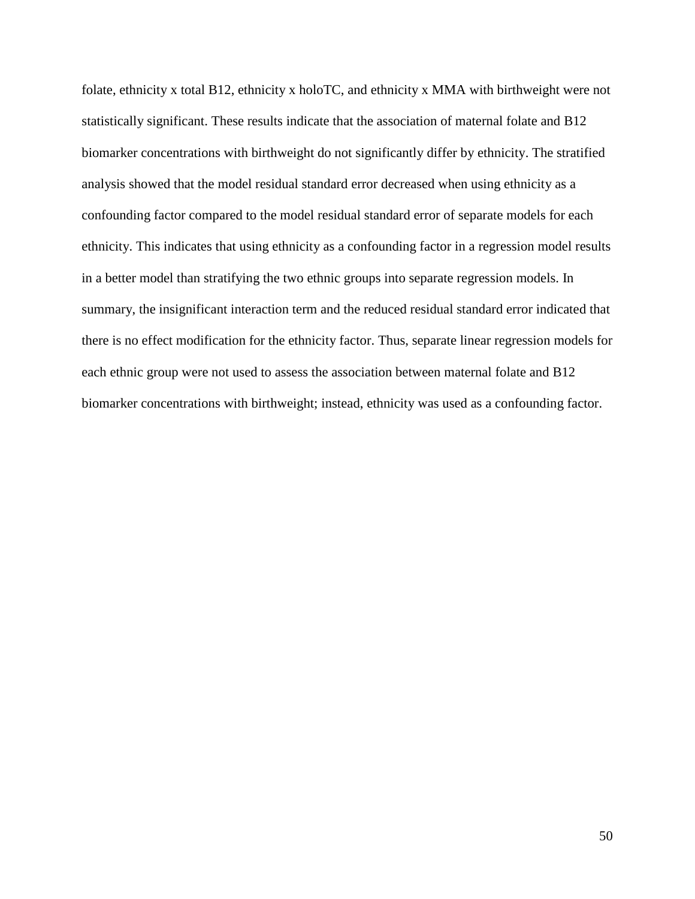folate, ethnicity x total B12, ethnicity x holoTC, and ethnicity x MMA with birthweight were not statistically significant. These results indicate that the association of maternal folate and B12 biomarker concentrations with birthweight do not significantly differ by ethnicity. The stratified analysis showed that the model residual standard error decreased when using ethnicity as a confounding factor compared to the model residual standard error of separate models for each ethnicity. This indicates that using ethnicity as a confounding factor in a regression model results in a better model than stratifying the two ethnic groups into separate regression models. In summary, the insignificant interaction term and the reduced residual standard error indicated that there is no effect modification for the ethnicity factor. Thus, separate linear regression models for each ethnic group were not used to assess the association between maternal folate and B12 biomarker concentrations with birthweight; instead, ethnicity was used as a confounding factor.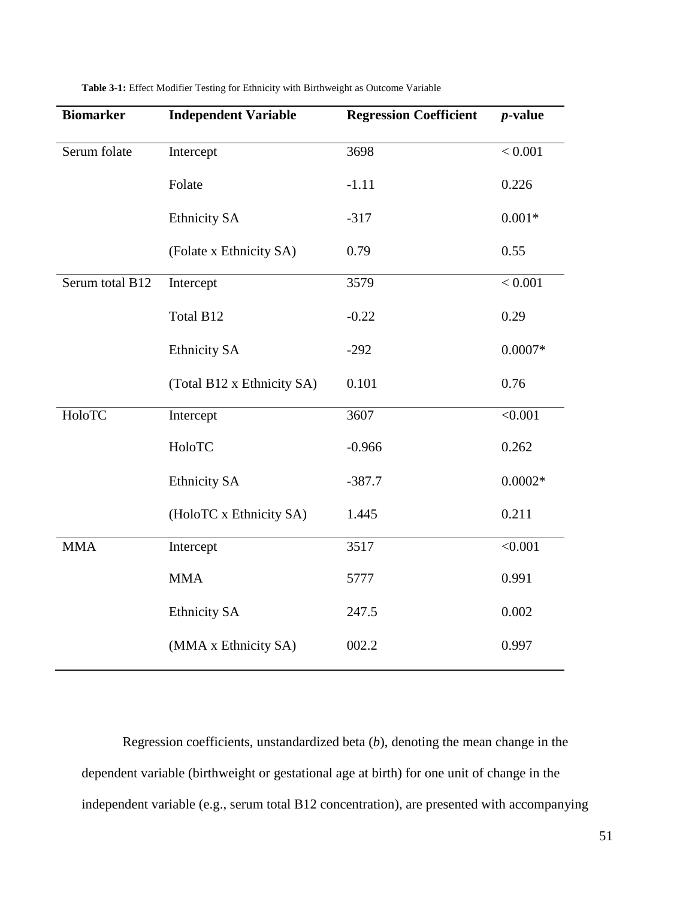| <b>Biomarker</b> | <b>Independent Variable</b> | <b>Regression Coefficient</b> | $p$ -value |
|------------------|-----------------------------|-------------------------------|------------|
| Serum folate     | Intercept                   | 3698                          | < 0.001    |
|                  | Folate                      | $-1.11$                       | 0.226      |
|                  | <b>Ethnicity SA</b>         | $-317$                        | $0.001*$   |
|                  | (Folate x Ethnicity SA)     | 0.79                          | 0.55       |
| Serum total B12  | Intercept                   | 3579                          | < 0.001    |
|                  | Total B12                   | $-0.22$                       | 0.29       |
|                  | <b>Ethnicity SA</b>         | $-292$                        | $0.0007*$  |
|                  | (Total B12 x Ethnicity SA)  | 0.101                         | 0.76       |
| HoloTC           | Intercept                   | 3607                          | < 0.001    |
|                  | HoloTC                      | $-0.966$                      | 0.262      |
|                  | <b>Ethnicity SA</b>         | $-387.7$                      | $0.0002*$  |
|                  | (HoloTC x Ethnicity SA)     | 1.445                         | 0.211      |
| <b>MMA</b>       | Intercept                   | 3517                          | < 0.001    |
|                  | <b>MMA</b>                  | 5777                          | 0.991      |
|                  | <b>Ethnicity SA</b>         | 247.5                         | 0.002      |
|                  | (MMA x Ethnicity SA)        | 002.2                         | 0.997      |

**Table 3-1:** Effect Modifier Testing for Ethnicity with Birthweight as Outcome Variable

Regression coefficients, unstandardized beta (*b*), denoting the mean change in the dependent variable (birthweight or gestational age at birth) for one unit of change in the independent variable (e.g., serum total B12 concentration), are presented with accompanying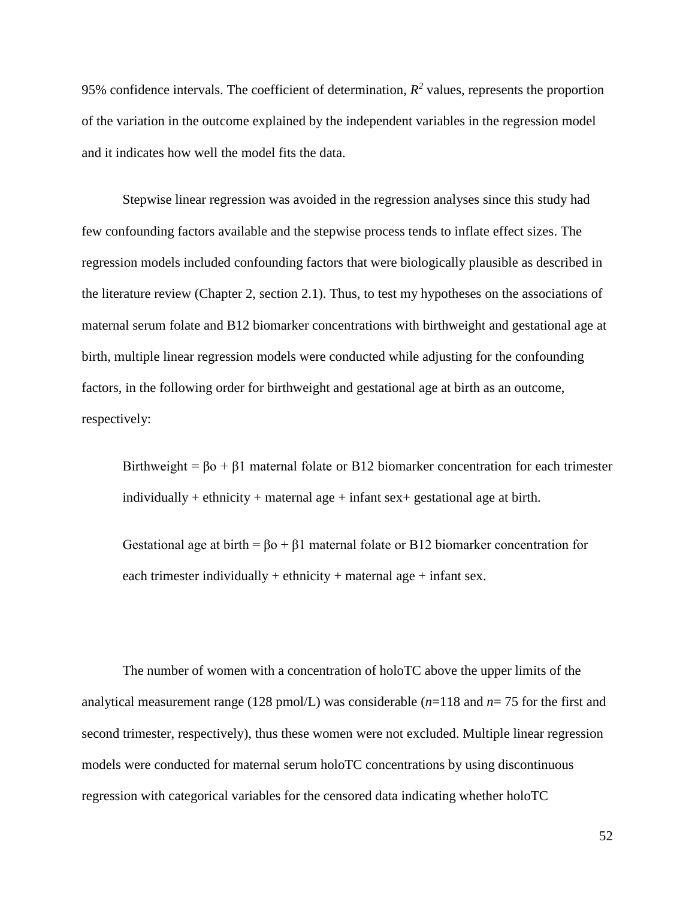95% confidence intervals. The coefficient of determination,  $R^2$  values, represents the proportion of the variation in the outcome explained by the independent variables in the regression model and it indicates how well the model fits the data.

Stepwise linear regression was avoided in the regression analyses since this study had few confounding factors available and the stepwise process tends to inflate effect sizes. The regression models included confounding factors that were biologically plausible as described in the literature review (Chapter 2, section 2.1). Thus, to test my hypotheses on the associations of maternal serum folate and B12 biomarker concentrations with birthweight and gestational age at birth, multiple linear regression models were conducted while adjusting for the confounding factors, in the following order for birthweight and gestational age at birth as an outcome, respectively:

Birthweight =  $\beta$ o +  $\beta$ 1 maternal folate or B12 biomarker concentration for each trimester individually + ethnicity + maternal age + infant  $sex+$  gestational age at birth.

Gestational age at birth =  $\beta$ o +  $\beta$ 1 maternal folate or B12 biomarker concentration for each trimester individually  $+$  ethnicity  $+$  maternal age  $+$  infant sex.

The number of women with a concentration of holoTC above the upper limits of the analytical measurement range (128 pmol/L) was considerable (*n*=118 and *n*= 75 for the first and second trimester, respectively), thus these women were not excluded. Multiple linear regression models were conducted for maternal serum holoTC concentrations by using discontinuous regression with categorical variables for the censored data indicating whether holoTC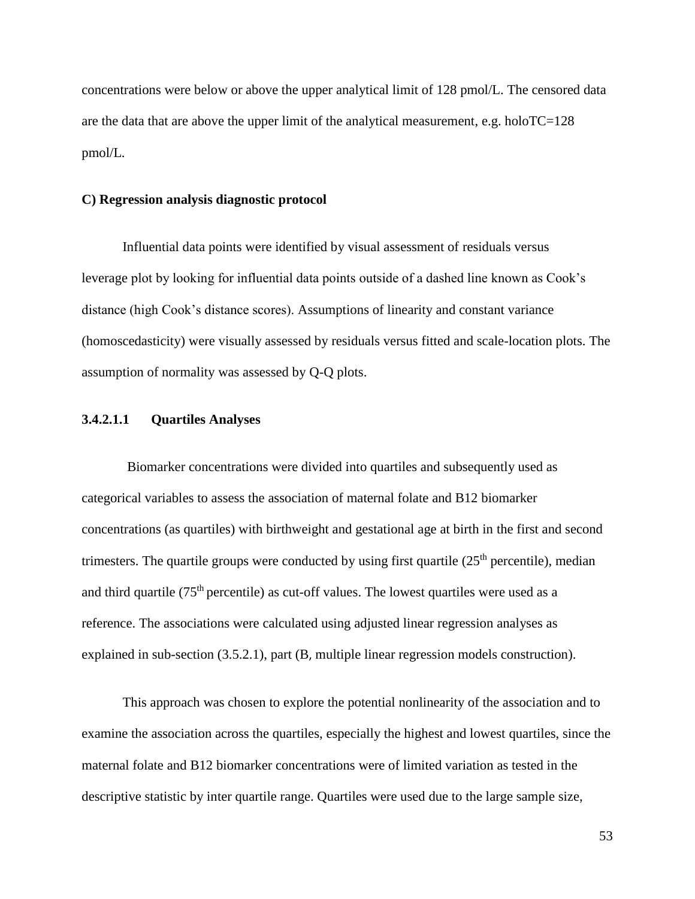concentrations were below or above the upper analytical limit of 128 pmol/L. The censored data are the data that are above the upper limit of the analytical measurement, e.g. holoTC=128 pmol/L.

#### **C) Regression analysis diagnostic protocol**

Influential data points were identified by visual assessment of residuals versus leverage plot by looking for influential data points outside of a dashed line known as Cook's distance (high Cook's distance scores). Assumptions of linearity and constant variance (homoscedasticity) were visually assessed by residuals versus fitted and scale-location plots. The assumption of normality was assessed by Q-Q plots.

# **3.4.2.1.1 Quartiles Analyses**

 Biomarker concentrations were divided into quartiles and subsequently used as categorical variables to assess the association of maternal folate and B12 biomarker concentrations (as quartiles) with birthweight and gestational age at birth in the first and second trimesters. The quartile groups were conducted by using first quartile  $(25<sup>th</sup>$  percentile), median and third quartile  $(75<sup>th</sup>$  percentile) as cut-off values. The lowest quartiles were used as a reference. The associations were calculated using adjusted linear regression analyses as explained in sub-section (3.5.2.1), part (B, multiple linear regression models construction).

This approach was chosen to explore the potential nonlinearity of the association and to examine the association across the quartiles, especially the highest and lowest quartiles, since the maternal folate and B12 biomarker concentrations were of limited variation as tested in the descriptive statistic by inter quartile range. Quartiles were used due to the large sample size,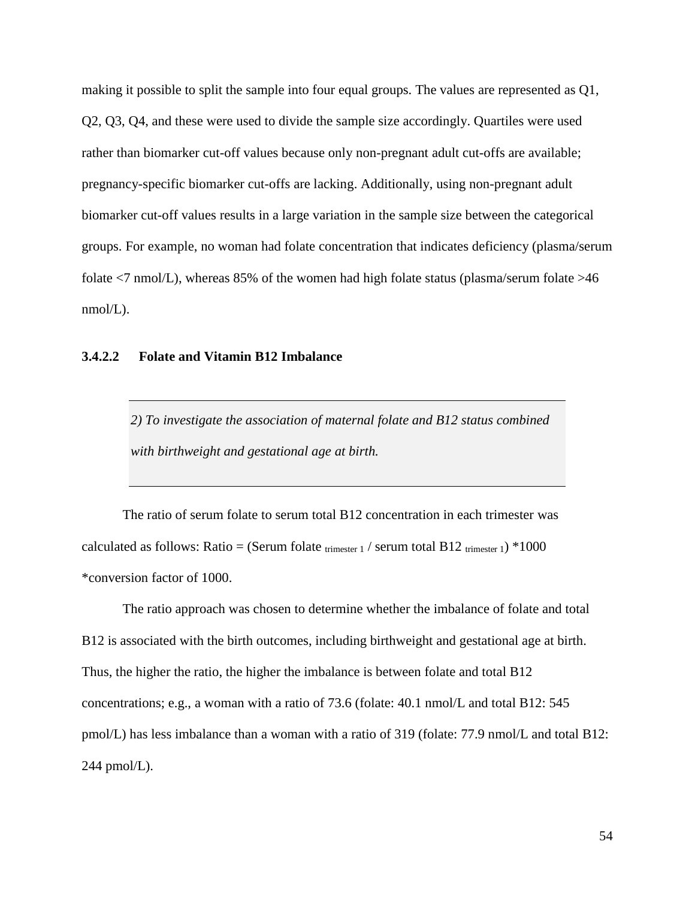making it possible to split the sample into four equal groups. The values are represented as Q1, Q2, Q3, Q4, and these were used to divide the sample size accordingly. Quartiles were used rather than biomarker cut-off values because only non-pregnant adult cut-offs are available; pregnancy-specific biomarker cut-offs are lacking. Additionally, using non-pregnant adult biomarker cut-off values results in a large variation in the sample size between the categorical groups. For example, no woman had folate concentration that indicates deficiency (plasma/serum folate  $\langle 7 \text{ nmol/L} \rangle$ , whereas 85% of the women had high folate status (plasma/serum folate  $>46$  $nmol/L$ ).

# **3.4.2.2 Folate and Vitamin B12 Imbalance**

*2) To investigate the association of maternal folate and B12 status combined with birthweight and gestational age at birth.*

The ratio of serum folate to serum total B12 concentration in each trimester was calculated as follows: Ratio = (Serum folate trimester 1 / serum total B12 trimester 1) \*1000 \*conversion factor of 1000.

The ratio approach was chosen to determine whether the imbalance of folate and total B12 is associated with the birth outcomes, including birthweight and gestational age at birth. Thus, the higher the ratio, the higher the imbalance is between folate and total B12 concentrations; e.g., a woman with a ratio of 73.6 (folate: 40.1 nmol/L and total B12: 545 pmol/L) has less imbalance than a woman with a ratio of 319 (folate: 77.9 nmol/L and total B12: 244 pmol/L).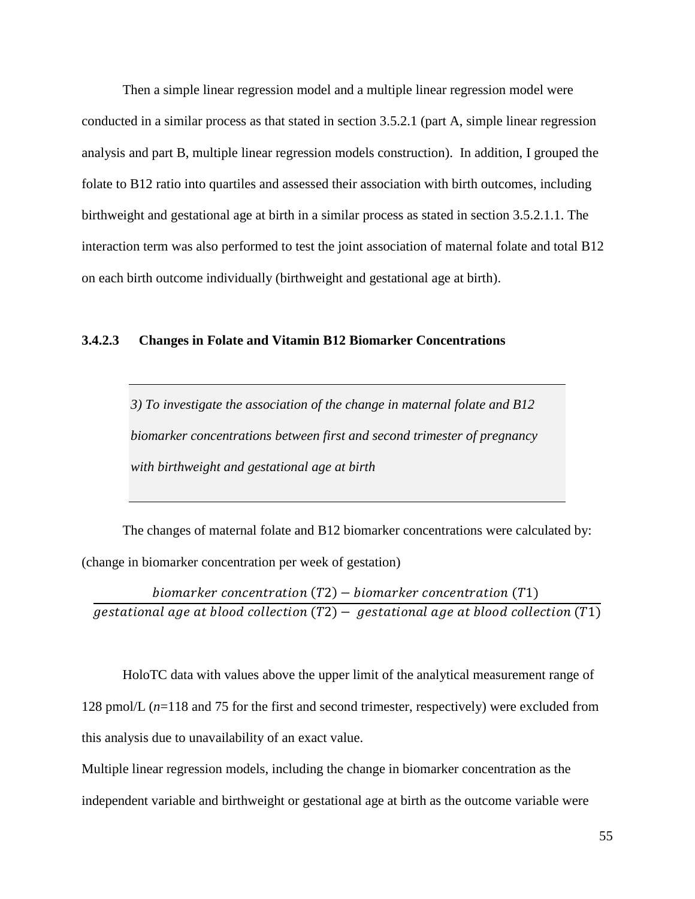Then a simple linear regression model and a multiple linear regression model were conducted in a similar process as that stated in section 3.5.2.1 (part A, simple linear regression analysis and part B, multiple linear regression models construction). In addition, I grouped the folate to B12 ratio into quartiles and assessed their association with birth outcomes, including birthweight and gestational age at birth in a similar process as stated in section 3.5.2.1.1. The interaction term was also performed to test the joint association of maternal folate and total B12 on each birth outcome individually (birthweight and gestational age at birth).

# **3.4.2.3 Changes in Folate and Vitamin B12 Biomarker Concentrations**

*3) To investigate the association of the change in maternal folate and B12 biomarker concentrations between first and second trimester of pregnancy with birthweight and gestational age at birth*

The changes of maternal folate and B12 biomarker concentrations were calculated by: (change in biomarker concentration per week of gestation)

biomarker concentration  $(T2)$  – biomarker concentration  $(T1)$ *gestational age at blood collection*  $(T2)$  – *gestational age at blood collection*  $(T1)$ 

HoloTC data with values above the upper limit of the analytical measurement range of 128 pmol/L (*n*=118 and 75 for the first and second trimester, respectively) were excluded from this analysis due to unavailability of an exact value.

Multiple linear regression models, including the change in biomarker concentration as the independent variable and birthweight or gestational age at birth as the outcome variable were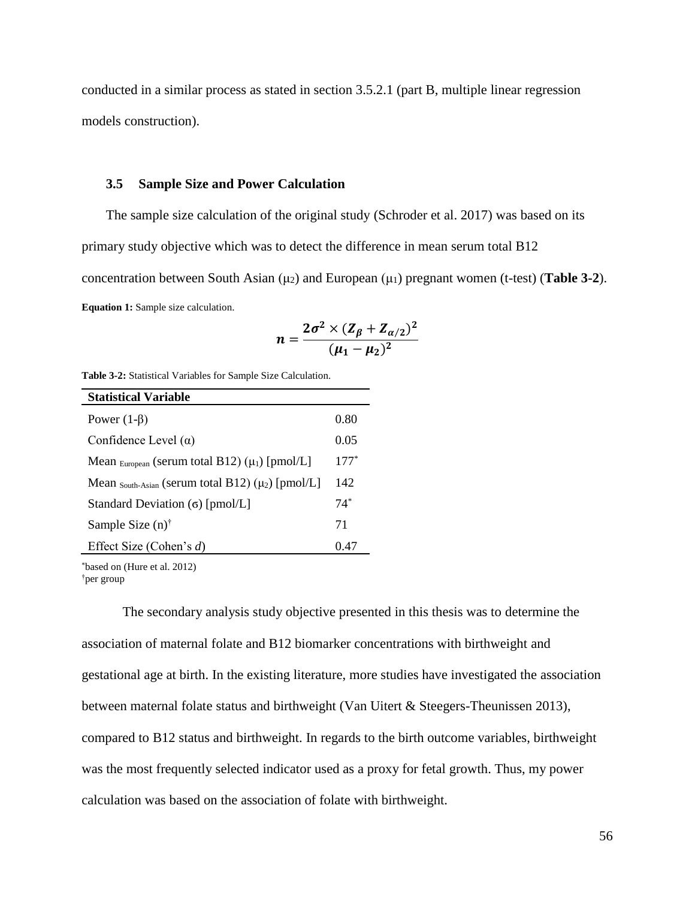conducted in a similar process as stated in section 3.5.2.1 (part B, multiple linear regression models construction).

#### **3.5 Sample Size and Power Calculation**

The sample size calculation of the original study (Schroder et al. 2017) was based on its primary study objective which was to detect the difference in mean serum total B12 concentration between South Asian  $(\mu_2)$  and European  $(\mu_1)$  pregnant women (t-test) (**Table 3-2**). **Equation 1:** Sample size calculation.

$$
n = \frac{2\sigma^2 \times (Z_{\beta} + Z_{\alpha/2})^2}{(\mu_1 - \mu_2)^2}
$$

**Table 3-2:** Statistical Variables for Sample Size Calculation.

| <b>Statistical Variable</b>                                         |        |
|---------------------------------------------------------------------|--------|
| Power $(1-\beta)$                                                   | 0.80   |
| Confidence Level $(\alpha)$                                         | 0.05   |
| Mean European (serum total B12) $(\mu_1)$ [pmol/L]                  | $177*$ |
| Mean $_{\text{South-Asian}}$ (serum total B12) ( $\mu_2$ ) [pmol/L] | 142    |
| Standard Deviation (σ) [pmol/L]                                     | $74*$  |
| Sample Size $(n)$ <sup>†</sup>                                      | 71     |
| Effect Size (Cohen's $d$ )                                          | 0.47   |

\*based on (Hure et al. 2012) †per group

The secondary analysis study objective presented in this thesis was to determine the association of maternal folate and B12 biomarker concentrations with birthweight and gestational age at birth. In the existing literature, more studies have investigated the association between maternal folate status and birthweight (Van Uitert & Steegers-Theunissen 2013), compared to B12 status and birthweight. In regards to the birth outcome variables, birthweight was the most frequently selected indicator used as a proxy for fetal growth. Thus, my power calculation was based on the association of folate with birthweight.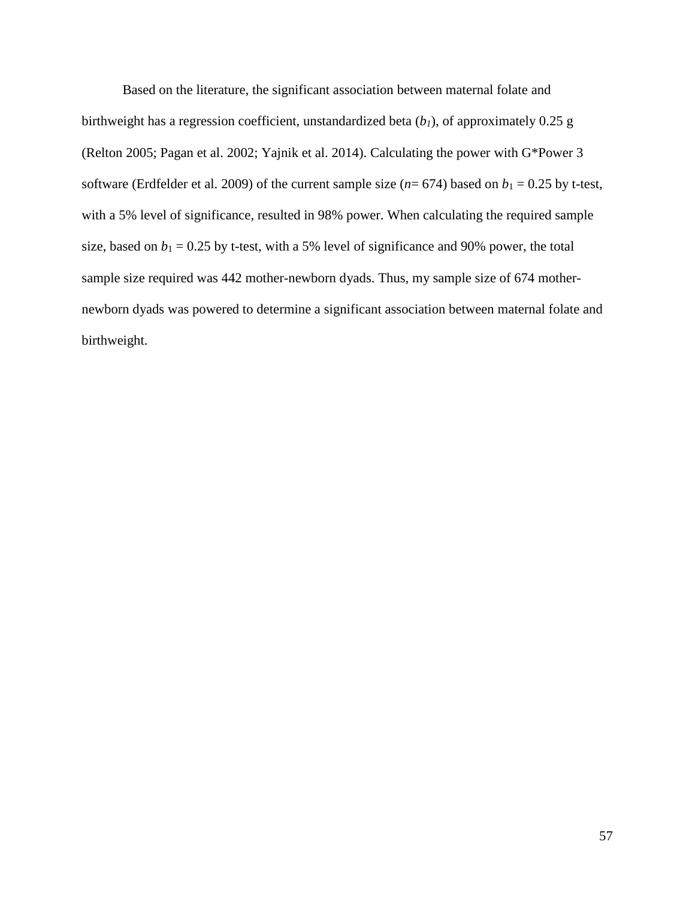Based on the literature, the significant association between maternal folate and birthweight has a regression coefficient, unstandardized beta (*b1*), of approximately 0.25 g (Relton 2005; Pagan et al. 2002; Yajnik et al. 2014). Calculating the power with G\*Power 3 software (Erdfelder et al. 2009) of the current sample size  $(n= 674)$  based on  $b_1 = 0.25$  by t-test, with a 5% level of significance, resulted in 98% power. When calculating the required sample size, based on  $b_1 = 0.25$  by t-test, with a 5% level of significance and 90% power, the total sample size required was 442 mother-newborn dyads. Thus, my sample size of 674 mothernewborn dyads was powered to determine a significant association between maternal folate and birthweight.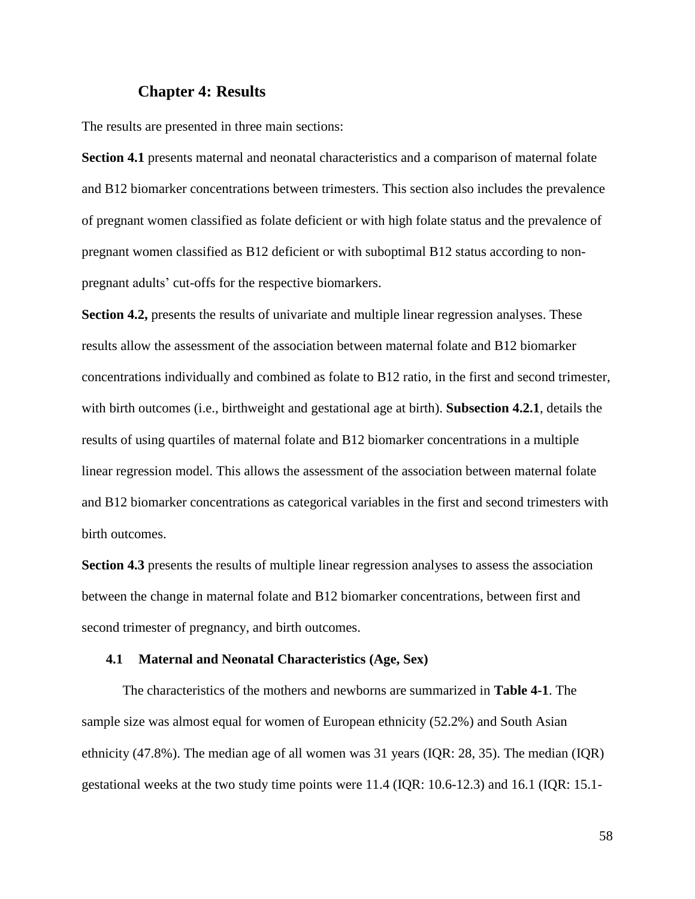# **Chapter 4: Results**

The results are presented in three main sections:

**Section 4.1** presents maternal and neonatal characteristics and a comparison of maternal folate and B12 biomarker concentrations between trimesters. This section also includes the prevalence of pregnant women classified as folate deficient or with high folate status and the prevalence of pregnant women classified as B12 deficient or with suboptimal B12 status according to nonpregnant adults' cut-offs for the respective biomarkers.

**Section 4.2,** presents the results of univariate and multiple linear regression analyses. These results allow the assessment of the association between maternal folate and B12 biomarker concentrations individually and combined as folate to B12 ratio, in the first and second trimester, with birth outcomes (i.e., birthweight and gestational age at birth). **Subsection 4.2.1**, details the results of using quartiles of maternal folate and B12 biomarker concentrations in a multiple linear regression model. This allows the assessment of the association between maternal folate and B12 biomarker concentrations as categorical variables in the first and second trimesters with birth outcomes.

**Section 4.3** presents the results of multiple linear regression analyses to assess the association between the change in maternal folate and B12 biomarker concentrations, between first and second trimester of pregnancy, and birth outcomes.

#### **4.1 Maternal and Neonatal Characteristics (Age, Sex)**

The characteristics of the mothers and newborns are summarized in **Table 4-1**. The sample size was almost equal for women of European ethnicity (52.2%) and South Asian ethnicity (47.8%). The median age of all women was 31 years (IQR: 28, 35). The median (IQR) gestational weeks at the two study time points were 11.4 (IQR: 10.6-12.3) and 16.1 (IQR: 15.1-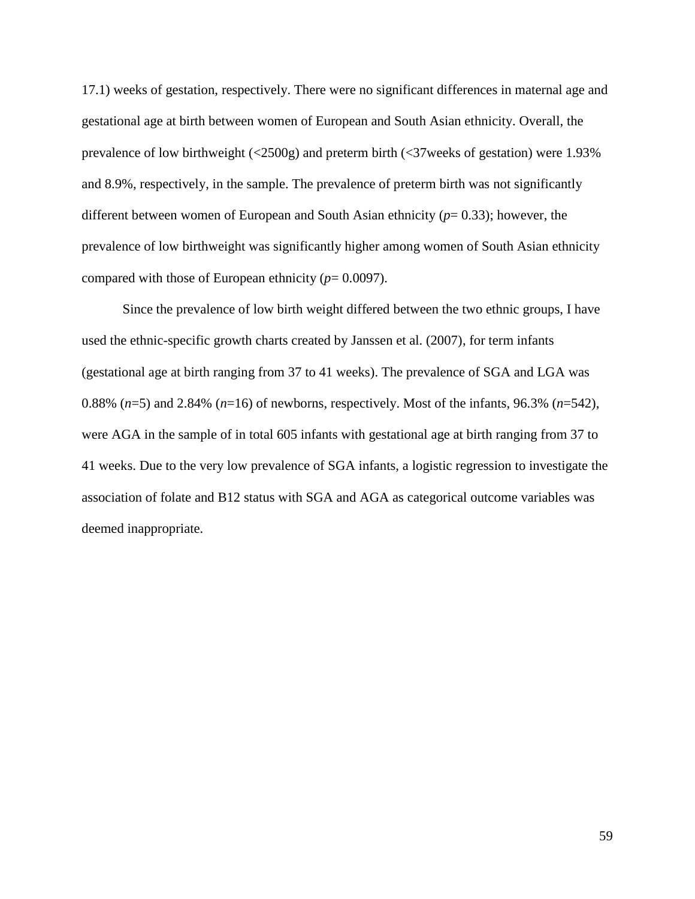17.1) weeks of gestation, respectively. There were no significant differences in maternal age and gestational age at birth between women of European and South Asian ethnicity. Overall, the prevalence of low birthweight (<2500g) and preterm birth (<37weeks of gestation) were 1.93% and 8.9%, respectively, in the sample. The prevalence of preterm birth was not significantly different between women of European and South Asian ethnicity (*p*= 0.33); however, the prevalence of low birthweight was significantly higher among women of South Asian ethnicity compared with those of European ethnicity (*p*= 0.0097).

Since the prevalence of low birth weight differed between the two ethnic groups, I have used the ethnic-specific growth charts created by Janssen et al. (2007), for term infants (gestational age at birth ranging from 37 to 41 weeks). The prevalence of SGA and LGA was 0.88% (*n*=5) and 2.84% (*n*=16) of newborns, respectively. Most of the infants, 96.3% (*n*=542), were AGA in the sample of in total 605 infants with gestational age at birth ranging from 37 to 41 weeks. Due to the very low prevalence of SGA infants, a logistic regression to investigate the association of folate and B12 status with SGA and AGA as categorical outcome variables was deemed inappropriate.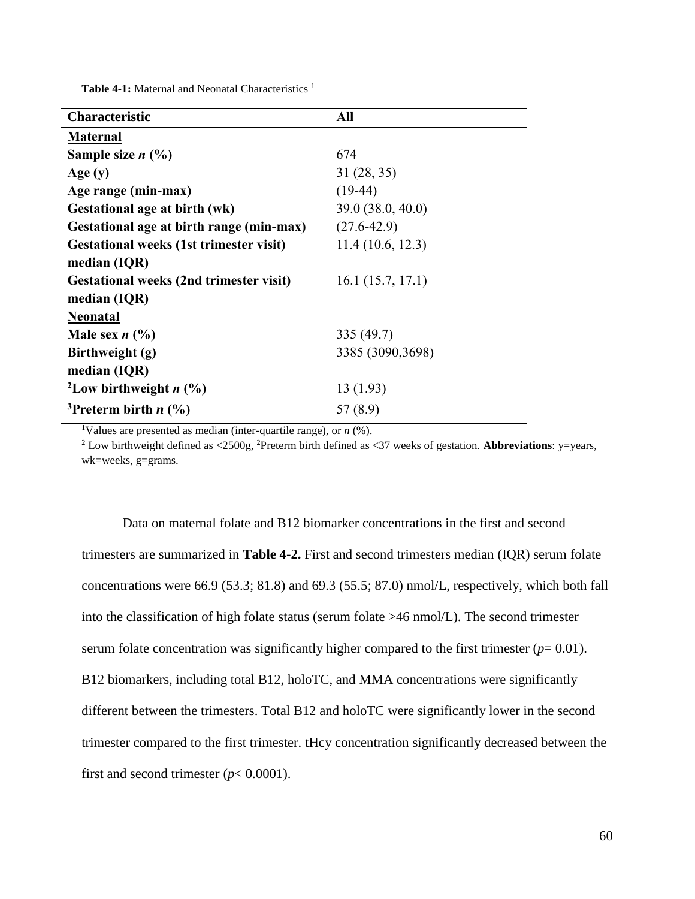Table 4-1: Maternal and Neonatal Characteristics<sup>1</sup>

| Characteristic                                 | All               |
|------------------------------------------------|-------------------|
| <b>Maternal</b>                                |                   |
| Sample size $n$ $(\%)$                         | 674               |
| Age(y)                                         | 31(28, 35)        |
| Age range (min-max)                            | $(19-44)$         |
| Gestational age at birth (wk)                  | 39.0 (38.0, 40.0) |
| Gestational age at birth range (min-max)       | $(27.6 - 42.9)$   |
| <b>Gestational weeks (1st trimester visit)</b> | 11.4(10.6, 12.3)  |
| median (IQR)                                   |                   |
| <b>Gestational weeks (2nd trimester visit)</b> | 16.1(15.7, 17.1)  |
| median (IQR)                                   |                   |
| <b>Neonatal</b>                                |                   |
| Male sex $n$ (%)                               | 335 (49.7)        |
| Birthweight (g)                                | 3385 (3090,3698)  |
| median (IQR)                                   |                   |
| <sup>2</sup> Low birthweight $n$ (%)           | 13(1.93)          |
| <sup>3</sup> Preterm birth $n$ (%)             | 57(8.9)           |

<sup>1</sup>Values are presented as median (inter-quartile range), or  $n$  (%).

<sup>2</sup> Low birthweight defined as <2500g, <sup>2</sup>Preterm birth defined as <37 weeks of gestation. **Abbreviations**: y=years, wk=weeks, g=grams.

Data on maternal folate and B12 biomarker concentrations in the first and second trimesters are summarized in **Table 4-2.** First and second trimesters median (IQR) serum folate concentrations were 66.9 (53.3; 81.8) and 69.3 (55.5; 87.0) nmol/L, respectively, which both fall into the classification of high folate status (serum folate >46 nmol/L). The second trimester serum folate concentration was significantly higher compared to the first trimester  $(p= 0.01)$ . B12 biomarkers, including total B12, holoTC, and MMA concentrations were significantly different between the trimesters. Total B12 and holoTC were significantly lower in the second trimester compared to the first trimester. tHcy concentration significantly decreased between the first and second trimester  $(p< 0.0001)$ .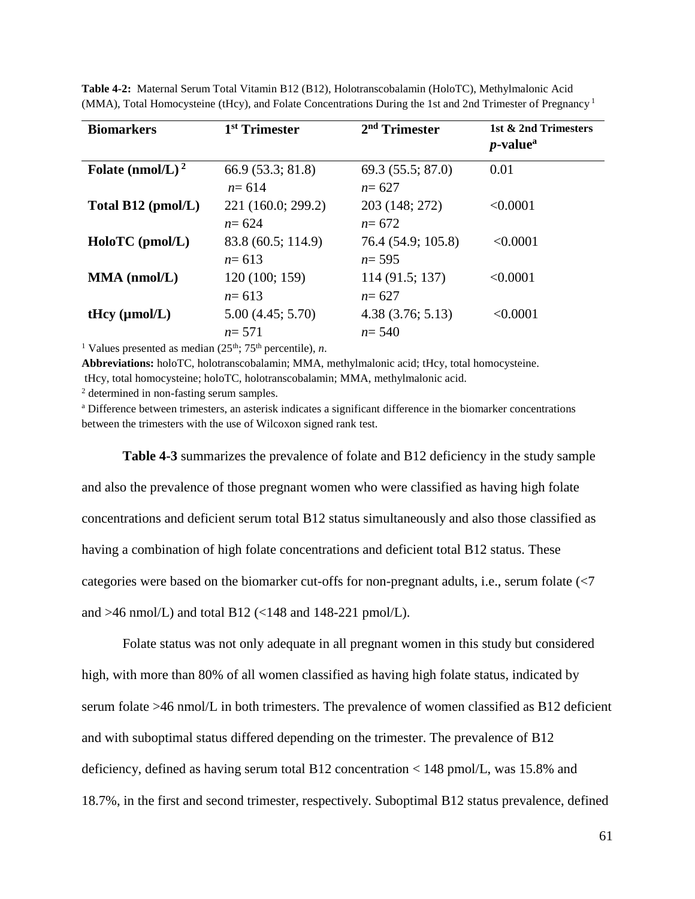| <b>Biomarkers</b>            | 1 <sup>st</sup> Trimester | 2 <sup>nd</sup> Trimester | 1st & 2nd Trimesters<br>$p$ -value <sup>a</sup> |
|------------------------------|---------------------------|---------------------------|-------------------------------------------------|
| Folate (nmol/L) <sup>2</sup> | 66.9 (53.3; 81.8)         | 69.3(55.5; 87.0)          | 0.01                                            |
|                              | $n = 614$                 | $n = 627$                 |                                                 |
| Total B12 (pmol/L)           | 221 (160.0; 299.2)        | 203 (148; 272)            | < 0.0001                                        |
|                              | $n = 624$                 | $n = 672$                 |                                                 |
| HoloTC (pmol/L)              | 83.8 (60.5; 114.9)        | 76.4 (54.9; 105.8)        | < 0.0001                                        |
|                              | $n = 613$                 | $n = 595$                 |                                                 |
| $MMA$ (nmol/L)               | 120 (100; 159)            | 114 (91.5; 137)           | < 0.0001                                        |
|                              | $n = 613$                 | $n = 627$                 |                                                 |
| tHcy $(\mu mol/L)$           | 5.00(4.45; 5.70)          | 4.38(3.76; 5.13)          | < 0.0001                                        |
|                              | $n = 571$                 | $n = 540$                 |                                                 |
|                              |                           |                           |                                                 |

**Table 4-2:** Maternal Serum Total Vitamin B12 (B12), Holotranscobalamin (HoloTC), Methylmalonic Acid (MMA), Total Homocysteine (tHcy), and Folate Concentrations During the 1st and 2nd Trimester of Pregnancy<sup>1</sup>

<sup>1</sup> Values presented as median  $(25<sup>th</sup>; 75<sup>th</sup>$  percentile), *n*.

**Abbreviations:** holoTC, holotranscobalamin; MMA, methylmalonic acid; tHcy, total homocysteine. tHcy, total homocysteine; holoTC, holotranscobalamin; MMA, methylmalonic acid.

<sup>2</sup> determined in non-fasting serum samples.

<sup>a</sup> Difference between trimesters, an asterisk indicates a significant difference in the biomarker concentrations between the trimesters with the use of Wilcoxon signed rank test.

**Table 4-3** summarizes the prevalence of folate and B12 deficiency in the study sample and also the prevalence of those pregnant women who were classified as having high folate concentrations and deficient serum total B12 status simultaneously and also those classified as having a combination of high folate concentrations and deficient total B12 status. These categories were based on the biomarker cut-offs for non-pregnant adults, i.e., serum folate (<7 and  $>46$  nmol/L) and total B12 (<148 and 148-221 pmol/L).

Folate status was not only adequate in all pregnant women in this study but considered high, with more than 80% of all women classified as having high folate status, indicated by serum folate >46 nmol/L in both trimesters. The prevalence of women classified as B12 deficient and with suboptimal status differed depending on the trimester. The prevalence of B12 deficiency, defined as having serum total B12 concentration < 148 pmol/L, was 15.8% and 18.7%, in the first and second trimester, respectively. Suboptimal B12 status prevalence, defined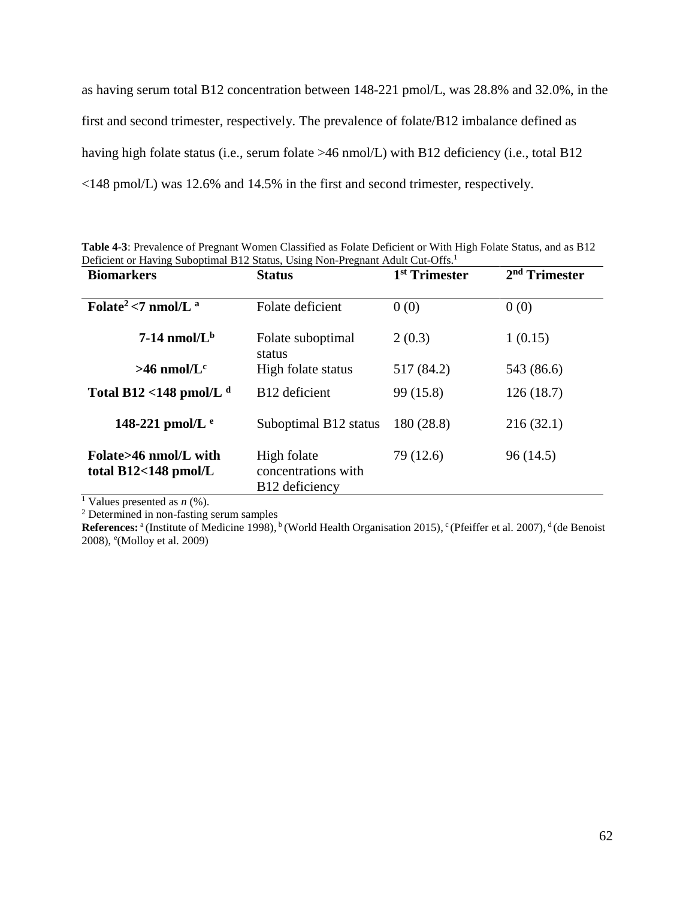as having serum total B12 concentration between 148-221 pmol/L, was 28.8% and 32.0%, in the first and second trimester, respectively. The prevalence of folate/B12 imbalance defined as having high folate status (i.e., serum folate >46 nmol/L) with B12 deficiency (i.e., total B12 <148 pmol/L) was 12.6% and 14.5% in the first and second trimester, respectively.

| Deficient or Having Suboptimal B12 Status, Using Non-Pregnant Adult Cut-Offs. <sup>1</sup> |                                    |                           |                           |
|--------------------------------------------------------------------------------------------|------------------------------------|---------------------------|---------------------------|
| <b>Biomarkers</b>                                                                          | <b>Status</b>                      | 1 <sup>st</sup> Trimester | 2 <sup>nd</sup> Trimester |
| Folate <sup>2</sup> <7 nmol/L $^a$                                                         | Folate deficient                   | 0(0)                      | 0(0)                      |
|                                                                                            |                                    |                           |                           |
| $7-14$ nmol/L <sup>b</sup>                                                                 | Folate suboptimal<br>status        | 2(0.3)                    | 1(0.15)                   |
| $>46$ nmol/L <sup>c</sup>                                                                  | High folate status                 | 517 (84.2)                | 543 (86.6)                |
| Total B12 <148 pmol/L $^d$                                                                 | B <sub>12</sub> deficient          | 99 (15.8)                 | 126(18.7)                 |
| 148-221 pmol/L $e$                                                                         | Suboptimal B12 status              | 180 (28.8)                | 216(32.1)                 |
| Folate>46 nmol/L with<br>total $B12<148$ pmol/L                                            | High folate<br>concentrations with | 79 (12.6)                 | 96 (14.5)                 |
|                                                                                            | B <sub>12</sub> deficiency         |                           |                           |

**Table 4-3**: Prevalence of Pregnant Women Classified as Folate Deficient or With High Folate Status, and as B12

<sup>1</sup> Values presented as *n* (%).

<sup>2</sup> Determined in non-fasting serum samples

References:<sup>a</sup> (Institute of Medicine 1998), <sup>b</sup> (World Health Organisation 2015), <sup>c</sup> (Pfeiffer et al. 2007), <sup>d</sup> (de Benoist 2008), e (Molloy et al. 2009)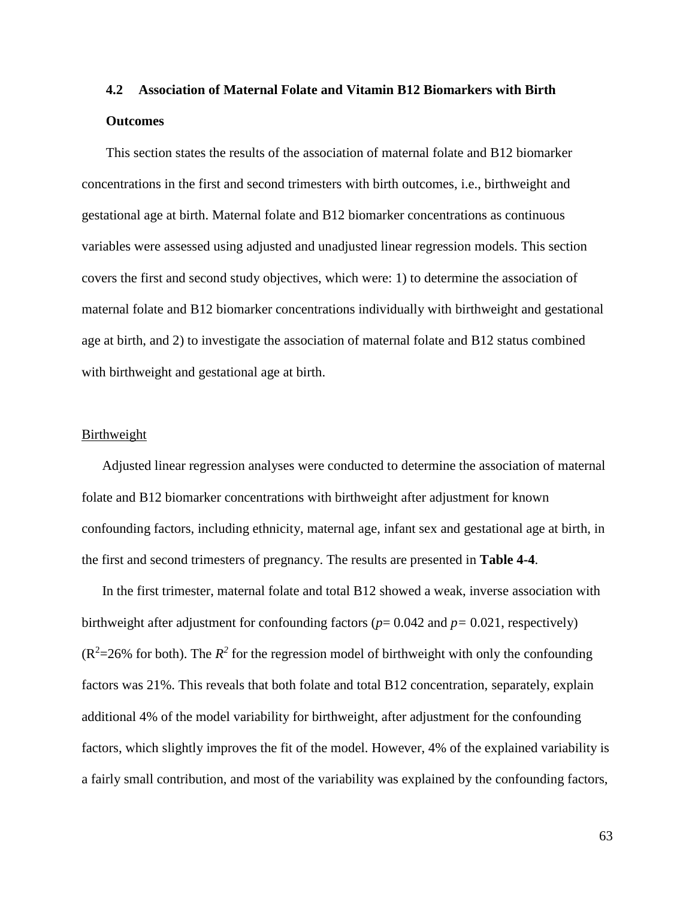# **4.2 Association of Maternal Folate and Vitamin B12 Biomarkers with Birth Outcomes**

This section states the results of the association of maternal folate and B12 biomarker concentrations in the first and second trimesters with birth outcomes, i.e., birthweight and gestational age at birth. Maternal folate and B12 biomarker concentrations as continuous variables were assessed using adjusted and unadjusted linear regression models. This section covers the first and second study objectives, which were: 1) to determine the association of maternal folate and B12 biomarker concentrations individually with birthweight and gestational age at birth, and 2) to investigate the association of maternal folate and B12 status combined with birthweight and gestational age at birth.

#### Birthweight

Adjusted linear regression analyses were conducted to determine the association of maternal folate and B12 biomarker concentrations with birthweight after adjustment for known confounding factors, including ethnicity, maternal age, infant sex and gestational age at birth, in the first and second trimesters of pregnancy. The results are presented in **Table 4-4**.

In the first trimester, maternal folate and total B12 showed a weak, inverse association with birthweight after adjustment for confounding factors (*p*= 0.042 and *p=* 0.021, respectively)  $(R^2=26\%$  for both). The  $R^2$  for the regression model of birthweight with only the confounding factors was 21%. This reveals that both folate and total B12 concentration, separately, explain additional 4% of the model variability for birthweight, after adjustment for the confounding factors, which slightly improves the fit of the model. However, 4% of the explained variability is a fairly small contribution, and most of the variability was explained by the confounding factors,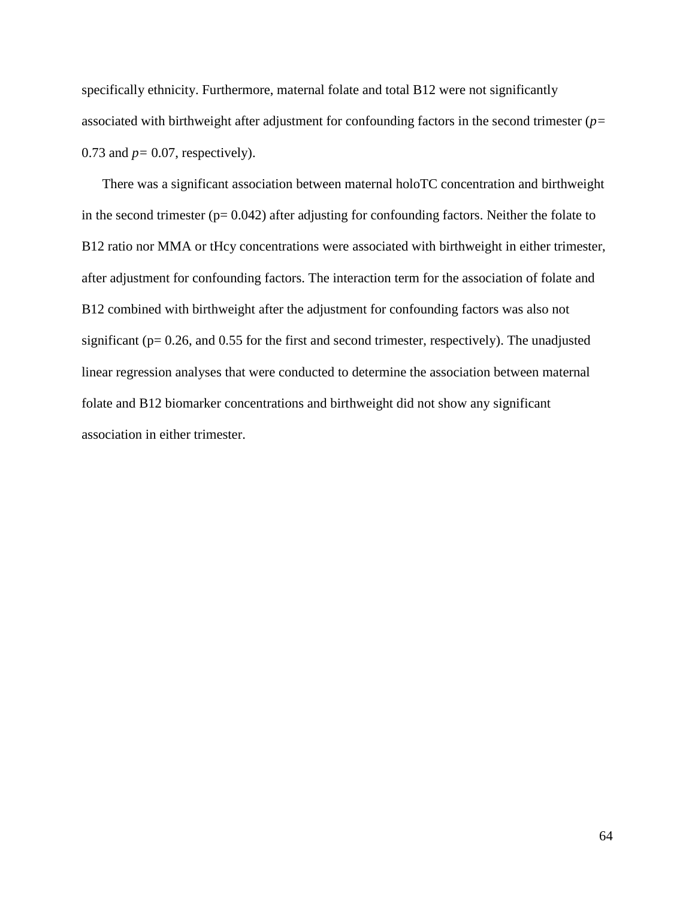specifically ethnicity. Furthermore, maternal folate and total B12 were not significantly associated with birthweight after adjustment for confounding factors in the second trimester (*p=*  0.73 and *p=* 0.07, respectively).

There was a significant association between maternal holoTC concentration and birthweight in the second trimester  $(p= 0.042)$  after adjusting for confounding factors. Neither the folate to B12 ratio nor MMA or tHcy concentrations were associated with birthweight in either trimester, after adjustment for confounding factors. The interaction term for the association of folate and B12 combined with birthweight after the adjustment for confounding factors was also not significant (p= 0.26, and 0.55 for the first and second trimester, respectively). The unadjusted linear regression analyses that were conducted to determine the association between maternal folate and B12 biomarker concentrations and birthweight did not show any significant association in either trimester.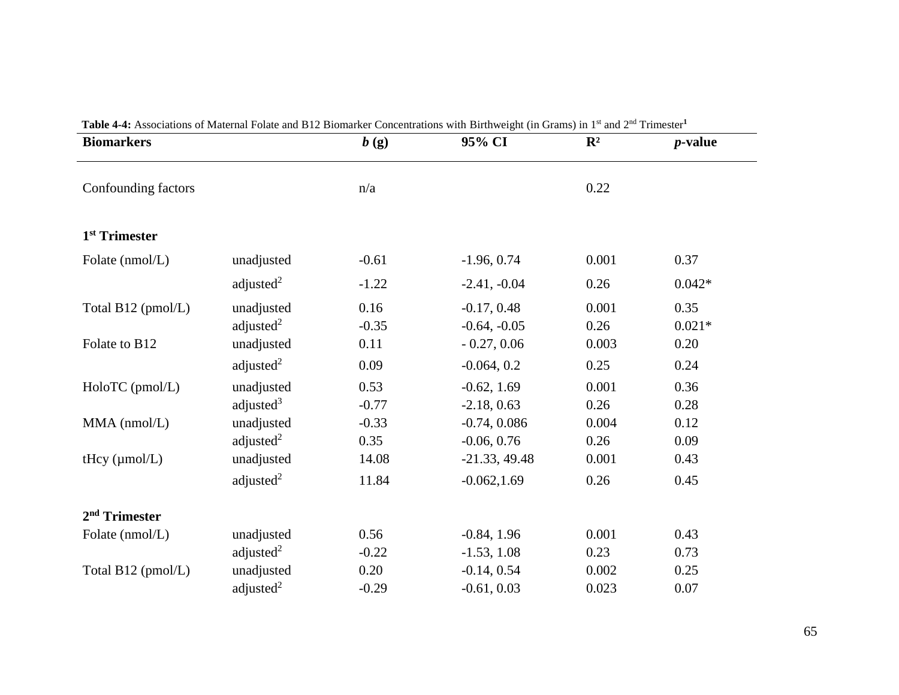| <b>Biomarkers</b>         |                            | b(g)            | $\sigma$ and $\sigma$ is a production concentration with Dirthweight (in Orams) in T and $\sigma$<br>95% CI | $\mathbb{R}^2$ | <i>p</i> -value  |
|---------------------------|----------------------------|-----------------|-------------------------------------------------------------------------------------------------------------|----------------|------------------|
| Confounding factors       |                            | n/a             |                                                                                                             | 0.22           |                  |
| 1 <sup>st</sup> Trimester |                            |                 |                                                                                                             |                |                  |
| Folate (nmol/L)           | unadjusted                 | $-0.61$         | $-1.96, 0.74$                                                                                               | 0.001          | 0.37             |
|                           | adjusted $2$               | $-1.22$         | $-2.41, -0.04$                                                                                              | 0.26           | $0.042*$         |
| Total B12 (pmol/L)        | unadjusted<br>adjusted $2$ | 0.16<br>$-0.35$ | $-0.17, 0.48$<br>$-0.64, -0.05$                                                                             | 0.001<br>0.26  | 0.35<br>$0.021*$ |
| Folate to B12             | unadjusted                 | 0.11            | $-0.27, 0.06$                                                                                               | 0.003          | 0.20             |
|                           | adjusted <sup>2</sup>      | 0.09            | $-0.064, 0.2$                                                                                               | 0.25           | 0.24             |
| HoloTC (pmol/L)           | unadjusted<br>adjusted $3$ | 0.53<br>$-0.77$ | $-0.62, 1.69$<br>$-2.18, 0.63$                                                                              | 0.001<br>0.26  | 0.36<br>0.28     |
| $MMA$ (nmol/L)            | unadjusted<br>adjusted $2$ | $-0.33$<br>0.35 | $-0.74, 0.086$<br>$-0.06, 0.76$                                                                             | 0.004<br>0.26  | 0.12<br>0.09     |
| tHcy $(\mu$ mol/L)        | unadjusted                 | 14.08           | $-21.33, 49.48$                                                                                             | 0.001          | 0.43             |
|                           | adjusted $2$               | 11.84           | $-0.062, 1.69$                                                                                              | 0.26           | 0.45             |
| 2 <sup>nd</sup> Trimester |                            |                 |                                                                                                             |                |                  |
| Folate (nmol/L)           | unadjusted                 | 0.56            | $-0.84, 1.96$                                                                                               | 0.001          | 0.43             |
|                           | adjusted $2$               | $-0.22$         | $-1.53, 1.08$                                                                                               | 0.23           | 0.73             |
| Total B12 (pmol/L)        | unadjusted                 | 0.20            | $-0.14, 0.54$                                                                                               | 0.002          | 0.25             |
|                           | adjusted $2$               | $-0.29$         | $-0.61, 0.03$                                                                                               | 0.023          | 0.07             |

**Table 4-4:** Associations of Maternal Folate and B12 Biomarker Concentrations with Birthweight (in Grams) in 1st and 2nd Trimester**<sup>1</sup>**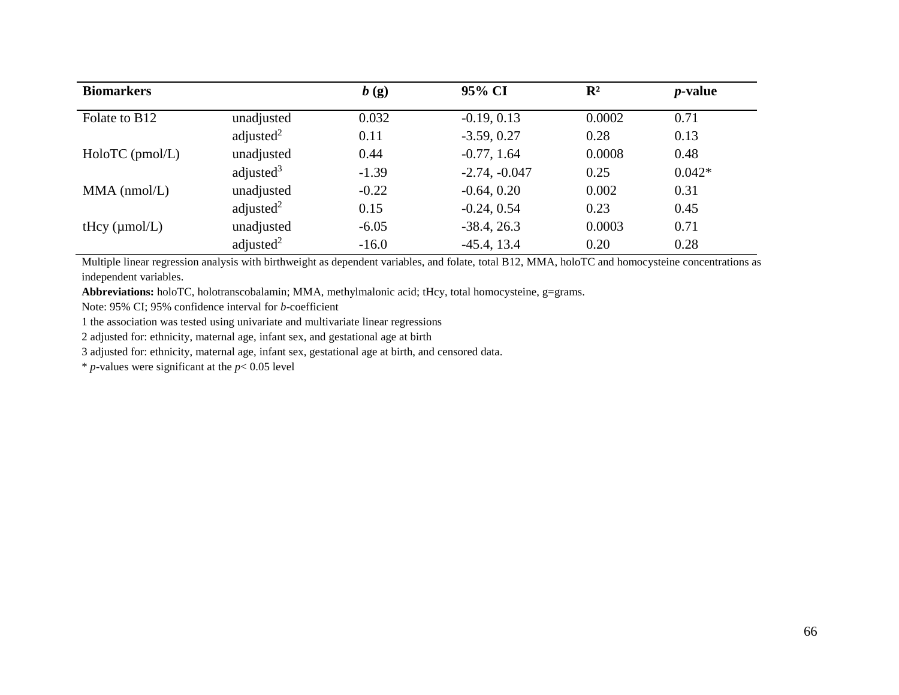| <b>Biomarkers</b>         |              | b(g)    | 95% CI          | $\mathbf{R}^2$ | <i>p</i> -value |
|---------------------------|--------------|---------|-----------------|----------------|-----------------|
| Folate to B <sub>12</sub> | unadjusted   | 0.032   | $-0.19, 0.13$   | 0.0002         | 0.71            |
|                           | adjusted $2$ | 0.11    | $-3.59, 0.27$   | 0.28           | 0.13            |
| HoloTC (pmol/L)           | unadjusted   | 0.44    | $-0.77, 1.64$   | 0.0008         | 0.48            |
|                           | adjusted $3$ | $-1.39$ | $-2.74, -0.047$ | 0.25           | $0.042*$        |
| $MMA$ (nmol/L)            | unadjusted   | $-0.22$ | $-0.64, 0.20$   | 0.002          | 0.31            |
|                           | adjusted $2$ | 0.15    | $-0.24, 0.54$   | 0.23           | 0.45            |
| tHcy $(\mu \text{mol/L})$ | unadjusted   | $-6.05$ | $-38.4, 26.3$   | 0.0003         | 0.71            |
|                           | adjusted $2$ | $-16.0$ | $-45.4$ , 13.4  | 0.20           | 0.28            |

Multiple linear regression analysis with birthweight as dependent variables, and folate, total B12, MMA, holoTC and homocysteine concentrations as independent variables.

**Abbreviations:** holoTC, holotranscobalamin; MMA, methylmalonic acid; tHcy, total homocysteine, g=grams.

Note: 95% CI; 95% confidence interval for *b*-coefficient

1 the association was tested using univariate and multivariate linear regressions

2 adjusted for: ethnicity, maternal age, infant sex, and gestational age at birth

3 adjusted for: ethnicity, maternal age, infant sex, gestational age at birth, and censored data.

 $*$  *p*-values were significant at the  $p < 0.05$  level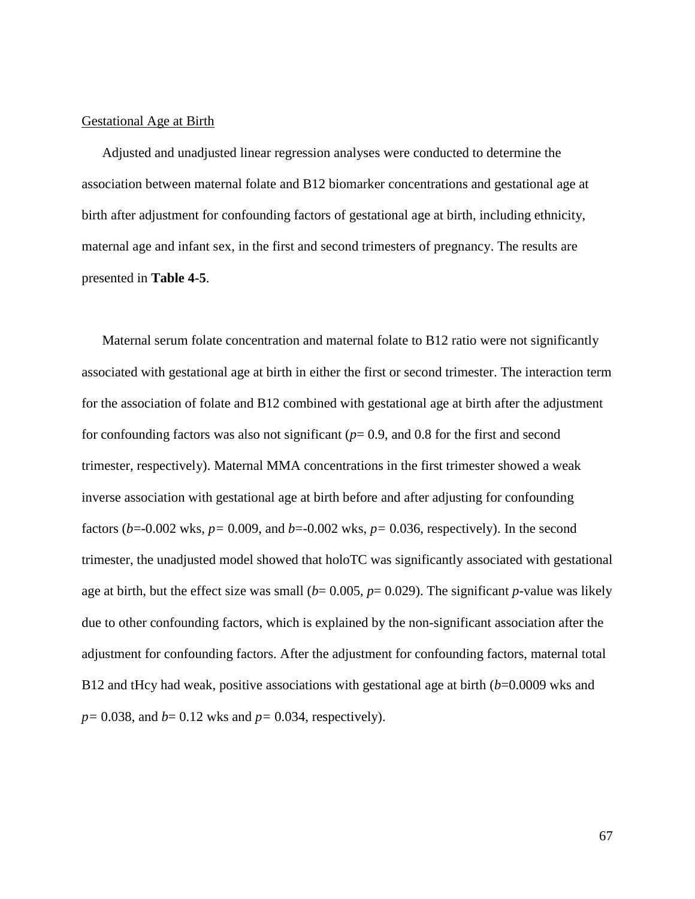## Gestational Age at Birth

Adjusted and unadjusted linear regression analyses were conducted to determine the association between maternal folate and B12 biomarker concentrations and gestational age at birth after adjustment for confounding factors of gestational age at birth, including ethnicity, maternal age and infant sex, in the first and second trimesters of pregnancy. The results are presented in **Table 4-5**.

Maternal serum folate concentration and maternal folate to B12 ratio were not significantly associated with gestational age at birth in either the first or second trimester. The interaction term for the association of folate and B12 combined with gestational age at birth after the adjustment for confounding factors was also not significant (*p*= 0.9, and 0.8 for the first and second trimester, respectively). Maternal MMA concentrations in the first trimester showed a weak inverse association with gestational age at birth before and after adjusting for confounding factors (*b*=-0.002 wks, *p=* 0.009, and *b*=-0.002 wks, *p=* 0.036, respectively). In the second trimester, the unadjusted model showed that holoTC was significantly associated with gestational age at birth, but the effect size was small ( $b= 0.005$ ,  $p= 0.029$ ). The significant  $p$ -value was likely due to other confounding factors, which is explained by the non-significant association after the adjustment for confounding factors. After the adjustment for confounding factors, maternal total B12 and tHcy had weak, positive associations with gestational age at birth (*b*=0.0009 wks and *p=* 0.038, and *b*= 0.12 wks and *p=* 0.034, respectively).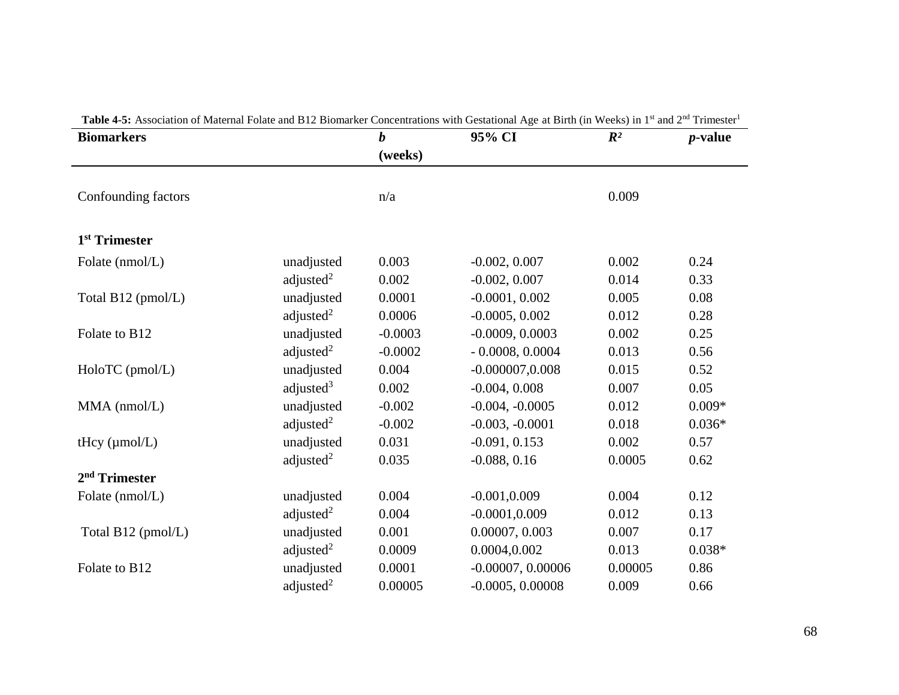| <b>Table 4-5:</b> Association of Maternal Folate and B12 Biomarker Concentrations with Gestational Age at Birth (in Weeks) in 1 <sup>*</sup> and 2 <sup>**</sup> Trimester<br><b>Biomarkers</b> |              | $\boldsymbol{b}$ | 95% CI              | $\mathbb{R}^2$ | $p$ -value |
|-------------------------------------------------------------------------------------------------------------------------------------------------------------------------------------------------|--------------|------------------|---------------------|----------------|------------|
|                                                                                                                                                                                                 |              | (weeks)          |                     |                |            |
|                                                                                                                                                                                                 |              |                  |                     |                |            |
| Confounding factors                                                                                                                                                                             |              | n/a              |                     | 0.009          |            |
|                                                                                                                                                                                                 |              |                  |                     |                |            |
| 1 <sup>st</sup> Trimester                                                                                                                                                                       |              |                  |                     |                |            |
| Folate (nmol/L)                                                                                                                                                                                 | unadjusted   | 0.003            | $-0.002, 0.007$     | 0.002          | 0.24       |
|                                                                                                                                                                                                 | adjusted $2$ | 0.002            | $-0.002, 0.007$     | 0.014          | 0.33       |
| Total B12 (pmol/L)                                                                                                                                                                              | unadjusted   | 0.0001           | $-0.0001, 0.002$    | 0.005          | 0.08       |
|                                                                                                                                                                                                 | adjusted $2$ | 0.0006           | $-0.0005, 0.002$    | 0.012          | 0.28       |
| Folate to B12                                                                                                                                                                                   | unadjusted   | $-0.0003$        | $-0.0009, 0.0003$   | 0.002          | 0.25       |
|                                                                                                                                                                                                 | adjusted $2$ | $-0.0002$        | $-0.0008, 0.0004$   | 0.013          | 0.56       |
| HoloTC (pmol/L)                                                                                                                                                                                 | unadjusted   | 0.004            | $-0.000007, 0.008$  | 0.015          | 0.52       |
|                                                                                                                                                                                                 | adjusted $3$ | 0.002            | $-0.004, 0.008$     | 0.007          | 0.05       |
| $MMA$ (nmol/L)                                                                                                                                                                                  | unadjusted   | $-0.002$         | $-0.004, -0.0005$   | 0.012          | $0.009*$   |
|                                                                                                                                                                                                 | adjusted $2$ | $-0.002$         | $-0.003, -0.0001$   | 0.018          | $0.036*$   |
| tHcy $(\mu$ mol/L)                                                                                                                                                                              | unadjusted   | 0.031            | $-0.091, 0.153$     | 0.002          | 0.57       |
|                                                                                                                                                                                                 | adjusted $2$ | 0.035            | $-0.088, 0.16$      | 0.0005         | 0.62       |
| $2nd$ Trimester                                                                                                                                                                                 |              |                  |                     |                |            |
| Folate (nmol/L)                                                                                                                                                                                 | unadjusted   | 0.004            | $-0.001, 0.009$     | 0.004          | 0.12       |
|                                                                                                                                                                                                 | adjusted $2$ | 0.004            | $-0.0001, 0.009$    | 0.012          | 0.13       |
| Total B12 (pmol/L)                                                                                                                                                                              | unadjusted   | 0.001            | 0.00007, 0.003      | 0.007          | 0.17       |
|                                                                                                                                                                                                 | adjusted $2$ | 0.0009           | 0.0004,0.002        | 0.013          | $0.038*$   |
| Folate to B12                                                                                                                                                                                   | unadjusted   | 0.0001           | $-0.00007, 0.00006$ | 0.00005        | 0.86       |
|                                                                                                                                                                                                 | adjusted $2$ | 0.00005          | $-0.0005, 0.00008$  | 0.009          | 0.66       |

| <b>Table 4-5:</b> Association of Maternal Folate and B12 Biomarker Concentrations with Gestational Age at Birth (in Weeks) in 1 <sup>st</sup> and 2 <sup>nd</sup> Trimester <sup>1</sup> |  |  |  |
|------------------------------------------------------------------------------------------------------------------------------------------------------------------------------------------|--|--|--|
|------------------------------------------------------------------------------------------------------------------------------------------------------------------------------------------|--|--|--|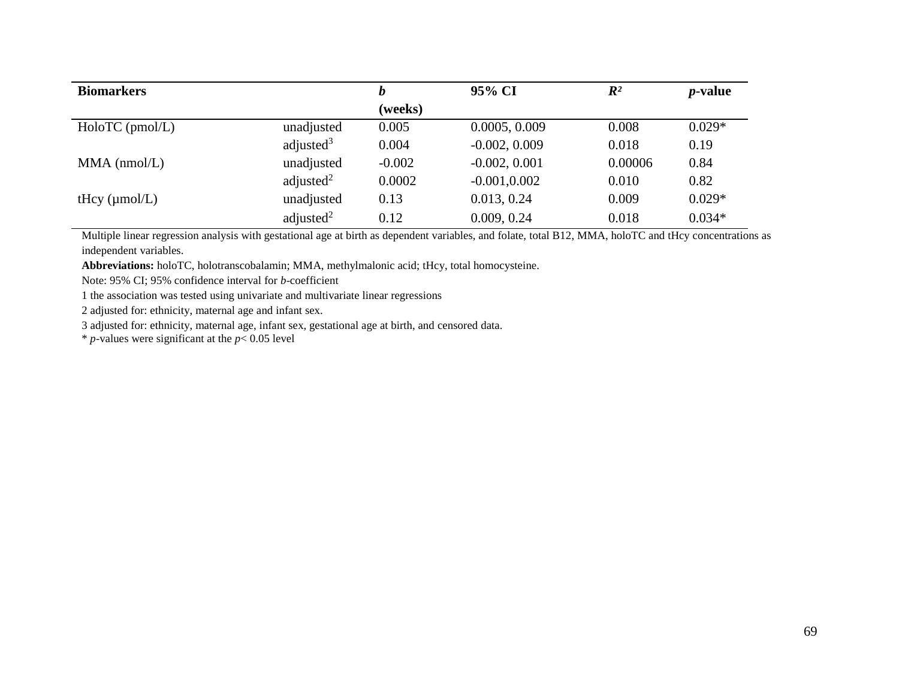| <b>Biomarkers</b>         |              | b        | 95% CI          | $\mathbb{R}^2$ | <i>p</i> -value |
|---------------------------|--------------|----------|-----------------|----------------|-----------------|
|                           |              | (weeks)  |                 |                |                 |
| $HoloTC$ (pmol/L)         | unadjusted   | 0.005    | 0.0005, 0.009   | 0.008          | $0.029*$        |
|                           | adjusted $3$ | 0.004    | $-0.002, 0.009$ | 0.018          | 0.19            |
| $MMA$ (nmol/L)            | unadjusted   | $-0.002$ | $-0.002, 0.001$ | 0.00006        | 0.84            |
|                           | adjusted $2$ | 0.0002   | $-0.001, 0.002$ | 0.010          | 0.82            |
| tHcy $(\mu \text{mol/L})$ | unadjusted   | 0.13     | 0.013, 0.24     | 0.009          | $0.029*$        |
|                           | adjusted $2$ | 0.12     | 0.009, 0.24     | 0.018          | $0.034*$        |

Multiple linear regression analysis with gestational age at birth as dependent variables, and folate, total B12, MMA, holoTC and tHcy concentrations as independent variables.

**Abbreviations:** holoTC, holotranscobalamin; MMA, methylmalonic acid; tHcy, total homocysteine.

Note: 95% CI; 95% confidence interval for *b*-coefficient

1 the association was tested using univariate and multivariate linear regressions

2 adjusted for: ethnicity, maternal age and infant sex.

3 adjusted for: ethnicity, maternal age, infant sex, gestational age at birth, and censored data.

 $*$  *p*-values were significant at the  $p < 0.05$  level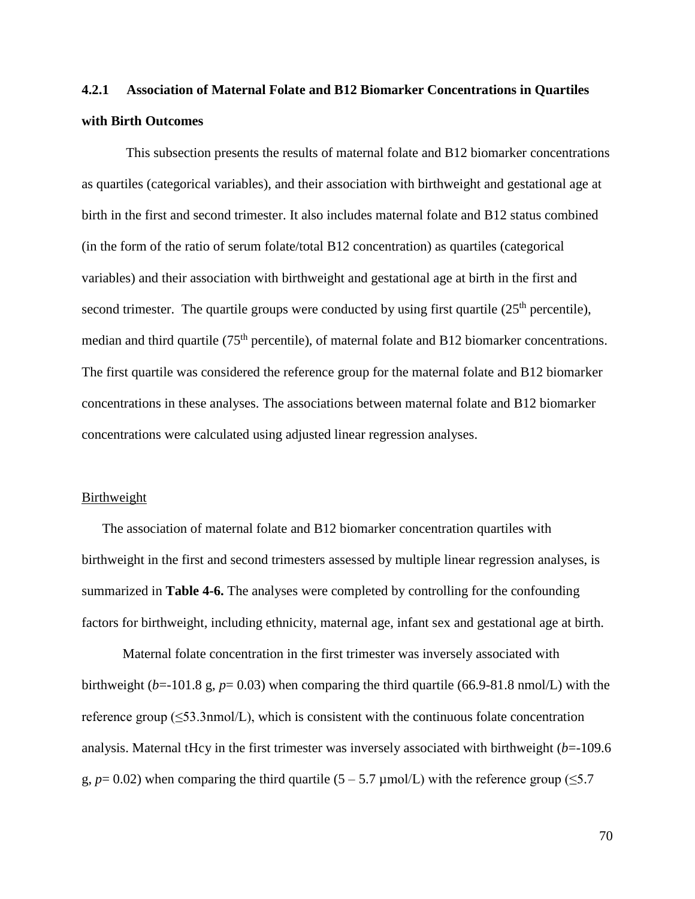# **4.2.1 Association of Maternal Folate and B12 Biomarker Concentrations in Quartiles with Birth Outcomes**

This subsection presents the results of maternal folate and B12 biomarker concentrations as quartiles (categorical variables), and their association with birthweight and gestational age at birth in the first and second trimester. It also includes maternal folate and B12 status combined (in the form of the ratio of serum folate/total B12 concentration) as quartiles (categorical variables) and their association with birthweight and gestational age at birth in the first and second trimester. The quartile groups were conducted by using first quartile  $(25<sup>th</sup>$  percentile), median and third quartile (75<sup>th</sup> percentile), of maternal folate and B12 biomarker concentrations. The first quartile was considered the reference group for the maternal folate and B12 biomarker concentrations in these analyses. The associations between maternal folate and B12 biomarker concentrations were calculated using adjusted linear regression analyses.

#### Birthweight

The association of maternal folate and B12 biomarker concentration quartiles with birthweight in the first and second trimesters assessed by multiple linear regression analyses, is summarized in **Table 4-6.** The analyses were completed by controlling for the confounding factors for birthweight, including ethnicity, maternal age, infant sex and gestational age at birth.

Maternal folate concentration in the first trimester was inversely associated with birthweight ( $b$ =-101.8 g,  $p$ = 0.03) when comparing the third quartile (66.9-81.8 nmol/L) with the reference group  $(\leq 53.3$ nmol/L), which is consistent with the continuous folate concentration analysis. Maternal tHcy in the first trimester was inversely associated with birthweight (*b*=-109.6 g,  $p=0.02$ ) when comparing the third quartile (5 – 5.7 µmol/L) with the reference group ( $\leq 5.7$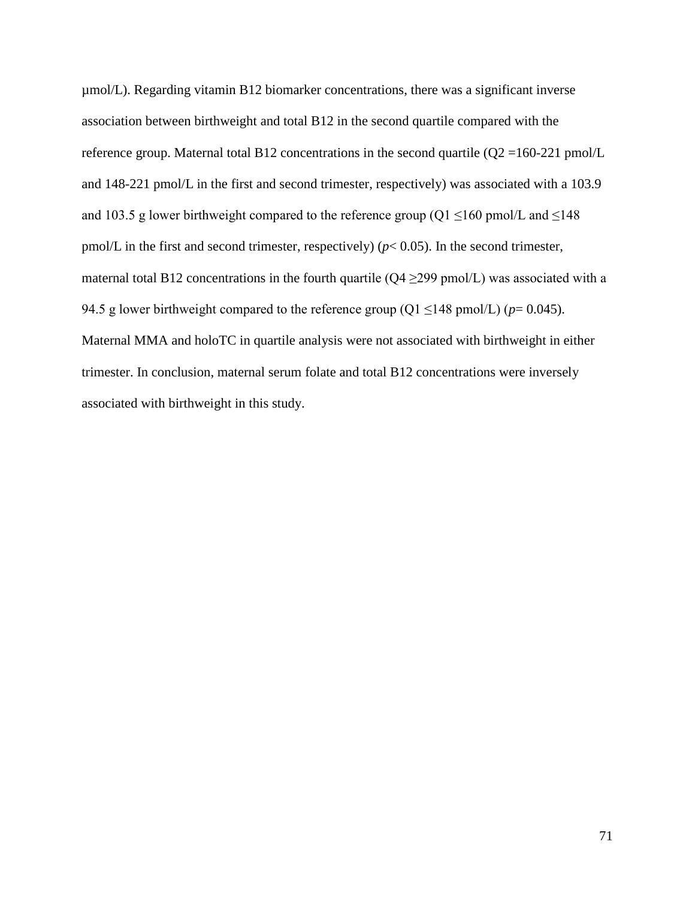µmol/L). Regarding vitamin B12 biomarker concentrations, there was a significant inverse association between birthweight and total B12 in the second quartile compared with the reference group. Maternal total B12 concentrations in the second quartile  $(Q2 = 160-221$  pmol/L and 148-221 pmol/L in the first and second trimester, respectively) was associated with a 103.9 and 103.5 g lower birthweight compared to the reference group (Q1  $\leq$ 160 pmol/L and  $\leq$ 148 pmol/L in the first and second trimester, respectively) ( $p$ < 0.05). In the second trimester, maternal total B12 concentrations in the fourth quartile  $(Q4 \ge 299 \text{ pmol/L})$  was associated with a 94.5 g lower birthweight compared to the reference group ( $Q1 \le 148$  pmol/L) ( $p= 0.045$ ). Maternal MMA and holoTC in quartile analysis were not associated with birthweight in either trimester. In conclusion, maternal serum folate and total B12 concentrations were inversely associated with birthweight in this study.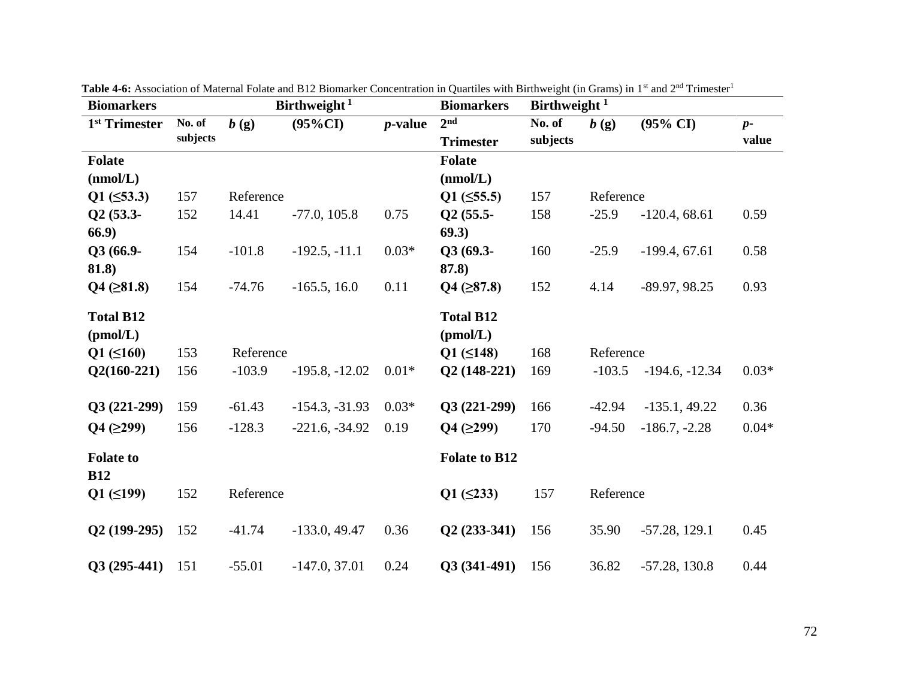| <b>Biomarkers</b>              |          |           | Birthweight <sup>1</sup> |            | $\chi$ author with Dirthweight (in Stand) in T and $\Xi$<br><b>Biomarkers</b> | Birthweight <sup>1</sup> |           |                     |         |
|--------------------------------|----------|-----------|--------------------------|------------|-------------------------------------------------------------------------------|--------------------------|-----------|---------------------|---------|
| 1 <sup>st</sup> Trimester      | No. of   | b(g)      | $(95\%CI)$               | $p$ -value | 2 <sub>nd</sub>                                                               | No. of                   | b(g)      | $(95\% \text{ CI})$ | $p-$    |
|                                | subjects |           |                          |            | <b>Trimester</b>                                                              | subjects                 |           |                     | value   |
| <b>Folate</b>                  |          |           |                          |            | <b>Folate</b>                                                                 |                          |           |                     |         |
| (mmol/L)                       |          |           |                          |            | (mmol/L)                                                                      |                          |           |                     |         |
| $Q1 (\leq 53.3)$               | 157      | Reference |                          |            | $Q1$ ( $\leq$ 55.5)                                                           | 157                      | Reference |                     |         |
| $Q2(53.3-$                     | 152      | 14.41     | $-77.0, 105.8$           | 0.75       | $Q2(55.5-$                                                                    | 158                      | $-25.9$   | $-120.4, 68.61$     | 0.59    |
| 66.9                           |          |           |                          |            | 69.3)                                                                         |                          |           |                     |         |
| Q3 (66.9-                      | 154      | $-101.8$  | $-192.5, -11.1$          | $0.03*$    | $Q3(69.3-$                                                                    | 160                      | $-25.9$   | $-199.4, 67.61$     | 0.58    |
| 81.8)                          |          |           |                          |            | 87.8)                                                                         |                          |           |                     |         |
| $Q4$ ( $\geq 81.8$ )           | 154      | $-74.76$  | $-165.5, 16.0$           | 0.11       | $Q4 ( \geq 87.8)$                                                             | 152                      | 4.14      | $-89.97, 98.25$     | 0.93    |
| <b>Total B12</b>               |          |           |                          |            | <b>Total B12</b>                                                              |                          |           |                     |         |
| (pmol/L)                       |          |           |                          |            | (pmol/L)                                                                      |                          |           |                     |         |
| $Q1 (\leq 160)$                | 153      | Reference |                          |            | $Q1 (\leq 148)$                                                               | 168                      | Reference |                     |         |
| $Q2(160-221)$                  | 156      | $-103.9$  | $-195.8, -12.02$         | $0.01*$    | $Q2(148-221)$                                                                 | 169                      | $-103.5$  | $-194.6, -12.34$    | $0.03*$ |
|                                |          |           |                          |            |                                                                               |                          |           |                     |         |
| $Q3(221-299)$                  | 159      | $-61.43$  | $-154.3, -31.93$         | $0.03*$    | $Q3(221-299)$                                                                 | 166                      | $-42.94$  | $-135.1, 49.22$     | 0.36    |
| Q4 (299)                       | 156      | $-128.3$  | $-221.6, -34.92$         | 0.19       | $Q4$ ( $\geq$ 299)                                                            | 170                      | $-94.50$  | $-186.7, -2.28$     | $0.04*$ |
| <b>Folate to</b><br><b>B12</b> |          |           |                          |            | <b>Folate to B12</b>                                                          |                          |           |                     |         |
| $Q1 (\leq 199)$                | 152      | Reference |                          |            | $Q1 (\leq 233)$                                                               | 157                      | Reference |                     |         |
| $Q2(199-295)$                  | 152      | $-41.74$  | $-133.0, 49.47$          | 0.36       | $Q2(233-341)$                                                                 | 156                      | 35.90     | $-57.28$ , 129.1    | 0.45    |
| $Q3(295-441)$                  | 151      | $-55.01$  | $-147.0, 37.01$          | 0.24       | $Q3(341-491)$                                                                 | 156                      | 36.82     | $-57.28$ , 130.8    | 0.44    |

Table 4-6: Association of Maternal Folate and B12 Biomarker Concentration in Quartiles with Birthweight (in Grams) in 1<sup>st</sup> and 2<sup>nd</sup> Trimester<sup>1</sup>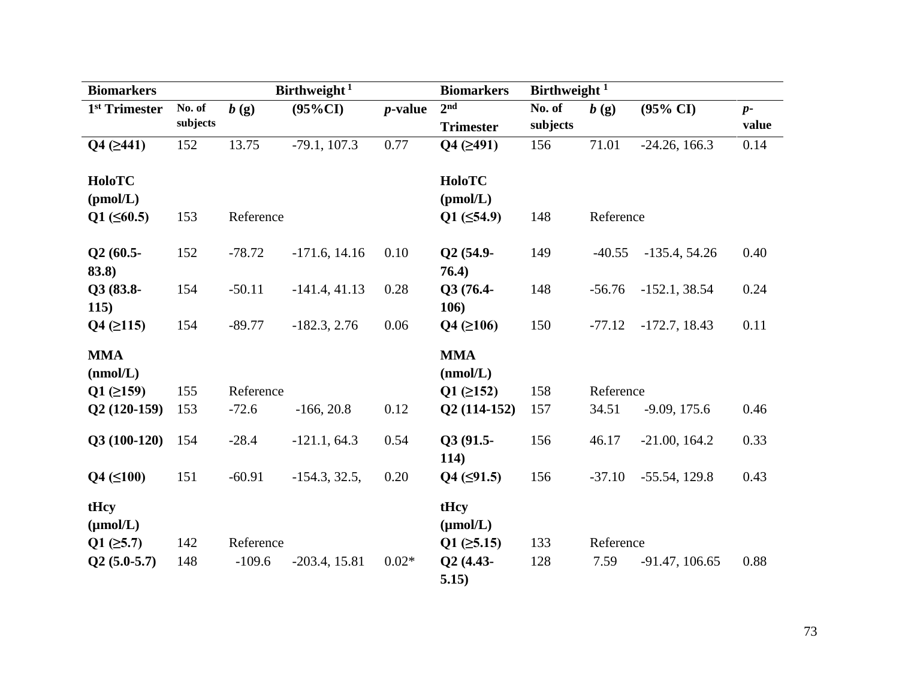| <b>Biomarkers</b>         |            |           | Birthweight <sup>1</sup> |            | <b>Biomarkers</b>     | Birthweight <sup>1</sup> |                    |                     |       |
|---------------------------|------------|-----------|--------------------------|------------|-----------------------|--------------------------|--------------------|---------------------|-------|
| 1 <sup>st</sup> Trimester | No. of     | b(g)      | $(95\%CI)$               | $p$ -value | 2 <sup>nd</sup>       | No. of                   | b(g)               | $(95\% \text{ CI})$ | $p-$  |
|                           | subjects   |           |                          |            | <b>Trimester</b>      | subjects                 |                    |                     | value |
| $Q4 ( \geq 441)$          | 152        | 13.75     | $-79.1, 107.3$           | 0.77       | $Q4 ( \geq 491)$      | 156                      | 71.01              | $-24.26, 166.3$     | 0.14  |
| HoloTC                    |            |           |                          |            | HoloTC                |                          |                    |                     |       |
| (pmol/L)                  |            |           |                          |            | (pmol/L)              |                          |                    |                     |       |
| $Q1 (\leq 60.5)$          | 153        | Reference |                          |            | $Q1 (\leq 54.9)$      | 148                      | Reference          |                     |       |
| $Q2(60.5-$<br>83.8)       | 152        | $-78.72$  | $-171.6$ , 14.16         | 0.10       | Q2 (54.9-<br>76.4)    | 149                      | $-40.55$           | $-135.4, 54.26$     | 0.40  |
| Q3 (83.8-<br>115)         | 154        | $-50.11$  | $-141.4, 41.13$          | 0.28       | Q3 (76.4-<br>106)     | 148                      | $-56.76$           | $-152.1, 38.54$     | 0.24  |
| $Q4$ ( $\geq$ 115)        | 154        | $-89.77$  | $-182.3, 2.76$           | 0.06       | $Q4 ( \geq 106)$      | 150                      | $-77.12$           | $-172.7, 18.43$     | 0.11  |
| <b>MMA</b>                |            |           |                          |            | <b>MMA</b>            |                          |                    |                     |       |
| (nmol/L)                  |            | Reference |                          |            | (mmol/L)              |                          |                    |                     |       |
| $Q1$ ( $\geq$ 159)        | 155<br>153 | $-72.6$   |                          | 0.12       | $Q1 ( \geq 152)$      | 158<br>157               | Reference<br>34.51 |                     |       |
| $Q2(120-159)$             |            |           | $-166, 20.8$             |            | $Q2(114-152)$         |                          |                    | $-9.09, 175.6$      | 0.46  |
| $Q3(100-120)$             | 154        | $-28.4$   | $-121.1, 64.3$           | 0.54       | Q3 (91.5-<br>114)     | 156                      | 46.17              | $-21.00, 164.2$     | 0.33  |
| $Q4 (\leq 100)$           | 151        | $-60.91$  | $-154.3, 32.5,$          | 0.20       | $Q4$ ( $\leq$ 91.5)   | 156                      | $-37.10$           | $-55.54, 129.8$     | 0.43  |
| tHcy<br>$(\mu mol/L)$     |            |           |                          |            | tHcy<br>$(\mu mol/L)$ |                          |                    |                     |       |
| $Q1$ ( $\geq 5.7$ )       | 142        | Reference |                          |            | $Q1$ ( $\geq 5.15$ )  | 133                      | Reference          |                     |       |
| $Q2(5.0-5.7)$             | 148        | $-109.6$  | $-203.4, 15.81$          | $0.02*$    | Q2 (4.43-<br>5.15)    | 128                      | 7.59               | $-91.47, 106.65$    | 0.88  |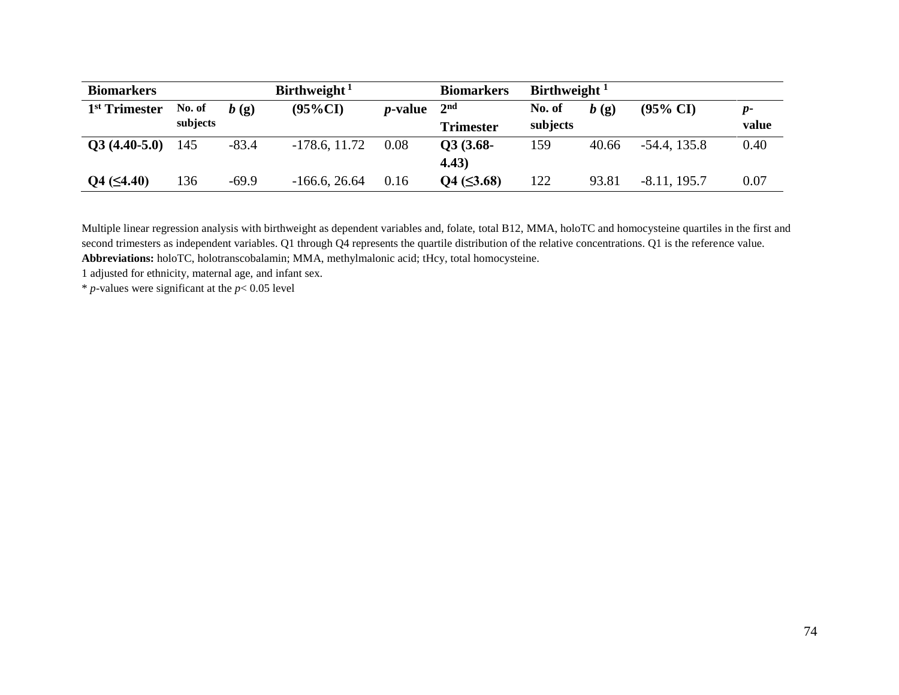| <b>Biomarkers</b>         |          |         | Birthweight <sup>1</sup> |                 | <b>Biomarkers</b> | Birthweight <sup>1</sup> |       |                     |                    |
|---------------------------|----------|---------|--------------------------|-----------------|-------------------|--------------------------|-------|---------------------|--------------------|
| 1 <sup>st</sup> Trimester | No. of   | b(g)    | $(95\%CI)$               | <i>p</i> -value | 2 <sup>nd</sup>   | No. of                   | b(g)  | $(95\% \text{ CI})$ | $\boldsymbol{D}$ - |
|                           | subjects |         |                          |                 | <b>Trimester</b>  | subjects                 |       |                     | value              |
| $Q3(4.40-5.0)$            | 145      | $-83.4$ | $-178.6, 11.72$          | 0.08            | $Q3(3.68-$        | 159                      | 40.66 | $-54.4$ , 135.8     | 0.40               |
|                           |          |         |                          |                 | (4.43)            |                          |       |                     |                    |
| $Q4 (\leq 4.40)$          | 136      | $-69.9$ | $-166.6, 26.64$          | 0.16            | $Q4 (\leq 3.68)$  | 122                      | 93.81 | $-8.11, 195.7$      | 0.07               |

Multiple linear regression analysis with birthweight as dependent variables and, folate, total B12, MMA, holoTC and homocysteine quartiles in the first and second trimesters as independent variables. Q1 through Q4 represents the quartile distribution of the relative concentrations. Q1 is the reference value. **Abbreviations:** holoTC, holotranscobalamin; MMA, methylmalonic acid; tHcy, total homocysteine.

1 adjusted for ethnicity, maternal age, and infant sex.

 $*$  *p*-values were significant at the  $p < 0.05$  level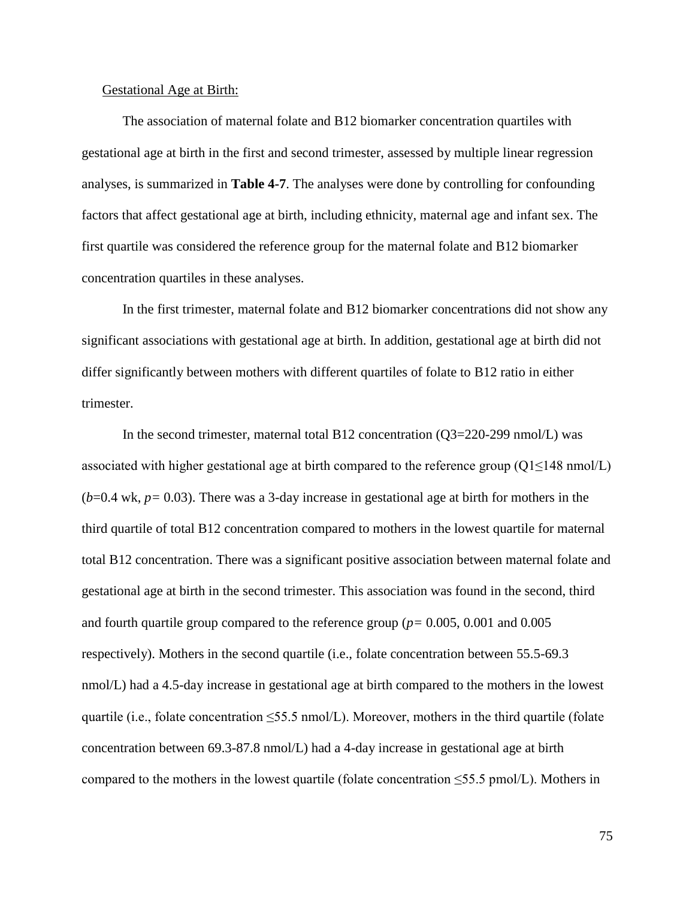#### Gestational Age at Birth:

The association of maternal folate and B12 biomarker concentration quartiles with gestational age at birth in the first and second trimester, assessed by multiple linear regression analyses, is summarized in **Table 4-7**. The analyses were done by controlling for confounding factors that affect gestational age at birth, including ethnicity, maternal age and infant sex. The first quartile was considered the reference group for the maternal folate and B12 biomarker concentration quartiles in these analyses.

In the first trimester, maternal folate and B12 biomarker concentrations did not show any significant associations with gestational age at birth. In addition, gestational age at birth did not differ significantly between mothers with different quartiles of folate to B12 ratio in either trimester.

In the second trimester, maternal total B12 concentration  $(Q3=220-299 \text{ nmol/L})$  was associated with higher gestational age at birth compared to the reference group ( $Q1 \le 148$  nmol/L)  $(b=0.4 \text{ wk}, p= 0.03)$ . There was a 3-day increase in gestational age at birth for mothers in the third quartile of total B12 concentration compared to mothers in the lowest quartile for maternal total B12 concentration. There was a significant positive association between maternal folate and gestational age at birth in the second trimester. This association was found in the second, third and fourth quartile group compared to the reference group (*p=* 0.005, 0.001 and 0.005 respectively). Mothers in the second quartile (i.e., folate concentration between 55.5-69.3 nmol/L) had a 4.5-day increase in gestational age at birth compared to the mothers in the lowest quartile (i.e., folate concentration  $\leq$ 55.5 nmol/L). Moreover, mothers in the third quartile (folate concentration between 69.3-87.8 nmol/L) had a 4-day increase in gestational age at birth compared to the mothers in the lowest quartile (folate concentration  $\leq$ 55.5 pmol/L). Mothers in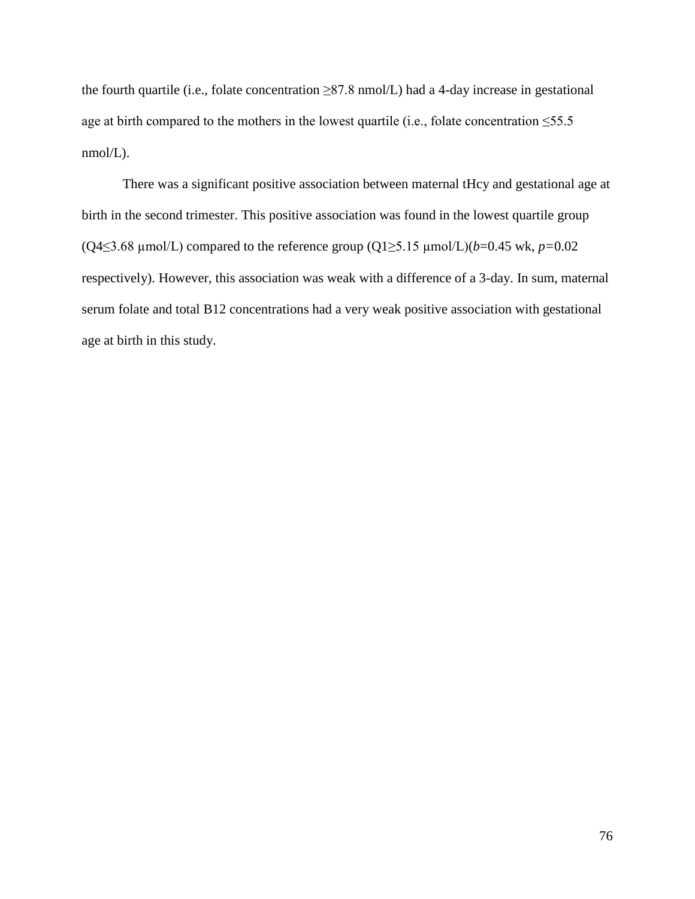the fourth quartile (i.e., folate concentration  $\geq 87.8$  nmol/L) had a 4-day increase in gestational age at birth compared to the mothers in the lowest quartile (i.e., folate concentration  $\leq 55.5$ nmol/L).

There was a significant positive association between maternal tHcy and gestational age at birth in the second trimester. This positive association was found in the lowest quartile group (Q4≤3.68 µmol/L) compared to the reference group (Q1≥5.15 µmol/L)(*b*=0.45 wk, *p=*0.02 respectively). However, this association was weak with a difference of a 3-day. In sum, maternal serum folate and total B12 concentrations had a very weak positive association with gestational age at birth in this study.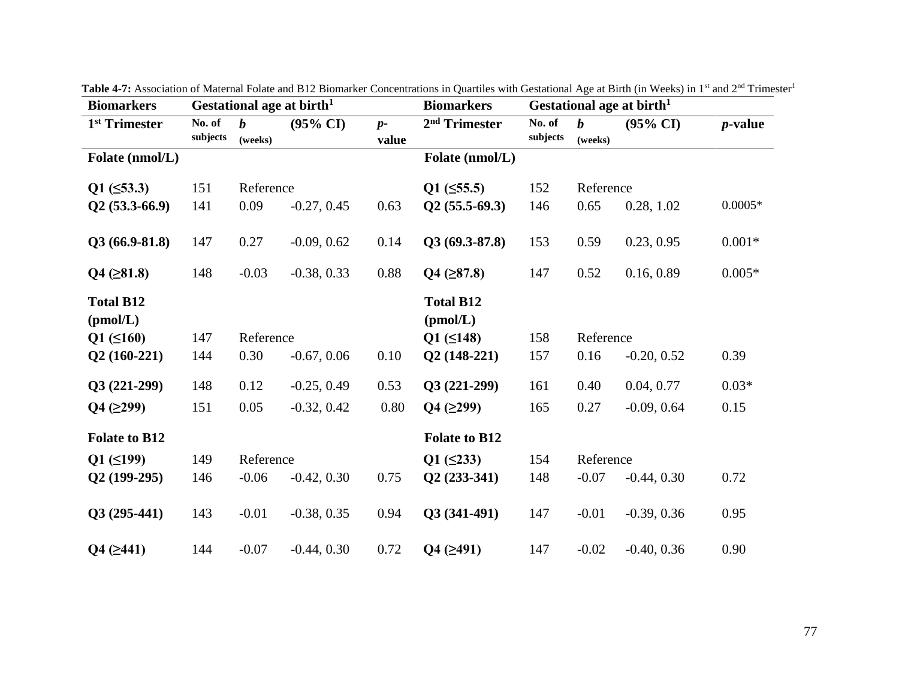| <b>Biomarkers</b>            |                    |                             | Gestational age at birth <sup>1</sup> |               | <b>Biomarkers</b>            |                    |                             | Gestational age at birth <sup>1</sup> |            |
|------------------------------|--------------------|-----------------------------|---------------------------------------|---------------|------------------------------|--------------------|-----------------------------|---------------------------------------|------------|
| 1 <sup>st</sup> Trimester    | No. of<br>subjects | $\boldsymbol{b}$<br>(weeks) | $(95\% \text{ CI})$                   | $p-$<br>value | 2 <sup>nd</sup> Trimester    | No. of<br>subjects | $\boldsymbol{b}$<br>(weeks) | $(95\% \text{ CI})$                   | $p$ -value |
| Folate (nmol/L)              |                    |                             |                                       |               | Folate (nmol/L)              |                    |                             |                                       |            |
| $Q1 (\leq 53.3)$             | 151                | Reference                   |                                       |               | $Q1$ ( $\leq$ 55.5)          | 152                | Reference                   |                                       |            |
| $Q2(53.3-66.9)$              | 141                | 0.09                        | $-0.27, 0.45$                         | 0.63          | $Q2(55.5-69.3)$              | 146                | 0.65                        | 0.28, 1.02                            | $0.0005*$  |
| $Q3(66.9-81.8)$              | 147                | 0.27                        | $-0.09, 0.62$                         | 0.14          | $Q3(69.3-87.8)$              | 153                | 0.59                        | 0.23, 0.95                            | $0.001*$   |
| $Q4$ ( $\geq 81.8$ )         | 148                | $-0.03$                     | $-0.38, 0.33$                         | 0.88          | $Q4 (\geq 87.8)$             | 147                | 0.52                        | 0.16, 0.89                            | $0.005*$   |
| <b>Total B12</b><br>(pmol/L) |                    |                             |                                       |               | <b>Total B12</b><br>(pmol/L) |                    |                             |                                       |            |
| $Q1 (\leq 160)$              | 147                | Reference                   |                                       |               | $Q1 (\leq 148)$              | 158                | Reference                   |                                       |            |
| $Q2(160-221)$                | 144                | 0.30                        | $-0.67, 0.06$                         | 0.10          | $Q2(148-221)$                | 157                | 0.16                        | $-0.20, 0.52$                         | 0.39       |
| $Q3(221-299)$                | 148                | 0.12                        | $-0.25, 0.49$                         | 0.53          | $Q3(221-299)$                | 161                | 0.40                        | 0.04, 0.77                            | $0.03*$    |
| Q4 (299)                     | 151                | 0.05                        | $-0.32, 0.42$                         | 0.80          | Q4 (299)                     | 165                | 0.27                        | $-0.09, 0.64$                         | 0.15       |
| <b>Folate to B12</b>         |                    |                             |                                       |               | <b>Folate to B12</b>         |                    |                             |                                       |            |
| $Q1 (\leq 199)$              | 149                | Reference                   |                                       |               | $Q1 (\leq 233)$              | 154                | Reference                   |                                       |            |
| $Q2(199-295)$                | 146                | $-0.06$                     | $-0.42, 0.30$                         | 0.75          | $Q2(233-341)$                | 148                | $-0.07$                     | $-0.44, 0.30$                         | 0.72       |
| $Q3(295-441)$                | 143                | $-0.01$                     | $-0.38, 0.35$                         | 0.94          | $Q3(341-491)$                | 147                | $-0.01$                     | $-0.39, 0.36$                         | 0.95       |
| $Q4$ ( $\geq 441$ )          | 144                | $-0.07$                     | $-0.44, 0.30$                         | 0.72          | $Q4 ( \geq 491)$             | 147                | $-0.02$                     | $-0.40, 0.36$                         | 0.90       |

Table 4-7: Association of Maternal Folate and B12 Biomarker Concentrations in Quartiles with Gestational Age at Birth (in Weeks) in 1<sup>st</sup> and 2<sup>nd</sup> Trimester<sup>1</sup>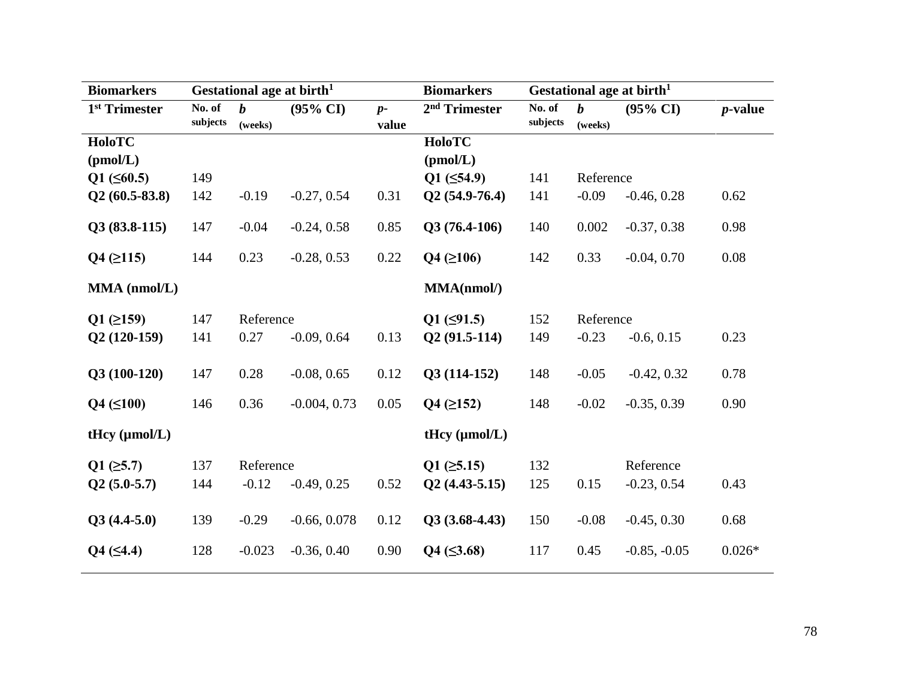| <b>Biomarkers</b>         |                    |                     | Gestational age at birth <sup>1</sup> | <b>Biomarkers</b>   | Gestational age at birth <sup>1</sup> |                    |                     |                     |                 |
|---------------------------|--------------------|---------------------|---------------------------------------|---------------------|---------------------------------------|--------------------|---------------------|---------------------|-----------------|
| 1 <sup>st</sup> Trimester | No. of<br>subjects | $\bm{h}$<br>(weeks) | $(95\% \text{ CI})$                   | $p-$<br>value       | 2 <sup>nd</sup> Trimester             | No. of<br>subjects | $\bm{h}$<br>(weeks) | $(95\% \text{ CI})$ | <i>p</i> -value |
| <b>HoloTC</b>             |                    |                     |                                       |                     | <b>HoloTC</b>                         |                    |                     |                     |                 |
| (pmol/L)                  |                    |                     |                                       |                     | (pmol/L)                              |                    |                     |                     |                 |
| $Q1 (\leq 60.5)$          | 149                |                     |                                       |                     | $Q1 (\leq 54.9)$                      | 141                | Reference           |                     |                 |
| $Q2(60.5-83.8)$           | 142                | $-0.19$             | $-0.27, 0.54$                         | 0.31                | $Q2(54.9-76.4)$                       | 141                | $-0.09$             | $-0.46, 0.28$       | 0.62            |
| $Q3(83.8-115)$            | 147                | $-0.04$             | $-0.24, 0.58$                         | 0.85                | $Q3(76.4-106)$                        | 140                | 0.002               | $-0.37, 0.38$       | 0.98            |
| $Q4$ ( $\geq$ 115)        | 144                | 0.23                | $-0.28, 0.53$                         | 0.22                | $Q4 ( \geq 106)$                      | 142                | 0.33                | $-0.04, 0.70$       | 0.08            |
| MMA (nmol/L)              |                    |                     |                                       |                     | MMA(nmol/)                            |                    |                     |                     |                 |
| $Q1$ ( $\geq$ 159)        | 147                | Reference           |                                       | $Q1$ ( $\leq$ 91.5) | 152                                   | Reference          |                     |                     |                 |
| $Q2(120-159)$             | 141                | 0.27                | $-0.09, 0.64$                         | 0.13                | $Q2(91.5-114)$                        | 149                | $-0.23$             | $-0.6, 0.15$        | 0.23            |
| $Q3(100-120)$             | 147                | 0.28                | $-0.08, 0.65$                         | 0.12                | $Q3(114-152)$                         | 148                | $-0.05$             | $-0.42, 0.32$       | 0.78            |
| $Q4 (\leq 100)$           | 146                | 0.36                | $-0.004, 0.73$                        | 0.05                | $Q4$ ( $\geq$ 152)                    | 148                | $-0.02$             | $-0.35, 0.39$       | 0.90            |
| tHcy $(\mu mol/L)$        |                    |                     |                                       |                     | tHcy $(\mu mol/L)$                    |                    |                     |                     |                 |
| $Q1$ ( $\geq 5.7$ )       | 137                | Reference           |                                       |                     | $Q1$ ( $\geq 5.15$ )                  | 132                |                     | Reference           |                 |
| $Q2(5.0-5.7)$             | 144                | $-0.12$             | $-0.49, 0.25$                         | 0.52                | $Q2(4.43-5.15)$                       | 125                | 0.15                | $-0.23, 0.54$       | 0.43            |
| $Q3(4.4-5.0)$             | 139                | $-0.29$             | $-0.66, 0.078$                        | 0.12                | $Q3(3.68-4.43)$                       | 150                | $-0.08$             | $-0.45, 0.30$       | 0.68            |
| $Q4 (\leq 4.4)$           | 128                | $-0.023$            | $-0.36, 0.40$                         | 0.90                | $Q4 (\leq 3.68)$                      | 117                | 0.45                | $-0.85, -0.05$      | $0.026*$        |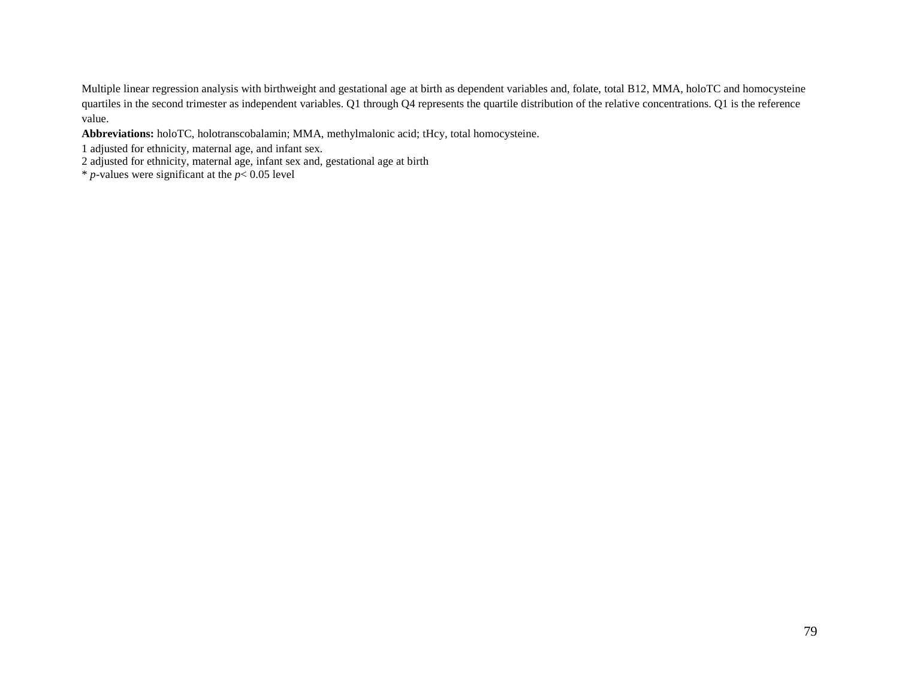Multiple linear regression analysis with birthweight and gestational age at birth as dependent variables and, folate, total B12, MMA, holoTC and homocysteine quartiles in the second trimester as independent variables. Q1 through Q4 represents the quartile distribution of the relative concentrations. Q1 is the reference value.

**Abbreviations:** holoTC, holotranscobalamin; MMA, methylmalonic acid; tHcy, total homocysteine.

- 1 adjusted for ethnicity, maternal age, and infant sex.
- 2 adjusted for ethnicity, maternal age, infant sex and, gestational age at birth
- $*$  *p*-values were significant at the  $p < 0.05$  level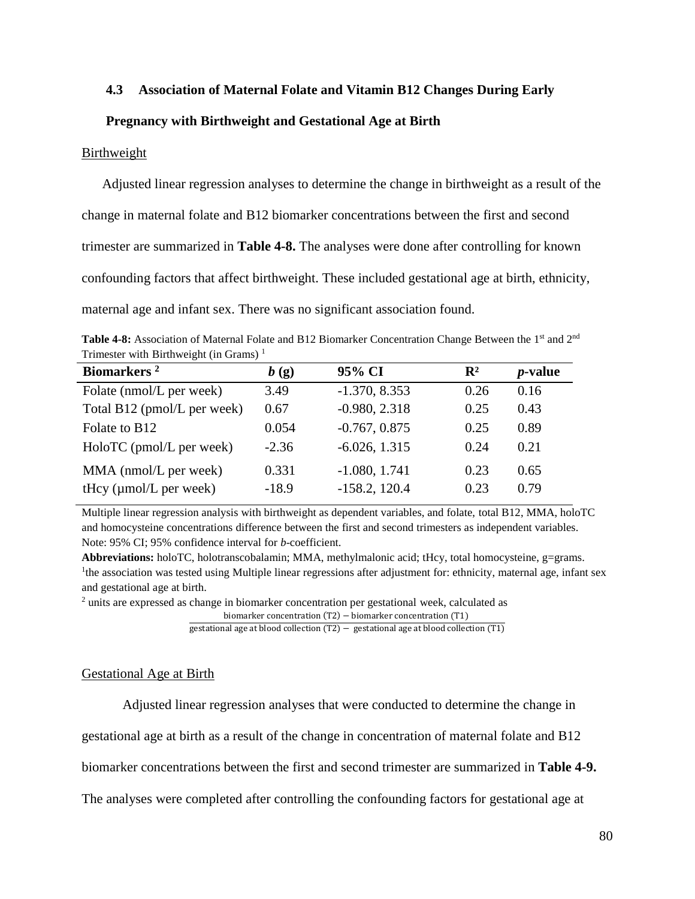## **4.3 Association of Maternal Folate and Vitamin B12 Changes During Early**

## **Pregnancy with Birthweight and Gestational Age at Birth**

## Birthweight

Adjusted linear regression analyses to determine the change in birthweight as a result of the change in maternal folate and B12 biomarker concentrations between the first and second trimester are summarized in **Table 4-8.** The analyses were done after controlling for known confounding factors that affect birthweight. These included gestational age at birth, ethnicity, maternal age and infant sex. There was no significant association found.

Table 4-8: Association of Maternal Folate and B12 Biomarker Concentration Change Between the 1<sup>st</sup> and 2<sup>nd</sup> Trimester with Birthweight (in Grams)<sup> $1$ </sup>

| Biomarkers <sup>2</sup>     | b(g)    | 95% CI          | $\mathbf{R}^2$ | <i>p</i> -value |
|-----------------------------|---------|-----------------|----------------|-----------------|
| Folate (nmol/L per week)    | 3.49    | $-1.370, 8.353$ | 0.26           | 0.16            |
| Total B12 (pmol/L per week) | 0.67    | $-0.980, 2.318$ | 0.25           | 0.43            |
| Folate to B12               | 0.054   | $-0.767, 0.875$ | 0.25           | 0.89            |
| HoloTC (pmol/L per week)    | $-2.36$ | $-6.026, 1.315$ | 0.24           | 0.21            |
| MMA (nmol/L per week)       | 0.331   | $-1.080, 1.741$ | 0.23           | 0.65            |
| tHcy $(\mu$ mol/L per week) | $-18.9$ | $-158.2, 120.4$ | 0.23           | 0.79            |

Multiple linear regression analysis with birthweight as dependent variables, and folate, total B12, MMA, holoTC and homocysteine concentrations difference between the first and second trimesters as independent variables. Note: 95% CI; 95% confidence interval for *b*-coefficient.

**Abbreviations:** holoTC, holotranscobalamin; MMA, methylmalonic acid; tHcy, total homocysteine, g=grams. <sup>1</sup>the association was tested using Multiple linear regressions after adjustment for: ethnicity, maternal age, infant sex and gestational age at birth.

<sup>2</sup> units are expressed as change in biomarker concentration per gestational week, calculated as

```
biomarker concentration (T2) − biomarker concentration (T1)
```
gestational age at blood collection (T2)  $-$  gestational age at blood collection (T1)

#### Gestational Age at Birth

Adjusted linear regression analyses that were conducted to determine the change in

gestational age at birth as a result of the change in concentration of maternal folate and B12

biomarker concentrations between the first and second trimester are summarized in **Table 4-9.**

The analyses were completed after controlling the confounding factors for gestational age at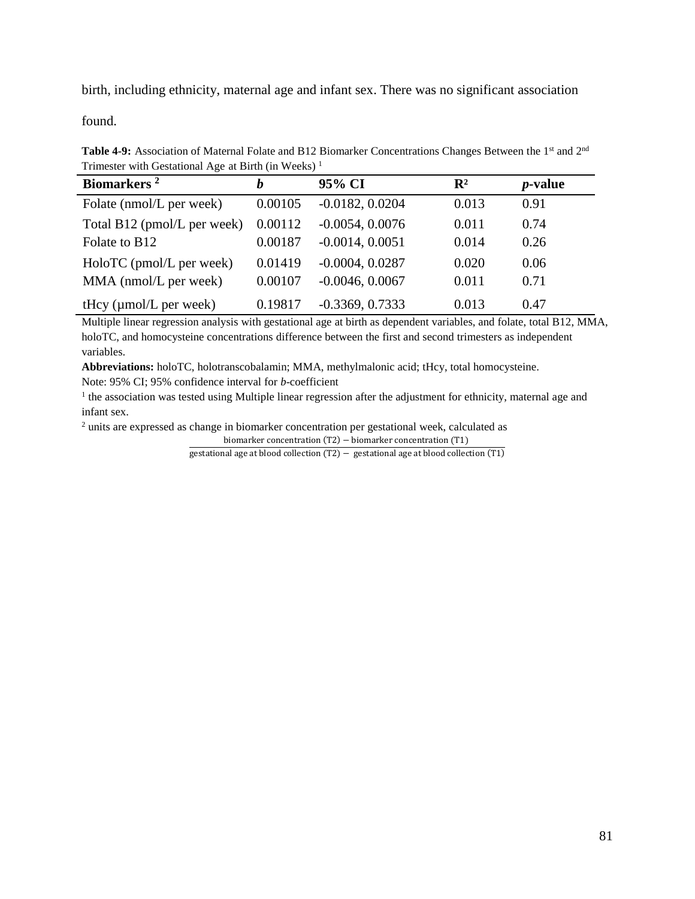birth, including ethnicity, maternal age and infant sex. There was no significant association

found.

Table 4-9: Association of Maternal Folate and B12 Biomarker Concentrations Changes Between the 1<sup>st</sup> and 2<sup>nd</sup> Trimester with Gestational Age at Birth (in Weeks) <sup>1</sup>

| Biomarkers <sup>2</sup>            | h       | 95% CI            | $\mathbf{R}^2$ | <i>p</i> -value |
|------------------------------------|---------|-------------------|----------------|-----------------|
| Folate (nmol/L per week)           | 0.00105 | $-0.0182, 0.0204$ | 0.013          | 0.91            |
| Total B12 (pmol/L per week)        | 0.00112 | $-0.0054, 0.0076$ | 0.011          | 0.74            |
| Folate to B <sub>12</sub>          | 0.00187 | $-0.0014, 0.0051$ | 0.014          | 0.26            |
| HoloTC (pmol/L per week)           | 0.01419 | $-0.0004, 0.0287$ | 0.020          | 0.06            |
| MMA (nmol/L per week)              | 0.00107 | $-0.0046, 0.0067$ | 0.011          | 0.71            |
| tHcy $(\mu \text{mol/L per week})$ | 0.19817 | $-0.3369, 0.7333$ | 0.013          | 0.47            |

Multiple linear regression analysis with gestational age at birth as dependent variables, and folate, total B12, MMA, holoTC, and homocysteine concentrations difference between the first and second trimesters as independent variables.

**Abbreviations:** holoTC, holotranscobalamin; MMA, methylmalonic acid; tHcy, total homocysteine.

Note: 95% CI; 95% confidence interval for *b*-coefficient

<sup>1</sup> the association was tested using Multiple linear regression after the adjustment for ethnicity, maternal age and infant sex.

<sup>2</sup> units are expressed as change in biomarker concentration per gestational week, calculated as

biomarker concentration (T2) − biomarker concentration (T1)

gestational age at blood collection (T2) – gestational age at blood collection (T1)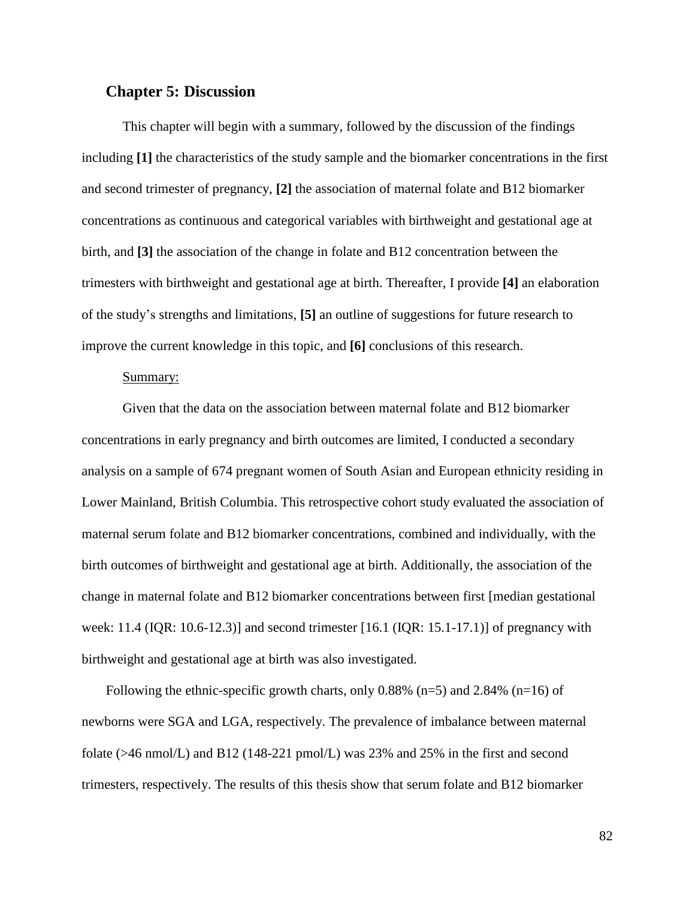# **Chapter 5: Discussion**

This chapter will begin with a summary, followed by the discussion of the findings including **[1]** the characteristics of the study sample and the biomarker concentrations in the first and second trimester of pregnancy, **[2]** the association of maternal folate and B12 biomarker concentrations as continuous and categorical variables with birthweight and gestational age at birth, and **[3]** the association of the change in folate and B12 concentration between the trimesters with birthweight and gestational age at birth. Thereafter, I provide **[4]** an elaboration of the study's strengths and limitations, **[5]** an outline of suggestions for future research to improve the current knowledge in this topic, and **[6]** conclusions of this research.

#### Summary:

Given that the data on the association between maternal folate and B12 biomarker concentrations in early pregnancy and birth outcomes are limited, I conducted a secondary analysis on a sample of 674 pregnant women of South Asian and European ethnicity residing in Lower Mainland, British Columbia. This retrospective cohort study evaluated the association of maternal serum folate and B12 biomarker concentrations, combined and individually, with the birth outcomes of birthweight and gestational age at birth. Additionally, the association of the change in maternal folate and B12 biomarker concentrations between first [median gestational week:  $11.4$  (IQR: 10.6-12.3)] and second trimester [16.1 (IQR: 15.1-17.1)] of pregnancy with birthweight and gestational age at birth was also investigated.

Following the ethnic-specific growth charts, only  $0.88\%$  (n=5) and  $2.84\%$  (n=16) of newborns were SGA and LGA, respectively. The prevalence of imbalance between maternal folate (>46 nmol/L) and B12 (148-221 pmol/L) was 23% and 25% in the first and second trimesters, respectively. The results of this thesis show that serum folate and B12 biomarker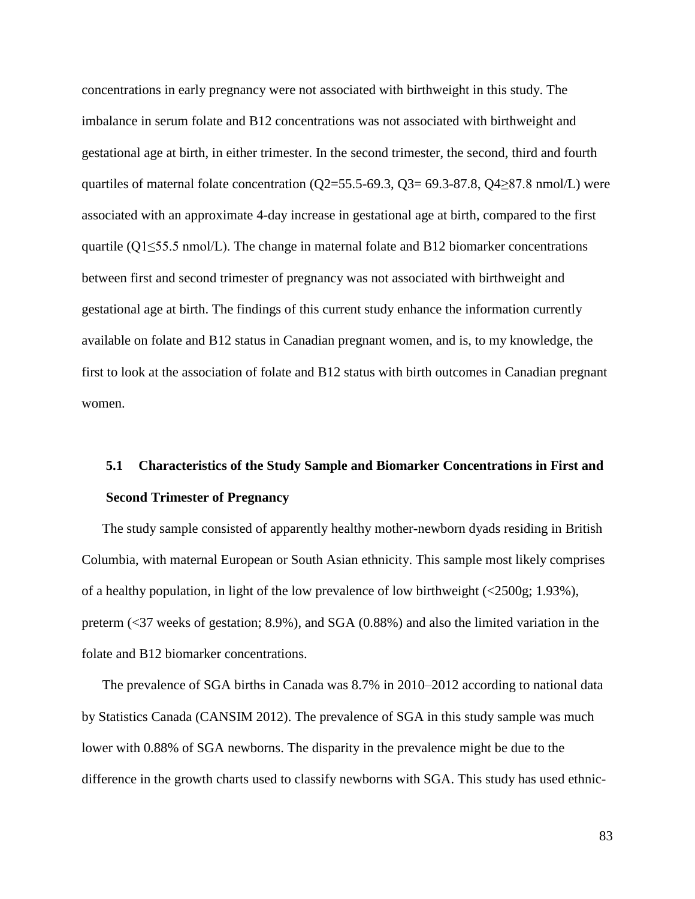concentrations in early pregnancy were not associated with birthweight in this study. The imbalance in serum folate and B12 concentrations was not associated with birthweight and gestational age at birth, in either trimester. In the second trimester, the second, third and fourth quartiles of maternal folate concentration ( $Q2$ =55.5-69.3,  $Q3$ = 69.3-87.8,  $Q4$ ≥87.8 nmol/L) were associated with an approximate 4-day increase in gestational age at birth, compared to the first quartile (Q1≤55.5 nmol/L). The change in maternal folate and B12 biomarker concentrations between first and second trimester of pregnancy was not associated with birthweight and gestational age at birth. The findings of this current study enhance the information currently available on folate and B12 status in Canadian pregnant women, and is, to my knowledge, the first to look at the association of folate and B12 status with birth outcomes in Canadian pregnant women.

# **5.1 Characteristics of the Study Sample and Biomarker Concentrations in First and Second Trimester of Pregnancy**

The study sample consisted of apparently healthy mother-newborn dyads residing in British Columbia, with maternal European or South Asian ethnicity. This sample most likely comprises of a healthy population, in light of the low prevalence of low birthweight (<2500g; 1.93%), preterm (<37 weeks of gestation; 8.9%), and SGA (0.88%) and also the limited variation in the folate and B12 biomarker concentrations.

The prevalence of SGA births in Canada was 8.7% in 2010–2012 according to national data by Statistics Canada (CANSIM 2012). The prevalence of SGA in this study sample was much lower with 0.88% of SGA newborns. The disparity in the prevalence might be due to the difference in the growth charts used to classify newborns with SGA. This study has used ethnic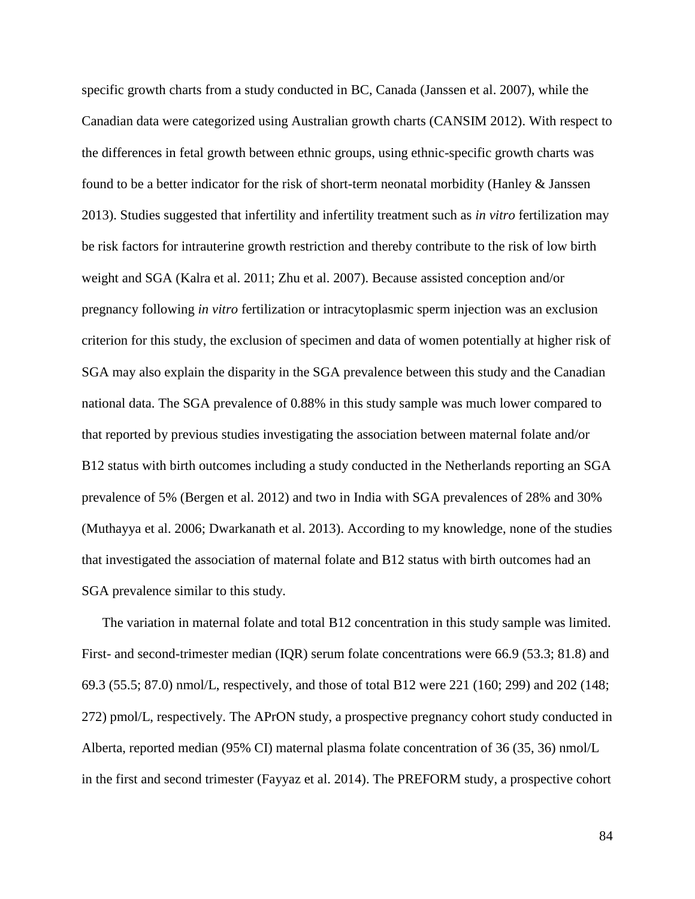specific growth charts from a study conducted in BC, Canada (Janssen et al. 2007), while the Canadian data were categorized using Australian growth charts (CANSIM 2012). With respect to the differences in fetal growth between ethnic groups, using ethnic-specific growth charts was found to be a better indicator for the risk of short-term neonatal morbidity (Hanley & Janssen 2013). Studies suggested that infertility and infertility treatment such as *in vitro* fertilization may be risk factors for intrauterine growth restriction and thereby contribute to the risk of low birth weight and SGA (Kalra et al. 2011; Zhu et al. 2007). Because assisted conception and/or pregnancy following *in vitro* fertilization or intracytoplasmic sperm injection was an exclusion criterion for this study, the exclusion of specimen and data of women potentially at higher risk of SGA may also explain the disparity in the SGA prevalence between this study and the Canadian national data. The SGA prevalence of 0.88% in this study sample was much lower compared to that reported by previous studies investigating the association between maternal folate and/or B12 status with birth outcomes including a study conducted in the Netherlands reporting an SGA prevalence of 5% (Bergen et al. 2012) and two in India with SGA prevalences of 28% and 30% (Muthayya et al. 2006; Dwarkanath et al. 2013). According to my knowledge, none of the studies that investigated the association of maternal folate and B12 status with birth outcomes had an SGA prevalence similar to this study.

The variation in maternal folate and total B12 concentration in this study sample was limited. First- and second-trimester median (IQR) serum folate concentrations were 66.9 (53.3; 81.8) and 69.3 (55.5; 87.0) nmol/L, respectively, and those of total B12 were 221 (160; 299) and 202 (148; 272) pmol/L, respectively. The APrON study, a prospective pregnancy cohort study conducted in Alberta, reported median (95% CI) maternal plasma folate concentration of 36 (35, 36) nmol/L in the first and second trimester (Fayyaz et al. 2014). The PREFORM study, a prospective cohort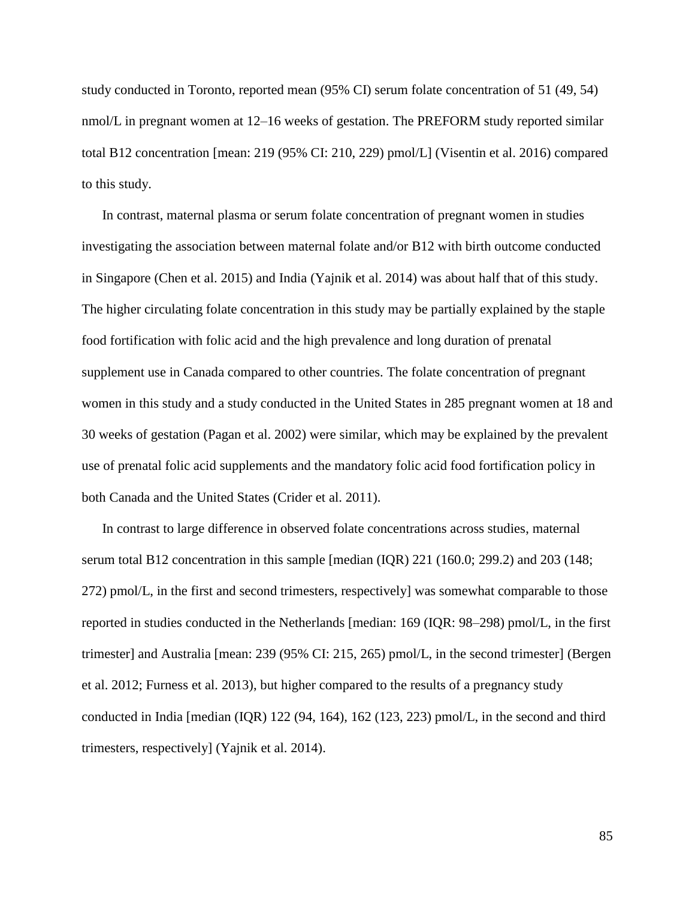study conducted in Toronto, reported mean (95% CI) serum folate concentration of 51 (49, 54) nmol/L in pregnant women at 12–16 weeks of gestation. The PREFORM study reported similar total B12 concentration [mean: 219 (95% CI: 210, 229) pmol/L] (Visentin et al. 2016) compared to this study.

In contrast, maternal plasma or serum folate concentration of pregnant women in studies investigating the association between maternal folate and/or B12 with birth outcome conducted in Singapore (Chen et al. 2015) and India (Yajnik et al. 2014) was about half that of this study. The higher circulating folate concentration in this study may be partially explained by the staple food fortification with folic acid and the high prevalence and long duration of prenatal supplement use in Canada compared to other countries. The folate concentration of pregnant women in this study and a study conducted in the United States in 285 pregnant women at 18 and 30 weeks of gestation (Pagan et al. 2002) were similar, which may be explained by the prevalent use of prenatal folic acid supplements and the mandatory folic acid food fortification policy in both Canada and the United States (Crider et al. 2011).

In contrast to large difference in observed folate concentrations across studies, maternal serum total B12 concentration in this sample [median (IQR) 221 (160.0; 299.2) and 203 (148; 272) pmol/L, in the first and second trimesters, respectively] was somewhat comparable to those reported in studies conducted in the Netherlands [median: 169 (IQR: 98–298) pmol/L, in the first trimester] and Australia [mean: 239 (95% CI: 215, 265) pmol/L, in the second trimester] (Bergen et al. 2012; Furness et al. 2013), but higher compared to the results of a pregnancy study conducted in India [median (IQR) 122 (94, 164), 162 (123, 223) pmol/L, in the second and third trimesters, respectively] (Yajnik et al. 2014).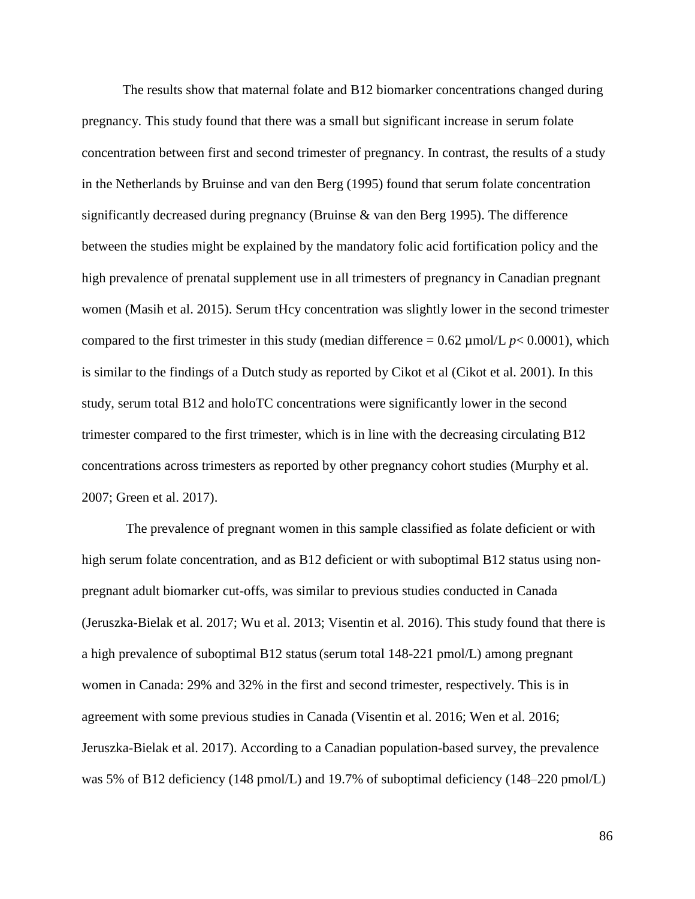The results show that maternal folate and B12 biomarker concentrations changed during pregnancy. This study found that there was a small but significant increase in serum folate concentration between first and second trimester of pregnancy. In contrast, the results of a study in the Netherlands by Bruinse and van den Berg (1995) found that serum folate concentration significantly decreased during pregnancy (Bruinse & van den Berg 1995). The difference between the studies might be explained by the mandatory folic acid fortification policy and the high prevalence of prenatal supplement use in all trimesters of pregnancy in Canadian pregnant women (Masih et al. 2015). Serum tHcy concentration was slightly lower in the second trimester compared to the first trimester in this study (median difference  $= 0.62 \mu$  mol/L  $p < 0.0001$ ), which is similar to the findings of a Dutch study as reported by Cikot et al (Cikot et al. 2001). In this study, serum total B12 and holoTC concentrations were significantly lower in the second trimester compared to the first trimester, which is in line with the decreasing circulating B12 concentrations across trimesters as reported by other pregnancy cohort studies (Murphy et al. 2007; Green et al. 2017).

The prevalence of pregnant women in this sample classified as folate deficient or with high serum folate concentration, and as B12 deficient or with suboptimal B12 status using nonpregnant adult biomarker cut-offs, was similar to previous studies conducted in Canada (Jeruszka-Bielak et al. 2017; Wu et al. 2013; Visentin et al. 2016). This study found that there is a high prevalence of suboptimal B12 status(serum total 148-221 pmol/L) among pregnant women in Canada: 29% and 32% in the first and second trimester, respectively. This is in agreement with some previous studies in Canada (Visentin et al. 2016; Wen et al. 2016; Jeruszka-Bielak et al. 2017). According to a Canadian population-based survey, the prevalence was 5% of B12 deficiency (148 pmol/L) and 19.7% of suboptimal deficiency (148–220 pmol/L)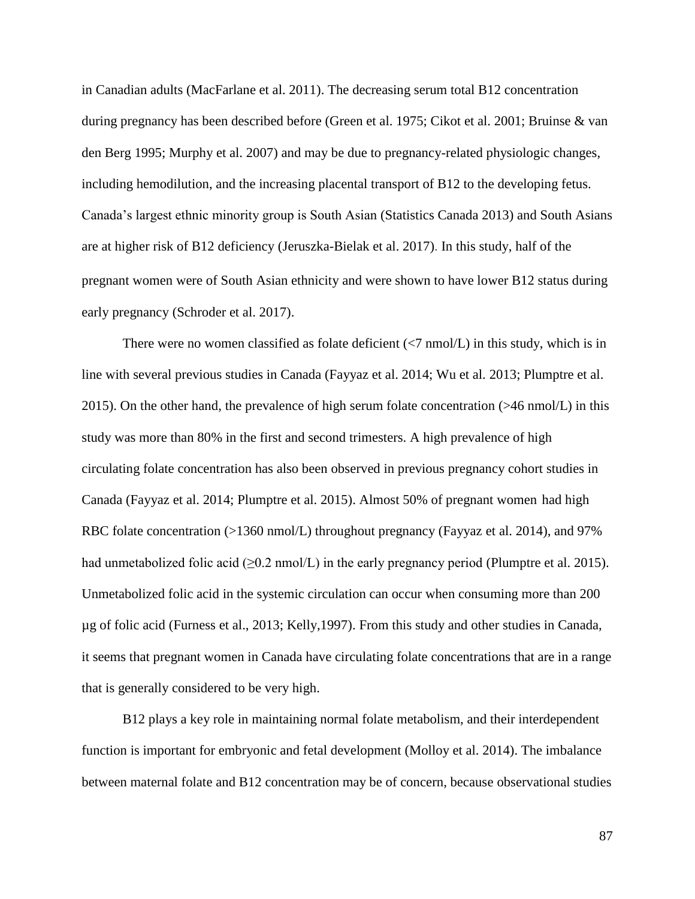in Canadian adults (MacFarlane et al. 2011). The decreasing serum total B12 concentration during pregnancy has been described before (Green et al. 1975; Cikot et al. 2001; Bruinse & van den Berg 1995; Murphy et al. 2007) and may be due to pregnancy-related physiologic changes, including hemodilution, and the increasing placental transport of B12 to the developing fetus. Canada's largest ethnic minority group is South Asian (Statistics Canada 2013) and South Asians are at higher risk of B12 deficiency (Jeruszka-Bielak et al. 2017). In this study, half of the pregnant women were of South Asian ethnicity and were shown to have lower B12 status during early pregnancy (Schroder et al. 2017).

There were no women classified as folate deficient  $(\langle 7 \text{ nmol/L})$  in this study, which is in line with several previous studies in Canada (Fayyaz et al. 2014; Wu et al. 2013; Plumptre et al. 2015). On the other hand, the prevalence of high serum folate concentration (>46 nmol/L) in this study was more than 80% in the first and second trimesters. A high prevalence of high circulating folate concentration has also been observed in previous pregnancy cohort studies in Canada (Fayyaz et al. 2014; Plumptre et al. 2015). Almost 50% of pregnant women had high RBC folate concentration (>1360 nmol/L) throughout pregnancy (Fayyaz et al. 2014), and 97% had unmetabolized folic acid ( $\geq 0.2$  nmol/L) in the early pregnancy period (Plumptre et al. 2015). Unmetabolized folic acid in the systemic circulation can occur when consuming more than 200 µg of folic acid (Furness et al., 2013; Kelly,1997). From this study and other studies in Canada, it seems that pregnant women in Canada have circulating folate concentrations that are in a range that is generally considered to be very high.

B12 plays a key role in maintaining normal folate metabolism, and their interdependent function is important for embryonic and fetal development (Molloy et al. 2014). The imbalance between maternal folate and B12 concentration may be of concern, because observational studies

87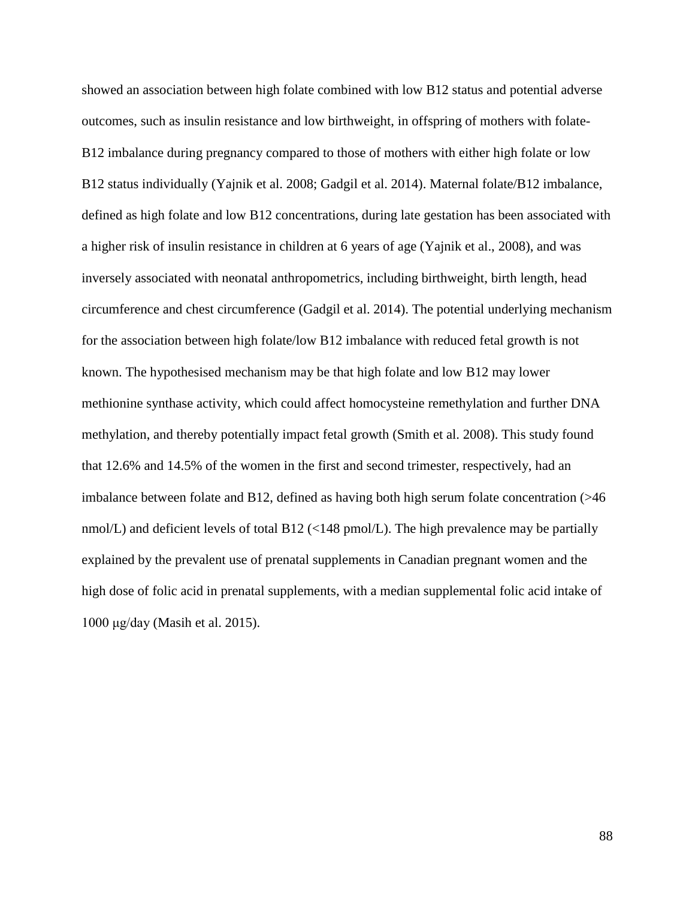showed an association between high folate combined with low B12 status and potential adverse outcomes, such as insulin resistance and low birthweight, in offspring of mothers with folate-B12 imbalance during pregnancy compared to those of mothers with either high folate or low B12 status individually (Yajnik et al. 2008; Gadgil et al. 2014). Maternal folate/B12 imbalance, defined as high folate and low B12 concentrations, during late gestation has been associated with a higher risk of insulin resistance in children at 6 years of age (Yajnik et al., 2008), and was inversely associated with neonatal anthropometrics, including birthweight, birth length, head circumference and chest circumference (Gadgil et al. 2014). The potential underlying mechanism for the association between high folate/low B12 imbalance with reduced fetal growth is not known. The hypothesised mechanism may be that high folate and low B12 may lower methionine synthase activity, which could affect homocysteine remethylation and further DNA methylation, and thereby potentially impact fetal growth (Smith et al. 2008). This study found that 12.6% and 14.5% of the women in the first and second trimester, respectively, had an imbalance between folate and B12, defined as having both high serum folate concentration (>46 nmol/L) and deficient levels of total B12 ( $\langle$ 148 pmol/L). The high prevalence may be partially explained by the prevalent use of prenatal supplements in Canadian pregnant women and the high dose of folic acid in prenatal supplements, with a median supplemental folic acid intake of 1000 μg/day (Masih et al. 2015).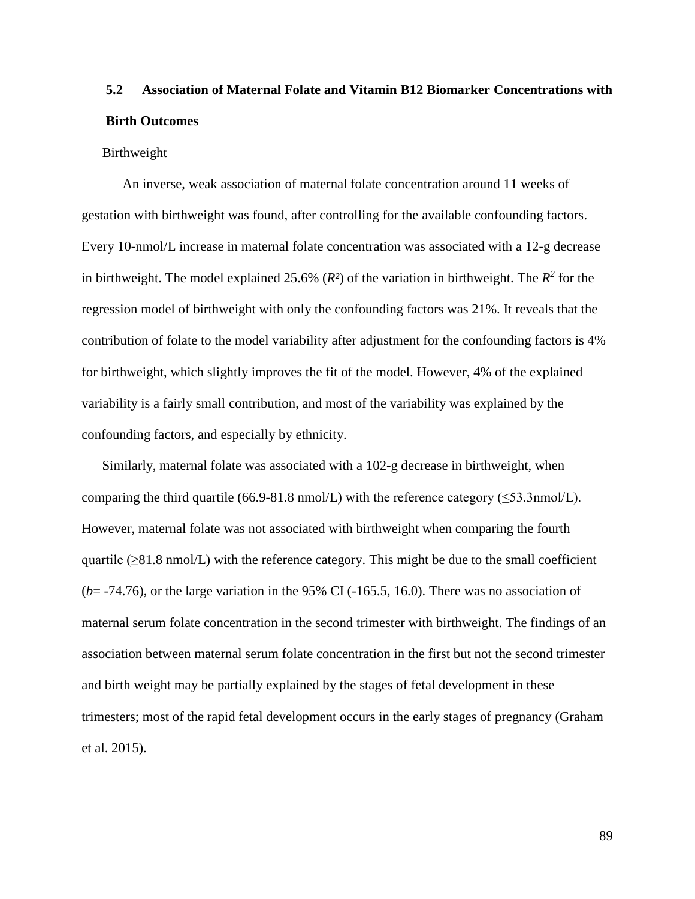# **5.2 Association of Maternal Folate and Vitamin B12 Biomarker Concentrations with Birth Outcomes**

#### Birthweight

An inverse, weak association of maternal folate concentration around 11 weeks of gestation with birthweight was found, after controlling for the available confounding factors. Every 10-nmol/L increase in maternal folate concentration was associated with a 12-g decrease in birthweight. The model explained 25.6%  $(R^2)$  of the variation in birthweight. The  $R^2$  for the regression model of birthweight with only the confounding factors was 21%. It reveals that the contribution of folate to the model variability after adjustment for the confounding factors is 4% for birthweight, which slightly improves the fit of the model. However, 4% of the explained variability is a fairly small contribution, and most of the variability was explained by the confounding factors, and especially by ethnicity.

Similarly, maternal folate was associated with a 102-g decrease in birthweight, when comparing the third quartile (66.9-81.8 nmol/L) with the reference category ( $\leq$ 53.3nmol/L). However, maternal folate was not associated with birthweight when comparing the fourth quartile  $(\geq 81.8 \text{ nmol/L})$  with the reference category. This might be due to the small coefficient (*b*= -74.76), or the large variation in the 95% CI (-165.5, 16.0). There was no association of maternal serum folate concentration in the second trimester with birthweight. The findings of an association between maternal serum folate concentration in the first but not the second trimester and birth weight may be partially explained by the stages of fetal development in these trimesters; most of the rapid fetal development occurs in the early stages of pregnancy (Graham et al. 2015).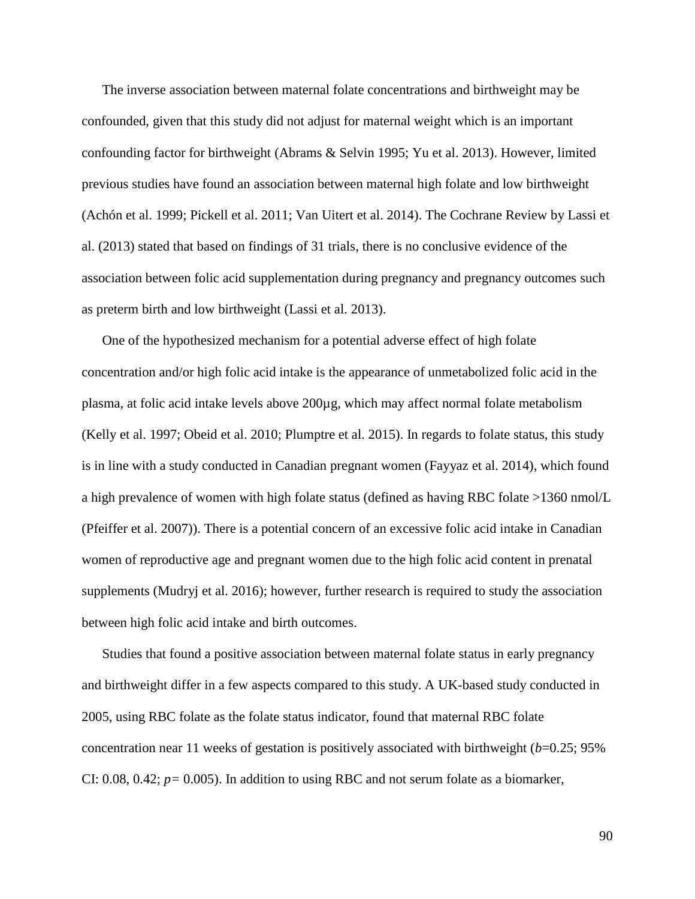The inverse association between maternal folate concentrations and birthweight may be confounded, given that this study did not adjust for maternal weight which is an important confounding factor for birthweight (Abrams & Selvin 1995; Yu et al. 2013). However, limited previous studies have found an association between maternal high folate and low birthweight (Achón et al. 1999; Pickell et al. 2011; Van Uitert et al. 2014). The Cochrane Review by Lassi et al. (2013) stated that based on findings of 31 trials, there is no conclusive evidence of the association between folic acid supplementation during pregnancy and pregnancy outcomes such as preterm birth and low birthweight (Lassi et al. 2013).

One of the hypothesized mechanism for a potential adverse effect of high folate concentration and/or high folic acid intake is the appearance of unmetabolized folic acid in the plasma, at folic acid intake levels above 200µg, which may affect normal folate metabolism (Kelly et al. 1997; Obeid et al. 2010; Plumptre et al. 2015). In regards to folate status, this study is in line with a study conducted in Canadian pregnant women (Fayyaz et al. 2014), which found a high prevalence of women with high folate status (defined as having RBC folate >1360 nmol/L (Pfeiffer et al. 2007)). There is a potential concern of an excessive folic acid intake in Canadian women of reproductive age and pregnant women due to the high folic acid content in prenatal supplements (Mudryj et al. 2016); however, further research is required to study the association between high folic acid intake and birth outcomes.

Studies that found a positive association between maternal folate status in early pregnancy and birthweight differ in a few aspects compared to this study. A UK-based study conducted in 2005, using RBC folate as the folate status indicator, found that maternal RBC folate concentration near 11 weeks of gestation is positively associated with birthweight (*b*=0.25; 95% CI: 0.08, 0.42; *p=* 0.005). In addition to using RBC and not serum folate as a biomarker,

90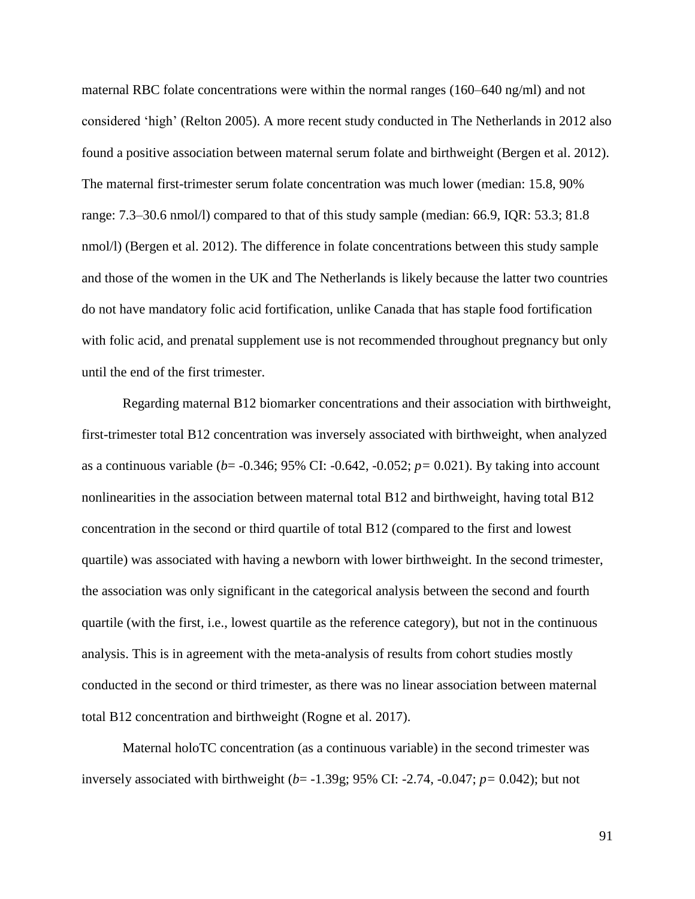maternal RBC folate concentrations were within the normal ranges (160–640 ng/ml) and not considered 'high' (Relton 2005). A more recent study conducted in The Netherlands in 2012 also found a positive association between maternal serum folate and birthweight (Bergen et al. 2012). The maternal first-trimester serum folate concentration was much lower (median: 15.8, 90% range: 7.3–30.6 nmol/l) compared to that of this study sample (median: 66.9, IQR: 53.3; 81.8 nmol/l) (Bergen et al. 2012). The difference in folate concentrations between this study sample and those of the women in the UK and The Netherlands is likely because the latter two countries do not have mandatory folic acid fortification, unlike Canada that has staple food fortification with folic acid, and prenatal supplement use is not recommended throughout pregnancy but only until the end of the first trimester.

Regarding maternal B12 biomarker concentrations and their association with birthweight, first-trimester total B12 concentration was inversely associated with birthweight, when analyzed as a continuous variable (*b*= -0.346; 95% CI: -0.642, -0.052; *p=* 0.021). By taking into account nonlinearities in the association between maternal total B12 and birthweight, having total B12 concentration in the second or third quartile of total B12 (compared to the first and lowest quartile) was associated with having a newborn with lower birthweight. In the second trimester, the association was only significant in the categorical analysis between the second and fourth quartile (with the first, i.e., lowest quartile as the reference category), but not in the continuous analysis. This is in agreement with the meta-analysis of results from cohort studies mostly conducted in the second or third trimester, as there was no linear association between maternal total B12 concentration and birthweight (Rogne et al. 2017).

Maternal holoTC concentration (as a continuous variable) in the second trimester was inversely associated with birthweight (*b*= -1.39g; 95% CI: -2.74, -0.047; *p=* 0.042); but not

91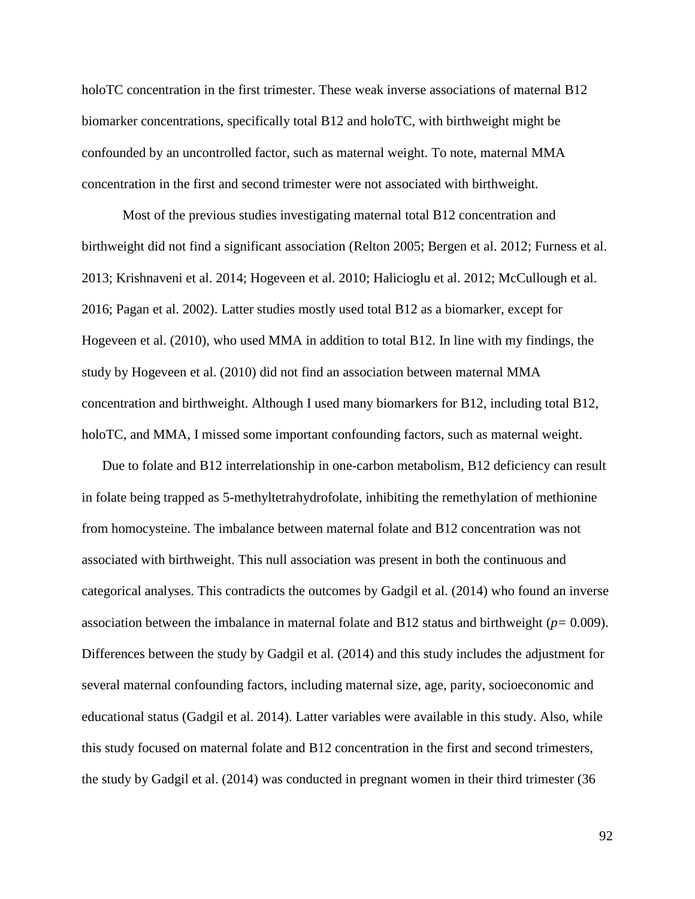holoTC concentration in the first trimester. These weak inverse associations of maternal B12 biomarker concentrations, specifically total B12 and holoTC, with birthweight might be confounded by an uncontrolled factor, such as maternal weight. To note, maternal MMA concentration in the first and second trimester were not associated with birthweight.

Most of the previous studies investigating maternal total B12 concentration and birthweight did not find a significant association (Relton 2005; Bergen et al. 2012; Furness et al. 2013; Krishnaveni et al. 2014; Hogeveen et al. 2010; Halicioglu et al. 2012; McCullough et al. 2016; Pagan et al. 2002). Latter studies mostly used total B12 as a biomarker, except for Hogeveen et al. (2010), who used MMA in addition to total B12. In line with my findings, the study by Hogeveen et al. (2010) did not find an association between maternal MMA concentration and birthweight. Although I used many biomarkers for B12, including total B12, holoTC, and MMA, I missed some important confounding factors, such as maternal weight.

Due to folate and B12 interrelationship in one-carbon metabolism, B12 deficiency can result in folate being trapped as 5-methyltetrahydrofolate, inhibiting the remethylation of methionine from homocysteine. The imbalance between maternal folate and B12 concentration was not associated with birthweight. This null association was present in both the continuous and categorical analyses. This contradicts the outcomes by Gadgil et al. (2014) who found an inverse association between the imbalance in maternal folate and B12 status and birthweight (*p=* 0.009). Differences between the study by Gadgil et al. (2014) and this study includes the adjustment for several maternal confounding factors, including maternal size, age, parity, socioeconomic and educational status (Gadgil et al. 2014). Latter variables were available in this study. Also, while this study focused on maternal folate and B12 concentration in the first and second trimesters, the study by Gadgil et al. (2014) was conducted in pregnant women in their third trimester (36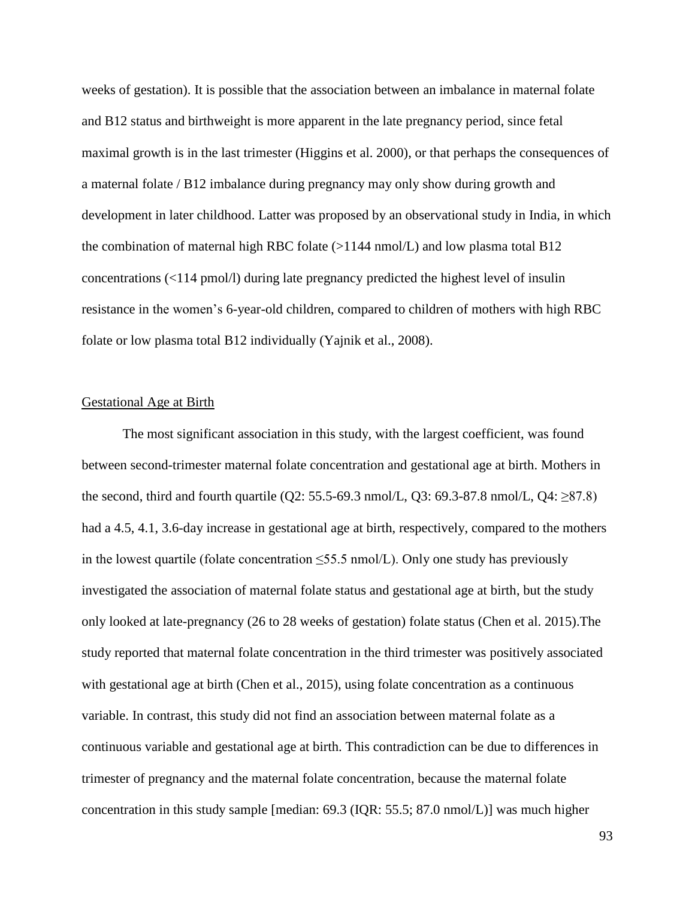weeks of gestation). It is possible that the association between an imbalance in maternal folate and B12 status and birthweight is more apparent in the late pregnancy period, since fetal maximal growth is in the last trimester (Higgins et al. 2000), or that perhaps the consequences of a maternal folate / B12 imbalance during pregnancy may only show during growth and development in later childhood. Latter was proposed by an observational study in India, in which the combination of maternal high RBC folate  $(>1144 \text{ nmol/L})$  and low plasma total B12 concentrations (<114 pmol/l) during late pregnancy predicted the highest level of insulin resistance in the women's 6-year-old children, compared to children of mothers with high RBC folate or low plasma total B12 individually (Yajnik et al., 2008).

# Gestational Age at Birth

The most significant association in this study, with the largest coefficient, was found between second-trimester maternal folate concentration and gestational age at birth. Mothers in the second, third and fourth quartile (Q2: 55.5-69.3 nmol/L, Q3: 69.3-87.8 nmol/L, Q4:  $\geq$ 87.8) had a 4.5, 4.1, 3.6-day increase in gestational age at birth, respectively, compared to the mothers in the lowest quartile (folate concentration  $\leq$ 55.5 nmol/L). Only one study has previously investigated the association of maternal folate status and gestational age at birth, but the study only looked at late-pregnancy (26 to 28 weeks of gestation) folate status (Chen et al. 2015).The study reported that maternal folate concentration in the third trimester was positively associated with gestational age at birth (Chen et al., 2015), using folate concentration as a continuous variable. In contrast, this study did not find an association between maternal folate as a continuous variable and gestational age at birth. This contradiction can be due to differences in trimester of pregnancy and the maternal folate concentration, because the maternal folate concentration in this study sample [median: 69.3 (IQR: 55.5; 87.0 nmol/L)] was much higher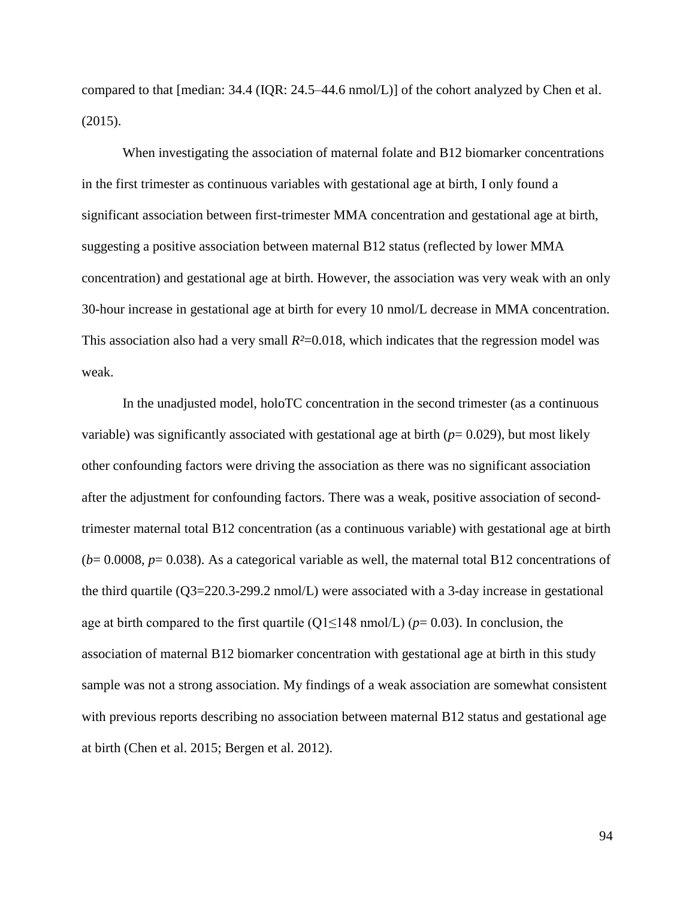compared to that [median: 34.4 (IQR: 24.5–44.6 nmol/L)] of the cohort analyzed by Chen et al. (2015).

When investigating the association of maternal folate and B12 biomarker concentrations in the first trimester as continuous variables with gestational age at birth, I only found a significant association between first-trimester MMA concentration and gestational age at birth, suggesting a positive association between maternal B12 status (reflected by lower MMA concentration) and gestational age at birth. However, the association was very weak with an only 30-hour increase in gestational age at birth for every 10 nmol/L decrease in MMA concentration. This association also had a very small  $R<sup>2</sup>=0.018$ , which indicates that the regression model was weak.

In the unadjusted model, holoTC concentration in the second trimester (as a continuous variable) was significantly associated with gestational age at birth  $(p= 0.029)$ , but most likely other confounding factors were driving the association as there was no significant association after the adjustment for confounding factors. There was a weak, positive association of secondtrimester maternal total B12 concentration (as a continuous variable) with gestational age at birth  $(b=0.0008, p=0.038)$ . As a categorical variable as well, the maternal total B12 concentrations of the third quartile (Q3=220.3-299.2 nmol/L) were associated with a 3-day increase in gestational age at birth compared to the first quartile (Q1≤148 nmol/L) (*p*= 0.03). In conclusion, the association of maternal B12 biomarker concentration with gestational age at birth in this study sample was not a strong association. My findings of a weak association are somewhat consistent with previous reports describing no association between maternal B12 status and gestational age at birth (Chen et al. 2015; Bergen et al. 2012).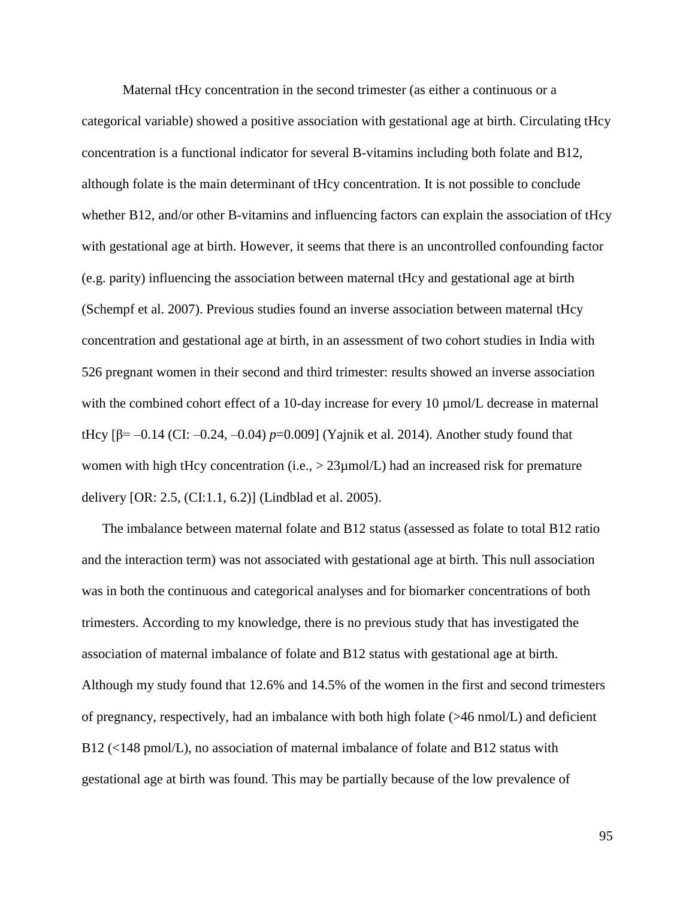Maternal tHcy concentration in the second trimester (as either a continuous or a categorical variable) showed a positive association with gestational age at birth. Circulating tHcy concentration is a functional indicator for several B-vitamins including both folate and B12, although folate is the main determinant of tHcy concentration. It is not possible to conclude whether B12, and/or other B-vitamins and influencing factors can explain the association of tHcy with gestational age at birth. However, it seems that there is an uncontrolled confounding factor (e.g. parity) influencing the association between maternal tHcy and gestational age at birth (Schempf et al. 2007). Previous studies found an inverse association between maternal tHcy concentration and gestational age at birth, in an assessment of two cohort studies in India with 526 pregnant women in their second and third trimester: results showed an inverse association with the combined cohort effect of a 10-day increase for every 10  $\mu$ mol/L decrease in maternal tHcy [β= –0.14 (CI: –0.24, –0.04)  $p=0.009$ ] (Yajnik et al. 2014). Another study found that women with high tHcy concentration (i.e.,  $> 23 \mu$ mol/L) had an increased risk for premature delivery [OR: 2.5, (CI:1.1, 6.2)] (Lindblad et al. 2005).

The imbalance between maternal folate and B12 status (assessed as folate to total B12 ratio and the interaction term) was not associated with gestational age at birth. This null association was in both the continuous and categorical analyses and for biomarker concentrations of both trimesters. According to my knowledge, there is no previous study that has investigated the association of maternal imbalance of folate and B12 status with gestational age at birth. Although my study found that 12.6% and 14.5% of the women in the first and second trimesters of pregnancy, respectively, had an imbalance with both high folate (>46 nmol/L) and deficient B12 (<148 pmol/L), no association of maternal imbalance of folate and B12 status with gestational age at birth was found. This may be partially because of the low prevalence of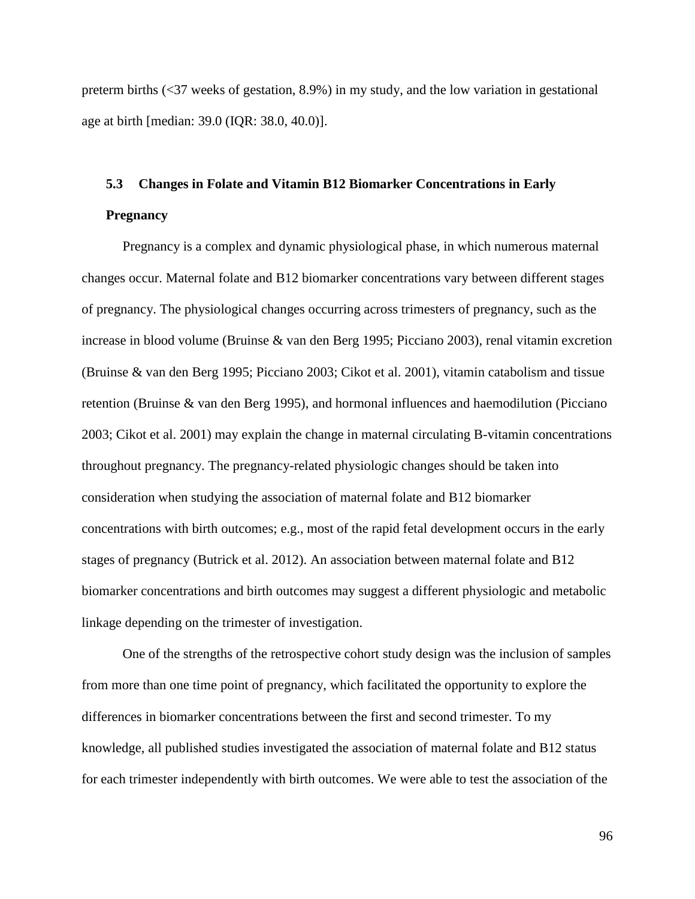preterm births (<37 weeks of gestation, 8.9%) in my study, and the low variation in gestational age at birth [median: 39.0 (IQR: 38.0, 40.0)].

# **5.3 Changes in Folate and Vitamin B12 Biomarker Concentrations in Early Pregnancy**

Pregnancy is a complex and dynamic physiological phase, in which numerous maternal changes occur. Maternal folate and B12 biomarker concentrations vary between different stages of pregnancy. The physiological changes occurring across trimesters of pregnancy, such as the increase in blood volume (Bruinse & van den Berg 1995; Picciano 2003), renal vitamin excretion (Bruinse & van den Berg 1995; Picciano 2003; Cikot et al. 2001), vitamin catabolism and tissue retention (Bruinse & van den Berg 1995), and hormonal influences and haemodilution (Picciano 2003; Cikot et al. 2001) may explain the change in maternal circulating B-vitamin concentrations throughout pregnancy. The pregnancy-related physiologic changes should be taken into consideration when studying the association of maternal folate and B12 biomarker concentrations with birth outcomes; e.g., most of the rapid fetal development occurs in the early stages of pregnancy (Butrick et al. 2012). An association between maternal folate and B12 biomarker concentrations and birth outcomes may suggest a different physiologic and metabolic linkage depending on the trimester of investigation.

One of the strengths of the retrospective cohort study design was the inclusion of samples from more than one time point of pregnancy, which facilitated the opportunity to explore the differences in biomarker concentrations between the first and second trimester. To my knowledge, all published studies investigated the association of maternal folate and B12 status for each trimester independently with birth outcomes. We were able to test the association of the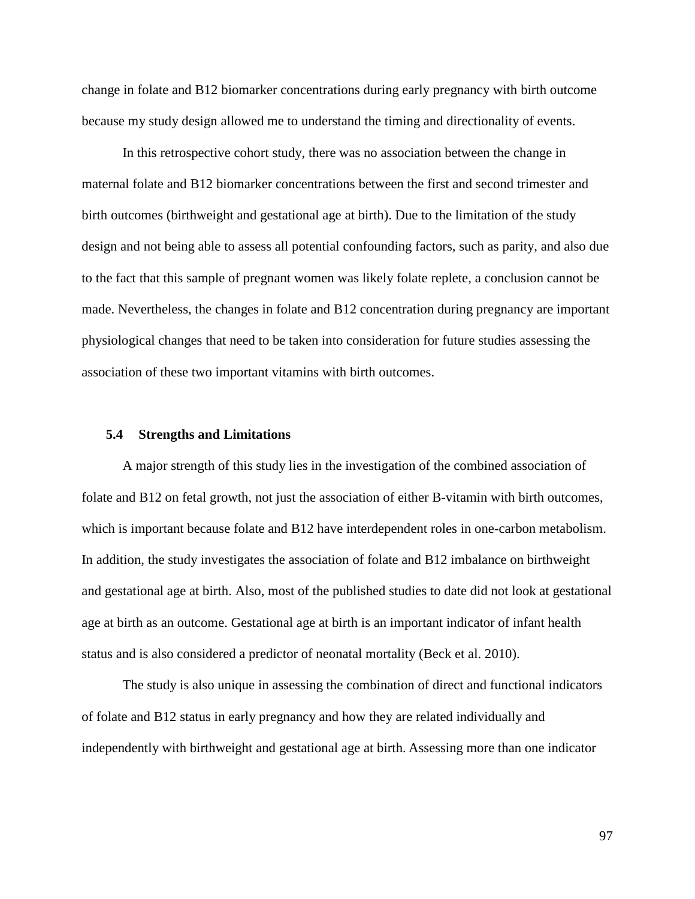change in folate and B12 biomarker concentrations during early pregnancy with birth outcome because my study design allowed me to understand the timing and directionality of events.

In this retrospective cohort study, there was no association between the change in maternal folate and B12 biomarker concentrations between the first and second trimester and birth outcomes (birthweight and gestational age at birth). Due to the limitation of the study design and not being able to assess all potential confounding factors, such as parity, and also due to the fact that this sample of pregnant women was likely folate replete, a conclusion cannot be made. Nevertheless, the changes in folate and B12 concentration during pregnancy are important physiological changes that need to be taken into consideration for future studies assessing the association of these two important vitamins with birth outcomes.

#### **5.4 Strengths and Limitations**

A major strength of this study lies in the investigation of the combined association of folate and B12 on fetal growth, not just the association of either B-vitamin with birth outcomes, which is important because folate and B12 have interdependent roles in one-carbon metabolism. In addition, the study investigates the association of folate and B12 imbalance on birthweight and gestational age at birth. Also, most of the published studies to date did not look at gestational age at birth as an outcome. Gestational age at birth is an important indicator of infant health status and is also considered a predictor of neonatal mortality (Beck et al. 2010).

The study is also unique in assessing the combination of direct and functional indicators of folate and B12 status in early pregnancy and how they are related individually and independently with birthweight and gestational age at birth. Assessing more than one indicator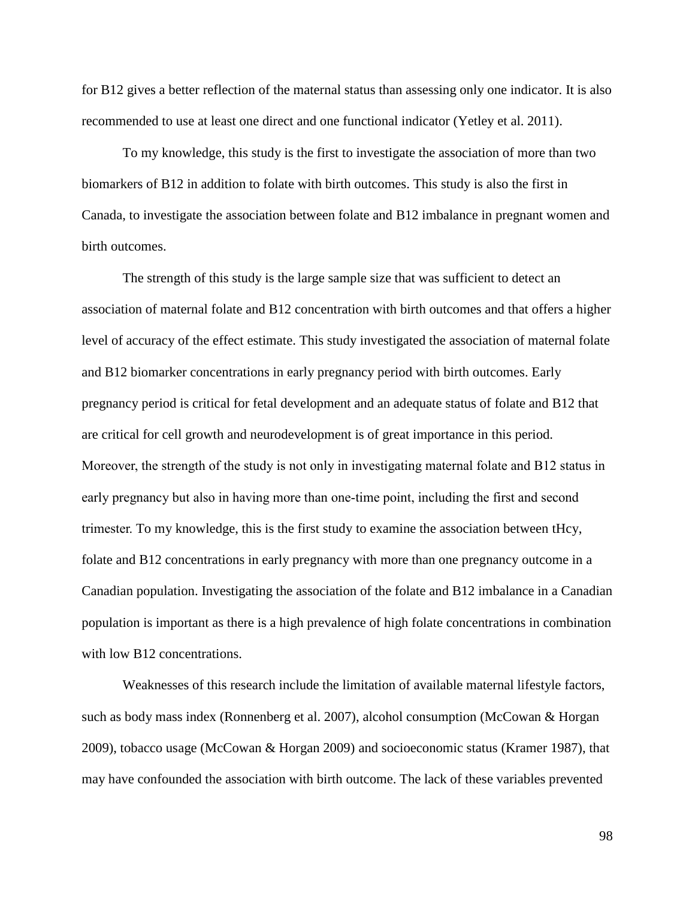for B12 gives a better reflection of the maternal status than assessing only one indicator. It is also recommended to use at least one direct and one functional indicator (Yetley et al. 2011).

To my knowledge, this study is the first to investigate the association of more than two biomarkers of B12 in addition to folate with birth outcomes. This study is also the first in Canada, to investigate the association between folate and B12 imbalance in pregnant women and birth outcomes.

The strength of this study is the large sample size that was sufficient to detect an association of maternal folate and B12 concentration with birth outcomes and that offers a higher level of accuracy of the effect estimate. This study investigated the association of maternal folate and B12 biomarker concentrations in early pregnancy period with birth outcomes. Early pregnancy period is critical for fetal development and an adequate status of folate and B12 that are critical for cell growth and neurodevelopment is of great importance in this period. Moreover, the strength of the study is not only in investigating maternal folate and B12 status in early pregnancy but also in having more than one-time point, including the first and second trimester. To my knowledge, this is the first study to examine the association between tHcy, folate and B12 concentrations in early pregnancy with more than one pregnancy outcome in a Canadian population. Investigating the association of the folate and B12 imbalance in a Canadian population is important as there is a high prevalence of high folate concentrations in combination with low B12 concentrations.

Weaknesses of this research include the limitation of available maternal lifestyle factors, such as body mass index (Ronnenberg et al. 2007), alcohol consumption (McCowan & Horgan 2009), tobacco usage (McCowan & Horgan 2009) and socioeconomic status (Kramer 1987), that may have confounded the association with birth outcome. The lack of these variables prevented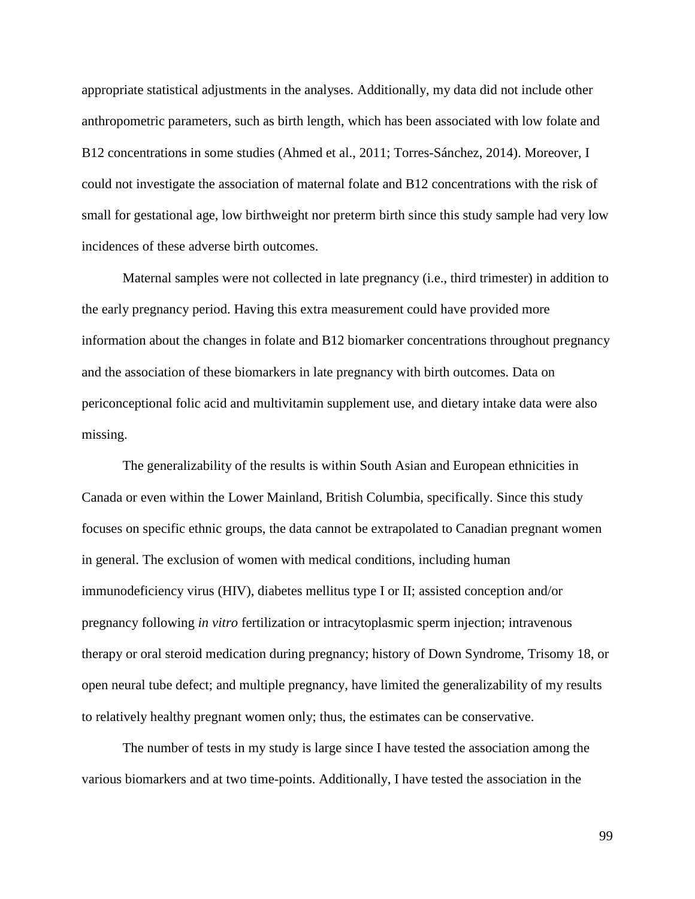appropriate statistical adjustments in the analyses. Additionally, my data did not include other anthropometric parameters, such as birth length, which has been associated with low folate and B12 concentrations in some studies (Ahmed et al., 2011; Torres-Sánchez, 2014). Moreover, I could not investigate the association of maternal folate and B12 concentrations with the risk of small for gestational age, low birthweight nor preterm birth since this study sample had very low incidences of these adverse birth outcomes.

Maternal samples were not collected in late pregnancy (i.e., third trimester) in addition to the early pregnancy period. Having this extra measurement could have provided more information about the changes in folate and B12 biomarker concentrations throughout pregnancy and the association of these biomarkers in late pregnancy with birth outcomes. Data on periconceptional folic acid and multivitamin supplement use, and dietary intake data were also missing.

The generalizability of the results is within South Asian and European ethnicities in Canada or even within the Lower Mainland, British Columbia, specifically. Since this study focuses on specific ethnic groups, the data cannot be extrapolated to Canadian pregnant women in general. The exclusion of women with medical conditions, including human immunodeficiency virus (HIV), diabetes mellitus type I or II; assisted conception and/or pregnancy following *in vitro* fertilization or intracytoplasmic sperm injection; intravenous therapy or oral steroid medication during pregnancy; history of Down Syndrome, Trisomy 18, or open neural tube defect; and multiple pregnancy, have limited the generalizability of my results to relatively healthy pregnant women only; thus, the estimates can be conservative.

The number of tests in my study is large since I have tested the association among the various biomarkers and at two time-points. Additionally, I have tested the association in the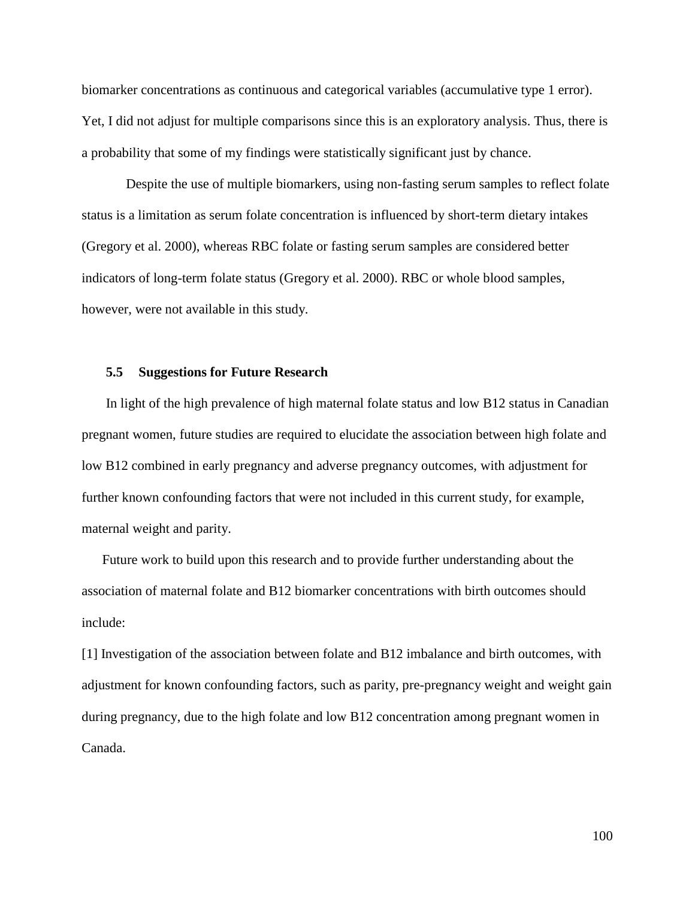biomarker concentrations as continuous and categorical variables (accumulative type 1 error). Yet, I did not adjust for multiple comparisons since this is an exploratory analysis. Thus, there is a probability that some of my findings were statistically significant just by chance.

Despite the use of multiple biomarkers, using non-fasting serum samples to reflect folate status is a limitation as serum folate concentration is influenced by short-term dietary intakes (Gregory et al. 2000), whereas RBC folate or fasting serum samples are considered better indicators of long-term folate status (Gregory et al. 2000). RBC or whole blood samples, however, were not available in this study.

### **5.5 Suggestions for Future Research**

In light of the high prevalence of high maternal folate status and low B12 status in Canadian pregnant women, future studies are required to elucidate the association between high folate and low B12 combined in early pregnancy and adverse pregnancy outcomes, with adjustment for further known confounding factors that were not included in this current study, for example, maternal weight and parity.

Future work to build upon this research and to provide further understanding about the association of maternal folate and B12 biomarker concentrations with birth outcomes should include:

[1] Investigation of the association between folate and B12 imbalance and birth outcomes, with adjustment for known confounding factors, such as parity, pre-pregnancy weight and weight gain during pregnancy, due to the high folate and low B12 concentration among pregnant women in Canada.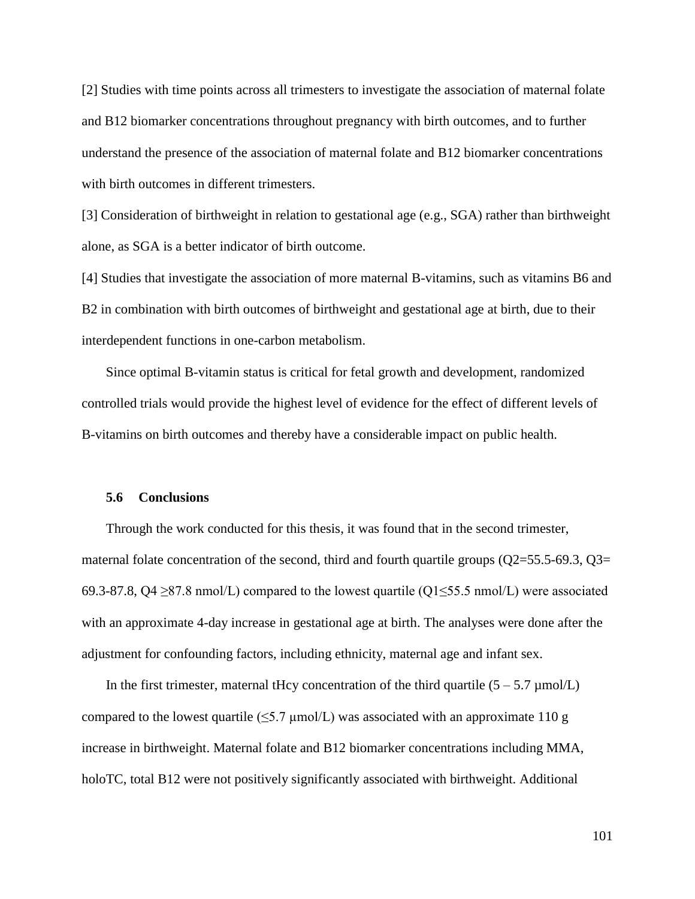[2] Studies with time points across all trimesters to investigate the association of maternal folate and B12 biomarker concentrations throughout pregnancy with birth outcomes, and to further understand the presence of the association of maternal folate and B12 biomarker concentrations with birth outcomes in different trimesters.

[3] Consideration of birthweight in relation to gestational age (e.g., SGA) rather than birthweight alone, as SGA is a better indicator of birth outcome.

[4] Studies that investigate the association of more maternal B-vitamins, such as vitamins B6 and B2 in combination with birth outcomes of birthweight and gestational age at birth, due to their interdependent functions in one-carbon metabolism.

Since optimal B-vitamin status is critical for fetal growth and development, randomized controlled trials would provide the highest level of evidence for the effect of different levels of B-vitamins on birth outcomes and thereby have a considerable impact on public health.

### **5.6 Conclusions**

Through the work conducted for this thesis, it was found that in the second trimester, maternal folate concentration of the second, third and fourth quartile groups  $(Q2=55.5-69.3, Q3=$ 69.3-87.8, Q4 ≥87.8 nmol/L) compared to the lowest quartile (Q1≤55.5 nmol/L) were associated with an approximate 4-day increase in gestational age at birth. The analyses were done after the adjustment for confounding factors, including ethnicity, maternal age and infant sex.

In the first trimester, maternal tHcy concentration of the third quartile  $(5 - 5.7 \,\mu\text{mol/L})$ compared to the lowest quartile ( $\leq 5.7 \mu$ mol/L) was associated with an approximate 110 g increase in birthweight. Maternal folate and B12 biomarker concentrations including MMA, holoTC, total B12 were not positively significantly associated with birthweight. Additional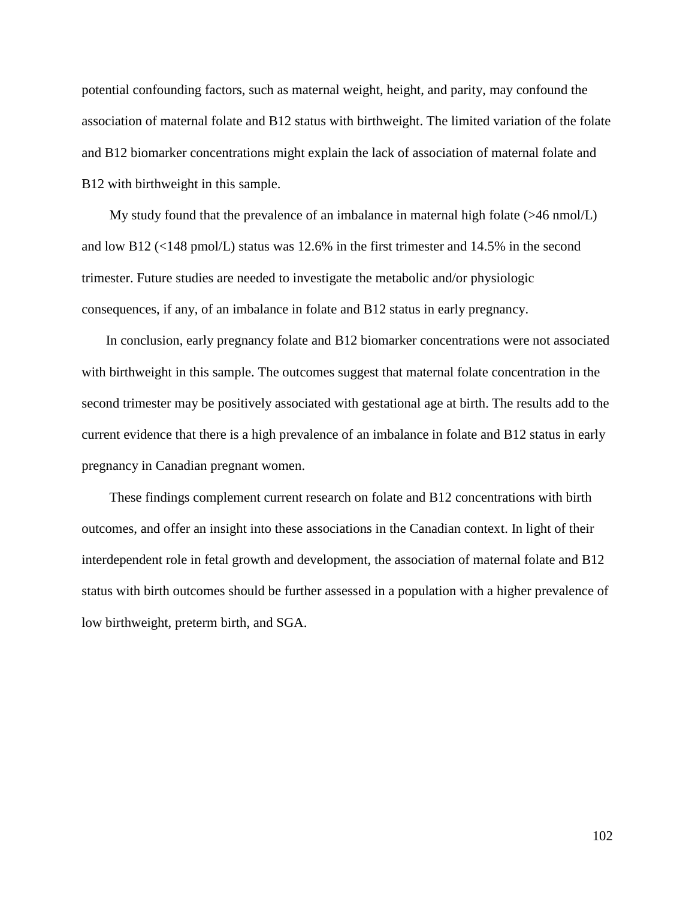potential confounding factors, such as maternal weight, height, and parity, may confound the association of maternal folate and B12 status with birthweight. The limited variation of the folate and B12 biomarker concentrations might explain the lack of association of maternal folate and B12 with birthweight in this sample.

My study found that the prevalence of an imbalance in maternal high folate (>46 nmol/L) and low B12 (<148 pmol/L) status was 12.6% in the first trimester and 14.5% in the second trimester. Future studies are needed to investigate the metabolic and/or physiologic consequences, if any, of an imbalance in folate and B12 status in early pregnancy.

In conclusion, early pregnancy folate and B12 biomarker concentrations were not associated with birthweight in this sample. The outcomes suggest that maternal folate concentration in the second trimester may be positively associated with gestational age at birth. The results add to the current evidence that there is a high prevalence of an imbalance in folate and B12 status in early pregnancy in Canadian pregnant women.

These findings complement current research on folate and B12 concentrations with birth outcomes, and offer an insight into these associations in the Canadian context. In light of their interdependent role in fetal growth and development, the association of maternal folate and B12 status with birth outcomes should be further assessed in a population with a higher prevalence of low birthweight, preterm birth, and SGA.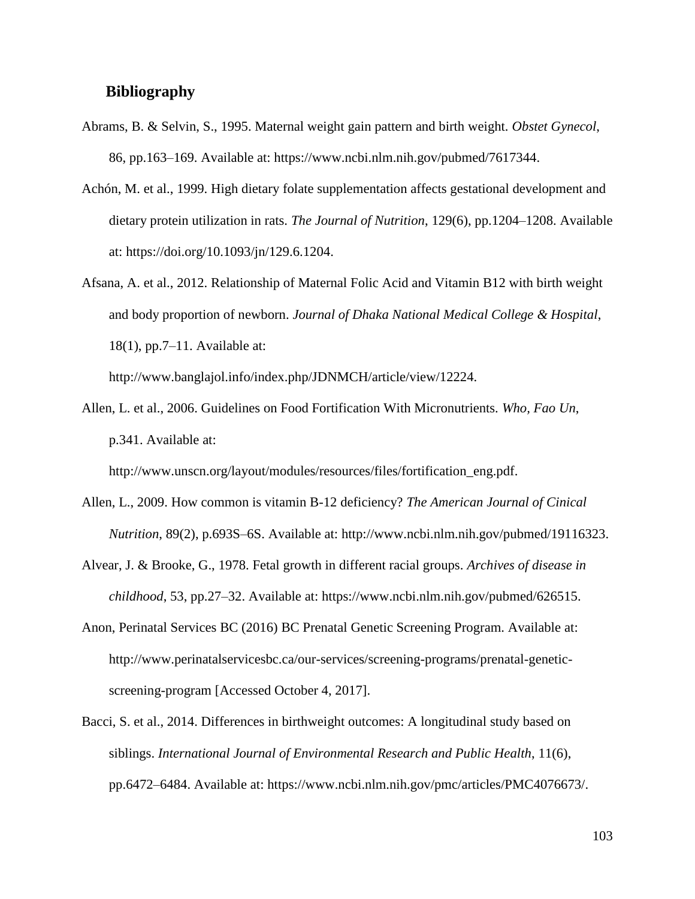## **Bibliography**

- Abrams, B. & Selvin, S., 1995. Maternal weight gain pattern and birth weight. *Obstet Gynecol*, 86, pp.163–169. Available at: https://www.ncbi.nlm.nih.gov/pubmed/7617344.
- Achón, M. et al., 1999. High dietary folate supplementation affects gestational development and dietary protein utilization in rats. *The Journal of Nutrition*, 129(6), pp.1204–1208. Available at: https://doi.org/10.1093/jn/129.6.1204.
- Afsana, A. et al., 2012. Relationship of Maternal Folic Acid and Vitamin B12 with birth weight and body proportion of newborn. *Journal of Dhaka National Medical College & Hospital*, 18(1), pp.7–11. Available at:

http://www.banglajol.info/index.php/JDNMCH/article/view/12224.

Allen, L. et al., 2006. Guidelines on Food Fortification With Micronutrients. *Who, Fao Un*, p.341. Available at:

http://www.unscn.org/layout/modules/resources/files/fortification\_eng.pdf.

- Allen, L., 2009. How common is vitamin B-12 deficiency? *The American Journal of Cinical Nutrition*, 89(2), p.693S–6S. Available at: http://www.ncbi.nlm.nih.gov/pubmed/19116323.
- Alvear, J. & Brooke, G., 1978. Fetal growth in different racial groups. *Archives of disease in childhood*, 53, pp.27–32. Available at: https://www.ncbi.nlm.nih.gov/pubmed/626515.
- Anon, Perinatal Services BC (2016) BC Prenatal Genetic Screening Program. Available at: http://www.perinatalservicesbc.ca/our-services/screening-programs/prenatal-geneticscreening-program [Accessed October 4, 2017].
- Bacci, S. et al., 2014. Differences in birthweight outcomes: A longitudinal study based on siblings. *International Journal of Environmental Research and Public Health*, 11(6), pp.6472–6484. Available at: https://www.ncbi.nlm.nih.gov/pmc/articles/PMC4076673/.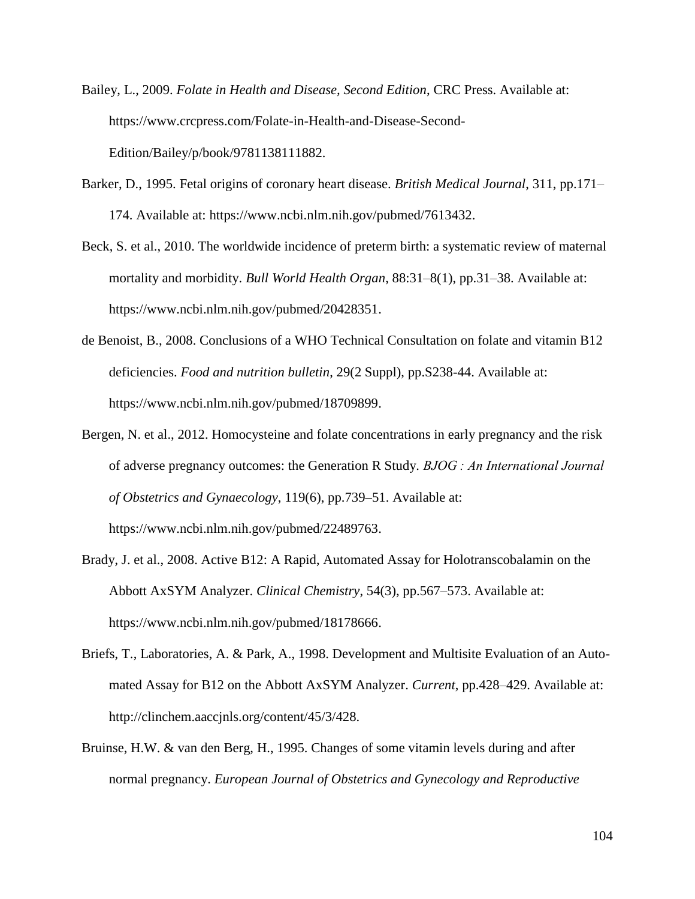- Bailey, L., 2009. *Folate in Health and Disease, Second Edition*, CRC Press. Available at: https://www.crcpress.com/Folate-in-Health-and-Disease-Second-Edition/Bailey/p/book/9781138111882.
- Barker, D., 1995. Fetal origins of coronary heart disease. *British Medical Journal*, 311, pp.171– 174. Available at: https://www.ncbi.nlm.nih.gov/pubmed/7613432.
- Beck, S. et al., 2010. The worldwide incidence of preterm birth: a systematic review of maternal mortality and morbidity. *Bull World Health Organ*, 88:31–8(1), pp.31–38. Available at: https://www.ncbi.nlm.nih.gov/pubmed/20428351.
- de Benoist, B., 2008. Conclusions of a WHO Technical Consultation on folate and vitamin B12 deficiencies. *Food and nutrition bulletin*, 29(2 Suppl), pp.S238-44. Available at: https://www.ncbi.nlm.nih.gov/pubmed/18709899.
- Bergen, N. et al., 2012. Homocysteine and folate concentrations in early pregnancy and the risk of adverse pregnancy outcomes: the Generation R Study. *BJOG : An International Journal of Obstetrics and Gynaecology*, 119(6), pp.739–51. Available at: https://www.ncbi.nlm.nih.gov/pubmed/22489763.
- Brady, J. et al., 2008. Active B12: A Rapid, Automated Assay for Holotranscobalamin on the Abbott AxSYM Analyzer. *Clinical Chemistry*, 54(3), pp.567–573. Available at: https://www.ncbi.nlm.nih.gov/pubmed/18178666.
- Briefs, T., Laboratories, A. & Park, A., 1998. Development and Multisite Evaluation of an Automated Assay for B12 on the Abbott AxSYM Analyzer. *Current*, pp.428–429. Available at: http://clinchem.aaccjnls.org/content/45/3/428.
- Bruinse, H.W. & van den Berg, H., 1995. Changes of some vitamin levels during and after normal pregnancy. *European Journal of Obstetrics and Gynecology and Reproductive*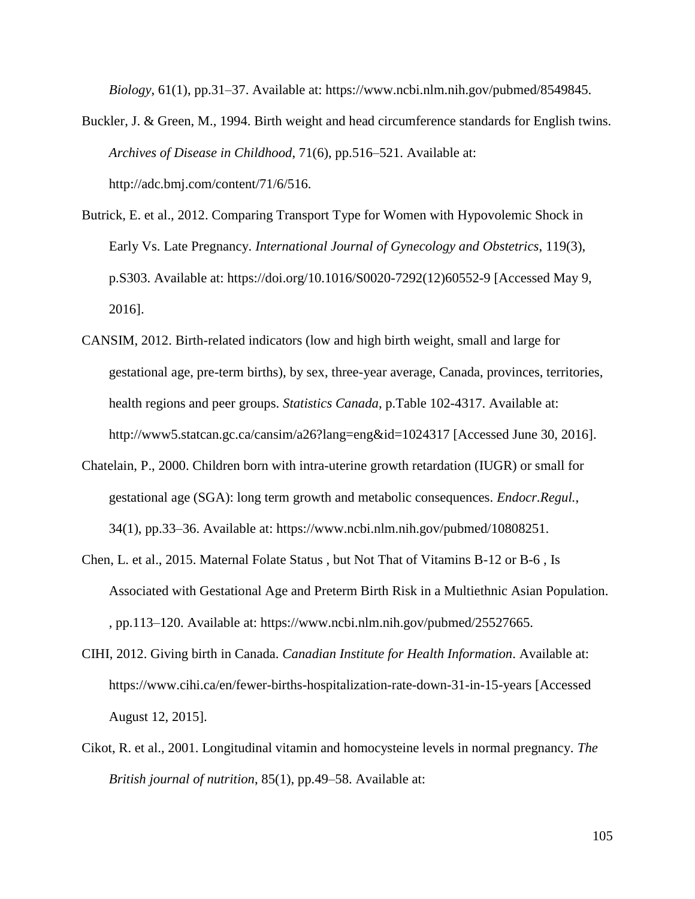*Biology*, 61(1), pp.31–37. Available at: https://www.ncbi.nlm.nih.gov/pubmed/8549845.

- Buckler, J. & Green, M., 1994. Birth weight and head circumference standards for English twins. *Archives of Disease in Childhood*, 71(6), pp.516–521. Available at: http://adc.bmj.com/content/71/6/516.
- Butrick, E. et al., 2012. Comparing Transport Type for Women with Hypovolemic Shock in Early Vs. Late Pregnancy. *International Journal of Gynecology and Obstetrics*, 119(3), p.S303. Available at: https://doi.org/10.1016/S0020-7292(12)60552-9 [Accessed May 9, 2016].
- CANSIM, 2012. Birth-related indicators (low and high birth weight, small and large for gestational age, pre-term births), by sex, three-year average, Canada, provinces, territories, health regions and peer groups. *Statistics Canada*, p.Table 102-4317. Available at: http://www5.statcan.gc.ca/cansim/a26?lang=eng&id=1024317 [Accessed June 30, 2016].
- Chatelain, P., 2000. Children born with intra-uterine growth retardation (IUGR) or small for gestational age (SGA): long term growth and metabolic consequences. *Endocr.Regul.*, 34(1), pp.33–36. Available at: https://www.ncbi.nlm.nih.gov/pubmed/10808251.
- Chen, L. et al., 2015. Maternal Folate Status , but Not That of Vitamins B-12 or B-6 , Is Associated with Gestational Age and Preterm Birth Risk in a Multiethnic Asian Population. , pp.113–120. Available at: https://www.ncbi.nlm.nih.gov/pubmed/25527665.
- CIHI, 2012. Giving birth in Canada. *Canadian Institute for Health Information*. Available at: https://www.cihi.ca/en/fewer-births-hospitalization-rate-down-31-in-15-years [Accessed August 12, 2015].
- Cikot, R. et al., 2001. Longitudinal vitamin and homocysteine levels in normal pregnancy. *The British journal of nutrition*, 85(1), pp.49–58. Available at: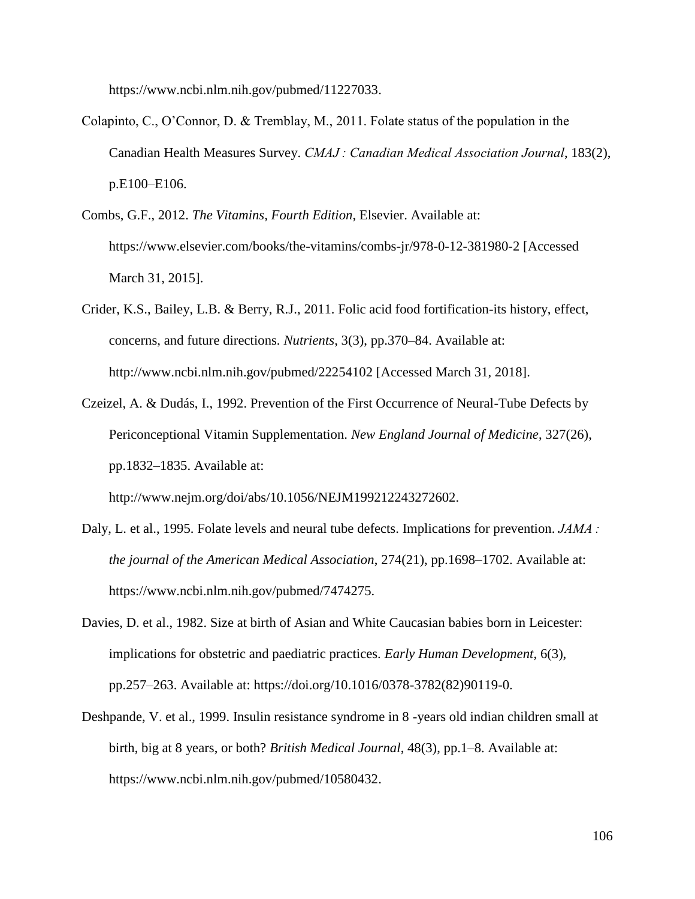https://www.ncbi.nlm.nih.gov/pubmed/11227033.

- Colapinto, C., O'Connor, D. & Tremblay, M., 2011. Folate status of the population in the Canadian Health Measures Survey. *CMAJ : Canadian Medical Association Journal*, 183(2), p.E100–E106.
- Combs, G.F., 2012. *The Vitamins, Fourth Edition*, Elsevier. Available at: https://www.elsevier.com/books/the-vitamins/combs-jr/978-0-12-381980-2 [Accessed March 31, 2015].
- Crider, K.S., Bailey, L.B. & Berry, R.J., 2011. Folic acid food fortification-its history, effect, concerns, and future directions. *Nutrients*, 3(3), pp.370–84. Available at: http://www.ncbi.nlm.nih.gov/pubmed/22254102 [Accessed March 31, 2018].
- Czeizel, A. & Dudás, I., 1992. Prevention of the First Occurrence of Neural-Tube Defects by Periconceptional Vitamin Supplementation. *New England Journal of Medicine*, 327(26), pp.1832–1835. Available at:

http://www.nejm.org/doi/abs/10.1056/NEJM199212243272602.

- Daly, L. et al., 1995. Folate levels and neural tube defects. Implications for prevention. *JAMA : the journal of the American Medical Association*, 274(21), pp.1698–1702. Available at: https://www.ncbi.nlm.nih.gov/pubmed/7474275.
- Davies, D. et al., 1982. Size at birth of Asian and White Caucasian babies born in Leicester: implications for obstetric and paediatric practices. *Early Human Development*, 6(3), pp.257–263. Available at: https://doi.org/10.1016/0378-3782(82)90119-0.
- Deshpande, V. et al., 1999. Insulin resistance syndrome in 8 -years old indian children small at birth, big at 8 years, or both? *British Medical Journal*, 48(3), pp.1–8. Available at: https://www.ncbi.nlm.nih.gov/pubmed/10580432.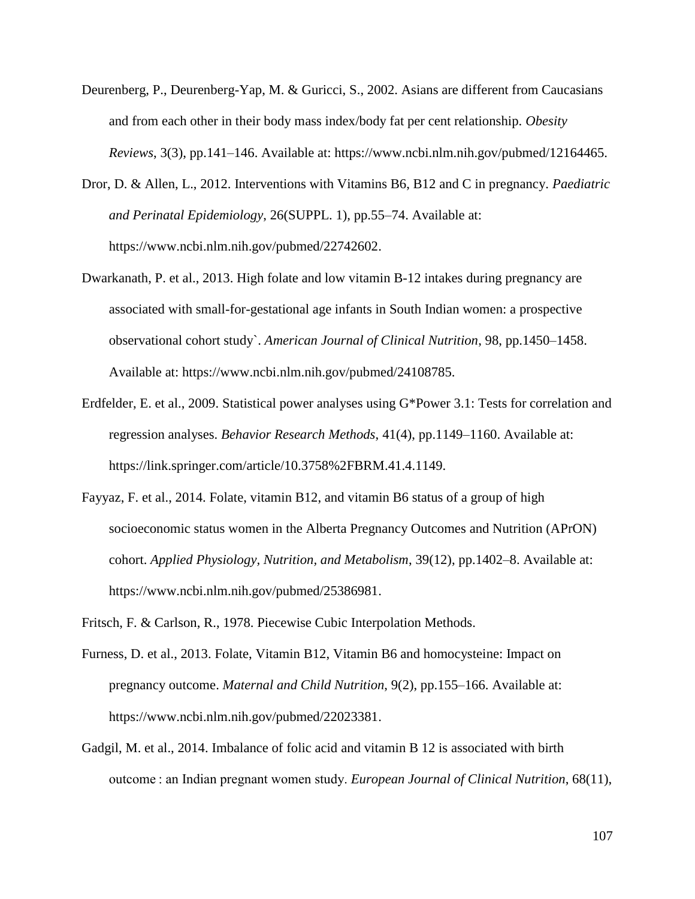- Deurenberg, P., Deurenberg-Yap, M. & Guricci, S., 2002. Asians are different from Caucasians and from each other in their body mass index/body fat per cent relationship. *Obesity Reviews*, 3(3), pp.141–146. Available at: https://www.ncbi.nlm.nih.gov/pubmed/12164465.
- Dror, D. & Allen, L., 2012. Interventions with Vitamins B6, B12 and C in pregnancy. *Paediatric and Perinatal Epidemiology*, 26(SUPPL. 1), pp.55–74. Available at: https://www.ncbi.nlm.nih.gov/pubmed/22742602.
- Dwarkanath, P. et al., 2013. High folate and low vitamin B-12 intakes during pregnancy are associated with small-for-gestational age infants in South Indian women: a prospective observational cohort study`. *American Journal of Clinical Nutrition*, 98, pp.1450–1458. Available at: https://www.ncbi.nlm.nih.gov/pubmed/24108785.
- Erdfelder, E. et al., 2009. Statistical power analyses using G\*Power 3.1: Tests for correlation and regression analyses. *Behavior Research Methods*, 41(4), pp.1149–1160. Available at: https://link.springer.com/article/10.3758%2FBRM.41.4.1149.
- Fayyaz, F. et al., 2014. Folate, vitamin B12, and vitamin B6 status of a group of high socioeconomic status women in the Alberta Pregnancy Outcomes and Nutrition (APrON) cohort. *Applied Physiology, Nutrition, and Metabolism*, 39(12), pp.1402–8. Available at: https://www.ncbi.nlm.nih.gov/pubmed/25386981.
- Fritsch, F. & Carlson, R., 1978. Piecewise Cubic Interpolation Methods.
- Furness, D. et al., 2013. Folate, Vitamin B12, Vitamin B6 and homocysteine: Impact on pregnancy outcome. *Maternal and Child Nutrition*, 9(2), pp.155–166. Available at: https://www.ncbi.nlm.nih.gov/pubmed/22023381.
- Gadgil, M. et al., 2014. Imbalance of folic acid and vitamin B 12 is associated with birth outcome : an Indian pregnant women study. *European Journal of Clinical Nutrition*, 68(11),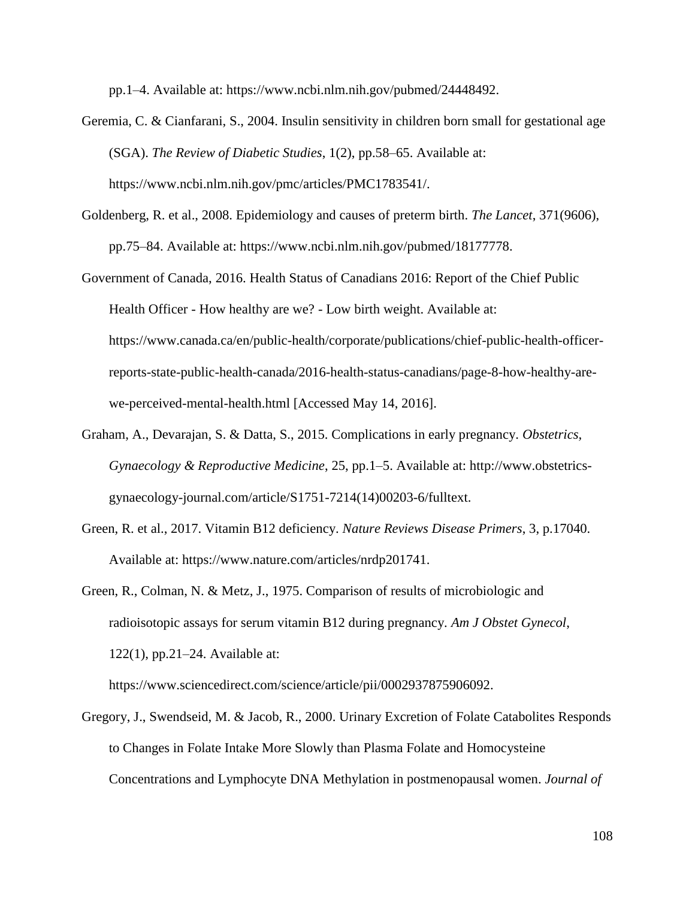pp.1–4. Available at: https://www.ncbi.nlm.nih.gov/pubmed/24448492.

- Geremia, C. & Cianfarani, S., 2004. Insulin sensitivity in children born small for gestational age (SGA). *The Review of Diabetic Studies*, 1(2), pp.58–65. Available at: https://www.ncbi.nlm.nih.gov/pmc/articles/PMC1783541/.
- Goldenberg, R. et al., 2008. Epidemiology and causes of preterm birth. *The Lancet*, 371(9606), pp.75–84. Available at: https://www.ncbi.nlm.nih.gov/pubmed/18177778.
- Government of Canada, 2016. Health Status of Canadians 2016: Report of the Chief Public Health Officer - How healthy are we? - Low birth weight. Available at: https://www.canada.ca/en/public-health/corporate/publications/chief-public-health-officerreports-state-public-health-canada/2016-health-status-canadians/page-8-how-healthy-arewe-perceived-mental-health.html [Accessed May 14, 2016].
- Graham, A., Devarajan, S. & Datta, S., 2015. Complications in early pregnancy. *Obstetrics, Gynaecology & Reproductive Medicine*, 25, pp.1–5. Available at: http://www.obstetricsgynaecology-journal.com/article/S1751-7214(14)00203-6/fulltext.
- Green, R. et al., 2017. Vitamin B12 deficiency. *Nature Reviews Disease Primers*, 3, p.17040. Available at: https://www.nature.com/articles/nrdp201741.
- Green, R., Colman, N. & Metz, J., 1975. Comparison of results of microbiologic and radioisotopic assays for serum vitamin B12 during pregnancy. *Am J Obstet Gynecol*, 122(1), pp.21–24. Available at:

https://www.sciencedirect.com/science/article/pii/0002937875906092.

Gregory, J., Swendseid, M. & Jacob, R., 2000. Urinary Excretion of Folate Catabolites Responds to Changes in Folate Intake More Slowly than Plasma Folate and Homocysteine Concentrations and Lymphocyte DNA Methylation in postmenopausal women. *Journal of*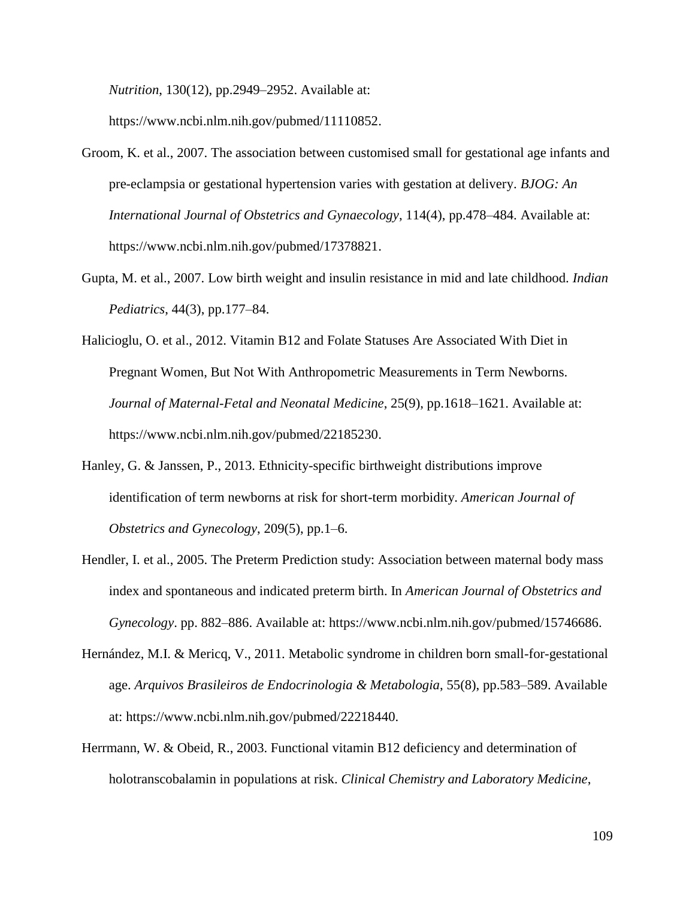*Nutrition*, 130(12), pp.2949–2952. Available at:

https://www.ncbi.nlm.nih.gov/pubmed/11110852.

- Groom, K. et al., 2007. The association between customised small for gestational age infants and pre-eclampsia or gestational hypertension varies with gestation at delivery. *BJOG: An International Journal of Obstetrics and Gynaecology*, 114(4), pp.478–484. Available at: https://www.ncbi.nlm.nih.gov/pubmed/17378821.
- Gupta, M. et al., 2007. Low birth weight and insulin resistance in mid and late childhood. *Indian Pediatrics*, 44(3), pp.177–84.
- Halicioglu, O. et al., 2012. Vitamin B12 and Folate Statuses Are Associated With Diet in Pregnant Women, But Not With Anthropometric Measurements in Term Newborns. *Journal of Maternal-Fetal and Neonatal Medicine*, 25(9), pp.1618–1621. Available at: https://www.ncbi.nlm.nih.gov/pubmed/22185230.
- Hanley, G. & Janssen, P., 2013. Ethnicity-specific birthweight distributions improve identification of term newborns at risk for short-term morbidity. *American Journal of Obstetrics and Gynecology*, 209(5), pp.1–6.
- Hendler, I. et al., 2005. The Preterm Prediction study: Association between maternal body mass index and spontaneous and indicated preterm birth. In *American Journal of Obstetrics and Gynecology*. pp. 882–886. Available at: https://www.ncbi.nlm.nih.gov/pubmed/15746686.
- Hernández, M.I. & Mericq, V., 2011. Metabolic syndrome in children born small-for-gestational age. *Arquivos Brasileiros de Endocrinologia & Metabologia*, 55(8), pp.583–589. Available at: https://www.ncbi.nlm.nih.gov/pubmed/22218440.
- Herrmann, W. & Obeid, R., 2003. Functional vitamin B12 deficiency and determination of holotranscobalamin in populations at risk. *Clinical Chemistry and Laboratory Medicine*,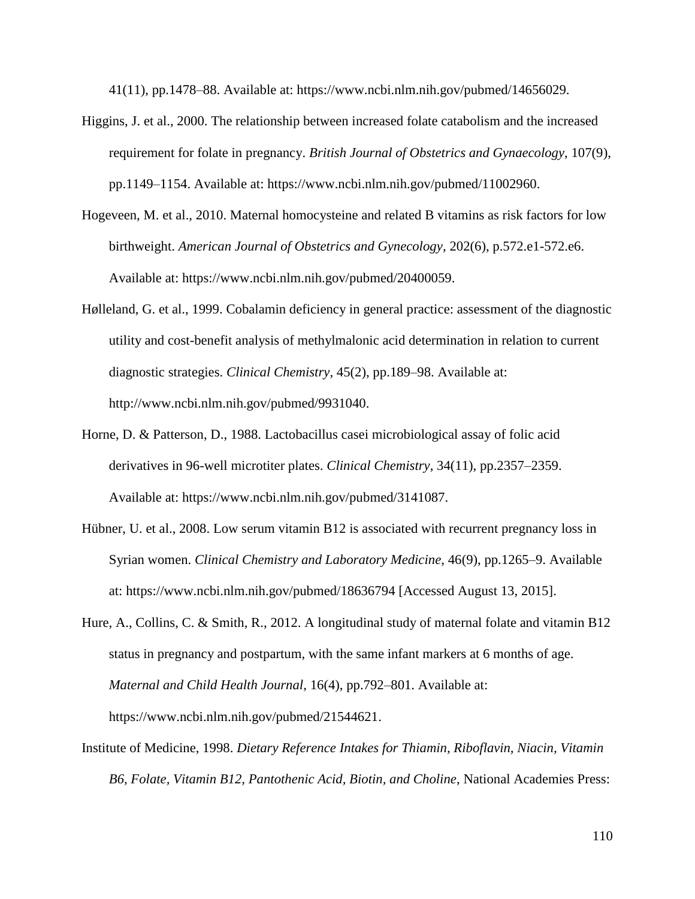41(11), pp.1478–88. Available at: https://www.ncbi.nlm.nih.gov/pubmed/14656029.

- Higgins, J. et al., 2000. The relationship between increased folate catabolism and the increased requirement for folate in pregnancy. *British Journal of Obstetrics and Gynaecology*, 107(9), pp.1149–1154. Available at: https://www.ncbi.nlm.nih.gov/pubmed/11002960.
- Hogeveen, M. et al., 2010. Maternal homocysteine and related B vitamins as risk factors for low birthweight. *American Journal of Obstetrics and Gynecology*, 202(6), p.572.e1-572.e6. Available at: https://www.ncbi.nlm.nih.gov/pubmed/20400059.
- Hølleland, G. et al., 1999. Cobalamin deficiency in general practice: assessment of the diagnostic utility and cost-benefit analysis of methylmalonic acid determination in relation to current diagnostic strategies. *Clinical Chemistry*, 45(2), pp.189–98. Available at: http://www.ncbi.nlm.nih.gov/pubmed/9931040.
- Horne, D. & Patterson, D., 1988. Lactobacillus casei microbiological assay of folic acid derivatives in 96-well microtiter plates. *Clinical Chemistry*, 34(11), pp.2357–2359. Available at: https://www.ncbi.nlm.nih.gov/pubmed/3141087.
- Hübner, U. et al., 2008. Low serum vitamin B12 is associated with recurrent pregnancy loss in Syrian women. *Clinical Chemistry and Laboratory Medicine*, 46(9), pp.1265–9. Available at: https://www.ncbi.nlm.nih.gov/pubmed/18636794 [Accessed August 13, 2015].
- Hure, A., Collins, C. & Smith, R., 2012. A longitudinal study of maternal folate and vitamin B12 status in pregnancy and postpartum, with the same infant markers at 6 months of age. *Maternal and Child Health Journal*, 16(4), pp.792–801. Available at: https://www.ncbi.nlm.nih.gov/pubmed/21544621.
- Institute of Medicine, 1998. *Dietary Reference Intakes for Thiamin, Riboflavin, Niacin, Vitamin B6, Folate, Vitamin B12, Pantothenic Acid, Biotin, and Choline*, National Academies Press: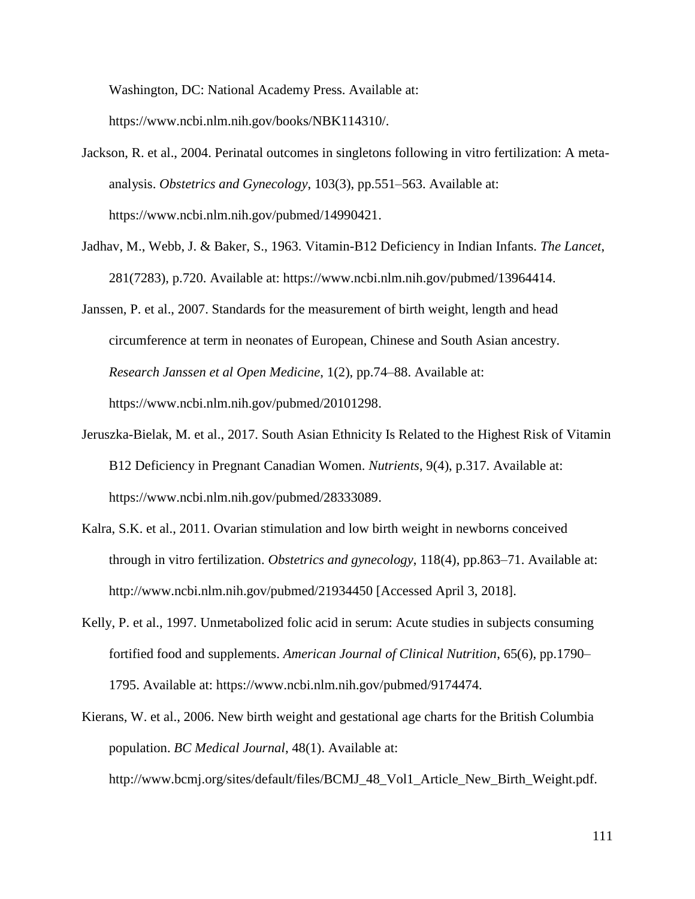Washington, DC: National Academy Press. Available at:

https://www.ncbi.nlm.nih.gov/books/NBK114310/.

- Jackson, R. et al., 2004. Perinatal outcomes in singletons following in vitro fertilization: A metaanalysis. *Obstetrics and Gynecology*, 103(3), pp.551–563. Available at: https://www.ncbi.nlm.nih.gov/pubmed/14990421.
- Jadhav, M., Webb, J. & Baker, S., 1963. Vitamin-B12 Deficiency in Indian Infants. *The Lancet*, 281(7283), p.720. Available at: https://www.ncbi.nlm.nih.gov/pubmed/13964414.
- Janssen, P. et al., 2007. Standards for the measurement of birth weight, length and head circumference at term in neonates of European, Chinese and South Asian ancestry. *Research Janssen et al Open Medicine*, 1(2), pp.74–88. Available at: https://www.ncbi.nlm.nih.gov/pubmed/20101298.
- Jeruszka-Bielak, M. et al., 2017. South Asian Ethnicity Is Related to the Highest Risk of Vitamin B12 Deficiency in Pregnant Canadian Women. *Nutrients*, 9(4), p.317. Available at: https://www.ncbi.nlm.nih.gov/pubmed/28333089.
- Kalra, S.K. et al., 2011. Ovarian stimulation and low birth weight in newborns conceived through in vitro fertilization. *Obstetrics and gynecology*, 118(4), pp.863–71. Available at: http://www.ncbi.nlm.nih.gov/pubmed/21934450 [Accessed April 3, 2018].
- Kelly, P. et al., 1997. Unmetabolized folic acid in serum: Acute studies in subjects consuming fortified food and supplements. *American Journal of Clinical Nutrition*, 65(6), pp.1790– 1795. Available at: https://www.ncbi.nlm.nih.gov/pubmed/9174474.
- Kierans, W. et al., 2006. New birth weight and gestational age charts for the British Columbia population. *BC Medical Journal*, 48(1). Available at:

http://www.bcmj.org/sites/default/files/BCMJ\_48\_Vol1\_Article\_New\_Birth\_Weight.pdf.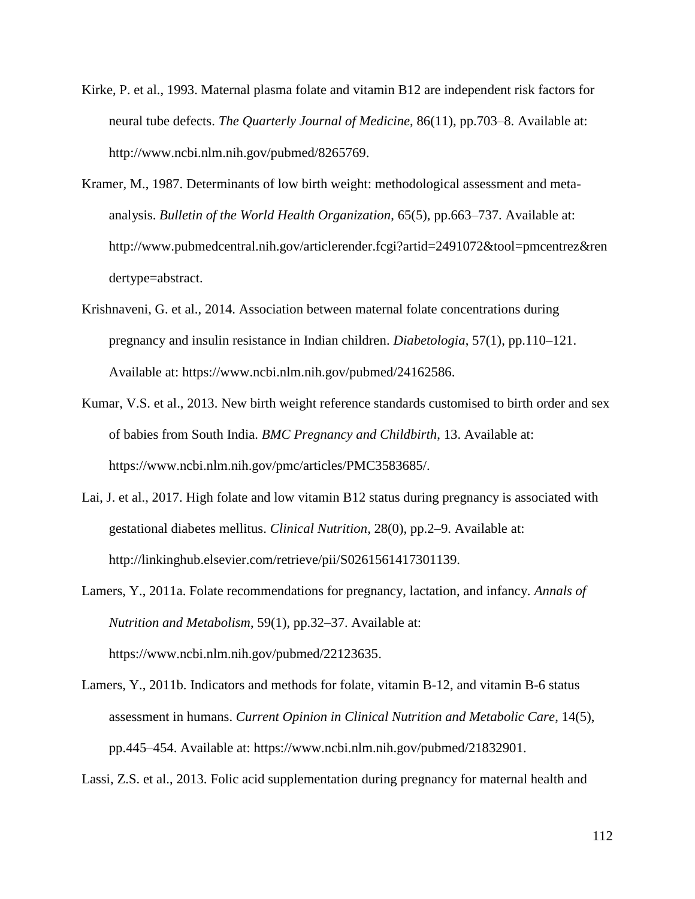- Kirke, P. et al., 1993. Maternal plasma folate and vitamin B12 are independent risk factors for neural tube defects. *The Quarterly Journal of Medicine*, 86(11), pp.703–8. Available at: http://www.ncbi.nlm.nih.gov/pubmed/8265769.
- Kramer, M., 1987. Determinants of low birth weight: methodological assessment and metaanalysis. *Bulletin of the World Health Organization*, 65(5), pp.663–737. Available at: http://www.pubmedcentral.nih.gov/articlerender.fcgi?artid=2491072&tool=pmcentrez&ren dertype=abstract.
- Krishnaveni, G. et al., 2014. Association between maternal folate concentrations during pregnancy and insulin resistance in Indian children. *Diabetologia*, 57(1), pp.110–121. Available at: https://www.ncbi.nlm.nih.gov/pubmed/24162586.
- Kumar, V.S. et al., 2013. New birth weight reference standards customised to birth order and sex of babies from South India. *BMC Pregnancy and Childbirth*, 13. Available at: https://www.ncbi.nlm.nih.gov/pmc/articles/PMC3583685/.
- Lai, J. et al., 2017. High folate and low vitamin B12 status during pregnancy is associated with gestational diabetes mellitus. *Clinical Nutrition*, 28(0), pp.2–9. Available at: http://linkinghub.elsevier.com/retrieve/pii/S0261561417301139.

Lamers, Y., 2011a. Folate recommendations for pregnancy, lactation, and infancy. *Annals of Nutrition and Metabolism*, 59(1), pp.32–37. Available at: https://www.ncbi.nlm.nih.gov/pubmed/22123635.

Lamers, Y., 2011b. Indicators and methods for folate, vitamin B-12, and vitamin B-6 status assessment in humans. *Current Opinion in Clinical Nutrition and Metabolic Care*, 14(5), pp.445–454. Available at: https://www.ncbi.nlm.nih.gov/pubmed/21832901.

Lassi, Z.S. et al., 2013. Folic acid supplementation during pregnancy for maternal health and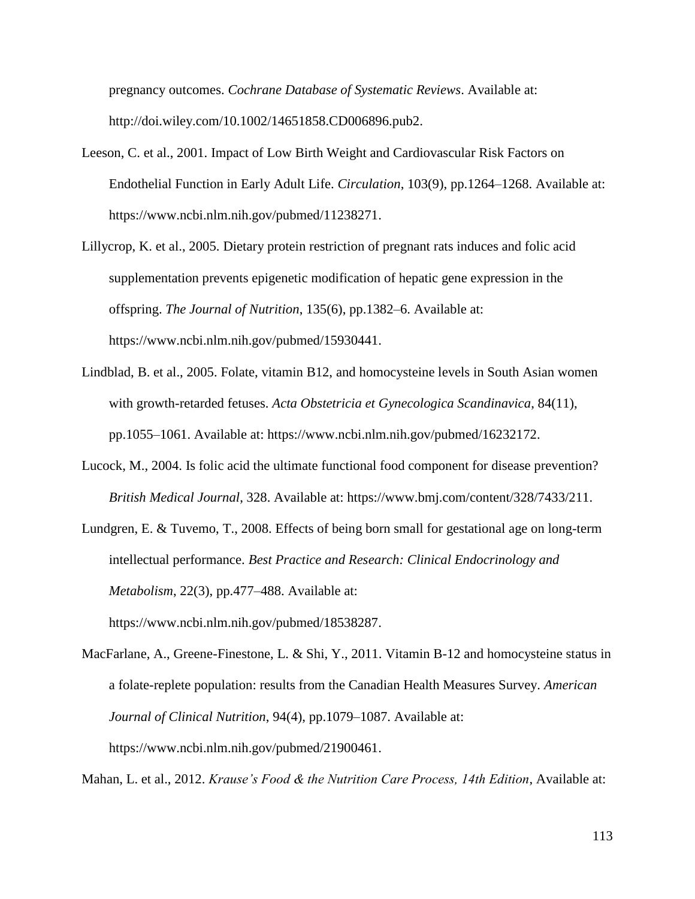pregnancy outcomes. *Cochrane Database of Systematic Reviews*. Available at: http://doi.wiley.com/10.1002/14651858.CD006896.pub2.

- Leeson, C. et al., 2001. Impact of Low Birth Weight and Cardiovascular Risk Factors on Endothelial Function in Early Adult Life. *Circulation*, 103(9), pp.1264–1268. Available at: https://www.ncbi.nlm.nih.gov/pubmed/11238271.
- Lillycrop, K. et al., 2005. Dietary protein restriction of pregnant rats induces and folic acid supplementation prevents epigenetic modification of hepatic gene expression in the offspring. *The Journal of Nutrition*, 135(6), pp.1382–6. Available at: https://www.ncbi.nlm.nih.gov/pubmed/15930441.
- Lindblad, B. et al., 2005. Folate, vitamin B12, and homocysteine levels in South Asian women with growth-retarded fetuses. *Acta Obstetricia et Gynecologica Scandinavica*, 84(11), pp.1055–1061. Available at: https://www.ncbi.nlm.nih.gov/pubmed/16232172.
- Lucock, M., 2004. Is folic acid the ultimate functional food component for disease prevention? *British Medical Journal*, 328. Available at: https://www.bmj.com/content/328/7433/211.
- Lundgren, E. & Tuvemo, T., 2008. Effects of being born small for gestational age on long-term intellectual performance. *Best Practice and Research: Clinical Endocrinology and Metabolism*, 22(3), pp.477–488. Available at: https://www.ncbi.nlm.nih.gov/pubmed/18538287.

MacFarlane, A., Greene-Finestone, L. & Shi, Y., 2011. Vitamin B-12 and homocysteine status in a folate-replete population: results from the Canadian Health Measures Survey. *American Journal of Clinical Nutrition*, 94(4), pp.1079–1087. Available at: https://www.ncbi.nlm.nih.gov/pubmed/21900461.

Mahan, L. et al., 2012. *Krause's Food & the Nutrition Care Process, 14th Edition*, Available at: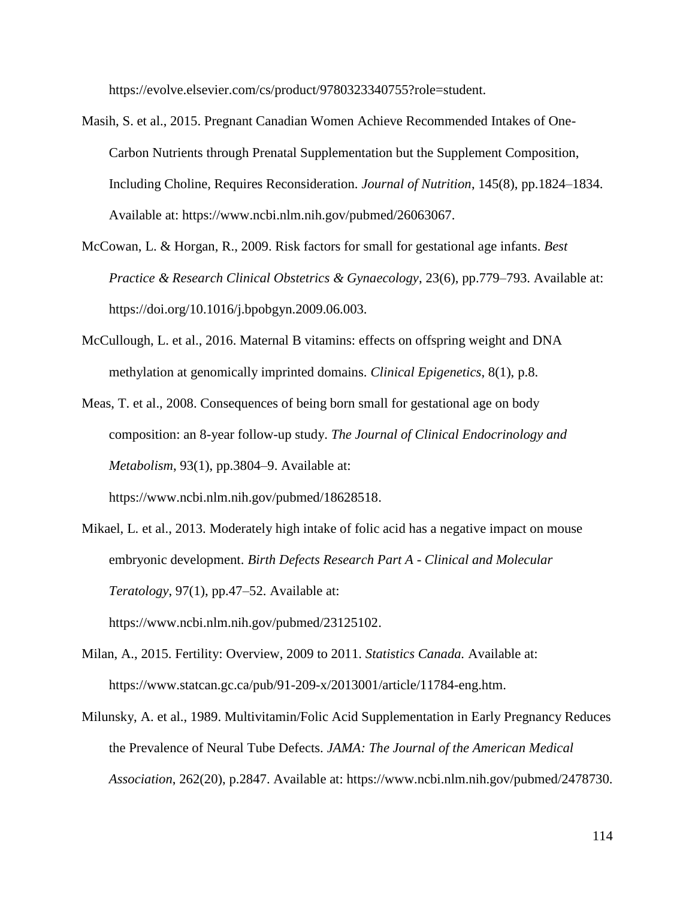https://evolve.elsevier.com/cs/product/9780323340755?role=student.

- Masih, S. et al., 2015. Pregnant Canadian Women Achieve Recommended Intakes of One-Carbon Nutrients through Prenatal Supplementation but the Supplement Composition, Including Choline, Requires Reconsideration. *Journal of Nutrition*, 145(8), pp.1824–1834. Available at: https://www.ncbi.nlm.nih.gov/pubmed/26063067.
- McCowan, L. & Horgan, R., 2009. Risk factors for small for gestational age infants. *Best Practice & Research Clinical Obstetrics & Gynaecology*, 23(6), pp.779–793. Available at: https://doi.org/10.1016/j.bpobgyn.2009.06.003.
- McCullough, L. et al., 2016. Maternal B vitamins: effects on offspring weight and DNA methylation at genomically imprinted domains. *Clinical Epigenetics*, 8(1), p.8.
- Meas, T. et al., 2008. Consequences of being born small for gestational age on body composition: an 8-year follow-up study. *The Journal of Clinical Endocrinology and Metabolism*, 93(1), pp.3804–9. Available at: https://www.ncbi.nlm.nih.gov/pubmed/18628518.
- Mikael, L. et al., 2013. Moderately high intake of folic acid has a negative impact on mouse embryonic development. *Birth Defects Research Part A - Clinical and Molecular Teratology*, 97(1), pp.47–52. Available at: https://www.ncbi.nlm.nih.gov/pubmed/23125102.
- Milan, A., 2015. Fertility: Overview, 2009 to 2011. *Statistics Canada.* Available at: https://www.statcan.gc.ca/pub/91-209-x/2013001/article/11784-eng.htm.
- Milunsky, A. et al., 1989. Multivitamin/Folic Acid Supplementation in Early Pregnancy Reduces the Prevalence of Neural Tube Defects. *JAMA: The Journal of the American Medical Association*, 262(20), p.2847. Available at: https://www.ncbi.nlm.nih.gov/pubmed/2478730.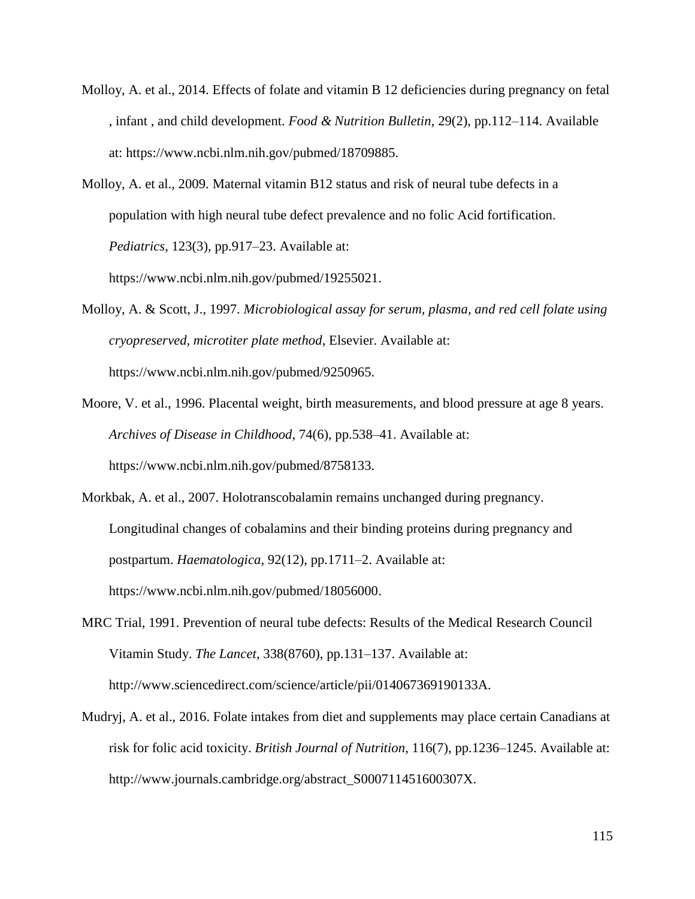- Molloy, A. et al., 2014. Effects of folate and vitamin B 12 deficiencies during pregnancy on fetal , infant , and child development. *Food & Nutrition Bulletin*, 29(2), pp.112–114. Available at: https://www.ncbi.nlm.nih.gov/pubmed/18709885.
- Molloy, A. et al., 2009. Maternal vitamin B12 status and risk of neural tube defects in a population with high neural tube defect prevalence and no folic Acid fortification. *Pediatrics*, 123(3), pp.917–23. Available at: https://www.ncbi.nlm.nih.gov/pubmed/19255021.

Molloy, A. & Scott, J., 1997. *Microbiological assay for serum, plasma, and red cell folate using cryopreserved, microtiter plate method*, Elsevier. Available at: https://www.ncbi.nlm.nih.gov/pubmed/9250965.

- Moore, V. et al., 1996. Placental weight, birth measurements, and blood pressure at age 8 years. *Archives of Disease in Childhood*, 74(6), pp.538–41. Available at: https://www.ncbi.nlm.nih.gov/pubmed/8758133.
- Morkbak, A. et al., 2007. Holotranscobalamin remains unchanged during pregnancy. Longitudinal changes of cobalamins and their binding proteins during pregnancy and postpartum. *Haematologica*, 92(12), pp.1711–2. Available at: https://www.ncbi.nlm.nih.gov/pubmed/18056000.

MRC Trial, 1991. Prevention of neural tube defects: Results of the Medical Research Council Vitamin Study. *The Lancet*, 338(8760), pp.131–137. Available at: http://www.sciencedirect.com/science/article/pii/014067369190133A.

Mudryj, A. et al., 2016. Folate intakes from diet and supplements may place certain Canadians at risk for folic acid toxicity. *British Journal of Nutrition*, 116(7), pp.1236–1245. Available at: http://www.journals.cambridge.org/abstract\_S000711451600307X.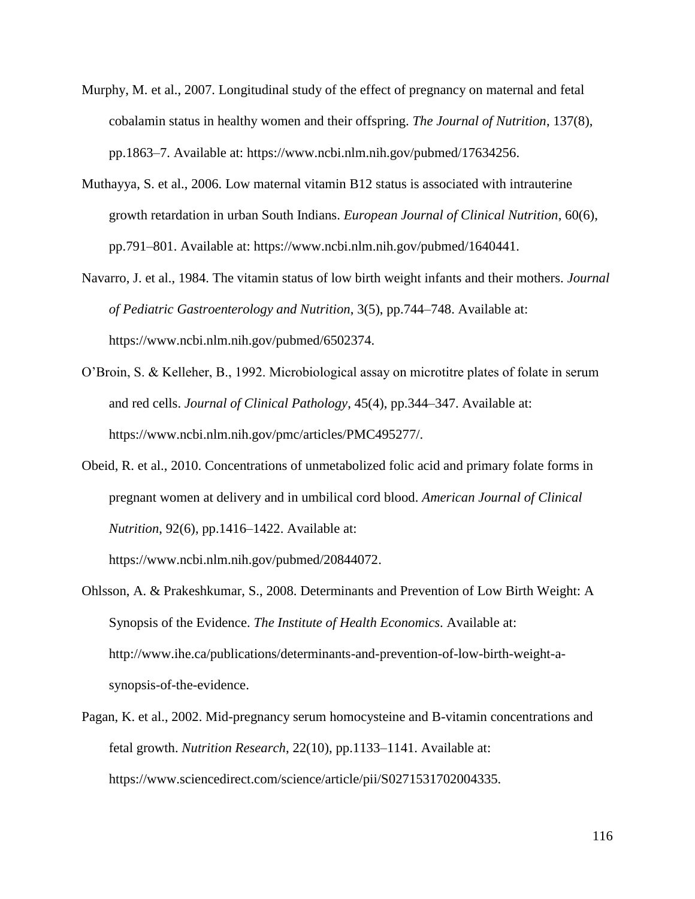- Murphy, M. et al., 2007. Longitudinal study of the effect of pregnancy on maternal and fetal cobalamin status in healthy women and their offspring. *The Journal of Nutrition*, 137(8), pp.1863–7. Available at: https://www.ncbi.nlm.nih.gov/pubmed/17634256.
- Muthayya, S. et al., 2006. Low maternal vitamin B12 status is associated with intrauterine growth retardation in urban South Indians. *European Journal of Clinical Nutrition*, 60(6), pp.791–801. Available at: https://www.ncbi.nlm.nih.gov/pubmed/1640441.
- Navarro, J. et al., 1984. The vitamin status of low birth weight infants and their mothers. *Journal of Pediatric Gastroenterology and Nutrition*, 3(5), pp.744–748. Available at: https://www.ncbi.nlm.nih.gov/pubmed/6502374.
- O'Broin, S. & Kelleher, B., 1992. Microbiological assay on microtitre plates of folate in serum and red cells. *Journal of Clinical Pathology*, 45(4), pp.344–347. Available at: https://www.ncbi.nlm.nih.gov/pmc/articles/PMC495277/.
- Obeid, R. et al., 2010. Concentrations of unmetabolized folic acid and primary folate forms in pregnant women at delivery and in umbilical cord blood. *American Journal of Clinical Nutrition*, 92(6), pp.1416–1422. Available at:

https://www.ncbi.nlm.nih.gov/pubmed/20844072.

- Ohlsson, A. & Prakeshkumar, S., 2008. Determinants and Prevention of Low Birth Weight: A Synopsis of the Evidence. *The Institute of Health Economics*. Available at: http://www.ihe.ca/publications/determinants-and-prevention-of-low-birth-weight-asynopsis-of-the-evidence.
- Pagan, K. et al., 2002. Mid-pregnancy serum homocysteine and B-vitamin concentrations and fetal growth. *Nutrition Research*, 22(10), pp.1133–1141. Available at: https://www.sciencedirect.com/science/article/pii/S0271531702004335.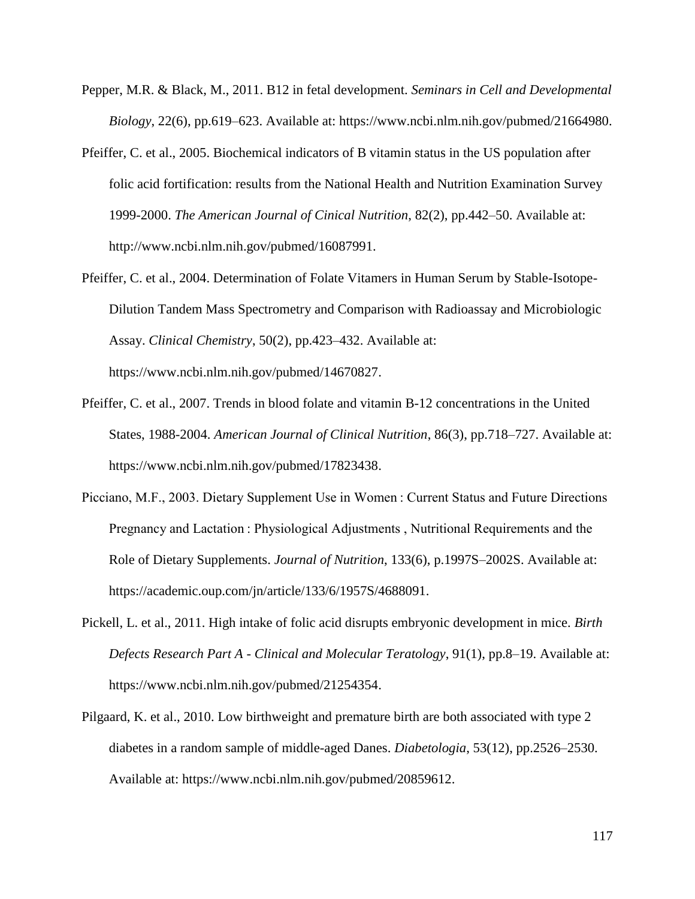- Pepper, M.R. & Black, M., 2011. B12 in fetal development. *Seminars in Cell and Developmental Biology*, 22(6), pp.619–623. Available at: https://www.ncbi.nlm.nih.gov/pubmed/21664980.
- Pfeiffer, C. et al., 2005. Biochemical indicators of B vitamin status in the US population after folic acid fortification: results from the National Health and Nutrition Examination Survey 1999-2000. *The American Journal of Cinical Nutrition*, 82(2), pp.442–50. Available at: http://www.ncbi.nlm.nih.gov/pubmed/16087991.
- Pfeiffer, C. et al., 2004. Determination of Folate Vitamers in Human Serum by Stable-Isotope-Dilution Tandem Mass Spectrometry and Comparison with Radioassay and Microbiologic Assay. *Clinical Chemistry*, 50(2), pp.423–432. Available at: https://www.ncbi.nlm.nih.gov/pubmed/14670827.
- Pfeiffer, C. et al., 2007. Trends in blood folate and vitamin B-12 concentrations in the United States, 1988-2004. *American Journal of Clinical Nutrition*, 86(3), pp.718–727. Available at: https://www.ncbi.nlm.nih.gov/pubmed/17823438.
- Picciano, M.F., 2003. Dietary Supplement Use in Women : Current Status and Future Directions Pregnancy and Lactation : Physiological Adjustments , Nutritional Requirements and the Role of Dietary Supplements. *Journal of Nutrition*, 133(6), p.1997S–2002S. Available at: https://academic.oup.com/jn/article/133/6/1957S/4688091.
- Pickell, L. et al., 2011. High intake of folic acid disrupts embryonic development in mice. *Birth Defects Research Part A - Clinical and Molecular Teratology*, 91(1), pp.8–19. Available at: https://www.ncbi.nlm.nih.gov/pubmed/21254354.
- Pilgaard, K. et al., 2010. Low birthweight and premature birth are both associated with type 2 diabetes in a random sample of middle-aged Danes. *Diabetologia*, 53(12), pp.2526–2530. Available at: https://www.ncbi.nlm.nih.gov/pubmed/20859612.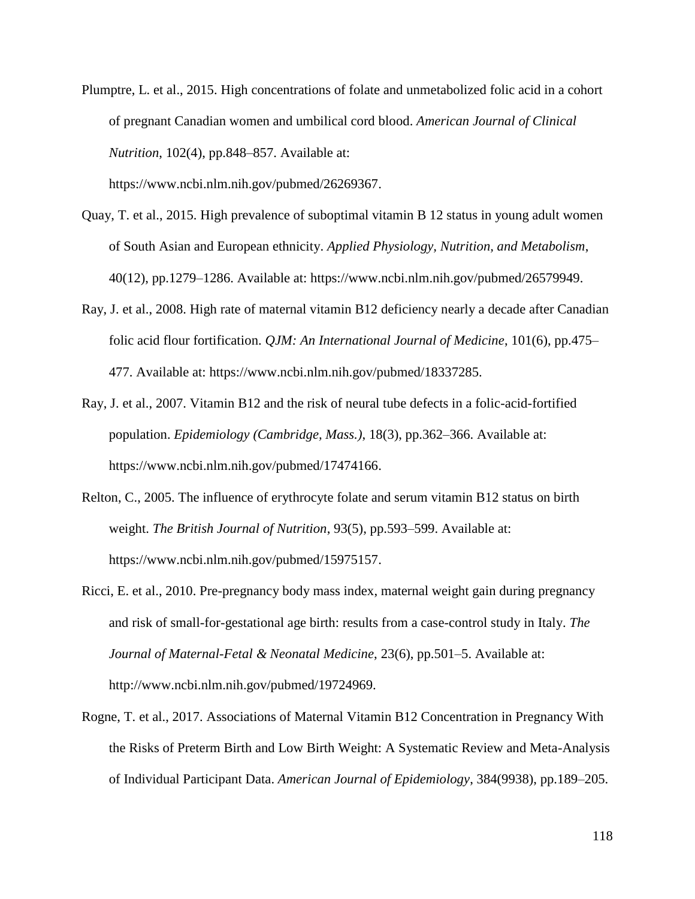- Plumptre, L. et al., 2015. High concentrations of folate and unmetabolized folic acid in a cohort of pregnant Canadian women and umbilical cord blood. *American Journal of Clinical Nutrition*, 102(4), pp.848–857. Available at: https://www.ncbi.nlm.nih.gov/pubmed/26269367.
- Quay, T. et al., 2015. High prevalence of suboptimal vitamin B 12 status in young adult women of South Asian and European ethnicity. *Applied Physiology, Nutrition, and Metabolism*, 40(12), pp.1279–1286. Available at: https://www.ncbi.nlm.nih.gov/pubmed/26579949.
- Ray, J. et al., 2008. High rate of maternal vitamin B12 deficiency nearly a decade after Canadian folic acid flour fortification. *QJM: An International Journal of Medicine*, 101(6), pp.475– 477. Available at: https://www.ncbi.nlm.nih.gov/pubmed/18337285.
- Ray, J. et al., 2007. Vitamin B12 and the risk of neural tube defects in a folic-acid-fortified population. *Epidemiology (Cambridge, Mass.)*, 18(3), pp.362–366. Available at: https://www.ncbi.nlm.nih.gov/pubmed/17474166.
- Relton, C., 2005. The influence of erythrocyte folate and serum vitamin B12 status on birth weight. *The British Journal of Nutrition*, 93(5), pp.593–599. Available at: https://www.ncbi.nlm.nih.gov/pubmed/15975157.
- Ricci, E. et al., 2010. Pre-pregnancy body mass index, maternal weight gain during pregnancy and risk of small-for-gestational age birth: results from a case-control study in Italy. *The Journal of Maternal-Fetal & Neonatal Medicine*, 23(6), pp.501–5. Available at: http://www.ncbi.nlm.nih.gov/pubmed/19724969.
- Rogne, T. et al., 2017. Associations of Maternal Vitamin B12 Concentration in Pregnancy With the Risks of Preterm Birth and Low Birth Weight: A Systematic Review and Meta-Analysis of Individual Participant Data. *American Journal of Epidemiology*, 384(9938), pp.189–205.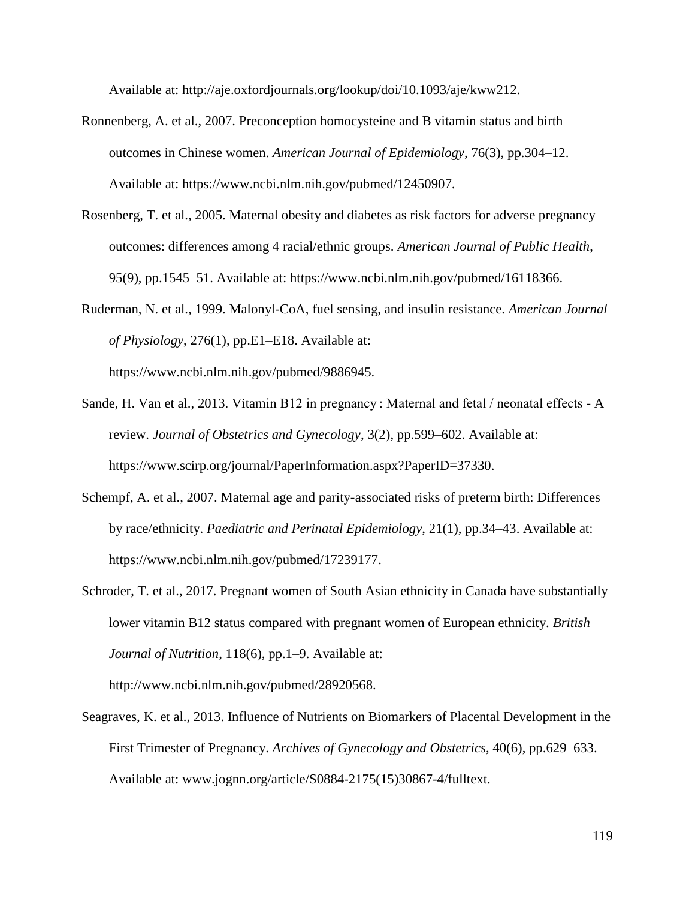Available at: http://aje.oxfordjournals.org/lookup/doi/10.1093/aje/kww212.

- Ronnenberg, A. et al., 2007. Preconception homocysteine and B vitamin status and birth outcomes in Chinese women. *American Journal of Epidemiology*, 76(3), pp.304–12. Available at: https://www.ncbi.nlm.nih.gov/pubmed/12450907.
- Rosenberg, T. et al., 2005. Maternal obesity and diabetes as risk factors for adverse pregnancy outcomes: differences among 4 racial/ethnic groups. *American Journal of Public Health*, 95(9), pp.1545–51. Available at: https://www.ncbi.nlm.nih.gov/pubmed/16118366.
- Ruderman, N. et al., 1999. Malonyl-CoA, fuel sensing, and insulin resistance. *American Journal of Physiology*, 276(1), pp.E1–E18. Available at: https://www.ncbi.nlm.nih.gov/pubmed/9886945.
- Sande, H. Van et al., 2013. Vitamin B12 in pregnancy : Maternal and fetal / neonatal effects A review. *Journal of Obstetrics and Gynecology*, 3(2), pp.599–602. Available at: https://www.scirp.org/journal/PaperInformation.aspx?PaperID=37330.
- Schempf, A. et al., 2007. Maternal age and parity-associated risks of preterm birth: Differences by race/ethnicity. *Paediatric and Perinatal Epidemiology*, 21(1), pp.34–43. Available at: https://www.ncbi.nlm.nih.gov/pubmed/17239177.
- Schroder, T. et al., 2017. Pregnant women of South Asian ethnicity in Canada have substantially lower vitamin B12 status compared with pregnant women of European ethnicity. *British Journal of Nutrition*, 118(6), pp.1–9. Available at:

http://www.ncbi.nlm.nih.gov/pubmed/28920568.

Seagraves, K. et al., 2013. Influence of Nutrients on Biomarkers of Placental Development in the First Trimester of Pregnancy. *Archives of Gynecology and Obstetrics*, 40(6), pp.629–633. Available at: www.jognn.org/article/S0884-2175(15)30867-4/fulltext.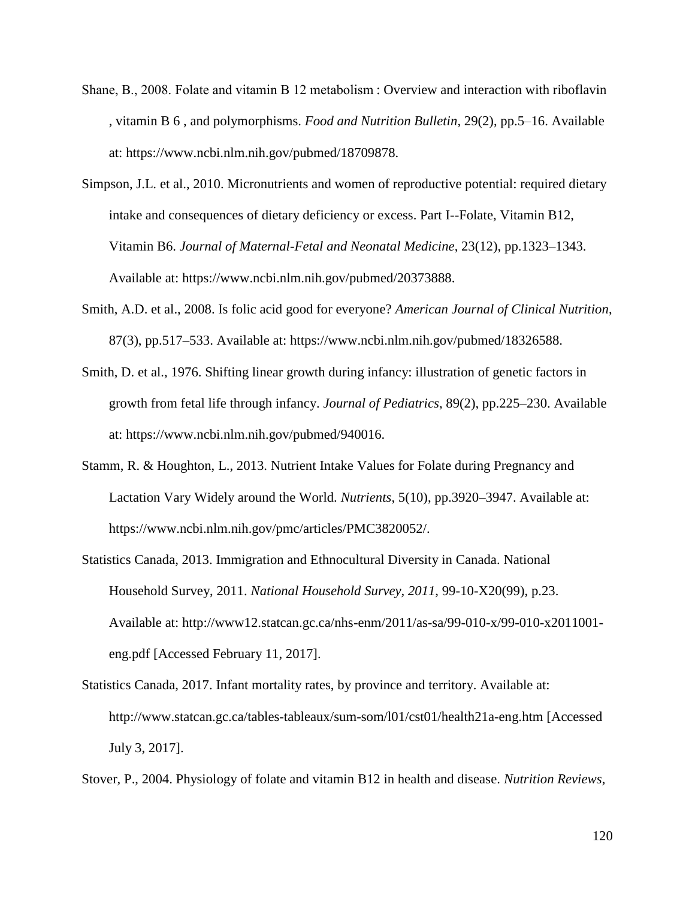- Shane, B., 2008. Folate and vitamin B 12 metabolism : Overview and interaction with riboflavin , vitamin B 6 , and polymorphisms. *Food and Nutrition Bulletin*, 29(2), pp.5–16. Available at: https://www.ncbi.nlm.nih.gov/pubmed/18709878.
- Simpson, J.L. et al., 2010. Micronutrients and women of reproductive potential: required dietary intake and consequences of dietary deficiency or excess. Part I--Folate, Vitamin B12, Vitamin B6. *Journal of Maternal-Fetal and Neonatal Medicine*, 23(12), pp.1323–1343. Available at: https://www.ncbi.nlm.nih.gov/pubmed/20373888.
- Smith, A.D. et al., 2008. Is folic acid good for everyone? *American Journal of Clinical Nutrition*, 87(3), pp.517–533. Available at: https://www.ncbi.nlm.nih.gov/pubmed/18326588.
- Smith, D. et al., 1976. Shifting linear growth during infancy: illustration of genetic factors in growth from fetal life through infancy. *Journal of Pediatrics*, 89(2), pp.225–230. Available at: https://www.ncbi.nlm.nih.gov/pubmed/940016.
- Stamm, R. & Houghton, L., 2013. Nutrient Intake Values for Folate during Pregnancy and Lactation Vary Widely around the World. *Nutrients*, 5(10), pp.3920–3947. Available at: https://www.ncbi.nlm.nih.gov/pmc/articles/PMC3820052/.
- Statistics Canada, 2013. Immigration and Ethnocultural Diversity in Canada. National Household Survey, 2011. *National Household Survey, 2011*, 99-10-X20(99), p.23. Available at: http://www12.statcan.gc.ca/nhs-enm/2011/as-sa/99-010-x/99-010-x2011001 eng.pdf [Accessed February 11, 2017].
- Statistics Canada, 2017. Infant mortality rates, by province and territory. Available at: http://www.statcan.gc.ca/tables-tableaux/sum-som/l01/cst01/health21a-eng.htm [Accessed July 3, 2017].

Stover, P., 2004. Physiology of folate and vitamin B12 in health and disease. *Nutrition Reviews*,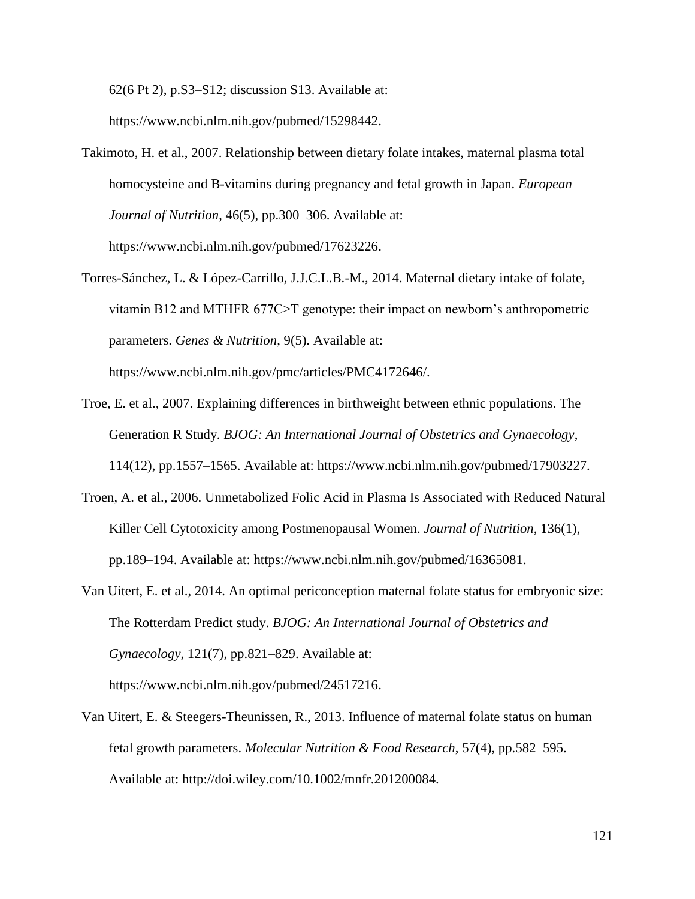62(6 Pt 2), p.S3–S12; discussion S13. Available at:

https://www.ncbi.nlm.nih.gov/pubmed/15298442.

- Takimoto, H. et al., 2007. Relationship between dietary folate intakes, maternal plasma total homocysteine and B-vitamins during pregnancy and fetal growth in Japan. *European Journal of Nutrition*, 46(5), pp.300–306. Available at: https://www.ncbi.nlm.nih.gov/pubmed/17623226.
- Torres-Sánchez, L. & López-Carrillo, J.J.C.L.B.-M., 2014. Maternal dietary intake of folate, vitamin B12 and MTHFR 677C>T genotype: their impact on newborn's anthropometric parameters. *Genes & Nutrition*, 9(5). Available at: https://www.ncbi.nlm.nih.gov/pmc/articles/PMC4172646/.
- Troe, E. et al., 2007. Explaining differences in birthweight between ethnic populations. The Generation R Study. *BJOG: An International Journal of Obstetrics and Gynaecology*, 114(12), pp.1557–1565. Available at: https://www.ncbi.nlm.nih.gov/pubmed/17903227.
- Troen, A. et al., 2006. Unmetabolized Folic Acid in Plasma Is Associated with Reduced Natural Killer Cell Cytotoxicity among Postmenopausal Women. *Journal of Nutrition*, 136(1), pp.189–194. Available at: https://www.ncbi.nlm.nih.gov/pubmed/16365081.
- Van Uitert, E. et al., 2014. An optimal periconception maternal folate status for embryonic size: The Rotterdam Predict study. *BJOG: An International Journal of Obstetrics and Gynaecology*, 121(7), pp.821–829. Available at: https://www.ncbi.nlm.nih.gov/pubmed/24517216.
- Van Uitert, E. & Steegers-Theunissen, R., 2013. Influence of maternal folate status on human fetal growth parameters. *Molecular Nutrition & Food Research*, 57(4), pp.582–595. Available at: http://doi.wiley.com/10.1002/mnfr.201200084.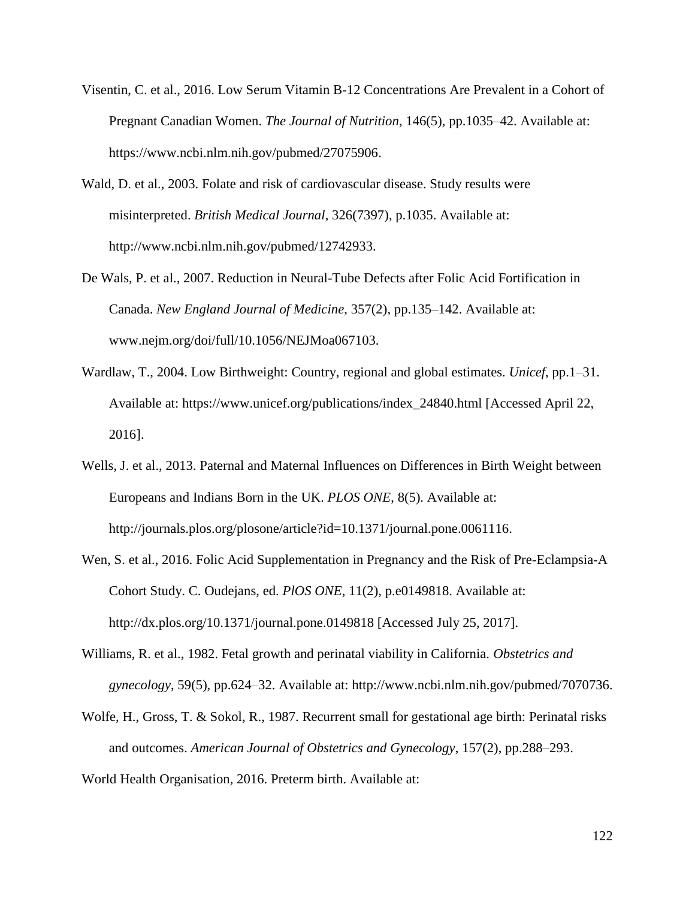- Visentin, C. et al., 2016. Low Serum Vitamin B-12 Concentrations Are Prevalent in a Cohort of Pregnant Canadian Women. *The Journal of Nutrition*, 146(5), pp.1035–42. Available at: https://www.ncbi.nlm.nih.gov/pubmed/27075906.
- Wald, D. et al., 2003. Folate and risk of cardiovascular disease. Study results were misinterpreted. *British Medical Journal*, 326(7397), p.1035. Available at: http://www.ncbi.nlm.nih.gov/pubmed/12742933.
- De Wals, P. et al., 2007. Reduction in Neural-Tube Defects after Folic Acid Fortification in Canada. *New England Journal of Medicine*, 357(2), pp.135–142. Available at: www.nejm.org/doi/full/10.1056/NEJMoa067103.
- Wardlaw, T., 2004. Low Birthweight: Country, regional and global estimates. *Unicef*, pp.1–31. Available at: https://www.unicef.org/publications/index\_24840.html [Accessed April 22, 2016].
- Wells, J. et al., 2013. Paternal and Maternal Influences on Differences in Birth Weight between Europeans and Indians Born in the UK. *PLOS ONE*, 8(5). Available at: http://journals.plos.org/plosone/article?id=10.1371/journal.pone.0061116.
- Wen, S. et al., 2016. Folic Acid Supplementation in Pregnancy and the Risk of Pre-Eclampsia-A Cohort Study. C. Oudejans, ed. *PlOS ONE*, 11(2), p.e0149818. Available at: http://dx.plos.org/10.1371/journal.pone.0149818 [Accessed July 25, 2017].
- Williams, R. et al., 1982. Fetal growth and perinatal viability in California. *Obstetrics and gynecology*, 59(5), pp.624–32. Available at: http://www.ncbi.nlm.nih.gov/pubmed/7070736.
- Wolfe, H., Gross, T. & Sokol, R., 1987. Recurrent small for gestational age birth: Perinatal risks and outcomes. *American Journal of Obstetrics and Gynecology*, 157(2), pp.288–293.
- World Health Organisation, 2016. Preterm birth. Available at: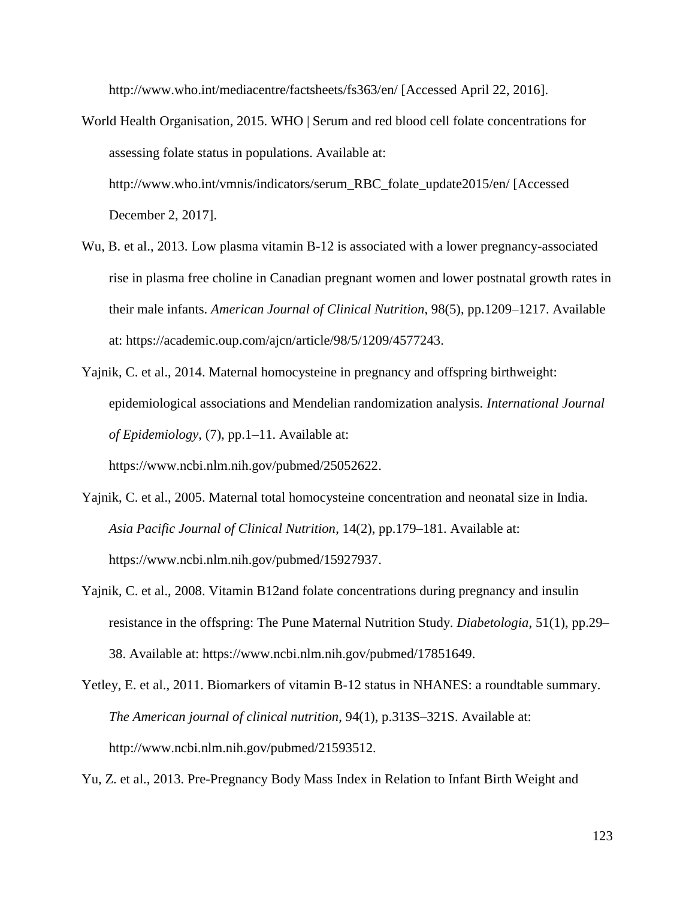http://www.who.int/mediacentre/factsheets/fs363/en/ [Accessed April 22, 2016].

- World Health Organisation, 2015. WHO | Serum and red blood cell folate concentrations for assessing folate status in populations. Available at: http://www.who.int/vmnis/indicators/serum\_RBC\_folate\_update2015/en/ [Accessed December 2, 2017].
- Wu, B. et al., 2013. Low plasma vitamin B-12 is associated with a lower pregnancy-associated rise in plasma free choline in Canadian pregnant women and lower postnatal growth rates in their male infants. *American Journal of Clinical Nutrition*, 98(5), pp.1209–1217. Available at: https://academic.oup.com/ajcn/article/98/5/1209/4577243.
- Yajnik, C. et al., 2014. Maternal homocysteine in pregnancy and offspring birthweight: epidemiological associations and Mendelian randomization analysis. *International Journal of Epidemiology*, (7), pp.1–11. Available at:

https://www.ncbi.nlm.nih.gov/pubmed/25052622.

- Yajnik, C. et al., 2005. Maternal total homocysteine concentration and neonatal size in India. *Asia Pacific Journal of Clinical Nutrition*, 14(2), pp.179–181. Available at: https://www.ncbi.nlm.nih.gov/pubmed/15927937.
- Yajnik, C. et al., 2008. Vitamin B12and folate concentrations during pregnancy and insulin resistance in the offspring: The Pune Maternal Nutrition Study. *Diabetologia*, 51(1), pp.29– 38. Available at: https://www.ncbi.nlm.nih.gov/pubmed/17851649.
- Yetley, E. et al., 2011. Biomarkers of vitamin B-12 status in NHANES: a roundtable summary. *The American journal of clinical nutrition*, 94(1), p.313S–321S. Available at: http://www.ncbi.nlm.nih.gov/pubmed/21593512.

Yu, Z. et al., 2013. Pre-Pregnancy Body Mass Index in Relation to Infant Birth Weight and